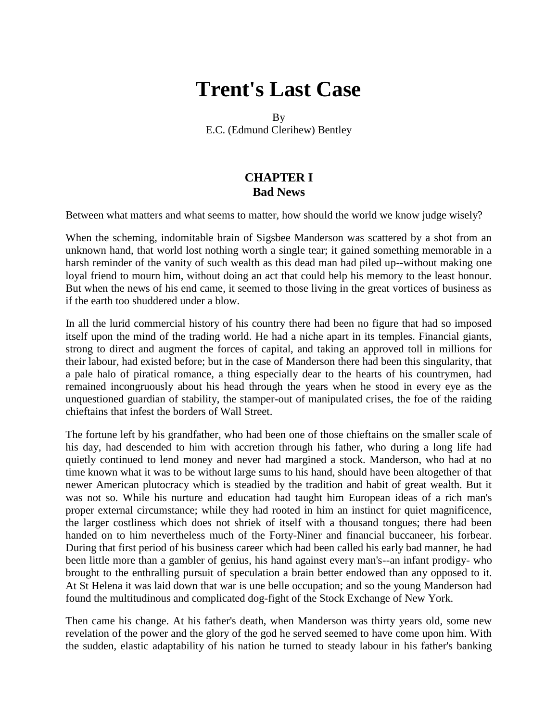# **Trent's Last Case**

By

E.C. (Edmund Clerihew) Bentley

## **CHAPTER I Bad News**

Between what matters and what seems to matter, how should the world we know judge wisely?

When the scheming, indomitable brain of Sigsbee Manderson was scattered by a shot from an unknown hand, that world lost nothing worth a single tear; it gained something memorable in a harsh reminder of the vanity of such wealth as this dead man had piled up--without making one loyal friend to mourn him, without doing an act that could help his memory to the least honour. But when the news of his end came, it seemed to those living in the great vortices of business as if the earth too shuddered under a blow.

In all the lurid commercial history of his country there had been no figure that had so imposed itself upon the mind of the trading world. He had a niche apart in its temples. Financial giants, strong to direct and augment the forces of capital, and taking an approved toll in millions for their labour, had existed before; but in the case of Manderson there had been this singularity, that a pale halo of piratical romance, a thing especially dear to the hearts of his countrymen, had remained incongruously about his head through the years when he stood in every eye as the unquestioned guardian of stability, the stamper-out of manipulated crises, the foe of the raiding chieftains that infest the borders of Wall Street.

The fortune left by his grandfather, who had been one of those chieftains on the smaller scale of his day, had descended to him with accretion through his father, who during a long life had quietly continued to lend money and never had margined a stock. Manderson, who had at no time known what it was to be without large sums to his hand, should have been altogether of that newer American plutocracy which is steadied by the tradition and habit of great wealth. But it was not so. While his nurture and education had taught him European ideas of a rich man's proper external circumstance; while they had rooted in him an instinct for quiet magnificence, the larger costliness which does not shriek of itself with a thousand tongues; there had been handed on to him nevertheless much of the Forty-Niner and financial buccaneer, his forbear. During that first period of his business career which had been called his early bad manner, he had been little more than a gambler of genius, his hand against every man's--an infant prodigy- who brought to the enthralling pursuit of speculation a brain better endowed than any opposed to it. At St Helena it was laid down that war is une belle occupation; and so the young Manderson had found the multitudinous and complicated dog-fight of the Stock Exchange of New York.

Then came his change. At his father's death, when Manderson was thirty years old, some new revelation of the power and the glory of the god he served seemed to have come upon him. With the sudden, elastic adaptability of his nation he turned to steady labour in his father's banking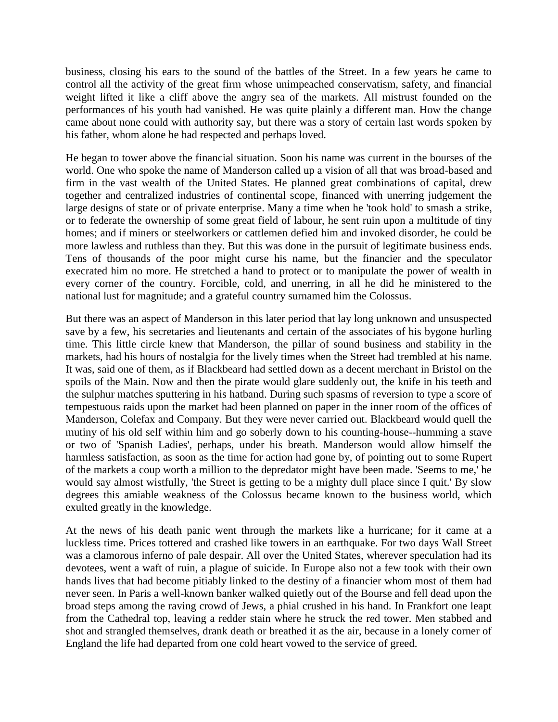business, closing his ears to the sound of the battles of the Street. In a few years he came to control all the activity of the great firm whose unimpeached conservatism, safety, and financial weight lifted it like a cliff above the angry sea of the markets. All mistrust founded on the performances of his youth had vanished. He was quite plainly a different man. How the change came about none could with authority say, but there was a story of certain last words spoken by his father, whom alone he had respected and perhaps loved.

He began to tower above the financial situation. Soon his name was current in the bourses of the world. One who spoke the name of Manderson called up a vision of all that was broad-based and firm in the vast wealth of the United States. He planned great combinations of capital, drew together and centralized industries of continental scope, financed with unerring judgement the large designs of state or of private enterprise. Many a time when he 'took hold' to smash a strike, or to federate the ownership of some great field of labour, he sent ruin upon a multitude of tiny homes; and if miners or steelworkers or cattlemen defied him and invoked disorder, he could be more lawless and ruthless than they. But this was done in the pursuit of legitimate business ends. Tens of thousands of the poor might curse his name, but the financier and the speculator execrated him no more. He stretched a hand to protect or to manipulate the power of wealth in every corner of the country. Forcible, cold, and unerring, in all he did he ministered to the national lust for magnitude; and a grateful country surnamed him the Colossus.

But there was an aspect of Manderson in this later period that lay long unknown and unsuspected save by a few, his secretaries and lieutenants and certain of the associates of his bygone hurling time. This little circle knew that Manderson, the pillar of sound business and stability in the markets, had his hours of nostalgia for the lively times when the Street had trembled at his name. It was, said one of them, as if Blackbeard had settled down as a decent merchant in Bristol on the spoils of the Main. Now and then the pirate would glare suddenly out, the knife in his teeth and the sulphur matches sputtering in his hatband. During such spasms of reversion to type a score of tempestuous raids upon the market had been planned on paper in the inner room of the offices of Manderson, Colefax and Company. But they were never carried out. Blackbeard would quell the mutiny of his old self within him and go soberly down to his counting-house--humming a stave or two of 'Spanish Ladies', perhaps, under his breath. Manderson would allow himself the harmless satisfaction, as soon as the time for action had gone by, of pointing out to some Rupert of the markets a coup worth a million to the depredator might have been made. 'Seems to me,' he would say almost wistfully, 'the Street is getting to be a mighty dull place since I quit.' By slow degrees this amiable weakness of the Colossus became known to the business world, which exulted greatly in the knowledge.

At the news of his death panic went through the markets like a hurricane; for it came at a luckless time. Prices tottered and crashed like towers in an earthquake. For two days Wall Street was a clamorous inferno of pale despair. All over the United States, wherever speculation had its devotees, went a waft of ruin, a plague of suicide. In Europe also not a few took with their own hands lives that had become pitiably linked to the destiny of a financier whom most of them had never seen. In Paris a well-known banker walked quietly out of the Bourse and fell dead upon the broad steps among the raving crowd of Jews, a phial crushed in his hand. In Frankfort one leapt from the Cathedral top, leaving a redder stain where he struck the red tower. Men stabbed and shot and strangled themselves, drank death or breathed it as the air, because in a lonely corner of England the life had departed from one cold heart vowed to the service of greed.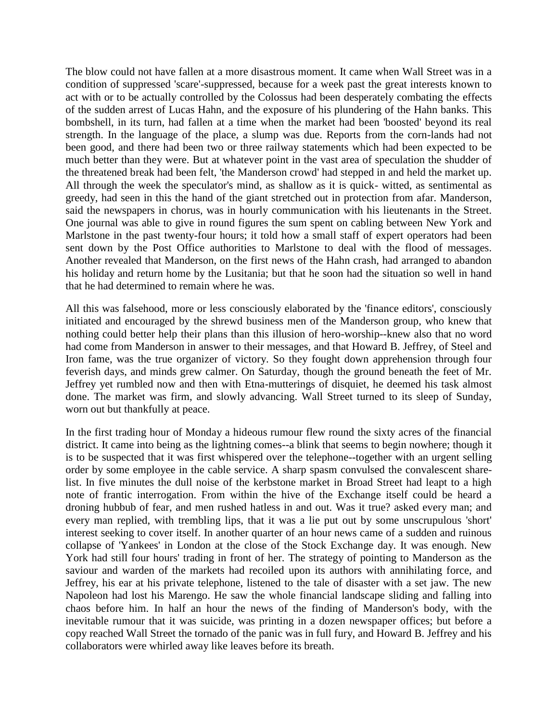The blow could not have fallen at a more disastrous moment. It came when Wall Street was in a condition of suppressed 'scare'-suppressed, because for a week past the great interests known to act with or to be actually controlled by the Colossus had been desperately combating the effects of the sudden arrest of Lucas Hahn, and the exposure of his plundering of the Hahn banks. This bombshell, in its turn, had fallen at a time when the market had been 'boosted' beyond its real strength. In the language of the place, a slump was due. Reports from the corn-lands had not been good, and there had been two or three railway statements which had been expected to be much better than they were. But at whatever point in the vast area of speculation the shudder of the threatened break had been felt, 'the Manderson crowd' had stepped in and held the market up. All through the week the speculator's mind, as shallow as it is quick- witted, as sentimental as greedy, had seen in this the hand of the giant stretched out in protection from afar. Manderson, said the newspapers in chorus, was in hourly communication with his lieutenants in the Street. One journal was able to give in round figures the sum spent on cabling between New York and Marlstone in the past twenty-four hours; it told how a small staff of expert operators had been sent down by the Post Office authorities to Marlstone to deal with the flood of messages. Another revealed that Manderson, on the first news of the Hahn crash, had arranged to abandon his holiday and return home by the Lusitania; but that he soon had the situation so well in hand that he had determined to remain where he was.

All this was falsehood, more or less consciously elaborated by the 'finance editors', consciously initiated and encouraged by the shrewd business men of the Manderson group, who knew that nothing could better help their plans than this illusion of hero-worship--knew also that no word had come from Manderson in answer to their messages, and that Howard B. Jeffrey, of Steel and Iron fame, was the true organizer of victory. So they fought down apprehension through four feverish days, and minds grew calmer. On Saturday, though the ground beneath the feet of Mr. Jeffrey yet rumbled now and then with Etna-mutterings of disquiet, he deemed his task almost done. The market was firm, and slowly advancing. Wall Street turned to its sleep of Sunday, worn out but thankfully at peace.

In the first trading hour of Monday a hideous rumour flew round the sixty acres of the financial district. It came into being as the lightning comes--a blink that seems to begin nowhere; though it is to be suspected that it was first whispered over the telephone--together with an urgent selling order by some employee in the cable service. A sharp spasm convulsed the convalescent sharelist. In five minutes the dull noise of the kerbstone market in Broad Street had leapt to a high note of frantic interrogation. From within the hive of the Exchange itself could be heard a droning hubbub of fear, and men rushed hatless in and out. Was it true? asked every man; and every man replied, with trembling lips, that it was a lie put out by some unscrupulous 'short' interest seeking to cover itself. In another quarter of an hour news came of a sudden and ruinous collapse of 'Yankees' in London at the close of the Stock Exchange day. It was enough. New York had still four hours' trading in front of her. The strategy of pointing to Manderson as the saviour and warden of the markets had recoiled upon its authors with annihilating force, and Jeffrey, his ear at his private telephone, listened to the tale of disaster with a set jaw. The new Napoleon had lost his Marengo. He saw the whole financial landscape sliding and falling into chaos before him. In half an hour the news of the finding of Manderson's body, with the inevitable rumour that it was suicide, was printing in a dozen newspaper offices; but before a copy reached Wall Street the tornado of the panic was in full fury, and Howard B. Jeffrey and his collaborators were whirled away like leaves before its breath.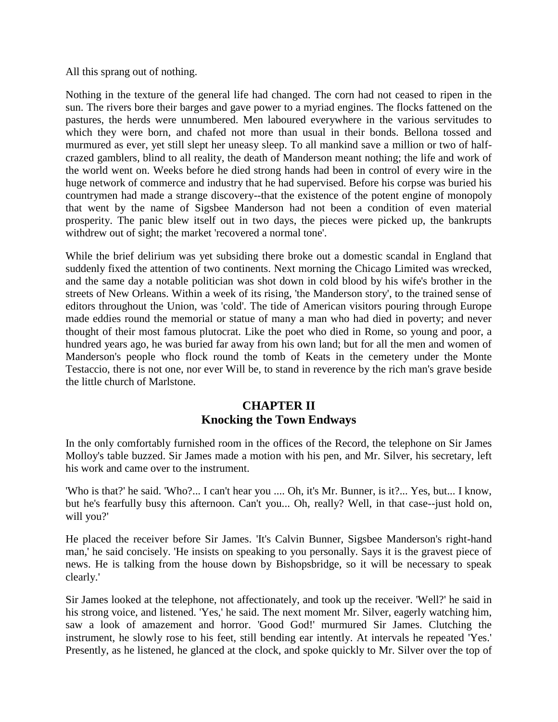All this sprang out of nothing.

Nothing in the texture of the general life had changed. The corn had not ceased to ripen in the sun. The rivers bore their barges and gave power to a myriad engines. The flocks fattened on the pastures, the herds were unnumbered. Men laboured everywhere in the various servitudes to which they were born, and chafed not more than usual in their bonds. Bellona tossed and murmured as ever, yet still slept her uneasy sleep. To all mankind save a million or two of halfcrazed gamblers, blind to all reality, the death of Manderson meant nothing; the life and work of the world went on. Weeks before he died strong hands had been in control of every wire in the huge network of commerce and industry that he had supervised. Before his corpse was buried his countrymen had made a strange discovery--that the existence of the potent engine of monopoly that went by the name of Sigsbee Manderson had not been a condition of even material prosperity. The panic blew itself out in two days, the pieces were picked up, the bankrupts withdrew out of sight; the market 'recovered a normal tone'.

While the brief delirium was yet subsiding there broke out a domestic scandal in England that suddenly fixed the attention of two continents. Next morning the Chicago Limited was wrecked, and the same day a notable politician was shot down in cold blood by his wife's brother in the streets of New Orleans. Within a week of its rising, 'the Manderson story', to the trained sense of editors throughout the Union, was 'cold'. The tide of American visitors pouring through Europe made eddies round the memorial or statue of many a man who had died in poverty; and never thought of their most famous plutocrat. Like the poet who died in Rome, so young and poor, a hundred years ago, he was buried far away from his own land; but for all the men and women of Manderson's people who flock round the tomb of Keats in the cemetery under the Monte Testaccio, there is not one, nor ever Will be, to stand in reverence by the rich man's grave beside the little church of Marlstone.

## **CHAPTER II Knocking the Town Endways**

In the only comfortably furnished room in the offices of the Record, the telephone on Sir James Molloy's table buzzed. Sir James made a motion with his pen, and Mr. Silver, his secretary, left his work and came over to the instrument.

'Who is that?' he said. 'Who?... I can't hear you .... Oh, it's Mr. Bunner, is it?... Yes, but... I know, but he's fearfully busy this afternoon. Can't you... Oh, really? Well, in that case--just hold on, will you?'

He placed the receiver before Sir James. 'It's Calvin Bunner, Sigsbee Manderson's right-hand man,' he said concisely. 'He insists on speaking to you personally. Says it is the gravest piece of news. He is talking from the house down by Bishopsbridge, so it will be necessary to speak clearly.'

Sir James looked at the telephone, not affectionately, and took up the receiver. 'Well?' he said in his strong voice, and listened. 'Yes,' he said. The next moment Mr. Silver, eagerly watching him, saw a look of amazement and horror. 'Good God!' murmured Sir James. Clutching the instrument, he slowly rose to his feet, still bending ear intently. At intervals he repeated 'Yes.' Presently, as he listened, he glanced at the clock, and spoke quickly to Mr. Silver over the top of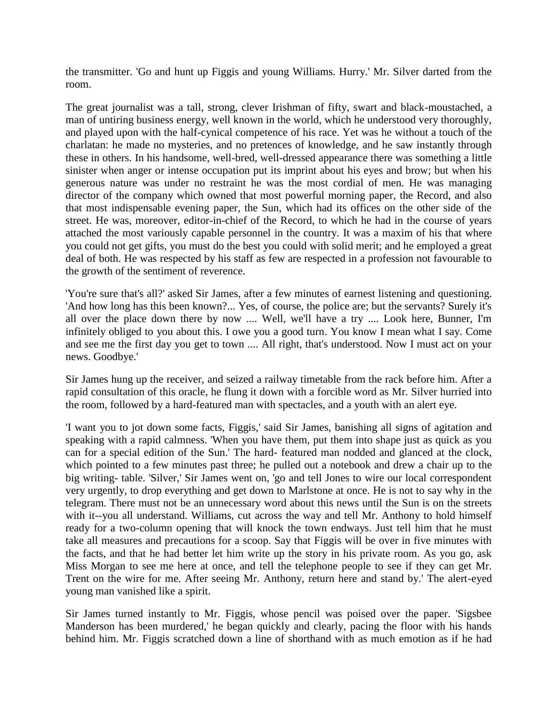the transmitter. 'Go and hunt up Figgis and young Williams. Hurry.' Mr. Silver darted from the room.

The great journalist was a tall, strong, clever Irishman of fifty, swart and black-moustached, a man of untiring business energy, well known in the world, which he understood very thoroughly, and played upon with the half-cynical competence of his race. Yet was he without a touch of the charlatan: he made no mysteries, and no pretences of knowledge, and he saw instantly through these in others. In his handsome, well-bred, well-dressed appearance there was something a little sinister when anger or intense occupation put its imprint about his eyes and brow; but when his generous nature was under no restraint he was the most cordial of men. He was managing director of the company which owned that most powerful morning paper, the Record, and also that most indispensable evening paper, the Sun, which had its offices on the other side of the street. He was, moreover, editor-in-chief of the Record, to which he had in the course of years attached the most variously capable personnel in the country. It was a maxim of his that where you could not get gifts, you must do the best you could with solid merit; and he employed a great deal of both. He was respected by his staff as few are respected in a profession not favourable to the growth of the sentiment of reverence.

'You're sure that's all?' asked Sir James, after a few minutes of earnest listening and questioning. 'And how long has this been known?... Yes, of course, the police are; but the servants? Surely it's all over the place down there by now .... Well, we'll have a try .... Look here, Bunner, I'm infinitely obliged to you about this. I owe you a good turn. You know I mean what I say. Come and see me the first day you get to town .... All right, that's understood. Now I must act on your news. Goodbye.'

Sir James hung up the receiver, and seized a railway timetable from the rack before him. After a rapid consultation of this oracle, he flung it down with a forcible word as Mr. Silver hurried into the room, followed by a hard-featured man with spectacles, and a youth with an alert eye.

'I want you to jot down some facts, Figgis,' said Sir James, banishing all signs of agitation and speaking with a rapid calmness. 'When you have them, put them into shape just as quick as you can for a special edition of the Sun.' The hard- featured man nodded and glanced at the clock, which pointed to a few minutes past three; he pulled out a notebook and drew a chair up to the big writing- table. 'Silver,' Sir James went on, 'go and tell Jones to wire our local correspondent very urgently, to drop everything and get down to Marlstone at once. He is not to say why in the telegram. There must not be an unnecessary word about this news until the Sun is on the streets with it--you all understand. Williams, cut across the way and tell Mr. Anthony to hold himself ready for a two-column opening that will knock the town endways. Just tell him that he must take all measures and precautions for a scoop. Say that Figgis will be over in five minutes with the facts, and that he had better let him write up the story in his private room. As you go, ask Miss Morgan to see me here at once, and tell the telephone people to see if they can get Mr. Trent on the wire for me. After seeing Mr. Anthony, return here and stand by.' The alert-eyed young man vanished like a spirit.

Sir James turned instantly to Mr. Figgis, whose pencil was poised over the paper. 'Sigsbee Manderson has been murdered,' he began quickly and clearly, pacing the floor with his hands behind him. Mr. Figgis scratched down a line of shorthand with as much emotion as if he had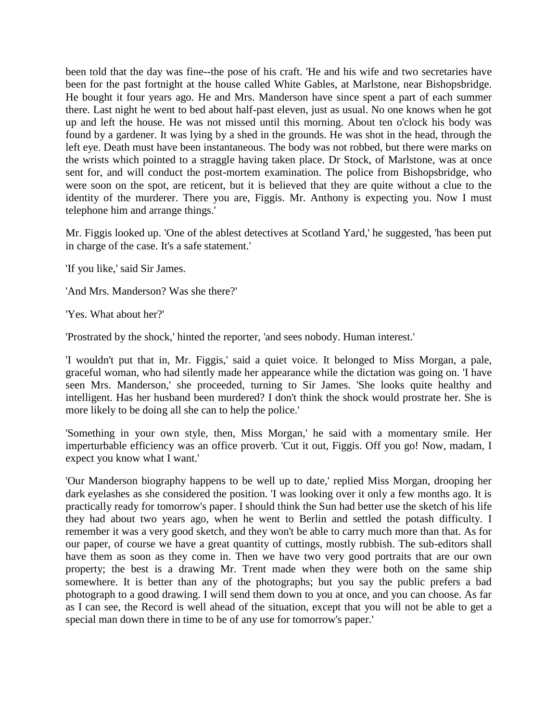been told that the day was fine--the pose of his craft. 'He and his wife and two secretaries have been for the past fortnight at the house called White Gables, at Marlstone, near Bishopsbridge. He bought it four years ago. He and Mrs. Manderson have since spent a part of each summer there. Last night he went to bed about half-past eleven, just as usual. No one knows when he got up and left the house. He was not missed until this morning. About ten o'clock his body was found by a gardener. It was lying by a shed in the grounds. He was shot in the head, through the left eye. Death must have been instantaneous. The body was not robbed, but there were marks on the wrists which pointed to a straggle having taken place. Dr Stock, of Marlstone, was at once sent for, and will conduct the post-mortem examination. The police from Bishopsbridge, who were soon on the spot, are reticent, but it is believed that they are quite without a clue to the identity of the murderer. There you are, Figgis. Mr. Anthony is expecting you. Now I must telephone him and arrange things.'

Mr. Figgis looked up. 'One of the ablest detectives at Scotland Yard,' he suggested, 'has been put in charge of the case. It's a safe statement.'

'If you like,' said Sir James.

'And Mrs. Manderson? Was she there?'

'Yes. What about her?'

'Prostrated by the shock,' hinted the reporter, 'and sees nobody. Human interest.'

'I wouldn't put that in, Mr. Figgis,' said a quiet voice. It belonged to Miss Morgan, a pale, graceful woman, who had silently made her appearance while the dictation was going on. 'I have seen Mrs. Manderson,' she proceeded, turning to Sir James. 'She looks quite healthy and intelligent. Has her husband been murdered? I don't think the shock would prostrate her. She is more likely to be doing all she can to help the police.'

'Something in your own style, then, Miss Morgan,' he said with a momentary smile. Her imperturbable efficiency was an office proverb. 'Cut it out, Figgis. Off you go! Now, madam, I expect you know what I want.'

'Our Manderson biography happens to be well up to date,' replied Miss Morgan, drooping her dark eyelashes as she considered the position. 'I was looking over it only a few months ago. It is practically ready for tomorrow's paper. I should think the Sun had better use the sketch of his life they had about two years ago, when he went to Berlin and settled the potash difficulty. I remember it was a very good sketch, and they won't be able to carry much more than that. As for our paper, of course we have a great quantity of cuttings, mostly rubbish. The sub-editors shall have them as soon as they come in. Then we have two very good portraits that are our own property; the best is a drawing Mr. Trent made when they were both on the same ship somewhere. It is better than any of the photographs; but you say the public prefers a bad photograph to a good drawing. I will send them down to you at once, and you can choose. As far as I can see, the Record is well ahead of the situation, except that you will not be able to get a special man down there in time to be of any use for tomorrow's paper.'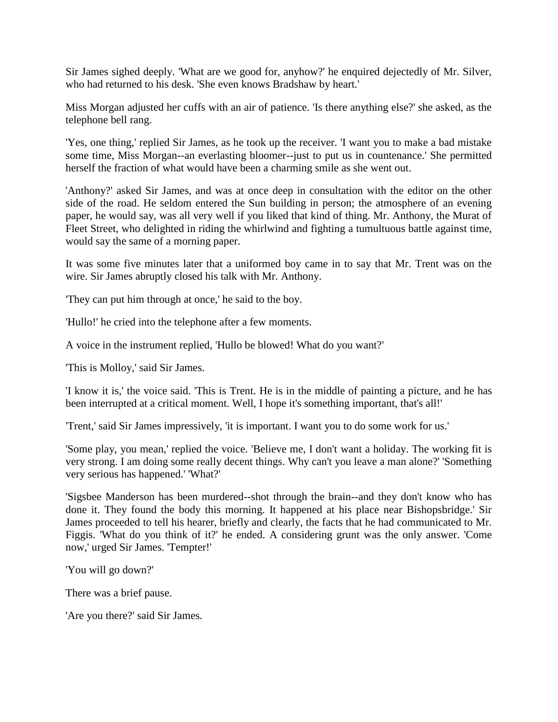Sir James sighed deeply. 'What are we good for, anyhow?' he enquired dejectedly of Mr. Silver, who had returned to his desk. 'She even knows Bradshaw by heart.'

Miss Morgan adjusted her cuffs with an air of patience. 'Is there anything else?' she asked, as the telephone bell rang.

'Yes, one thing,' replied Sir James, as he took up the receiver. 'I want you to make a bad mistake some time, Miss Morgan--an everlasting bloomer--just to put us in countenance.' She permitted herself the fraction of what would have been a charming smile as she went out.

'Anthony?' asked Sir James, and was at once deep in consultation with the editor on the other side of the road. He seldom entered the Sun building in person; the atmosphere of an evening paper, he would say, was all very well if you liked that kind of thing. Mr. Anthony, the Murat of Fleet Street, who delighted in riding the whirlwind and fighting a tumultuous battle against time, would say the same of a morning paper.

It was some five minutes later that a uniformed boy came in to say that Mr. Trent was on the wire. Sir James abruptly closed his talk with Mr. Anthony.

'They can put him through at once,' he said to the boy.

'Hullo!' he cried into the telephone after a few moments.

A voice in the instrument replied, 'Hullo be blowed! What do you want?'

'This is Molloy,' said Sir James.

'I know it is,' the voice said. 'This is Trent. He is in the middle of painting a picture, and he has been interrupted at a critical moment. Well, I hope it's something important, that's all!'

'Trent,' said Sir James impressively, 'it is important. I want you to do some work for us.'

'Some play, you mean,' replied the voice. 'Believe me, I don't want a holiday. The working fit is very strong. I am doing some really decent things. Why can't you leave a man alone?' 'Something very serious has happened.' 'What?'

'Sigsbee Manderson has been murdered--shot through the brain--and they don't know who has done it. They found the body this morning. It happened at his place near Bishopsbridge.' Sir James proceeded to tell his hearer, briefly and clearly, the facts that he had communicated to Mr. Figgis. 'What do you think of it?' he ended. A considering grunt was the only answer. 'Come now,' urged Sir James. 'Tempter!'

'You will go down?'

There was a brief pause.

'Are you there?' said Sir James.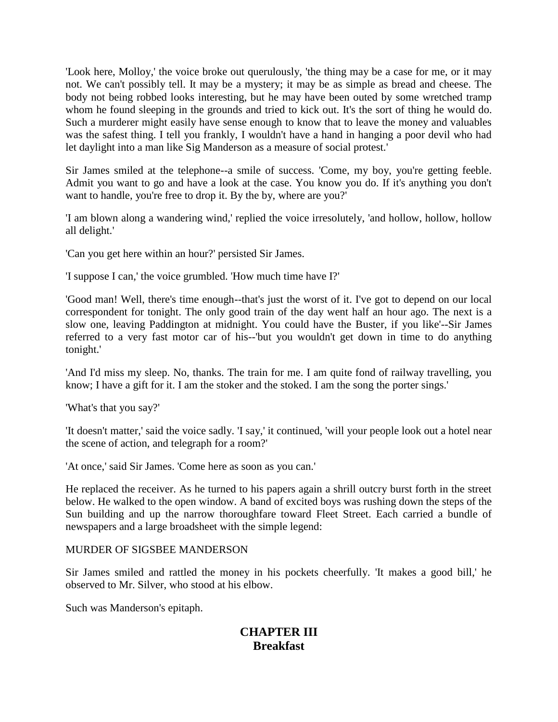'Look here, Molloy,' the voice broke out querulously, 'the thing may be a case for me, or it may not. We can't possibly tell. It may be a mystery; it may be as simple as bread and cheese. The body not being robbed looks interesting, but he may have been outed by some wretched tramp whom he found sleeping in the grounds and tried to kick out. It's the sort of thing he would do. Such a murderer might easily have sense enough to know that to leave the money and valuables was the safest thing. I tell you frankly, I wouldn't have a hand in hanging a poor devil who had let daylight into a man like Sig Manderson as a measure of social protest.'

Sir James smiled at the telephone--a smile of success. 'Come, my boy, you're getting feeble. Admit you want to go and have a look at the case. You know you do. If it's anything you don't want to handle, you're free to drop it. By the by, where are you?'

'I am blown along a wandering wind,' replied the voice irresolutely, 'and hollow, hollow, hollow all delight.'

'Can you get here within an hour?' persisted Sir James.

'I suppose I can,' the voice grumbled. 'How much time have I?'

'Good man! Well, there's time enough--that's just the worst of it. I've got to depend on our local correspondent for tonight. The only good train of the day went half an hour ago. The next is a slow one, leaving Paddington at midnight. You could have the Buster, if you like'--Sir James referred to a very fast motor car of his--'but you wouldn't get down in time to do anything tonight.'

'And I'd miss my sleep. No, thanks. The train for me. I am quite fond of railway travelling, you know; I have a gift for it. I am the stoker and the stoked. I am the song the porter sings.'

'What's that you say?'

'It doesn't matter,' said the voice sadly. 'I say,' it continued, 'will your people look out a hotel near the scene of action, and telegraph for a room?'

'At once,' said Sir James. 'Come here as soon as you can.'

He replaced the receiver. As he turned to his papers again a shrill outcry burst forth in the street below. He walked to the open window. A band of excited boys was rushing down the steps of the Sun building and up the narrow thoroughfare toward Fleet Street. Each carried a bundle of newspapers and a large broadsheet with the simple legend:

#### MURDER OF SIGSBEE MANDERSON

Sir James smiled and rattled the money in his pockets cheerfully. 'It makes a good bill,' he observed to Mr. Silver, who stood at his elbow.

Such was Manderson's epitaph.

# **CHAPTER III Breakfast**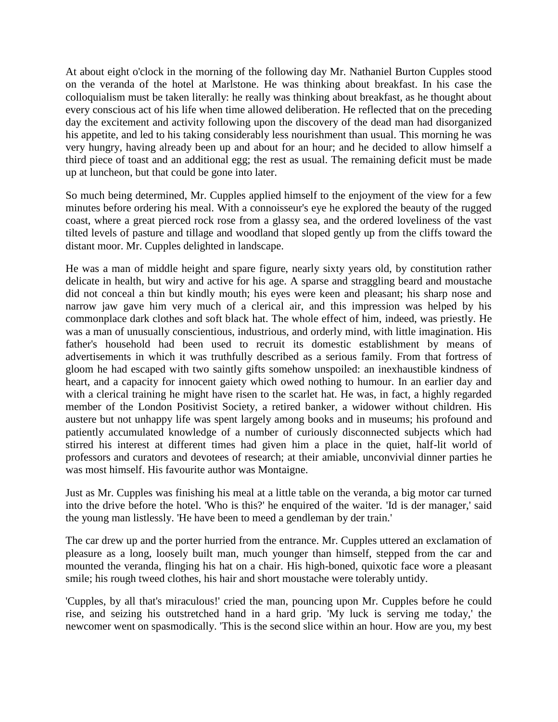At about eight o'clock in the morning of the following day Mr. Nathaniel Burton Cupples stood on the veranda of the hotel at Marlstone. He was thinking about breakfast. In his case the colloquialism must be taken literally: he really was thinking about breakfast, as he thought about every conscious act of his life when time allowed deliberation. He reflected that on the preceding day the excitement and activity following upon the discovery of the dead man had disorganized his appetite, and led to his taking considerably less nourishment than usual. This morning he was very hungry, having already been up and about for an hour; and he decided to allow himself a third piece of toast and an additional egg; the rest as usual. The remaining deficit must be made up at luncheon, but that could be gone into later.

So much being determined, Mr. Cupples applied himself to the enjoyment of the view for a few minutes before ordering his meal. With a connoisseur's eye he explored the beauty of the rugged coast, where a great pierced rock rose from a glassy sea, and the ordered loveliness of the vast tilted levels of pasture and tillage and woodland that sloped gently up from the cliffs toward the distant moor. Mr. Cupples delighted in landscape.

He was a man of middle height and spare figure, nearly sixty years old, by constitution rather delicate in health, but wiry and active for his age. A sparse and straggling beard and moustache did not conceal a thin but kindly mouth; his eyes were keen and pleasant; his sharp nose and narrow jaw gave him very much of a clerical air, and this impression was helped by his commonplace dark clothes and soft black hat. The whole effect of him, indeed, was priestly. He was a man of unusually conscientious, industrious, and orderly mind, with little imagination. His father's household had been used to recruit its domestic establishment by means of advertisements in which it was truthfully described as a serious family. From that fortress of gloom he had escaped with two saintly gifts somehow unspoiled: an inexhaustible kindness of heart, and a capacity for innocent gaiety which owed nothing to humour. In an earlier day and with a clerical training he might have risen to the scarlet hat. He was, in fact, a highly regarded member of the London Positivist Society, a retired banker, a widower without children. His austere but not unhappy life was spent largely among books and in museums; his profound and patiently accumulated knowledge of a number of curiously disconnected subjects which had stirred his interest at different times had given him a place in the quiet, half-lit world of professors and curators and devotees of research; at their amiable, unconvivial dinner parties he was most himself. His favourite author was Montaigne.

Just as Mr. Cupples was finishing his meal at a little table on the veranda, a big motor car turned into the drive before the hotel. 'Who is this?' he enquired of the waiter. 'Id is der manager,' said the young man listlessly. 'He have been to meed a gendleman by der train.'

The car drew up and the porter hurried from the entrance. Mr. Cupples uttered an exclamation of pleasure as a long, loosely built man, much younger than himself, stepped from the car and mounted the veranda, flinging his hat on a chair. His high-boned, quixotic face wore a pleasant smile; his rough tweed clothes, his hair and short moustache were tolerably untidy.

'Cupples, by all that's miraculous!' cried the man, pouncing upon Mr. Cupples before he could rise, and seizing his outstretched hand in a hard grip. 'My luck is serving me today,' the newcomer went on spasmodically. 'This is the second slice within an hour. How are you, my best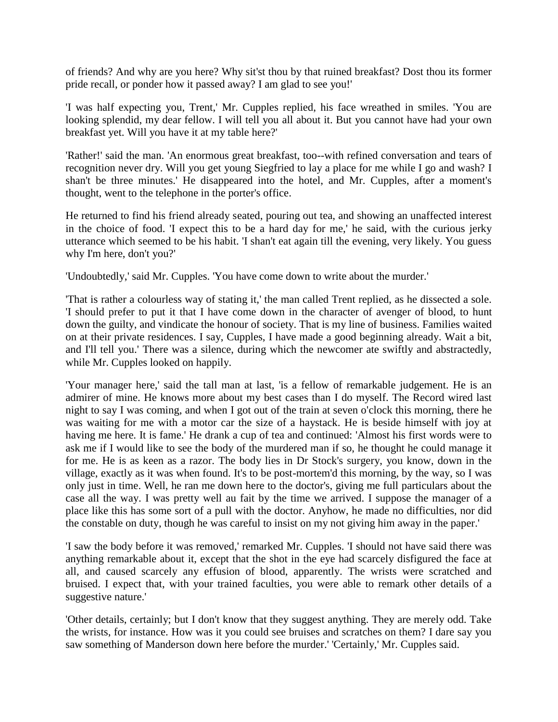of friends? And why are you here? Why sit'st thou by that ruined breakfast? Dost thou its former pride recall, or ponder how it passed away? I am glad to see you!'

'I was half expecting you, Trent,' Mr. Cupples replied, his face wreathed in smiles. 'You are looking splendid, my dear fellow. I will tell you all about it. But you cannot have had your own breakfast yet. Will you have it at my table here?'

'Rather!' said the man. 'An enormous great breakfast, too--with refined conversation and tears of recognition never dry. Will you get young Siegfried to lay a place for me while I go and wash? I shan't be three minutes.' He disappeared into the hotel, and Mr. Cupples, after a moment's thought, went to the telephone in the porter's office.

He returned to find his friend already seated, pouring out tea, and showing an unaffected interest in the choice of food. 'I expect this to be a hard day for me,' he said, with the curious jerky utterance which seemed to be his habit. 'I shan't eat again till the evening, very likely. You guess why I'm here, don't you?'

'Undoubtedly,' said Mr. Cupples. 'You have come down to write about the murder.'

'That is rather a colourless way of stating it,' the man called Trent replied, as he dissected a sole. 'I should prefer to put it that I have come down in the character of avenger of blood, to hunt down the guilty, and vindicate the honour of society. That is my line of business. Families waited on at their private residences. I say, Cupples, I have made a good beginning already. Wait a bit, and I'll tell you.' There was a silence, during which the newcomer ate swiftly and abstractedly, while Mr. Cupples looked on happily.

'Your manager here,' said the tall man at last, 'is a fellow of remarkable judgement. He is an admirer of mine. He knows more about my best cases than I do myself. The Record wired last night to say I was coming, and when I got out of the train at seven o'clock this morning, there he was waiting for me with a motor car the size of a haystack. He is beside himself with joy at having me here. It is fame.' He drank a cup of tea and continued: 'Almost his first words were to ask me if I would like to see the body of the murdered man if so, he thought he could manage it for me. He is as keen as a razor. The body lies in Dr Stock's surgery, you know, down in the village, exactly as it was when found. It's to be post-mortem'd this morning, by the way, so I was only just in time. Well, he ran me down here to the doctor's, giving me full particulars about the case all the way. I was pretty well au fait by the time we arrived. I suppose the manager of a place like this has some sort of a pull with the doctor. Anyhow, he made no difficulties, nor did the constable on duty, though he was careful to insist on my not giving him away in the paper.'

'I saw the body before it was removed,' remarked Mr. Cupples. 'I should not have said there was anything remarkable about it, except that the shot in the eye had scarcely disfigured the face at all, and caused scarcely any effusion of blood, apparently. The wrists were scratched and bruised. I expect that, with your trained faculties, you were able to remark other details of a suggestive nature.'

'Other details, certainly; but I don't know that they suggest anything. They are merely odd. Take the wrists, for instance. How was it you could see bruises and scratches on them? I dare say you saw something of Manderson down here before the murder.' 'Certainly,' Mr. Cupples said.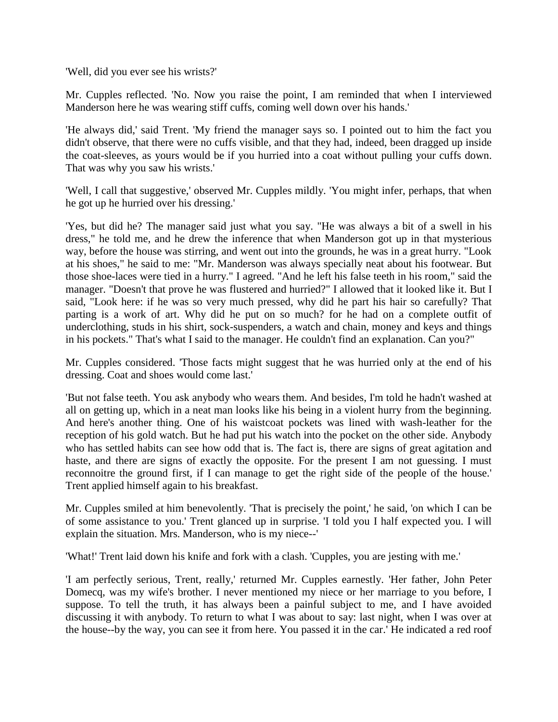'Well, did you ever see his wrists?'

Mr. Cupples reflected. 'No. Now you raise the point, I am reminded that when I interviewed Manderson here he was wearing stiff cuffs, coming well down over his hands.'

'He always did,' said Trent. 'My friend the manager says so. I pointed out to him the fact you didn't observe, that there were no cuffs visible, and that they had, indeed, been dragged up inside the coat-sleeves, as yours would be if you hurried into a coat without pulling your cuffs down. That was why you saw his wrists.'

'Well, I call that suggestive,' observed Mr. Cupples mildly. 'You might infer, perhaps, that when he got up he hurried over his dressing.'

'Yes, but did he? The manager said just what you say. "He was always a bit of a swell in his dress," he told me, and he drew the inference that when Manderson got up in that mysterious way, before the house was stirring, and went out into the grounds, he was in a great hurry. "Look at his shoes," he said to me: "Mr. Manderson was always specially neat about his footwear. But those shoe-laces were tied in a hurry." I agreed. "And he left his false teeth in his room," said the manager. "Doesn't that prove he was flustered and hurried?" I allowed that it looked like it. But I said, "Look here: if he was so very much pressed, why did he part his hair so carefully? That parting is a work of art. Why did he put on so much? for he had on a complete outfit of underclothing, studs in his shirt, sock-suspenders, a watch and chain, money and keys and things in his pockets." That's what I said to the manager. He couldn't find an explanation. Can you?"

Mr. Cupples considered. 'Those facts might suggest that he was hurried only at the end of his dressing. Coat and shoes would come last.'

'But not false teeth. You ask anybody who wears them. And besides, I'm told he hadn't washed at all on getting up, which in a neat man looks like his being in a violent hurry from the beginning. And here's another thing. One of his waistcoat pockets was lined with wash-leather for the reception of his gold watch. But he had put his watch into the pocket on the other side. Anybody who has settled habits can see how odd that is. The fact is, there are signs of great agitation and haste, and there are signs of exactly the opposite. For the present I am not guessing. I must reconnoitre the ground first, if I can manage to get the right side of the people of the house.' Trent applied himself again to his breakfast.

Mr. Cupples smiled at him benevolently. 'That is precisely the point,' he said, 'on which I can be of some assistance to you.' Trent glanced up in surprise. 'I told you I half expected you. I will explain the situation. Mrs. Manderson, who is my niece--'

'What!' Trent laid down his knife and fork with a clash. 'Cupples, you are jesting with me.'

'I am perfectly serious, Trent, really,' returned Mr. Cupples earnestly. 'Her father, John Peter Domecq, was my wife's brother. I never mentioned my niece or her marriage to you before, I suppose. To tell the truth, it has always been a painful subject to me, and I have avoided discussing it with anybody. To return to what I was about to say: last night, when I was over at the house--by the way, you can see it from here. You passed it in the car.' He indicated a red roof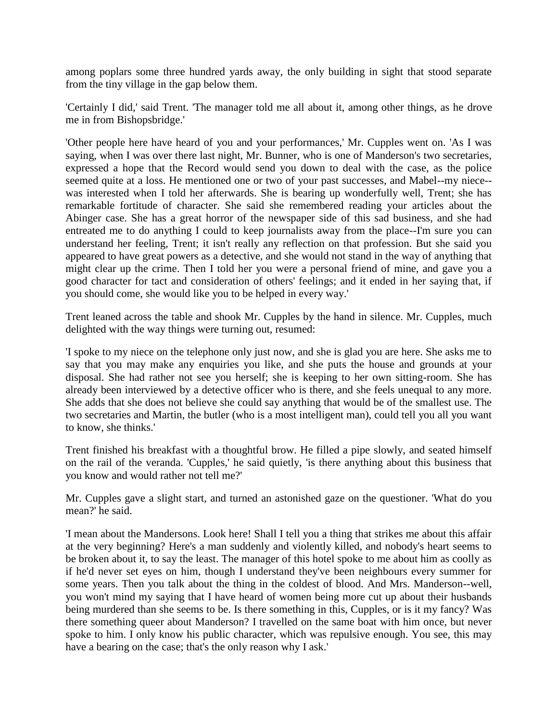among poplars some three hundred yards away, the only building in sight that stood separate from the tiny village in the gap below them.

'Certainly I did,' said Trent. 'The manager told me all about it, among other things, as he drove me in from Bishopsbridge.'

'Other people here have heard of you and your performances,' Mr. Cupples went on. 'As I was saying, when I was over there last night, Mr. Bunner, who is one of Manderson's two secretaries, expressed a hope that the Record would send you down to deal with the case, as the police seemed quite at a loss. He mentioned one or two of your past successes, and Mabel--my niece- was interested when I told her afterwards. She is bearing up wonderfully well, Trent; she has remarkable fortitude of character. She said she remembered reading your articles about the Abinger case. She has a great horror of the newspaper side of this sad business, and she had entreated me to do anything I could to keep journalists away from the place--I'm sure you can understand her feeling, Trent; it isn't really any reflection on that profession. But she said you appeared to have great powers as a detective, and she would not stand in the way of anything that might clear up the crime. Then I told her you were a personal friend of mine, and gave you a good character for tact and consideration of others' feelings; and it ended in her saying that, if you should come, she would like you to be helped in every way.'

Trent leaned across the table and shook Mr. Cupples by the hand in silence. Mr. Cupples, much delighted with the way things were turning out, resumed:

'I spoke to my niece on the telephone only just now, and she is glad you are here. She asks me to say that you may make any enquiries you like, and she puts the house and grounds at your disposal. She had rather not see you herself; she is keeping to her own sitting-room. She has already been interviewed by a detective officer who is there, and she feels unequal to any more. She adds that she does not believe she could say anything that would be of the smallest use. The two secretaries and Martin, the butler (who is a most intelligent man), could tell you all you want to know, she thinks.'

Trent finished his breakfast with a thoughtful brow. He filled a pipe slowly, and seated himself on the rail of the veranda. 'Cupples,' he said quietly, 'is there anything about this business that you know and would rather not tell me?'

Mr. Cupples gave a slight start, and turned an astonished gaze on the questioner. 'What do you mean?' he said.

'I mean about the Mandersons. Look here! Shall I tell you a thing that strikes me about this affair at the very beginning? Here's a man suddenly and violently killed, and nobody's heart seems to be broken about it, to say the least. The manager of this hotel spoke to me about him as coolly as if he'd never set eyes on him, though I understand they've been neighbours every summer for some years. Then you talk about the thing in the coldest of blood. And Mrs. Manderson--well, you won't mind my saying that I have heard of women being more cut up about their husbands being murdered than she seems to be. Is there something in this, Cupples, or is it my fancy? Was there something queer about Manderson? I travelled on the same boat with him once, but never spoke to him. I only know his public character, which was repulsive enough. You see, this may have a bearing on the case; that's the only reason why I ask.'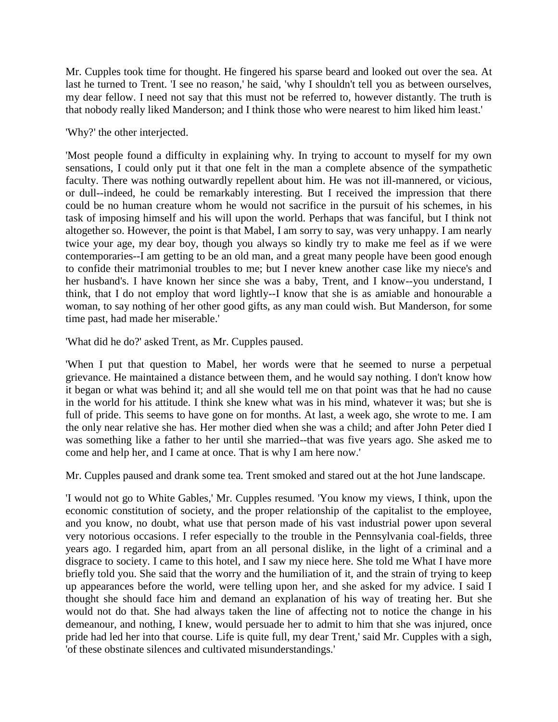Mr. Cupples took time for thought. He fingered his sparse beard and looked out over the sea. At last he turned to Trent. 'I see no reason,' he said, 'why I shouldn't tell you as between ourselves, my dear fellow. I need not say that this must not be referred to, however distantly. The truth is that nobody really liked Manderson; and I think those who were nearest to him liked him least.'

#### 'Why?' the other interjected.

'Most people found a difficulty in explaining why. In trying to account to myself for my own sensations, I could only put it that one felt in the man a complete absence of the sympathetic faculty. There was nothing outwardly repellent about him. He was not ill-mannered, or vicious, or dull--indeed, he could be remarkably interesting. But I received the impression that there could be no human creature whom he would not sacrifice in the pursuit of his schemes, in his task of imposing himself and his will upon the world. Perhaps that was fanciful, but I think not altogether so. However, the point is that Mabel, I am sorry to say, was very unhappy. I am nearly twice your age, my dear boy, though you always so kindly try to make me feel as if we were contemporaries--I am getting to be an old man, and a great many people have been good enough to confide their matrimonial troubles to me; but I never knew another case like my niece's and her husband's. I have known her since she was a baby, Trent, and I know--you understand, I think, that I do not employ that word lightly--I know that she is as amiable and honourable a woman, to say nothing of her other good gifts, as any man could wish. But Manderson, for some time past, had made her miserable.'

'What did he do?' asked Trent, as Mr. Cupples paused.

'When I put that question to Mabel, her words were that he seemed to nurse a perpetual grievance. He maintained a distance between them, and he would say nothing. I don't know how it began or what was behind it; and all she would tell me on that point was that he had no cause in the world for his attitude. I think she knew what was in his mind, whatever it was; but she is full of pride. This seems to have gone on for months. At last, a week ago, she wrote to me. I am the only near relative she has. Her mother died when she was a child; and after John Peter died I was something like a father to her until she married--that was five years ago. She asked me to come and help her, and I came at once. That is why I am here now.'

Mr. Cupples paused and drank some tea. Trent smoked and stared out at the hot June landscape.

'I would not go to White Gables,' Mr. Cupples resumed. 'You know my views, I think, upon the economic constitution of society, and the proper relationship of the capitalist to the employee, and you know, no doubt, what use that person made of his vast industrial power upon several very notorious occasions. I refer especially to the trouble in the Pennsylvania coal-fields, three years ago. I regarded him, apart from an all personal dislike, in the light of a criminal and a disgrace to society. I came to this hotel, and I saw my niece here. She told me What I have more briefly told you. She said that the worry and the humiliation of it, and the strain of trying to keep up appearances before the world, were telling upon her, and she asked for my advice. I said I thought she should face him and demand an explanation of his way of treating her. But she would not do that. She had always taken the line of affecting not to notice the change in his demeanour, and nothing, I knew, would persuade her to admit to him that she was injured, once pride had led her into that course. Life is quite full, my dear Trent,' said Mr. Cupples with a sigh, 'of these obstinate silences and cultivated misunderstandings.'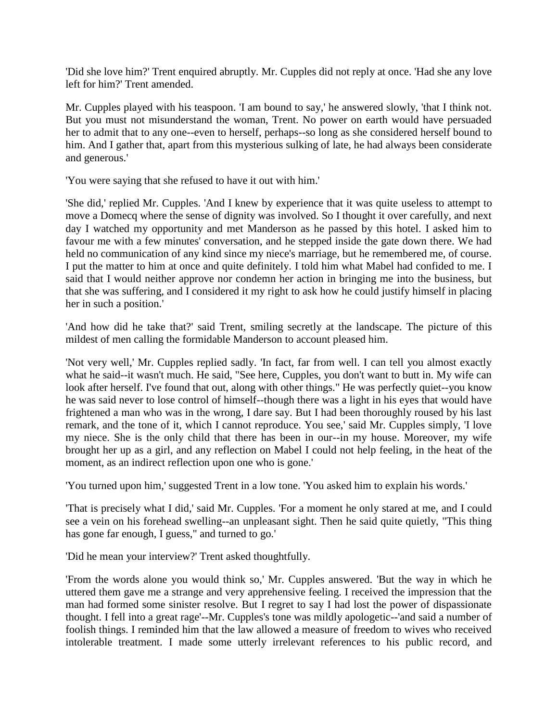'Did she love him?' Trent enquired abruptly. Mr. Cupples did not reply at once. 'Had she any love left for him?' Trent amended.

Mr. Cupples played with his teaspoon. 'I am bound to say,' he answered slowly, 'that I think not. But you must not misunderstand the woman, Trent. No power on earth would have persuaded her to admit that to any one--even to herself, perhaps--so long as she considered herself bound to him. And I gather that, apart from this mysterious sulking of late, he had always been considerate and generous.'

'You were saying that she refused to have it out with him.'

'She did,' replied Mr. Cupples. 'And I knew by experience that it was quite useless to attempt to move a Domecq where the sense of dignity was involved. So I thought it over carefully, and next day I watched my opportunity and met Manderson as he passed by this hotel. I asked him to favour me with a few minutes' conversation, and he stepped inside the gate down there. We had held no communication of any kind since my niece's marriage, but he remembered me, of course. I put the matter to him at once and quite definitely. I told him what Mabel had confided to me. I said that I would neither approve nor condemn her action in bringing me into the business, but that she was suffering, and I considered it my right to ask how he could justify himself in placing her in such a position.'

'And how did he take that?' said Trent, smiling secretly at the landscape. The picture of this mildest of men calling the formidable Manderson to account pleased him.

'Not very well,' Mr. Cupples replied sadly. 'In fact, far from well. I can tell you almost exactly what he said--it wasn't much. He said, "See here, Cupples, you don't want to butt in. My wife can look after herself. I've found that out, along with other things." He was perfectly quiet--you know he was said never to lose control of himself--though there was a light in his eyes that would have frightened a man who was in the wrong, I dare say. But I had been thoroughly roused by his last remark, and the tone of it, which I cannot reproduce. You see,' said Mr. Cupples simply, 'I love my niece. She is the only child that there has been in our--in my house. Moreover, my wife brought her up as a girl, and any reflection on Mabel I could not help feeling, in the heat of the moment, as an indirect reflection upon one who is gone.'

'You turned upon him,' suggested Trent in a low tone. 'You asked him to explain his words.'

'That is precisely what I did,' said Mr. Cupples. 'For a moment he only stared at me, and I could see a vein on his forehead swelling--an unpleasant sight. Then he said quite quietly, "This thing has gone far enough, I guess," and turned to go.'

'Did he mean your interview?' Trent asked thoughtfully.

'From the words alone you would think so,' Mr. Cupples answered. 'But the way in which he uttered them gave me a strange and very apprehensive feeling. I received the impression that the man had formed some sinister resolve. But I regret to say I had lost the power of dispassionate thought. I fell into a great rage'--Mr. Cupples's tone was mildly apologetic--'and said a number of foolish things. I reminded him that the law allowed a measure of freedom to wives who received intolerable treatment. I made some utterly irrelevant references to his public record, and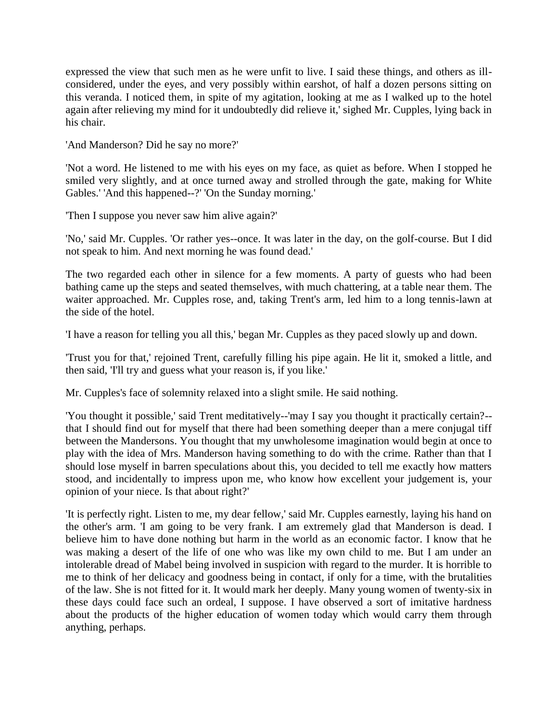expressed the view that such men as he were unfit to live. I said these things, and others as illconsidered, under the eyes, and very possibly within earshot, of half a dozen persons sitting on this veranda. I noticed them, in spite of my agitation, looking at me as I walked up to the hotel again after relieving my mind for it undoubtedly did relieve it,' sighed Mr. Cupples, lying back in his chair.

'And Manderson? Did he say no more?'

'Not a word. He listened to me with his eyes on my face, as quiet as before. When I stopped he smiled very slightly, and at once turned away and strolled through the gate, making for White Gables.' 'And this happened--?' 'On the Sunday morning.'

'Then I suppose you never saw him alive again?'

'No,' said Mr. Cupples. 'Or rather yes--once. It was later in the day, on the golf-course. But I did not speak to him. And next morning he was found dead.'

The two regarded each other in silence for a few moments. A party of guests who had been bathing came up the steps and seated themselves, with much chattering, at a table near them. The waiter approached. Mr. Cupples rose, and, taking Trent's arm, led him to a long tennis-lawn at the side of the hotel.

'I have a reason for telling you all this,' began Mr. Cupples as they paced slowly up and down.

'Trust you for that,' rejoined Trent, carefully filling his pipe again. He lit it, smoked a little, and then said, 'I'll try and guess what your reason is, if you like.'

Mr. Cupples's face of solemnity relaxed into a slight smile. He said nothing.

'You thought it possible,' said Trent meditatively--'may I say you thought it practically certain?- that I should find out for myself that there had been something deeper than a mere conjugal tiff between the Mandersons. You thought that my unwholesome imagination would begin at once to play with the idea of Mrs. Manderson having something to do with the crime. Rather than that I should lose myself in barren speculations about this, you decided to tell me exactly how matters stood, and incidentally to impress upon me, who know how excellent your judgement is, your opinion of your niece. Is that about right?'

'It is perfectly right. Listen to me, my dear fellow,' said Mr. Cupples earnestly, laying his hand on the other's arm. 'I am going to be very frank. I am extremely glad that Manderson is dead. I believe him to have done nothing but harm in the world as an economic factor. I know that he was making a desert of the life of one who was like my own child to me. But I am under an intolerable dread of Mabel being involved in suspicion with regard to the murder. It is horrible to me to think of her delicacy and goodness being in contact, if only for a time, with the brutalities of the law. She is not fitted for it. It would mark her deeply. Many young women of twenty-six in these days could face such an ordeal, I suppose. I have observed a sort of imitative hardness about the products of the higher education of women today which would carry them through anything, perhaps.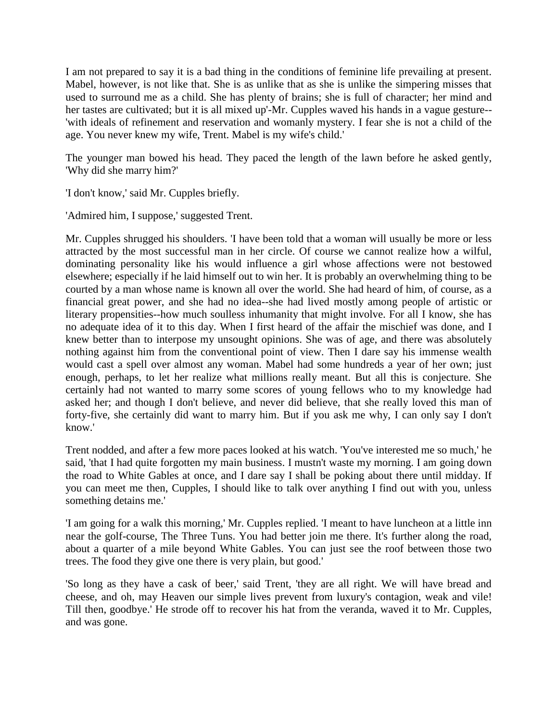I am not prepared to say it is a bad thing in the conditions of feminine life prevailing at present. Mabel, however, is not like that. She is as unlike that as she is unlike the simpering misses that used to surround me as a child. She has plenty of brains; she is full of character; her mind and her tastes are cultivated; but it is all mixed up'-Mr. Cupples waved his hands in a vague gesture-- 'with ideals of refinement and reservation and womanly mystery. I fear she is not a child of the age. You never knew my wife, Trent. Mabel is my wife's child.'

The younger man bowed his head. They paced the length of the lawn before he asked gently, 'Why did she marry him?'

'I don't know,' said Mr. Cupples briefly.

'Admired him, I suppose,' suggested Trent.

Mr. Cupples shrugged his shoulders. 'I have been told that a woman will usually be more or less attracted by the most successful man in her circle. Of course we cannot realize how a wilful, dominating personality like his would influence a girl whose affections were not bestowed elsewhere; especially if he laid himself out to win her. It is probably an overwhelming thing to be courted by a man whose name is known all over the world. She had heard of him, of course, as a financial great power, and she had no idea--she had lived mostly among people of artistic or literary propensities--how much soulless inhumanity that might involve. For all I know, she has no adequate idea of it to this day. When I first heard of the affair the mischief was done, and I knew better than to interpose my unsought opinions. She was of age, and there was absolutely nothing against him from the conventional point of view. Then I dare say his immense wealth would cast a spell over almost any woman. Mabel had some hundreds a year of her own; just enough, perhaps, to let her realize what millions really meant. But all this is conjecture. She certainly had not wanted to marry some scores of young fellows who to my knowledge had asked her; and though I don't believe, and never did believe, that she really loved this man of forty-five, she certainly did want to marry him. But if you ask me why, I can only say I don't know.'

Trent nodded, and after a few more paces looked at his watch. 'You've interested me so much,' he said, 'that I had quite forgotten my main business. I mustn't waste my morning. I am going down the road to White Gables at once, and I dare say I shall be poking about there until midday. If you can meet me then, Cupples, I should like to talk over anything I find out with you, unless something detains me.'

'I am going for a walk this morning,' Mr. Cupples replied. 'I meant to have luncheon at a little inn near the golf-course, The Three Tuns. You had better join me there. It's further along the road, about a quarter of a mile beyond White Gables. You can just see the roof between those two trees. The food they give one there is very plain, but good.'

'So long as they have a cask of beer,' said Trent, 'they are all right. We will have bread and cheese, and oh, may Heaven our simple lives prevent from luxury's contagion, weak and vile! Till then, goodbye.' He strode off to recover his hat from the veranda, waved it to Mr. Cupples, and was gone.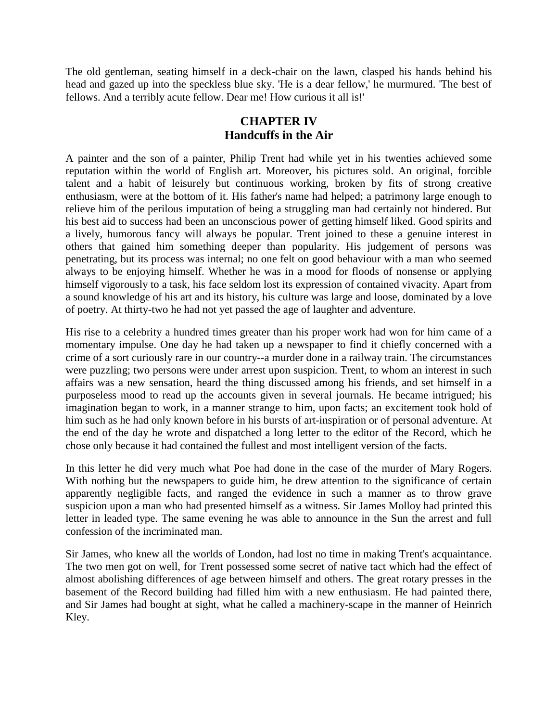The old gentleman, seating himself in a deck-chair on the lawn, clasped his hands behind his head and gazed up into the speckless blue sky. 'He is a dear fellow,' he murmured. 'The best of fellows. And a terribly acute fellow. Dear me! How curious it all is!'

# **CHAPTER IV Handcuffs in the Air**

A painter and the son of a painter, Philip Trent had while yet in his twenties achieved some reputation within the world of English art. Moreover, his pictures sold. An original, forcible talent and a habit of leisurely but continuous working, broken by fits of strong creative enthusiasm, were at the bottom of it. His father's name had helped; a patrimony large enough to relieve him of the perilous imputation of being a struggling man had certainly not hindered. But his best aid to success had been an unconscious power of getting himself liked. Good spirits and a lively, humorous fancy will always be popular. Trent joined to these a genuine interest in others that gained him something deeper than popularity. His judgement of persons was penetrating, but its process was internal; no one felt on good behaviour with a man who seemed always to be enjoying himself. Whether he was in a mood for floods of nonsense or applying himself vigorously to a task, his face seldom lost its expression of contained vivacity. Apart from a sound knowledge of his art and its history, his culture was large and loose, dominated by a love of poetry. At thirty-two he had not yet passed the age of laughter and adventure.

His rise to a celebrity a hundred times greater than his proper work had won for him came of a momentary impulse. One day he had taken up a newspaper to find it chiefly concerned with a crime of a sort curiously rare in our country--a murder done in a railway train. The circumstances were puzzling; two persons were under arrest upon suspicion. Trent, to whom an interest in such affairs was a new sensation, heard the thing discussed among his friends, and set himself in a purposeless mood to read up the accounts given in several journals. He became intrigued; his imagination began to work, in a manner strange to him, upon facts; an excitement took hold of him such as he had only known before in his bursts of art-inspiration or of personal adventure. At the end of the day he wrote and dispatched a long letter to the editor of the Record, which he chose only because it had contained the fullest and most intelligent version of the facts.

In this letter he did very much what Poe had done in the case of the murder of Mary Rogers. With nothing but the newspapers to guide him, he drew attention to the significance of certain apparently negligible facts, and ranged the evidence in such a manner as to throw grave suspicion upon a man who had presented himself as a witness. Sir James Molloy had printed this letter in leaded type. The same evening he was able to announce in the Sun the arrest and full confession of the incriminated man.

Sir James, who knew all the worlds of London, had lost no time in making Trent's acquaintance. The two men got on well, for Trent possessed some secret of native tact which had the effect of almost abolishing differences of age between himself and others. The great rotary presses in the basement of the Record building had filled him with a new enthusiasm. He had painted there, and Sir James had bought at sight, what he called a machinery-scape in the manner of Heinrich Kley.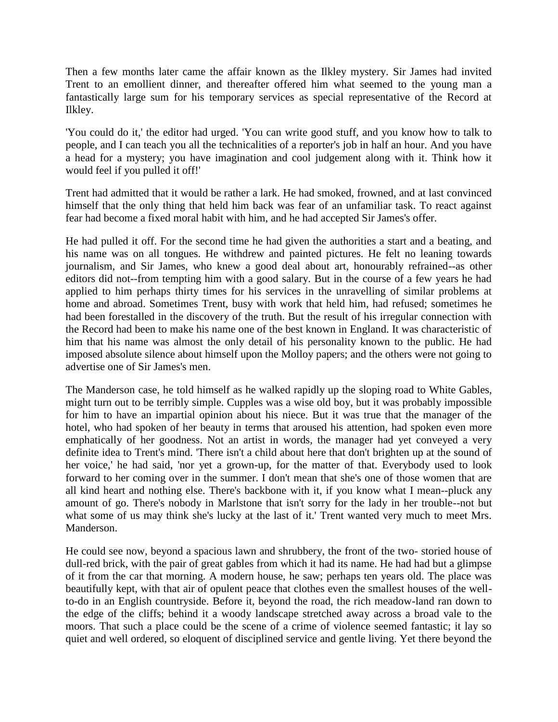Then a few months later came the affair known as the Ilkley mystery. Sir James had invited Trent to an emollient dinner, and thereafter offered him what seemed to the young man a fantastically large sum for his temporary services as special representative of the Record at Ilkley.

'You could do it,' the editor had urged. 'You can write good stuff, and you know how to talk to people, and I can teach you all the technicalities of a reporter's job in half an hour. And you have a head for a mystery; you have imagination and cool judgement along with it. Think how it would feel if you pulled it off!'

Trent had admitted that it would be rather a lark. He had smoked, frowned, and at last convinced himself that the only thing that held him back was fear of an unfamiliar task. To react against fear had become a fixed moral habit with him, and he had accepted Sir James's offer.

He had pulled it off. For the second time he had given the authorities a start and a beating, and his name was on all tongues. He withdrew and painted pictures. He felt no leaning towards journalism, and Sir James, who knew a good deal about art, honourably refrained--as other editors did not--from tempting him with a good salary. But in the course of a few years he had applied to him perhaps thirty times for his services in the unravelling of similar problems at home and abroad. Sometimes Trent, busy with work that held him, had refused; sometimes he had been forestalled in the discovery of the truth. But the result of his irregular connection with the Record had been to make his name one of the best known in England. It was characteristic of him that his name was almost the only detail of his personality known to the public. He had imposed absolute silence about himself upon the Molloy papers; and the others were not going to advertise one of Sir James's men.

The Manderson case, he told himself as he walked rapidly up the sloping road to White Gables, might turn out to be terribly simple. Cupples was a wise old boy, but it was probably impossible for him to have an impartial opinion about his niece. But it was true that the manager of the hotel, who had spoken of her beauty in terms that aroused his attention, had spoken even more emphatically of her goodness. Not an artist in words, the manager had yet conveyed a very definite idea to Trent's mind. 'There isn't a child about here that don't brighten up at the sound of her voice,' he had said, 'nor yet a grown-up, for the matter of that. Everybody used to look forward to her coming over in the summer. I don't mean that she's one of those women that are all kind heart and nothing else. There's backbone with it, if you know what I mean--pluck any amount of go. There's nobody in Marlstone that isn't sorry for the lady in her trouble--not but what some of us may think she's lucky at the last of it.' Trent wanted very much to meet Mrs. Manderson.

He could see now, beyond a spacious lawn and shrubbery, the front of the two- storied house of dull-red brick, with the pair of great gables from which it had its name. He had had but a glimpse of it from the car that morning. A modern house, he saw; perhaps ten years old. The place was beautifully kept, with that air of opulent peace that clothes even the smallest houses of the wellto-do in an English countryside. Before it, beyond the road, the rich meadow-land ran down to the edge of the cliffs; behind it a woody landscape stretched away across a broad vale to the moors. That such a place could be the scene of a crime of violence seemed fantastic; it lay so quiet and well ordered, so eloquent of disciplined service and gentle living. Yet there beyond the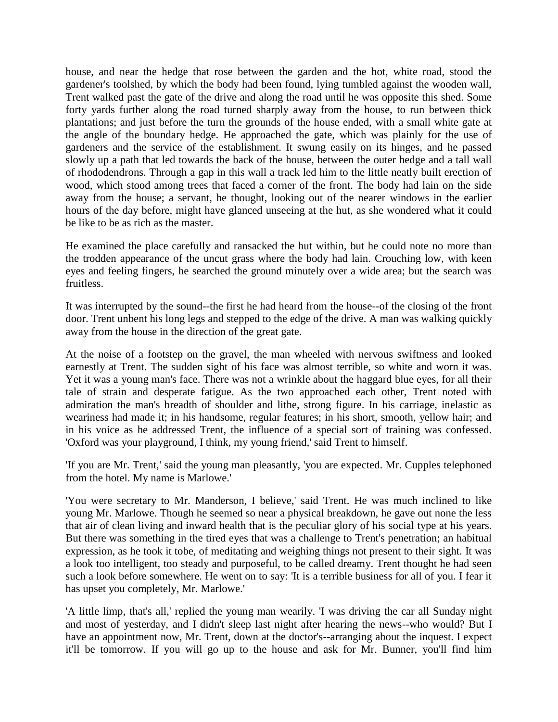house, and near the hedge that rose between the garden and the hot, white road, stood the gardener's toolshed, by which the body had been found, lying tumbled against the wooden wall, Trent walked past the gate of the drive and along the road until he was opposite this shed. Some forty yards further along the road turned sharply away from the house, to run between thick plantations; and just before the turn the grounds of the house ended, with a small white gate at the angle of the boundary hedge. He approached the gate, which was plainly for the use of gardeners and the service of the establishment. It swung easily on its hinges, and he passed slowly up a path that led towards the back of the house, between the outer hedge and a tall wall of rhododendrons. Through a gap in this wall a track led him to the little neatly built erection of wood, which stood among trees that faced a corner of the front. The body had lain on the side away from the house; a servant, he thought, looking out of the nearer windows in the earlier hours of the day before, might have glanced unseeing at the hut, as she wondered what it could be like to be as rich as the master.

He examined the place carefully and ransacked the hut within, but he could note no more than the trodden appearance of the uncut grass where the body had lain. Crouching low, with keen eyes and feeling fingers, he searched the ground minutely over a wide area; but the search was fruitless.

It was interrupted by the sound--the first he had heard from the house--of the closing of the front door. Trent unbent his long legs and stepped to the edge of the drive. A man was walking quickly away from the house in the direction of the great gate.

At the noise of a footstep on the gravel, the man wheeled with nervous swiftness and looked earnestly at Trent. The sudden sight of his face was almost terrible, so white and worn it was. Yet it was a young man's face. There was not a wrinkle about the haggard blue eyes, for all their tale of strain and desperate fatigue. As the two approached each other, Trent noted with admiration the man's breadth of shoulder and lithe, strong figure. In his carriage, inelastic as weariness had made it; in his handsome, regular features; in his short, smooth, yellow hair; and in his voice as he addressed Trent, the influence of a special sort of training was confessed. 'Oxford was your playground, I think, my young friend,' said Trent to himself.

'If you are Mr. Trent,' said the young man pleasantly, 'you are expected. Mr. Cupples telephoned from the hotel. My name is Marlowe.'

'You were secretary to Mr. Manderson, I believe,' said Trent. He was much inclined to like young Mr. Marlowe. Though he seemed so near a physical breakdown, he gave out none the less that air of clean living and inward health that is the peculiar glory of his social type at his years. But there was something in the tired eyes that was a challenge to Trent's penetration; an habitual expression, as he took it tobe, of meditating and weighing things not present to their sight. It was a look too intelligent, too steady and purposeful, to be called dreamy. Trent thought he had seen such a look before somewhere. He went on to say: 'It is a terrible business for all of you. I fear it has upset you completely, Mr. Marlowe.'

'A little limp, that's all,' replied the young man wearily. 'I was driving the car all Sunday night and most of yesterday, and I didn't sleep last night after hearing the news--who would? But I have an appointment now, Mr. Trent, down at the doctor's--arranging about the inquest. I expect it'll be tomorrow. If you will go up to the house and ask for Mr. Bunner, you'll find him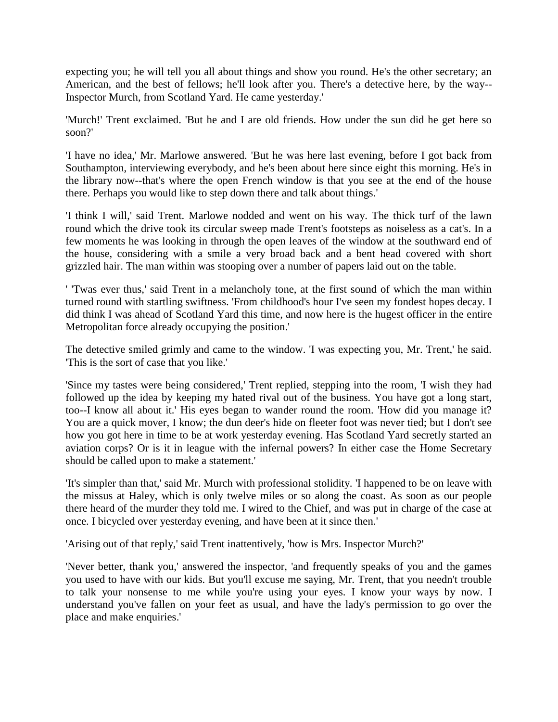expecting you; he will tell you all about things and show you round. He's the other secretary; an American, and the best of fellows; he'll look after you. There's a detective here, by the way-- Inspector Murch, from Scotland Yard. He came yesterday.'

'Murch!' Trent exclaimed. 'But he and I are old friends. How under the sun did he get here so soon?'

'I have no idea,' Mr. Marlowe answered. 'But he was here last evening, before I got back from Southampton, interviewing everybody, and he's been about here since eight this morning. He's in the library now--that's where the open French window is that you see at the end of the house there. Perhaps you would like to step down there and talk about things.'

'I think I will,' said Trent. Marlowe nodded and went on his way. The thick turf of the lawn round which the drive took its circular sweep made Trent's footsteps as noiseless as a cat's. In a few moments he was looking in through the open leaves of the window at the southward end of the house, considering with a smile a very broad back and a bent head covered with short grizzled hair. The man within was stooping over a number of papers laid out on the table.

' 'Twas ever thus,' said Trent in a melancholy tone, at the first sound of which the man within turned round with startling swiftness. 'From childhood's hour I've seen my fondest hopes decay. I did think I was ahead of Scotland Yard this time, and now here is the hugest officer in the entire Metropolitan force already occupying the position.'

The detective smiled grimly and came to the window. 'I was expecting you, Mr. Trent,' he said. 'This is the sort of case that you like.'

'Since my tastes were being considered,' Trent replied, stepping into the room, 'I wish they had followed up the idea by keeping my hated rival out of the business. You have got a long start, too--I know all about it.' His eyes began to wander round the room. 'How did you manage it? You are a quick mover, I know; the dun deer's hide on fleeter foot was never tied; but I don't see how you got here in time to be at work yesterday evening. Has Scotland Yard secretly started an aviation corps? Or is it in league with the infernal powers? In either case the Home Secretary should be called upon to make a statement.'

'It's simpler than that,' said Mr. Murch with professional stolidity. 'I happened to be on leave with the missus at Haley, which is only twelve miles or so along the coast. As soon as our people there heard of the murder they told me. I wired to the Chief, and was put in charge of the case at once. I bicycled over yesterday evening, and have been at it since then.'

'Arising out of that reply,' said Trent inattentively, 'how is Mrs. Inspector Murch?'

'Never better, thank you,' answered the inspector, 'and frequently speaks of you and the games you used to have with our kids. But you'll excuse me saying, Mr. Trent, that you needn't trouble to talk your nonsense to me while you're using your eyes. I know your ways by now. I understand you've fallen on your feet as usual, and have the lady's permission to go over the place and make enquiries.'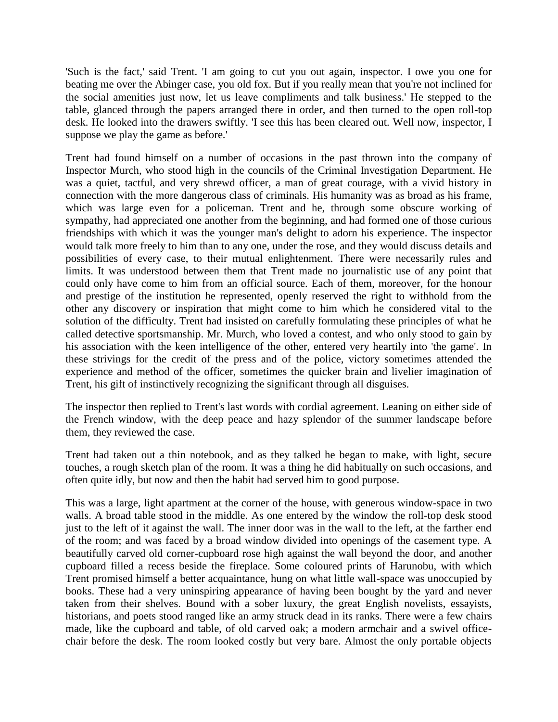'Such is the fact,' said Trent. 'I am going to cut you out again, inspector. I owe you one for beating me over the Abinger case, you old fox. But if you really mean that you're not inclined for the social amenities just now, let us leave compliments and talk business.' He stepped to the table, glanced through the papers arranged there in order, and then turned to the open roll-top desk. He looked into the drawers swiftly. 'I see this has been cleared out. Well now, inspector, I suppose we play the game as before.'

Trent had found himself on a number of occasions in the past thrown into the company of Inspector Murch, who stood high in the councils of the Criminal Investigation Department. He was a quiet, tactful, and very shrewd officer, a man of great courage, with a vivid history in connection with the more dangerous class of criminals. His humanity was as broad as his frame, which was large even for a policeman. Trent and he, through some obscure working of sympathy, had appreciated one another from the beginning, and had formed one of those curious friendships with which it was the younger man's delight to adorn his experience. The inspector would talk more freely to him than to any one, under the rose, and they would discuss details and possibilities of every case, to their mutual enlightenment. There were necessarily rules and limits. It was understood between them that Trent made no journalistic use of any point that could only have come to him from an official source. Each of them, moreover, for the honour and prestige of the institution he represented, openly reserved the right to withhold from the other any discovery or inspiration that might come to him which he considered vital to the solution of the difficulty. Trent had insisted on carefully formulating these principles of what he called detective sportsmanship. Mr. Murch, who loved a contest, and who only stood to gain by his association with the keen intelligence of the other, entered very heartily into 'the game'. In these strivings for the credit of the press and of the police, victory sometimes attended the experience and method of the officer, sometimes the quicker brain and livelier imagination of Trent, his gift of instinctively recognizing the significant through all disguises.

The inspector then replied to Trent's last words with cordial agreement. Leaning on either side of the French window, with the deep peace and hazy splendor of the summer landscape before them, they reviewed the case.

Trent had taken out a thin notebook, and as they talked he began to make, with light, secure touches, a rough sketch plan of the room. It was a thing he did habitually on such occasions, and often quite idly, but now and then the habit had served him to good purpose.

This was a large, light apartment at the corner of the house, with generous window-space in two walls. A broad table stood in the middle. As one entered by the window the roll-top desk stood just to the left of it against the wall. The inner door was in the wall to the left, at the farther end of the room; and was faced by a broad window divided into openings of the casement type. A beautifully carved old corner-cupboard rose high against the wall beyond the door, and another cupboard filled a recess beside the fireplace. Some coloured prints of Harunobu, with which Trent promised himself a better acquaintance, hung on what little wall-space was unoccupied by books. These had a very uninspiring appearance of having been bought by the yard and never taken from their shelves. Bound with a sober luxury, the great English novelists, essayists, historians, and poets stood ranged like an army struck dead in its ranks. There were a few chairs made, like the cupboard and table, of old carved oak; a modern armchair and a swivel officechair before the desk. The room looked costly but very bare. Almost the only portable objects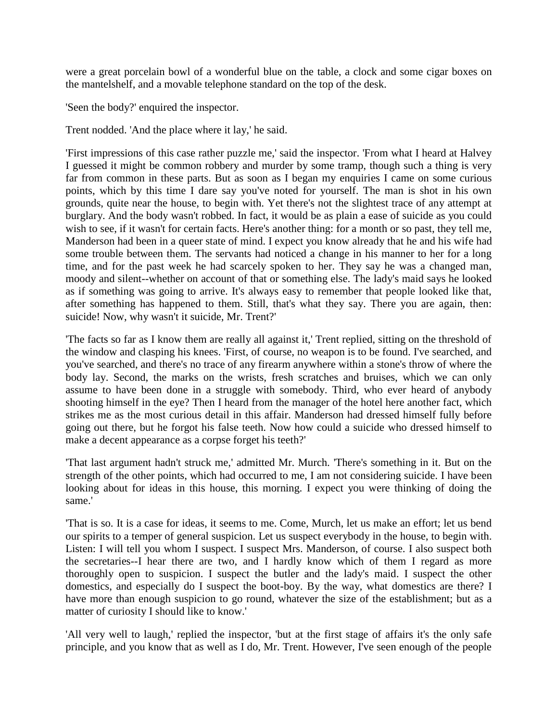were a great porcelain bowl of a wonderful blue on the table, a clock and some cigar boxes on the mantelshelf, and a movable telephone standard on the top of the desk.

'Seen the body?' enquired the inspector.

Trent nodded. 'And the place where it lay,' he said.

'First impressions of this case rather puzzle me,' said the inspector. 'From what I heard at Halvey I guessed it might be common robbery and murder by some tramp, though such a thing is very far from common in these parts. But as soon as I began my enquiries I came on some curious points, which by this time I dare say you've noted for yourself. The man is shot in his own grounds, quite near the house, to begin with. Yet there's not the slightest trace of any attempt at burglary. And the body wasn't robbed. In fact, it would be as plain a ease of suicide as you could wish to see, if it wasn't for certain facts. Here's another thing: for a month or so past, they tell me, Manderson had been in a queer state of mind. I expect you know already that he and his wife had some trouble between them. The servants had noticed a change in his manner to her for a long time, and for the past week he had scarcely spoken to her. They say he was a changed man, moody and silent--whether on account of that or something else. The lady's maid says he looked as if something was going to arrive. It's always easy to remember that people looked like that, after something has happened to them. Still, that's what they say. There you are again, then: suicide! Now, why wasn't it suicide, Mr. Trent?'

'The facts so far as I know them are really all against it,' Trent replied, sitting on the threshold of the window and clasping his knees. 'First, of course, no weapon is to be found. I've searched, and you've searched, and there's no trace of any firearm anywhere within a stone's throw of where the body lay. Second, the marks on the wrists, fresh scratches and bruises, which we can only assume to have been done in a struggle with somebody. Third, who ever heard of anybody shooting himself in the eye? Then I heard from the manager of the hotel here another fact, which strikes me as the most curious detail in this affair. Manderson had dressed himself fully before going out there, but he forgot his false teeth. Now how could a suicide who dressed himself to make a decent appearance as a corpse forget his teeth?'

'That last argument hadn't struck me,' admitted Mr. Murch. 'There's something in it. But on the strength of the other points, which had occurred to me, I am not considering suicide. I have been looking about for ideas in this house, this morning. I expect you were thinking of doing the same.'

'That is so. It is a case for ideas, it seems to me. Come, Murch, let us make an effort; let us bend our spirits to a temper of general suspicion. Let us suspect everybody in the house, to begin with. Listen: I will tell you whom I suspect. I suspect Mrs. Manderson, of course. I also suspect both the secretaries--I hear there are two, and I hardly know which of them I regard as more thoroughly open to suspicion. I suspect the butler and the lady's maid. I suspect the other domestics, and especially do I suspect the boot-boy. By the way, what domestics are there? I have more than enough suspicion to go round, whatever the size of the establishment; but as a matter of curiosity I should like to know.'

'All very well to laugh,' replied the inspector, 'but at the first stage of affairs it's the only safe principle, and you know that as well as I do, Mr. Trent. However, I've seen enough of the people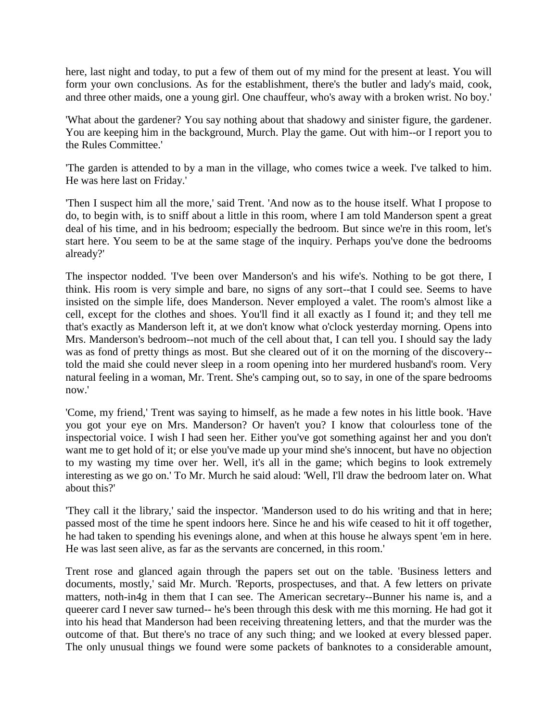here, last night and today, to put a few of them out of my mind for the present at least. You will form your own conclusions. As for the establishment, there's the butler and lady's maid, cook, and three other maids, one a young girl. One chauffeur, who's away with a broken wrist. No boy.'

'What about the gardener? You say nothing about that shadowy and sinister figure, the gardener. You are keeping him in the background, Murch. Play the game. Out with him--or I report you to the Rules Committee.'

'The garden is attended to by a man in the village, who comes twice a week. I've talked to him. He was here last on Friday.'

'Then I suspect him all the more,' said Trent. 'And now as to the house itself. What I propose to do, to begin with, is to sniff about a little in this room, where I am told Manderson spent a great deal of his time, and in his bedroom; especially the bedroom. But since we're in this room, let's start here. You seem to be at the same stage of the inquiry. Perhaps you've done the bedrooms already?'

The inspector nodded. 'I've been over Manderson's and his wife's. Nothing to be got there, I think. His room is very simple and bare, no signs of any sort--that I could see. Seems to have insisted on the simple life, does Manderson. Never employed a valet. The room's almost like a cell, except for the clothes and shoes. You'll find it all exactly as I found it; and they tell me that's exactly as Manderson left it, at we don't know what o'clock yesterday morning. Opens into Mrs. Manderson's bedroom--not much of the cell about that, I can tell you. I should say the lady was as fond of pretty things as most. But she cleared out of it on the morning of the discovery- told the maid she could never sleep in a room opening into her murdered husband's room. Very natural feeling in a woman, Mr. Trent. She's camping out, so to say, in one of the spare bedrooms now.'

'Come, my friend,' Trent was saying to himself, as he made a few notes in his little book. 'Have you got your eye on Mrs. Manderson? Or haven't you? I know that colourless tone of the inspectorial voice. I wish I had seen her. Either you've got something against her and you don't want me to get hold of it; or else you've made up your mind she's innocent, but have no objection to my wasting my time over her. Well, it's all in the game; which begins to look extremely interesting as we go on.' To Mr. Murch he said aloud: 'Well, I'll draw the bedroom later on. What about this?'

'They call it the library,' said the inspector. 'Manderson used to do his writing and that in here; passed most of the time he spent indoors here. Since he and his wife ceased to hit it off together, he had taken to spending his evenings alone, and when at this house he always spent 'em in here. He was last seen alive, as far as the servants are concerned, in this room.'

Trent rose and glanced again through the papers set out on the table. 'Business letters and documents, mostly,' said Mr. Murch. 'Reports, prospectuses, and that. A few letters on private matters, noth-in4g in them that I can see. The American secretary--Bunner his name is, and a queerer card I never saw turned-- he's been through this desk with me this morning. He had got it into his head that Manderson had been receiving threatening letters, and that the murder was the outcome of that. But there's no trace of any such thing; and we looked at every blessed paper. The only unusual things we found were some packets of banknotes to a considerable amount,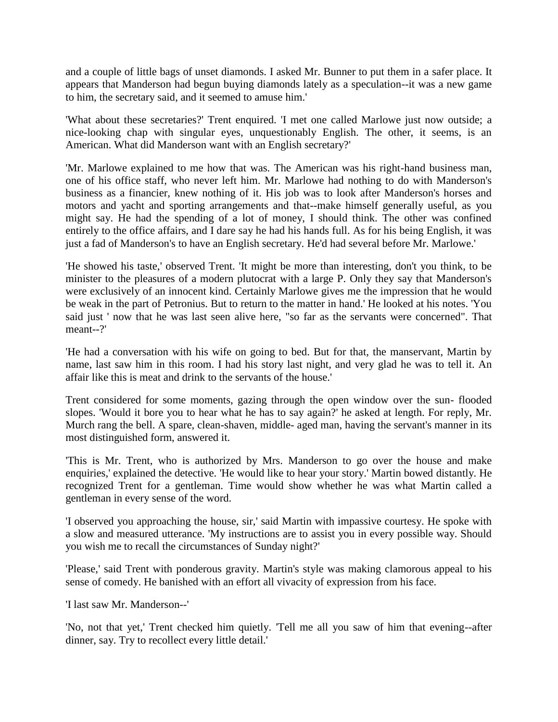and a couple of little bags of unset diamonds. I asked Mr. Bunner to put them in a safer place. It appears that Manderson had begun buying diamonds lately as a speculation--it was a new game to him, the secretary said, and it seemed to amuse him.'

'What about these secretaries?' Trent enquired. 'I met one called Marlowe just now outside; a nice-looking chap with singular eyes, unquestionably English. The other, it seems, is an American. What did Manderson want with an English secretary?'

'Mr. Marlowe explained to me how that was. The American was his right-hand business man, one of his office staff, who never left him. Mr. Marlowe had nothing to do with Manderson's business as a financier, knew nothing of it. His job was to look after Manderson's horses and motors and yacht and sporting arrangements and that--make himself generally useful, as you might say. He had the spending of a lot of money, I should think. The other was confined entirely to the office affairs, and I dare say he had his hands full. As for his being English, it was just a fad of Manderson's to have an English secretary. He'd had several before Mr. Marlowe.'

'He showed his taste,' observed Trent. 'It might be more than interesting, don't you think, to be minister to the pleasures of a modern plutocrat with a large P. Only they say that Manderson's were exclusively of an innocent kind. Certainly Marlowe gives me the impression that he would be weak in the part of Petronius. But to return to the matter in hand.' He looked at his notes. 'You said just ' now that he was last seen alive here, "so far as the servants were concerned". That meant--?'

'He had a conversation with his wife on going to bed. But for that, the manservant, Martin by name, last saw him in this room. I had his story last night, and very glad he was to tell it. An affair like this is meat and drink to the servants of the house.'

Trent considered for some moments, gazing through the open window over the sun- flooded slopes. 'Would it bore you to hear what he has to say again?' he asked at length. For reply, Mr. Murch rang the bell. A spare, clean-shaven, middle- aged man, having the servant's manner in its most distinguished form, answered it.

'This is Mr. Trent, who is authorized by Mrs. Manderson to go over the house and make enquiries,' explained the detective. 'He would like to hear your story.' Martin bowed distantly. He recognized Trent for a gentleman. Time would show whether he was what Martin called a gentleman in every sense of the word.

'I observed you approaching the house, sir,' said Martin with impassive courtesy. He spoke with a slow and measured utterance. 'My instructions are to assist you in every possible way. Should you wish me to recall the circumstances of Sunday night?'

'Please,' said Trent with ponderous gravity. Martin's style was making clamorous appeal to his sense of comedy. He banished with an effort all vivacity of expression from his face.

'I last saw Mr. Manderson--'

'No, not that yet,' Trent checked him quietly. 'Tell me all you saw of him that evening--after dinner, say. Try to recollect every little detail.'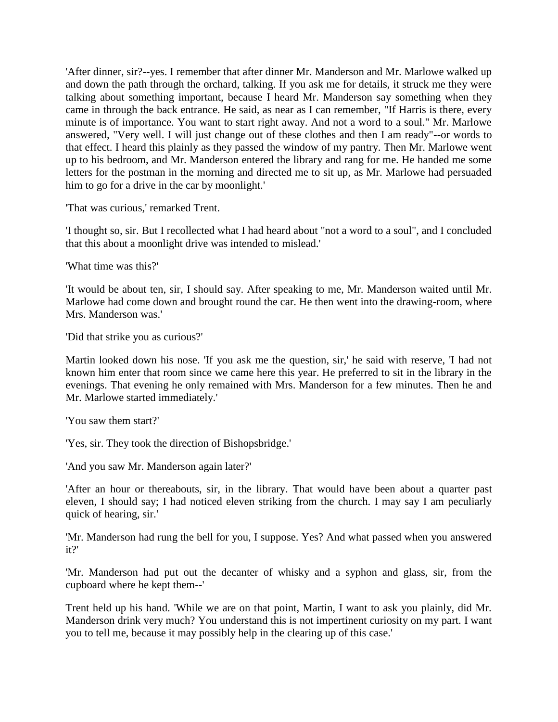'After dinner, sir?--yes. I remember that after dinner Mr. Manderson and Mr. Marlowe walked up and down the path through the orchard, talking. If you ask me for details, it struck me they were talking about something important, because I heard Mr. Manderson say something when they came in through the back entrance. He said, as near as I can remember, "If Harris is there, every minute is of importance. You want to start right away. And not a word to a soul." Mr. Marlowe answered, "Very well. I will just change out of these clothes and then I am ready"--or words to that effect. I heard this plainly as they passed the window of my pantry. Then Mr. Marlowe went up to his bedroom, and Mr. Manderson entered the library and rang for me. He handed me some letters for the postman in the morning and directed me to sit up, as Mr. Marlowe had persuaded him to go for a drive in the car by moonlight.'

'That was curious,' remarked Trent.

'I thought so, sir. But I recollected what I had heard about "not a word to a soul", and I concluded that this about a moonlight drive was intended to mislead.'

'What time was this?'

'It would be about ten, sir, I should say. After speaking to me, Mr. Manderson waited until Mr. Marlowe had come down and brought round the car. He then went into the drawing-room, where Mrs. Manderson was.'

'Did that strike you as curious?'

Martin looked down his nose. 'If you ask me the question, sir,' he said with reserve, 'I had not known him enter that room since we came here this year. He preferred to sit in the library in the evenings. That evening he only remained with Mrs. Manderson for a few minutes. Then he and Mr. Marlowe started immediately.'

'You saw them start?'

'Yes, sir. They took the direction of Bishopsbridge.'

'And you saw Mr. Manderson again later?'

'After an hour or thereabouts, sir, in the library. That would have been about a quarter past eleven, I should say; I had noticed eleven striking from the church. I may say I am peculiarly quick of hearing, sir.'

'Mr. Manderson had rung the bell for you, I suppose. Yes? And what passed when you answered it?'

'Mr. Manderson had put out the decanter of whisky and a syphon and glass, sir, from the cupboard where he kept them--'

Trent held up his hand. 'While we are on that point, Martin, I want to ask you plainly, did Mr. Manderson drink very much? You understand this is not impertinent curiosity on my part. I want you to tell me, because it may possibly help in the clearing up of this case.'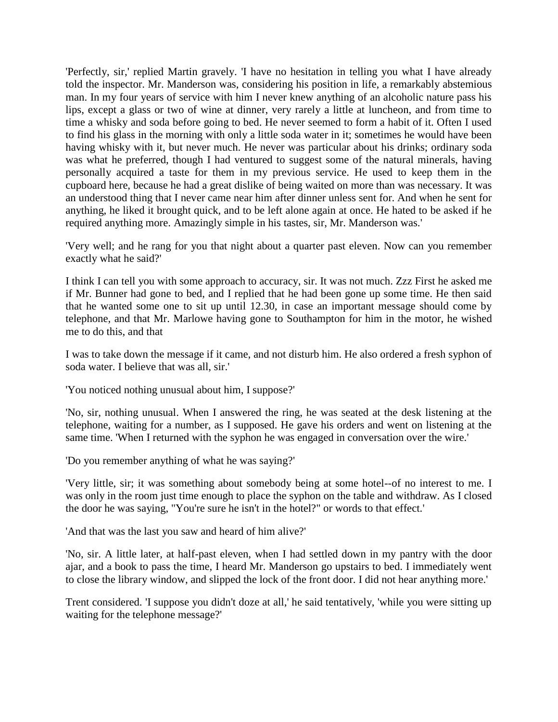'Perfectly, sir,' replied Martin gravely. 'I have no hesitation in telling you what I have already told the inspector. Mr. Manderson was, considering his position in life, a remarkably abstemious man. In my four years of service with him I never knew anything of an alcoholic nature pass his lips, except a glass or two of wine at dinner, very rarely a little at luncheon, and from time to time a whisky and soda before going to bed. He never seemed to form a habit of it. Often I used to find his glass in the morning with only a little soda water in it; sometimes he would have been having whisky with it, but never much. He never was particular about his drinks; ordinary soda was what he preferred, though I had ventured to suggest some of the natural minerals, having personally acquired a taste for them in my previous service. He used to keep them in the cupboard here, because he had a great dislike of being waited on more than was necessary. It was an understood thing that I never came near him after dinner unless sent for. And when he sent for anything, he liked it brought quick, and to be left alone again at once. He hated to be asked if he required anything more. Amazingly simple in his tastes, sir, Mr. Manderson was.'

'Very well; and he rang for you that night about a quarter past eleven. Now can you remember exactly what he said?'

I think I can tell you with some approach to accuracy, sir. It was not much. Zzz First he asked me if Mr. Bunner had gone to bed, and I replied that he had been gone up some time. He then said that he wanted some one to sit up until 12.30, in case an important message should come by telephone, and that Mr. Marlowe having gone to Southampton for him in the motor, he wished me to do this, and that

I was to take down the message if it came, and not disturb him. He also ordered a fresh syphon of soda water. I believe that was all, sir.'

'You noticed nothing unusual about him, I suppose?'

'No, sir, nothing unusual. When I answered the ring, he was seated at the desk listening at the telephone, waiting for a number, as I supposed. He gave his orders and went on listening at the same time. 'When I returned with the syphon he was engaged in conversation over the wire.'

'Do you remember anything of what he was saying?'

'Very little, sir; it was something about somebody being at some hotel--of no interest to me. I was only in the room just time enough to place the syphon on the table and withdraw. As I closed the door he was saying, "You're sure he isn't in the hotel?" or words to that effect.'

'And that was the last you saw and heard of him alive?'

'No, sir. A little later, at half-past eleven, when I had settled down in my pantry with the door ajar, and a book to pass the time, I heard Mr. Manderson go upstairs to bed. I immediately went to close the library window, and slipped the lock of the front door. I did not hear anything more.'

Trent considered. 'I suppose you didn't doze at all,' he said tentatively, 'while you were sitting up waiting for the telephone message?'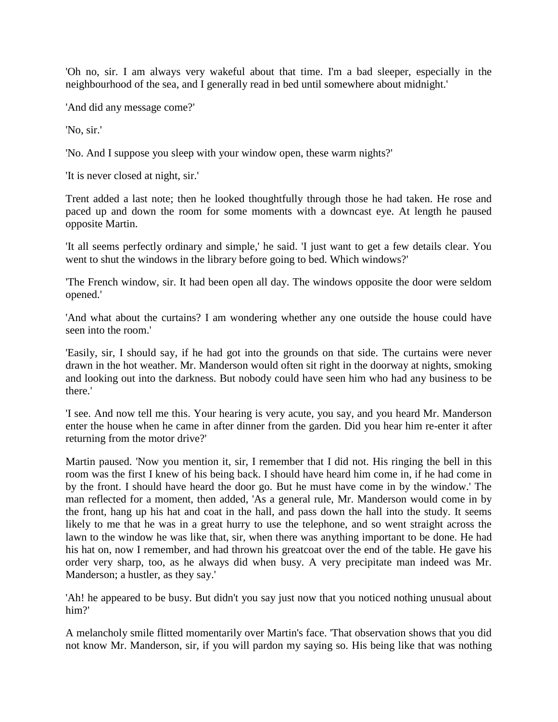'Oh no, sir. I am always very wakeful about that time. I'm a bad sleeper, especially in the neighbourhood of the sea, and I generally read in bed until somewhere about midnight.'

'And did any message come?'

'No, sir.'

'No. And I suppose you sleep with your window open, these warm nights?'

'It is never closed at night, sir.'

Trent added a last note; then he looked thoughtfully through those he had taken. He rose and paced up and down the room for some moments with a downcast eye. At length he paused opposite Martin.

'It all seems perfectly ordinary and simple,' he said. 'I just want to get a few details clear. You went to shut the windows in the library before going to bed. Which windows?'

'The French window, sir. It had been open all day. The windows opposite the door were seldom opened.'

'And what about the curtains? I am wondering whether any one outside the house could have seen into the room.'

'Easily, sir, I should say, if he had got into the grounds on that side. The curtains were never drawn in the hot weather. Mr. Manderson would often sit right in the doorway at nights, smoking and looking out into the darkness. But nobody could have seen him who had any business to be there.'

'I see. And now tell me this. Your hearing is very acute, you say, and you heard Mr. Manderson enter the house when he came in after dinner from the garden. Did you hear him re-enter it after returning from the motor drive?'

Martin paused. 'Now you mention it, sir, I remember that I did not. His ringing the bell in this room was the first I knew of his being back. I should have heard him come in, if he had come in by the front. I should have heard the door go. But he must have come in by the window.' The man reflected for a moment, then added, 'As a general rule, Mr. Manderson would come in by the front, hang up his hat and coat in the hall, and pass down the hall into the study. It seems likely to me that he was in a great hurry to use the telephone, and so went straight across the lawn to the window he was like that, sir, when there was anything important to be done. He had his hat on, now I remember, and had thrown his greatcoat over the end of the table. He gave his order very sharp, too, as he always did when busy. A very precipitate man indeed was Mr. Manderson; a hustler, as they say.'

'Ah! he appeared to be busy. But didn't you say just now that you noticed nothing unusual about him?'

A melancholy smile flitted momentarily over Martin's face. 'That observation shows that you did not know Mr. Manderson, sir, if you will pardon my saying so. His being like that was nothing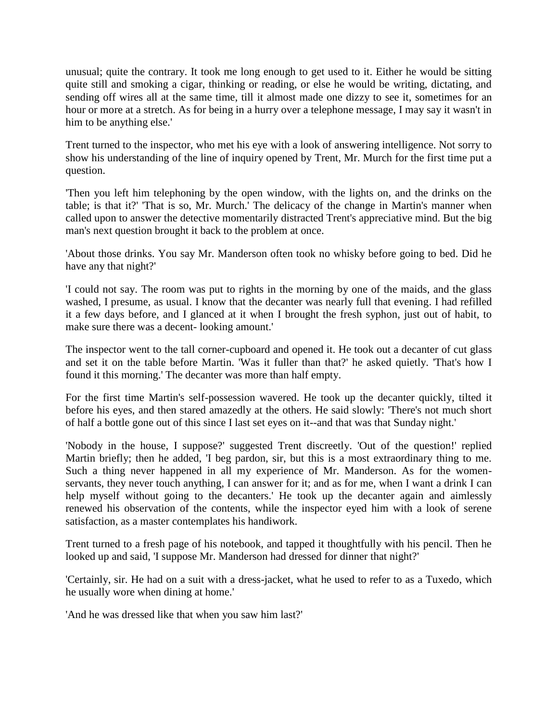unusual; quite the contrary. It took me long enough to get used to it. Either he would be sitting quite still and smoking a cigar, thinking or reading, or else he would be writing, dictating, and sending off wires all at the same time, till it almost made one dizzy to see it, sometimes for an hour or more at a stretch. As for being in a hurry over a telephone message, I may say it wasn't in him to be anything else.'

Trent turned to the inspector, who met his eye with a look of answering intelligence. Not sorry to show his understanding of the line of inquiry opened by Trent, Mr. Murch for the first time put a question.

'Then you left him telephoning by the open window, with the lights on, and the drinks on the table; is that it?' 'That is so, Mr. Murch.' The delicacy of the change in Martin's manner when called upon to answer the detective momentarily distracted Trent's appreciative mind. But the big man's next question brought it back to the problem at once.

'About those drinks. You say Mr. Manderson often took no whisky before going to bed. Did he have any that night?'

'I could not say. The room was put to rights in the morning by one of the maids, and the glass washed, I presume, as usual. I know that the decanter was nearly full that evening. I had refilled it a few days before, and I glanced at it when I brought the fresh syphon, just out of habit, to make sure there was a decent- looking amount.'

The inspector went to the tall corner-cupboard and opened it. He took out a decanter of cut glass and set it on the table before Martin. 'Was it fuller than that?' he asked quietly. 'That's how I found it this morning.' The decanter was more than half empty.

For the first time Martin's self-possession wavered. He took up the decanter quickly, tilted it before his eyes, and then stared amazedly at the others. He said slowly: 'There's not much short of half a bottle gone out of this since I last set eyes on it--and that was that Sunday night.'

'Nobody in the house, I suppose?' suggested Trent discreetly. 'Out of the question!' replied Martin briefly; then he added, 'I beg pardon, sir, but this is a most extraordinary thing to me. Such a thing never happened in all my experience of Mr. Manderson. As for the womenservants, they never touch anything, I can answer for it; and as for me, when I want a drink I can help myself without going to the decanters.' He took up the decanter again and aimlessly renewed his observation of the contents, while the inspector eyed him with a look of serene satisfaction, as a master contemplates his handiwork.

Trent turned to a fresh page of his notebook, and tapped it thoughtfully with his pencil. Then he looked up and said, 'I suppose Mr. Manderson had dressed for dinner that night?'

'Certainly, sir. He had on a suit with a dress-jacket, what he used to refer to as a Tuxedo, which he usually wore when dining at home.'

'And he was dressed like that when you saw him last?'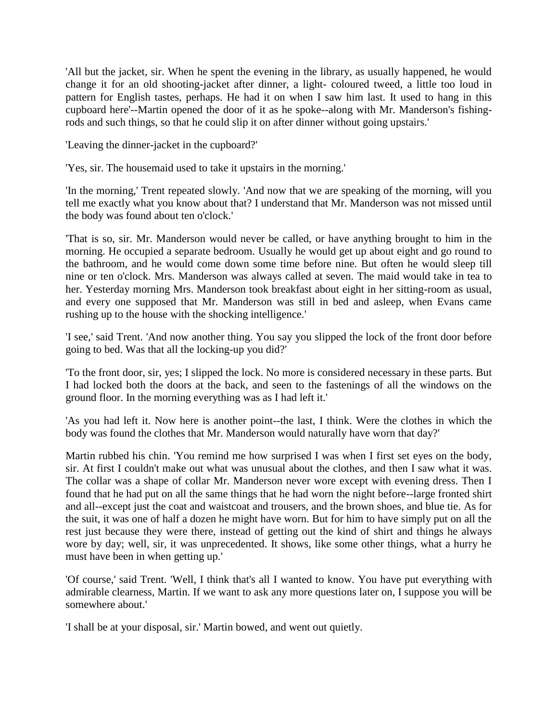'All but the jacket, sir. When he spent the evening in the library, as usually happened, he would change it for an old shooting-jacket after dinner, a light- coloured tweed, a little too loud in pattern for English tastes, perhaps. He had it on when I saw him last. It used to hang in this cupboard here'--Martin opened the door of it as he spoke--along with Mr. Manderson's fishingrods and such things, so that he could slip it on after dinner without going upstairs.'

'Leaving the dinner-jacket in the cupboard?'

'Yes, sir. The housemaid used to take it upstairs in the morning.'

'In the morning,' Trent repeated slowly. 'And now that we are speaking of the morning, will you tell me exactly what you know about that? I understand that Mr. Manderson was not missed until the body was found about ten o'clock.'

'That is so, sir. Mr. Manderson would never be called, or have anything brought to him in the morning. He occupied a separate bedroom. Usually he would get up about eight and go round to the bathroom, and he would come down some time before nine. But often he would sleep till nine or ten o'clock. Mrs. Manderson was always called at seven. The maid would take in tea to her. Yesterday morning Mrs. Manderson took breakfast about eight in her sitting-room as usual, and every one supposed that Mr. Manderson was still in bed and asleep, when Evans came rushing up to the house with the shocking intelligence.'

'I see,' said Trent. 'And now another thing. You say you slipped the lock of the front door before going to bed. Was that all the locking-up you did?'

'To the front door, sir, yes; I slipped the lock. No more is considered necessary in these parts. But I had locked both the doors at the back, and seen to the fastenings of all the windows on the ground floor. In the morning everything was as I had left it.'

'As you had left it. Now here is another point--the last, I think. Were the clothes in which the body was found the clothes that Mr. Manderson would naturally have worn that day?'

Martin rubbed his chin. 'You remind me how surprised I was when I first set eyes on the body, sir. At first I couldn't make out what was unusual about the clothes, and then I saw what it was. The collar was a shape of collar Mr. Manderson never wore except with evening dress. Then I found that he had put on all the same things that he had worn the night before--large fronted shirt and all--except just the coat and waistcoat and trousers, and the brown shoes, and blue tie. As for the suit, it was one of half a dozen he might have worn. But for him to have simply put on all the rest just because they were there, instead of getting out the kind of shirt and things he always wore by day; well, sir, it was unprecedented. It shows, like some other things, what a hurry he must have been in when getting up.'

'Of course,' said Trent. 'Well, I think that's all I wanted to know. You have put everything with admirable clearness, Martin. If we want to ask any more questions later on, I suppose you will be somewhere about.'

'I shall be at your disposal, sir.' Martin bowed, and went out quietly.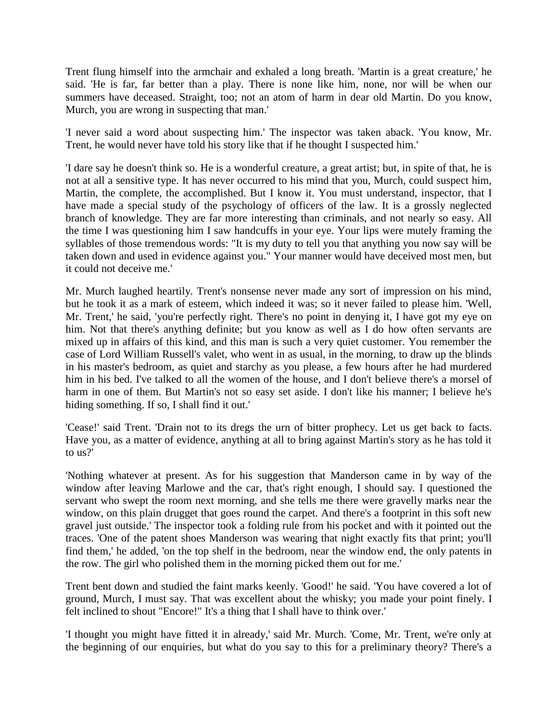Trent flung himself into the armchair and exhaled a long breath. 'Martin is a great creature,' he said. 'He is far, far better than a play. There is none like him, none, nor will be when our summers have deceased. Straight, too; not an atom of harm in dear old Martin. Do you know, Murch, you are wrong in suspecting that man.'

'I never said a word about suspecting him.' The inspector was taken aback. 'You know, Mr. Trent, he would never have told his story like that if he thought I suspected him.'

'I dare say he doesn't think so. He is a wonderful creature, a great artist; but, in spite of that, he is not at all a sensitive type. It has never occurred to his mind that you, Murch, could suspect him, Martin, the complete, the accomplished. But I know it. You must understand, inspector, that I have made a special study of the psychology of officers of the law. It is a grossly neglected branch of knowledge. They are far more interesting than criminals, and not nearly so easy. All the time I was questioning him I saw handcuffs in your eye. Your lips were mutely framing the syllables of those tremendous words: "It is my duty to tell you that anything you now say will be taken down and used in evidence against you." Your manner would have deceived most men, but it could not deceive me.'

Mr. Murch laughed heartily. Trent's nonsense never made any sort of impression on his mind, but he took it as a mark of esteem, which indeed it was; so it never failed to please him. 'Well, Mr. Trent,' he said, 'you're perfectly right. There's no point in denying it, I have got my eye on him. Not that there's anything definite; but you know as well as I do how often servants are mixed up in affairs of this kind, and this man is such a very quiet customer. You remember the case of Lord William Russell's valet, who went in as usual, in the morning, to draw up the blinds in his master's bedroom, as quiet and starchy as you please, a few hours after he had murdered him in his bed. I've talked to all the women of the house, and I don't believe there's a morsel of harm in one of them. But Martin's not so easy set aside. I don't like his manner; I believe he's hiding something. If so, I shall find it out.'

'Cease!' said Trent. 'Drain not to its dregs the urn of bitter prophecy. Let us get back to facts. Have you, as a matter of evidence, anything at all to bring against Martin's story as he has told it to us?'

'Nothing whatever at present. As for his suggestion that Manderson came in by way of the window after leaving Marlowe and the car, that's right enough, I should say. I questioned the servant who swept the room next morning, and she tells me there were gravelly marks near the window, on this plain drugget that goes round the carpet. And there's a footprint in this soft new gravel just outside.' The inspector took a folding rule from his pocket and with it pointed out the traces. 'One of the patent shoes Manderson was wearing that night exactly fits that print; you'll find them,' he added, 'on the top shelf in the bedroom, near the window end, the only patents in the row. The girl who polished them in the morning picked them out for me.'

Trent bent down and studied the faint marks keenly. 'Good!' he said. 'You have covered a lot of ground, Murch, I must say. That was excellent about the whisky; you made your point finely. I felt inclined to shout "Encore!" It's a thing that I shall have to think over.'

'I thought you might have fitted it in already,' said Mr. Murch. 'Come, Mr. Trent, we're only at the beginning of our enquiries, but what do you say to this for a preliminary theory? There's a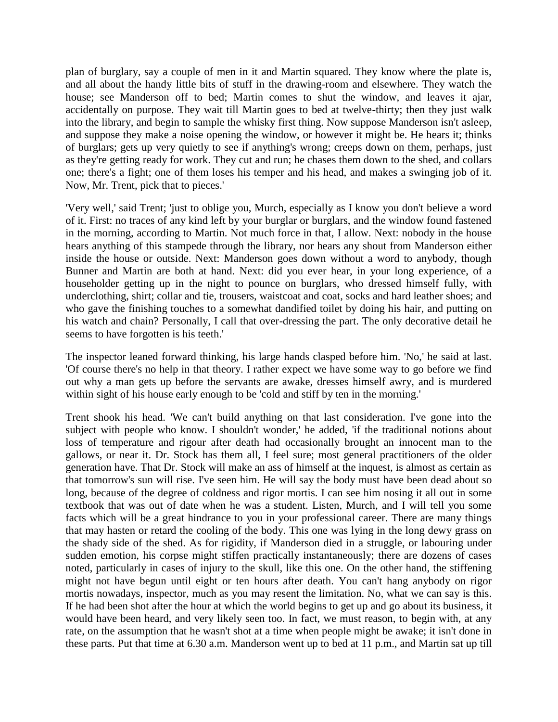plan of burglary, say a couple of men in it and Martin squared. They know where the plate is, and all about the handy little bits of stuff in the drawing-room and elsewhere. They watch the house; see Manderson off to bed; Martin comes to shut the window, and leaves it ajar, accidentally on purpose. They wait till Martin goes to bed at twelve-thirty; then they just walk into the library, and begin to sample the whisky first thing. Now suppose Manderson isn't asleep, and suppose they make a noise opening the window, or however it might be. He hears it; thinks of burglars; gets up very quietly to see if anything's wrong; creeps down on them, perhaps, just as they're getting ready for work. They cut and run; he chases them down to the shed, and collars one; there's a fight; one of them loses his temper and his head, and makes a swinging job of it. Now, Mr. Trent, pick that to pieces.'

'Very well,' said Trent; 'just to oblige you, Murch, especially as I know you don't believe a word of it. First: no traces of any kind left by your burglar or burglars, and the window found fastened in the morning, according to Martin. Not much force in that, I allow. Next: nobody in the house hears anything of this stampede through the library, nor hears any shout from Manderson either inside the house or outside. Next: Manderson goes down without a word to anybody, though Bunner and Martin are both at hand. Next: did you ever hear, in your long experience, of a householder getting up in the night to pounce on burglars, who dressed himself fully, with underclothing, shirt; collar and tie, trousers, waistcoat and coat, socks and hard leather shoes; and who gave the finishing touches to a somewhat dandified toilet by doing his hair, and putting on his watch and chain? Personally, I call that over-dressing the part. The only decorative detail he seems to have forgotten is his teeth.'

The inspector leaned forward thinking, his large hands clasped before him. 'No,' he said at last. 'Of course there's no help in that theory. I rather expect we have some way to go before we find out why a man gets up before the servants are awake, dresses himself awry, and is murdered within sight of his house early enough to be 'cold and stiff by ten in the morning.'

Trent shook his head. 'We can't build anything on that last consideration. I've gone into the subject with people who know. I shouldn't wonder,' he added, 'if the traditional notions about loss of temperature and rigour after death had occasionally brought an innocent man to the gallows, or near it. Dr. Stock has them all, I feel sure; most general practitioners of the older generation have. That Dr. Stock will make an ass of himself at the inquest, is almost as certain as that tomorrow's sun will rise. I've seen him. He will say the body must have been dead about so long, because of the degree of coldness and rigor mortis. I can see him nosing it all out in some textbook that was out of date when he was a student. Listen, Murch, and I will tell you some facts which will be a great hindrance to you in your professional career. There are many things that may hasten or retard the cooling of the body. This one was lying in the long dewy grass on the shady side of the shed. As for rigidity, if Manderson died in a struggle, or labouring under sudden emotion, his corpse might stiffen practically instantaneously; there are dozens of cases noted, particularly in cases of injury to the skull, like this one. On the other hand, the stiffening might not have begun until eight or ten hours after death. You can't hang anybody on rigor mortis nowadays, inspector, much as you may resent the limitation. No, what we can say is this. If he had been shot after the hour at which the world begins to get up and go about its business, it would have been heard, and very likely seen too. In fact, we must reason, to begin with, at any rate, on the assumption that he wasn't shot at a time when people might be awake; it isn't done in these parts. Put that time at 6.30 a.m. Manderson went up to bed at 11 p.m., and Martin sat up till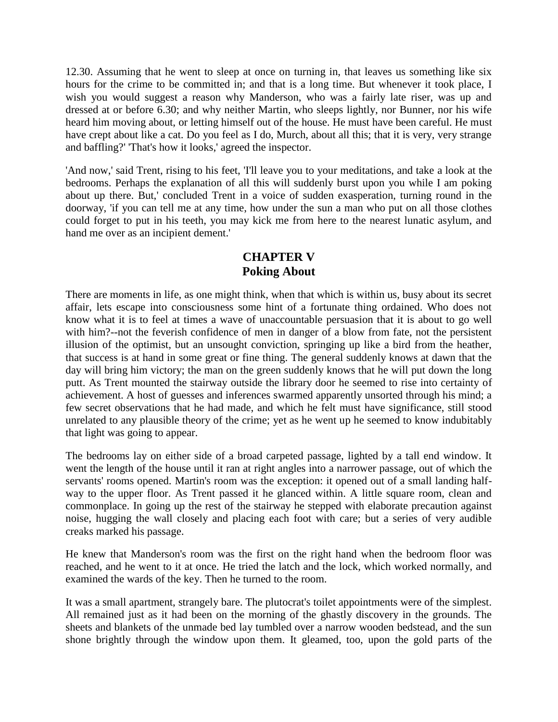12.30. Assuming that he went to sleep at once on turning in, that leaves us something like six hours for the crime to be committed in; and that is a long time. But whenever it took place, I wish you would suggest a reason why Manderson, who was a fairly late riser, was up and dressed at or before 6.30; and why neither Martin, who sleeps lightly, nor Bunner, nor his wife heard him moving about, or letting himself out of the house. He must have been careful. He must have crept about like a cat. Do you feel as I do, Murch, about all this; that it is very, very strange and baffling?' 'That's how it looks,' agreed the inspector.

'And now,' said Trent, rising to his feet, 'I'll leave you to your meditations, and take a look at the bedrooms. Perhaps the explanation of all this will suddenly burst upon you while I am poking about up there. But,' concluded Trent in a voice of sudden exasperation, turning round in the doorway, 'if you can tell me at any time, how under the sun a man who put on all those clothes could forget to put in his teeth, you may kick me from here to the nearest lunatic asylum, and hand me over as an incipient dement.'

## **CHAPTER V Poking About**

There are moments in life, as one might think, when that which is within us, busy about its secret affair, lets escape into consciousness some hint of a fortunate thing ordained. Who does not know what it is to feel at times a wave of unaccountable persuasion that it is about to go well with him?--not the feverish confidence of men in danger of a blow from fate, not the persistent illusion of the optimist, but an unsought conviction, springing up like a bird from the heather, that success is at hand in some great or fine thing. The general suddenly knows at dawn that the day will bring him victory; the man on the green suddenly knows that he will put down the long putt. As Trent mounted the stairway outside the library door he seemed to rise into certainty of achievement. A host of guesses and inferences swarmed apparently unsorted through his mind; a few secret observations that he had made, and which he felt must have significance, still stood unrelated to any plausible theory of the crime; yet as he went up he seemed to know indubitably that light was going to appear.

The bedrooms lay on either side of a broad carpeted passage, lighted by a tall end window. It went the length of the house until it ran at right angles into a narrower passage, out of which the servants' rooms opened. Martin's room was the exception: it opened out of a small landing halfway to the upper floor. As Trent passed it he glanced within. A little square room, clean and commonplace. In going up the rest of the stairway he stepped with elaborate precaution against noise, hugging the wall closely and placing each foot with care; but a series of very audible creaks marked his passage.

He knew that Manderson's room was the first on the right hand when the bedroom floor was reached, and he went to it at once. He tried the latch and the lock, which worked normally, and examined the wards of the key. Then he turned to the room.

It was a small apartment, strangely bare. The plutocrat's toilet appointments were of the simplest. All remained just as it had been on the morning of the ghastly discovery in the grounds. The sheets and blankets of the unmade bed lay tumbled over a narrow wooden bedstead, and the sun shone brightly through the window upon them. It gleamed, too, upon the gold parts of the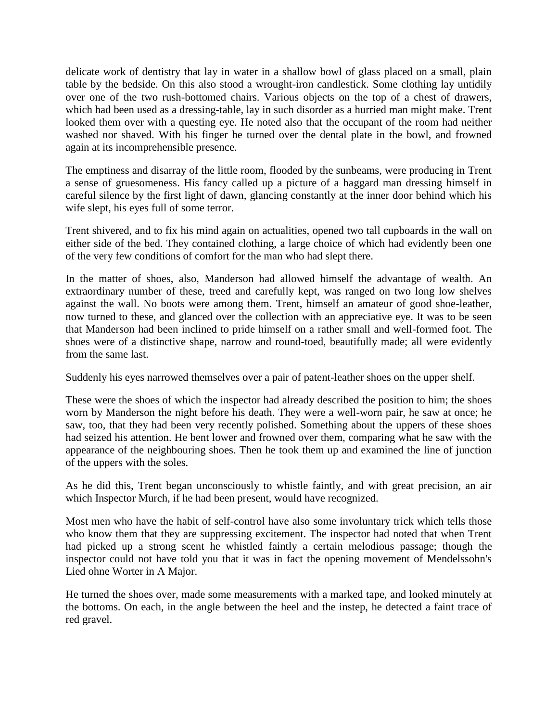delicate work of dentistry that lay in water in a shallow bowl of glass placed on a small, plain table by the bedside. On this also stood a wrought-iron candlestick. Some clothing lay untidily over one of the two rush-bottomed chairs. Various objects on the top of a chest of drawers, which had been used as a dressing-table, lay in such disorder as a hurried man might make. Trent looked them over with a questing eye. He noted also that the occupant of the room had neither washed nor shaved. With his finger he turned over the dental plate in the bowl, and frowned again at its incomprehensible presence.

The emptiness and disarray of the little room, flooded by the sunbeams, were producing in Trent a sense of gruesomeness. His fancy called up a picture of a haggard man dressing himself in careful silence by the first light of dawn, glancing constantly at the inner door behind which his wife slept, his eyes full of some terror.

Trent shivered, and to fix his mind again on actualities, opened two tall cupboards in the wall on either side of the bed. They contained clothing, a large choice of which had evidently been one of the very few conditions of comfort for the man who had slept there.

In the matter of shoes, also, Manderson had allowed himself the advantage of wealth. An extraordinary number of these, treed and carefully kept, was ranged on two long low shelves against the wall. No boots were among them. Trent, himself an amateur of good shoe-leather, now turned to these, and glanced over the collection with an appreciative eye. It was to be seen that Manderson had been inclined to pride himself on a rather small and well-formed foot. The shoes were of a distinctive shape, narrow and round-toed, beautifully made; all were evidently from the same last.

Suddenly his eyes narrowed themselves over a pair of patent-leather shoes on the upper shelf.

These were the shoes of which the inspector had already described the position to him; the shoes worn by Manderson the night before his death. They were a well-worn pair, he saw at once; he saw, too, that they had been very recently polished. Something about the uppers of these shoes had seized his attention. He bent lower and frowned over them, comparing what he saw with the appearance of the neighbouring shoes. Then he took them up and examined the line of junction of the uppers with the soles.

As he did this, Trent began unconsciously to whistle faintly, and with great precision, an air which Inspector Murch, if he had been present, would have recognized.

Most men who have the habit of self-control have also some involuntary trick which tells those who know them that they are suppressing excitement. The inspector had noted that when Trent had picked up a strong scent he whistled faintly a certain melodious passage; though the inspector could not have told you that it was in fact the opening movement of Mendelssohn's Lied ohne Worter in A Major.

He turned the shoes over, made some measurements with a marked tape, and looked minutely at the bottoms. On each, in the angle between the heel and the instep, he detected a faint trace of red gravel.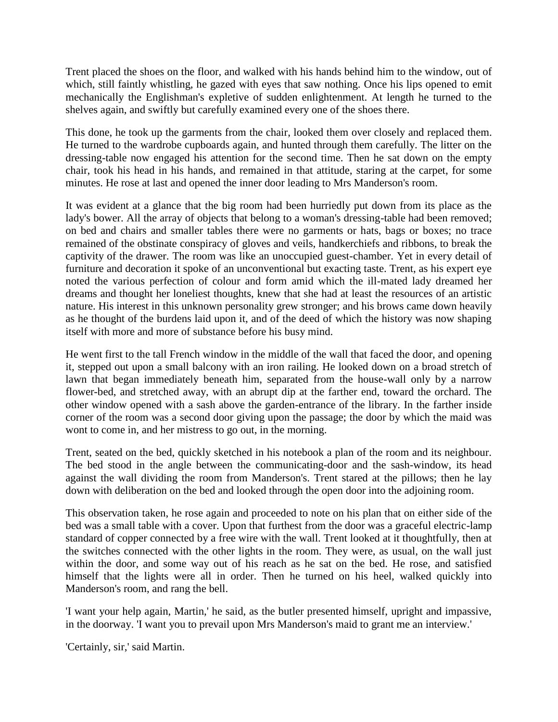Trent placed the shoes on the floor, and walked with his hands behind him to the window, out of which, still faintly whistling, he gazed with eyes that saw nothing. Once his lips opened to emit mechanically the Englishman's expletive of sudden enlightenment. At length he turned to the shelves again, and swiftly but carefully examined every one of the shoes there.

This done, he took up the garments from the chair, looked them over closely and replaced them. He turned to the wardrobe cupboards again, and hunted through them carefully. The litter on the dressing-table now engaged his attention for the second time. Then he sat down on the empty chair, took his head in his hands, and remained in that attitude, staring at the carpet, for some minutes. He rose at last and opened the inner door leading to Mrs Manderson's room.

It was evident at a glance that the big room had been hurriedly put down from its place as the lady's bower. All the array of objects that belong to a woman's dressing-table had been removed; on bed and chairs and smaller tables there were no garments or hats, bags or boxes; no trace remained of the obstinate conspiracy of gloves and veils, handkerchiefs and ribbons, to break the captivity of the drawer. The room was like an unoccupied guest-chamber. Yet in every detail of furniture and decoration it spoke of an unconventional but exacting taste. Trent, as his expert eye noted the various perfection of colour and form amid which the ill-mated lady dreamed her dreams and thought her loneliest thoughts, knew that she had at least the resources of an artistic nature. His interest in this unknown personality grew stronger; and his brows came down heavily as he thought of the burdens laid upon it, and of the deed of which the history was now shaping itself with more and more of substance before his busy mind.

He went first to the tall French window in the middle of the wall that faced the door, and opening it, stepped out upon a small balcony with an iron railing. He looked down on a broad stretch of lawn that began immediately beneath him, separated from the house-wall only by a narrow flower-bed, and stretched away, with an abrupt dip at the farther end, toward the orchard. The other window opened with a sash above the garden-entrance of the library. In the farther inside corner of the room was a second door giving upon the passage; the door by which the maid was wont to come in, and her mistress to go out, in the morning.

Trent, seated on the bed, quickly sketched in his notebook a plan of the room and its neighbour. The bed stood in the angle between the communicating-door and the sash-window, its head against the wall dividing the room from Manderson's. Trent stared at the pillows; then he lay down with deliberation on the bed and looked through the open door into the adjoining room.

This observation taken, he rose again and proceeded to note on his plan that on either side of the bed was a small table with a cover. Upon that furthest from the door was a graceful electric-lamp standard of copper connected by a free wire with the wall. Trent looked at it thoughtfully, then at the switches connected with the other lights in the room. They were, as usual, on the wall just within the door, and some way out of his reach as he sat on the bed. He rose, and satisfied himself that the lights were all in order. Then he turned on his heel, walked quickly into Manderson's room, and rang the bell.

'I want your help again, Martin,' he said, as the butler presented himself, upright and impassive, in the doorway. 'I want you to prevail upon Mrs Manderson's maid to grant me an interview.'

'Certainly, sir,' said Martin.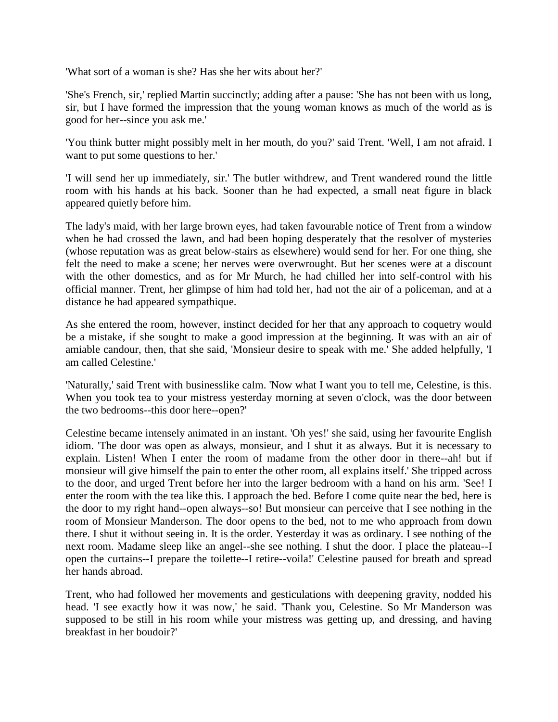'What sort of a woman is she? Has she her wits about her?'

'She's French, sir,' replied Martin succinctly; adding after a pause: 'She has not been with us long, sir, but I have formed the impression that the young woman knows as much of the world as is good for her--since you ask me.'

'You think butter might possibly melt in her mouth, do you?' said Trent. 'Well, I am not afraid. I want to put some questions to her.'

'I will send her up immediately, sir.' The butler withdrew, and Trent wandered round the little room with his hands at his back. Sooner than he had expected, a small neat figure in black appeared quietly before him.

The lady's maid, with her large brown eyes, had taken favourable notice of Trent from a window when he had crossed the lawn, and had been hoping desperately that the resolver of mysteries (whose reputation was as great below-stairs as elsewhere) would send for her. For one thing, she felt the need to make a scene; her nerves were overwrought. But her scenes were at a discount with the other domestics, and as for Mr Murch, he had chilled her into self-control with his official manner. Trent, her glimpse of him had told her, had not the air of a policeman, and at a distance he had appeared sympathique.

As she entered the room, however, instinct decided for her that any approach to coquetry would be a mistake, if she sought to make a good impression at the beginning. It was with an air of amiable candour, then, that she said, 'Monsieur desire to speak with me.' She added helpfully, 'I am called Celestine.'

'Naturally,' said Trent with businesslike calm. 'Now what I want you to tell me, Celestine, is this. When you took tea to your mistress yesterday morning at seven o'clock, was the door between the two bedrooms--this door here--open?'

Celestine became intensely animated in an instant. 'Oh yes!' she said, using her favourite English idiom. 'The door was open as always, monsieur, and I shut it as always. But it is necessary to explain. Listen! When I enter the room of madame from the other door in there--ah! but if monsieur will give himself the pain to enter the other room, all explains itself.' She tripped across to the door, and urged Trent before her into the larger bedroom with a hand on his arm. 'See! I enter the room with the tea like this. I approach the bed. Before I come quite near the bed, here is the door to my right hand--open always--so! But monsieur can perceive that I see nothing in the room of Monsieur Manderson. The door opens to the bed, not to me who approach from down there. I shut it without seeing in. It is the order. Yesterday it was as ordinary. I see nothing of the next room. Madame sleep like an angel--she see nothing. I shut the door. I place the plateau--I open the curtains--I prepare the toilette--I retire--voila!' Celestine paused for breath and spread her hands abroad.

Trent, who had followed her movements and gesticulations with deepening gravity, nodded his head. 'I see exactly how it was now,' he said. 'Thank you, Celestine. So Mr Manderson was supposed to be still in his room while your mistress was getting up, and dressing, and having breakfast in her boudoir?'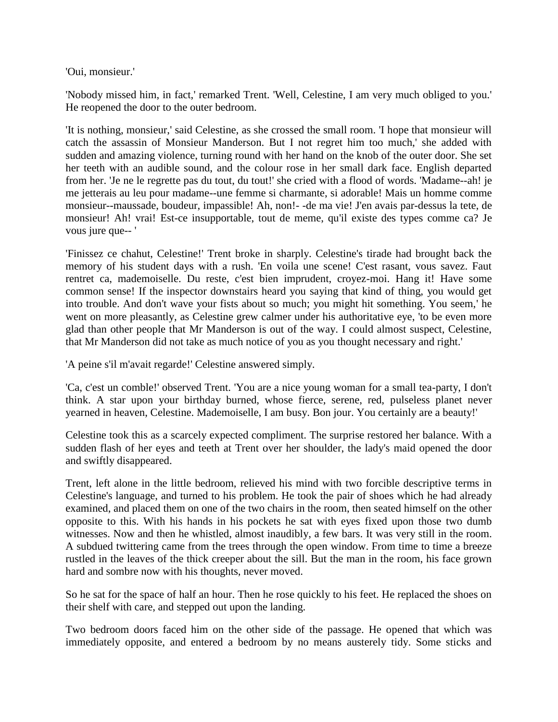'Oui, monsieur.'

'Nobody missed him, in fact,' remarked Trent. 'Well, Celestine, I am very much obliged to you.' He reopened the door to the outer bedroom.

'It is nothing, monsieur,' said Celestine, as she crossed the small room. 'I hope that monsieur will catch the assassin of Monsieur Manderson. But I not regret him too much,' she added with sudden and amazing violence, turning round with her hand on the knob of the outer door. She set her teeth with an audible sound, and the colour rose in her small dark face. English departed from her. 'Je ne le regrette pas du tout, du tout!' she cried with a flood of words. 'Madame--ah! je me jetterais au leu pour madame--une femme si charmante, si adorable! Mais un homme comme monsieur--maussade, boudeur, impassible! Ah, non!- -de ma vie! J'en avais par-dessus la tete, de monsieur! Ah! vrai! Est-ce insupportable, tout de meme, qu'il existe des types comme ca? Je vous jure que-- '

'Finissez ce chahut, Celestine!' Trent broke in sharply. Celestine's tirade had brought back the memory of his student days with a rush. 'En voila une scene! C'est rasant, vous savez. Faut rentret ca, mademoiselle. Du reste, c'est bien imprudent, croyez-moi. Hang it! Have some common sense! If the inspector downstairs heard you saying that kind of thing, you would get into trouble. And don't wave your fists about so much; you might hit something. You seem,' he went on more pleasantly, as Celestine grew calmer under his authoritative eye, 'to be even more glad than other people that Mr Manderson is out of the way. I could almost suspect, Celestine, that Mr Manderson did not take as much notice of you as you thought necessary and right.'

'A peine s'il m'avait regarde!' Celestine answered simply.

'Ca, c'est un comble!' observed Trent. 'You are a nice young woman for a small tea-party, I don't think. A star upon your birthday burned, whose fierce, serene, red, pulseless planet never yearned in heaven, Celestine. Mademoiselle, I am busy. Bon jour. You certainly are a beauty!'

Celestine took this as a scarcely expected compliment. The surprise restored her balance. With a sudden flash of her eyes and teeth at Trent over her shoulder, the lady's maid opened the door and swiftly disappeared.

Trent, left alone in the little bedroom, relieved his mind with two forcible descriptive terms in Celestine's language, and turned to his problem. He took the pair of shoes which he had already examined, and placed them on one of the two chairs in the room, then seated himself on the other opposite to this. With his hands in his pockets he sat with eyes fixed upon those two dumb witnesses. Now and then he whistled, almost inaudibly, a few bars. It was very still in the room. A subdued twittering came from the trees through the open window. From time to time a breeze rustled in the leaves of the thick creeper about the sill. But the man in the room, his face grown hard and sombre now with his thoughts, never moved.

So he sat for the space of half an hour. Then he rose quickly to his feet. He replaced the shoes on their shelf with care, and stepped out upon the landing.

Two bedroom doors faced him on the other side of the passage. He opened that which was immediately opposite, and entered a bedroom by no means austerely tidy. Some sticks and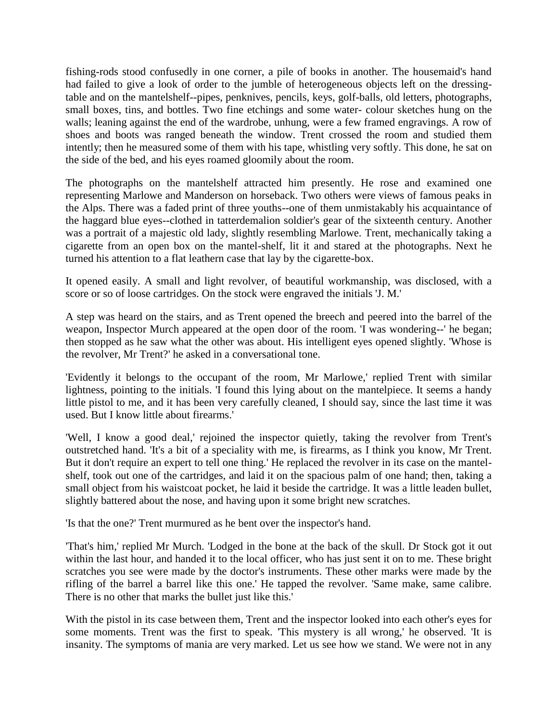fishing-rods stood confusedly in one corner, a pile of books in another. The housemaid's hand had failed to give a look of order to the jumble of heterogeneous objects left on the dressingtable and on the mantelshelf--pipes, penknives, pencils, keys, golf-balls, old letters, photographs, small boxes, tins, and bottles. Two fine etchings and some water- colour sketches hung on the walls; leaning against the end of the wardrobe, unhung, were a few framed engravings. A row of shoes and boots was ranged beneath the window. Trent crossed the room and studied them intently; then he measured some of them with his tape, whistling very softly. This done, he sat on the side of the bed, and his eyes roamed gloomily about the room.

The photographs on the mantelshelf attracted him presently. He rose and examined one representing Marlowe and Manderson on horseback. Two others were views of famous peaks in the Alps. There was a faded print of three youths--one of them unmistakably his acquaintance of the haggard blue eyes--clothed in tatterdemalion soldier's gear of the sixteenth century. Another was a portrait of a majestic old lady, slightly resembling Marlowe. Trent, mechanically taking a cigarette from an open box on the mantel-shelf, lit it and stared at the photographs. Next he turned his attention to a flat leathern case that lay by the cigarette-box.

It opened easily. A small and light revolver, of beautiful workmanship, was disclosed, with a score or so of loose cartridges. On the stock were engraved the initials 'J. M.'

A step was heard on the stairs, and as Trent opened the breech and peered into the barrel of the weapon, Inspector Murch appeared at the open door of the room. 'I was wondering--' he began; then stopped as he saw what the other was about. His intelligent eyes opened slightly. 'Whose is the revolver, Mr Trent?' he asked in a conversational tone.

'Evidently it belongs to the occupant of the room, Mr Marlowe,' replied Trent with similar lightness, pointing to the initials. 'I found this lying about on the mantelpiece. It seems a handy little pistol to me, and it has been very carefully cleaned, I should say, since the last time it was used. But I know little about firearms.'

'Well, I know a good deal,' rejoined the inspector quietly, taking the revolver from Trent's outstretched hand. 'It's a bit of a speciality with me, is firearms, as I think you know, Mr Trent. But it don't require an expert to tell one thing.' He replaced the revolver in its case on the mantelshelf, took out one of the cartridges, and laid it on the spacious palm of one hand; then, taking a small object from his waistcoat pocket, he laid it beside the cartridge. It was a little leaden bullet, slightly battered about the nose, and having upon it some bright new scratches.

'Is that the one?' Trent murmured as he bent over the inspector's hand.

'That's him,' replied Mr Murch. 'Lodged in the bone at the back of the skull. Dr Stock got it out within the last hour, and handed it to the local officer, who has just sent it on to me. These bright scratches you see were made by the doctor's instruments. These other marks were made by the rifling of the barrel a barrel like this one.' He tapped the revolver. 'Same make, same calibre. There is no other that marks the bullet just like this.'

With the pistol in its case between them, Trent and the inspector looked into each other's eyes for some moments. Trent was the first to speak. 'This mystery is all wrong,' he observed. 'It is insanity. The symptoms of mania are very marked. Let us see how we stand. We were not in any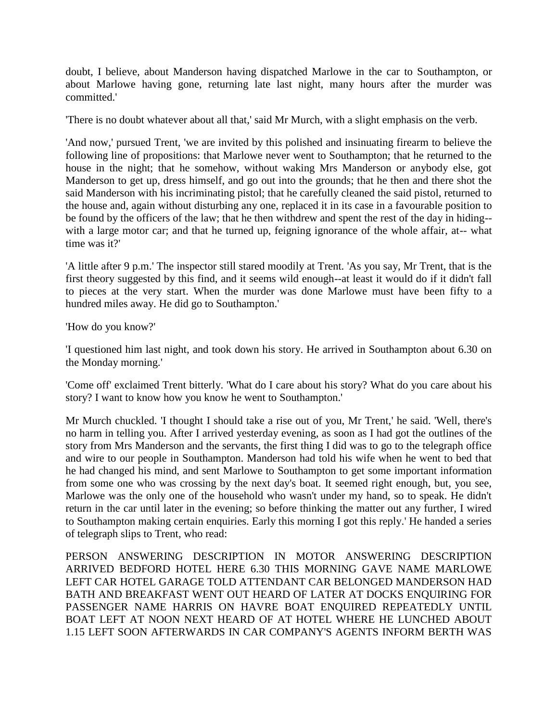doubt, I believe, about Manderson having dispatched Marlowe in the car to Southampton, or about Marlowe having gone, returning late last night, many hours after the murder was committed.'

'There is no doubt whatever about all that,' said Mr Murch, with a slight emphasis on the verb.

'And now,' pursued Trent, 'we are invited by this polished and insinuating firearm to believe the following line of propositions: that Marlowe never went to Southampton; that he returned to the house in the night; that he somehow, without waking Mrs Manderson or anybody else, got Manderson to get up, dress himself, and go out into the grounds; that he then and there shot the said Manderson with his incriminating pistol; that he carefully cleaned the said pistol, returned to the house and, again without disturbing any one, replaced it in its case in a favourable position to be found by the officers of the law; that he then withdrew and spent the rest of the day in hiding- with a large motor car; and that he turned up, feigning ignorance of the whole affair, at-- what time was it?'

'A little after 9 p.m.' The inspector still stared moodily at Trent. 'As you say, Mr Trent, that is the first theory suggested by this find, and it seems wild enough--at least it would do if it didn't fall to pieces at the very start. When the murder was done Marlowe must have been fifty to a hundred miles away. He did go to Southampton.'

'How do you know?'

'I questioned him last night, and took down his story. He arrived in Southampton about 6.30 on the Monday morning.'

'Come off' exclaimed Trent bitterly. 'What do I care about his story? What do you care about his story? I want to know how you know he went to Southampton.'

Mr Murch chuckled. 'I thought I should take a rise out of you, Mr Trent,' he said. 'Well, there's no harm in telling you. After I arrived yesterday evening, as soon as I had got the outlines of the story from Mrs Manderson and the servants, the first thing I did was to go to the telegraph office and wire to our people in Southampton. Manderson had told his wife when he went to bed that he had changed his mind, and sent Marlowe to Southampton to get some important information from some one who was crossing by the next day's boat. It seemed right enough, but, you see, Marlowe was the only one of the household who wasn't under my hand, so to speak. He didn't return in the car until later in the evening; so before thinking the matter out any further, I wired to Southampton making certain enquiries. Early this morning I got this reply.' He handed a series of telegraph slips to Trent, who read:

PERSON ANSWERING DESCRIPTION IN MOTOR ANSWERING DESCRIPTION ARRIVED BEDFORD HOTEL HERE 6.30 THIS MORNING GAVE NAME MARLOWE LEFT CAR HOTEL GARAGE TOLD ATTENDANT CAR BELONGED MANDERSON HAD BATH AND BREAKFAST WENT OUT HEARD OF LATER AT DOCKS ENQUIRING FOR PASSENGER NAME HARRIS ON HAVRE BOAT ENQUIRED REPEATEDLY UNTIL BOAT LEFT AT NOON NEXT HEARD OF AT HOTEL WHERE HE LUNCHED ABOUT 1.15 LEFT SOON AFTERWARDS IN CAR COMPANY'S AGENTS INFORM BERTH WAS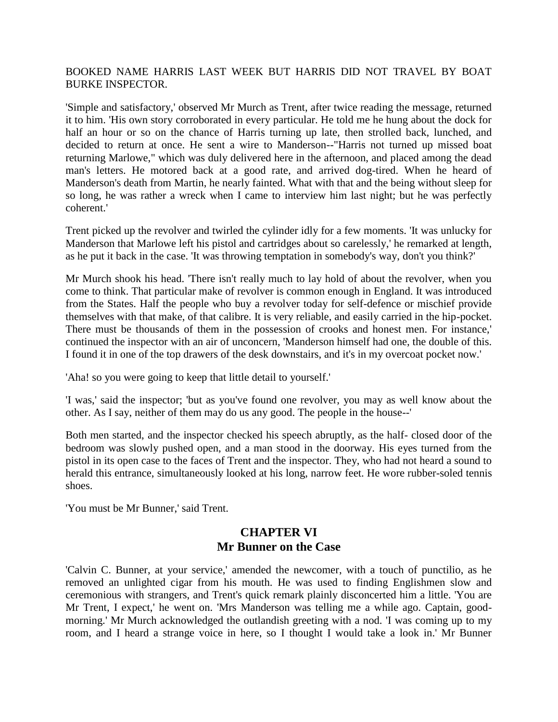#### BOOKED NAME HARRIS LAST WEEK BUT HARRIS DID NOT TRAVEL BY BOAT BURKE INSPECTOR.

'Simple and satisfactory,' observed Mr Murch as Trent, after twice reading the message, returned it to him. 'His own story corroborated in every particular. He told me he hung about the dock for half an hour or so on the chance of Harris turning up late, then strolled back, lunched, and decided to return at once. He sent a wire to Manderson--"Harris not turned up missed boat returning Marlowe," which was duly delivered here in the afternoon, and placed among the dead man's letters. He motored back at a good rate, and arrived dog-tired. When he heard of Manderson's death from Martin, he nearly fainted. What with that and the being without sleep for so long, he was rather a wreck when I came to interview him last night; but he was perfectly coherent.'

Trent picked up the revolver and twirled the cylinder idly for a few moments. 'It was unlucky for Manderson that Marlowe left his pistol and cartridges about so carelessly,' he remarked at length, as he put it back in the case. 'It was throwing temptation in somebody's way, don't you think?'

Mr Murch shook his head. 'There isn't really much to lay hold of about the revolver, when you come to think. That particular make of revolver is common enough in England. It was introduced from the States. Half the people who buy a revolver today for self-defence or mischief provide themselves with that make, of that calibre. It is very reliable, and easily carried in the hip-pocket. There must be thousands of them in the possession of crooks and honest men. For instance,' continued the inspector with an air of unconcern, 'Manderson himself had one, the double of this. I found it in one of the top drawers of the desk downstairs, and it's in my overcoat pocket now.'

'Aha! so you were going to keep that little detail to yourself.'

'I was,' said the inspector; 'but as you've found one revolver, you may as well know about the other. As I say, neither of them may do us any good. The people in the house--'

Both men started, and the inspector checked his speech abruptly, as the half- closed door of the bedroom was slowly pushed open, and a man stood in the doorway. His eyes turned from the pistol in its open case to the faces of Trent and the inspector. They, who had not heard a sound to herald this entrance, simultaneously looked at his long, narrow feet. He wore rubber-soled tennis shoes.

'You must be Mr Bunner,' said Trent.

#### **CHAPTER VI Mr Bunner on the Case**

'Calvin C. Bunner, at your service,' amended the newcomer, with a touch of punctilio, as he removed an unlighted cigar from his mouth. He was used to finding Englishmen slow and ceremonious with strangers, and Trent's quick remark plainly disconcerted him a little. 'You are Mr Trent, I expect,' he went on. 'Mrs Manderson was telling me a while ago. Captain, goodmorning.' Mr Murch acknowledged the outlandish greeting with a nod. 'I was coming up to my room, and I heard a strange voice in here, so I thought I would take a look in.' Mr Bunner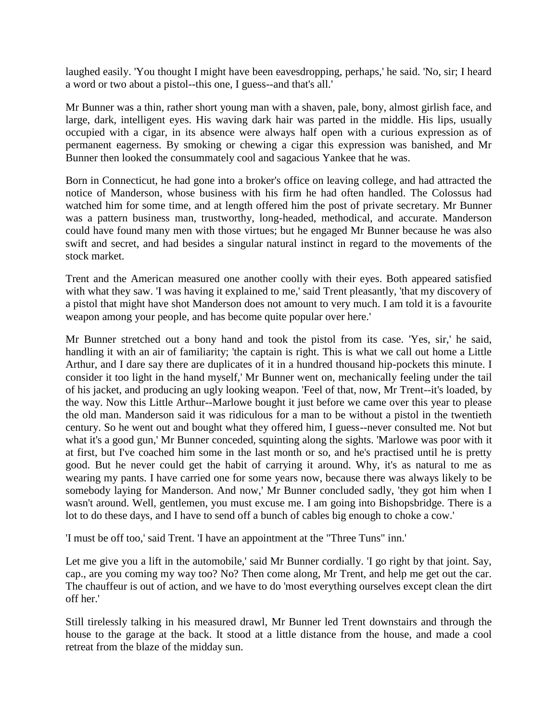laughed easily. 'You thought I might have been eavesdropping, perhaps,' he said. 'No, sir; I heard a word or two about a pistol--this one, I guess--and that's all.'

Mr Bunner was a thin, rather short young man with a shaven, pale, bony, almost girlish face, and large, dark, intelligent eyes. His waving dark hair was parted in the middle. His lips, usually occupied with a cigar, in its absence were always half open with a curious expression as of permanent eagerness. By smoking or chewing a cigar this expression was banished, and Mr Bunner then looked the consummately cool and sagacious Yankee that he was.

Born in Connecticut, he had gone into a broker's office on leaving college, and had attracted the notice of Manderson, whose business with his firm he had often handled. The Colossus had watched him for some time, and at length offered him the post of private secretary. Mr Bunner was a pattern business man, trustworthy, long-headed, methodical, and accurate. Manderson could have found many men with those virtues; but he engaged Mr Bunner because he was also swift and secret, and had besides a singular natural instinct in regard to the movements of the stock market.

Trent and the American measured one another coolly with their eyes. Both appeared satisfied with what they saw. T was having it explained to me,' said Trent pleasantly, 'that my discovery of a pistol that might have shot Manderson does not amount to very much. I am told it is a favourite weapon among your people, and has become quite popular over here.'

Mr Bunner stretched out a bony hand and took the pistol from its case. 'Yes, sir,' he said, handling it with an air of familiarity; 'the captain is right. This is what we call out home a Little Arthur, and I dare say there are duplicates of it in a hundred thousand hip-pockets this minute. I consider it too light in the hand myself,' Mr Bunner went on, mechanically feeling under the tail of his jacket, and producing an ugly looking weapon. 'Feel of that, now, Mr Trent--it's loaded, by the way. Now this Little Arthur--Marlowe bought it just before we came over this year to please the old man. Manderson said it was ridiculous for a man to be without a pistol in the twentieth century. So he went out and bought what they offered him, I guess--never consulted me. Not but what it's a good gun,' Mr Bunner conceded, squinting along the sights. 'Marlowe was poor with it at first, but I've coached him some in the last month or so, and he's practised until he is pretty good. But he never could get the habit of carrying it around. Why, it's as natural to me as wearing my pants. I have carried one for some years now, because there was always likely to be somebody laying for Manderson. And now,' Mr Bunner concluded sadly, 'they got him when I wasn't around. Well, gentlemen, you must excuse me. I am going into Bishopsbridge. There is a lot to do these days, and I have to send off a bunch of cables big enough to choke a cow.'

'I must be off too,' said Trent. 'I have an appointment at the "Three Tuns" inn.'

Let me give you a lift in the automobile,' said Mr Bunner cordially. 'I go right by that joint. Say, cap., are you coming my way too? No? Then come along, Mr Trent, and help me get out the car. The chauffeur is out of action, and we have to do 'most everything ourselves except clean the dirt off her.'

Still tirelessly talking in his measured drawl, Mr Bunner led Trent downstairs and through the house to the garage at the back. It stood at a little distance from the house, and made a cool retreat from the blaze of the midday sun.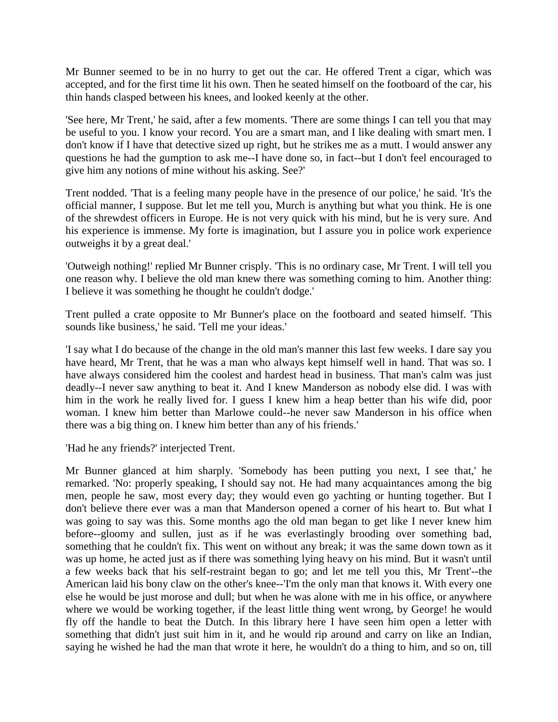Mr Bunner seemed to be in no hurry to get out the car. He offered Trent a cigar, which was accepted, and for the first time lit his own. Then he seated himself on the footboard of the car, his thin hands clasped between his knees, and looked keenly at the other.

'See here, Mr Trent,' he said, after a few moments. 'There are some things I can tell you that may be useful to you. I know your record. You are a smart man, and I like dealing with smart men. I don't know if I have that detective sized up right, but he strikes me as a mutt. I would answer any questions he had the gumption to ask me--I have done so, in fact--but I don't feel encouraged to give him any notions of mine without his asking. See?'

Trent nodded. 'That is a feeling many people have in the presence of our police,' he said. 'It's the official manner, I suppose. But let me tell you, Murch is anything but what you think. He is one of the shrewdest officers in Europe. He is not very quick with his mind, but he is very sure. And his experience is immense. My forte is imagination, but I assure you in police work experience outweighs it by a great deal.'

'Outweigh nothing!' replied Mr Bunner crisply. 'This is no ordinary case, Mr Trent. I will tell you one reason why. I believe the old man knew there was something coming to him. Another thing: I believe it was something he thought he couldn't dodge.'

Trent pulled a crate opposite to Mr Bunner's place on the footboard and seated himself. 'This sounds like business,' he said. 'Tell me your ideas.'

'I say what I do because of the change in the old man's manner this last few weeks. I dare say you have heard, Mr Trent, that he was a man who always kept himself well in hand. That was so. I have always considered him the coolest and hardest head in business. That man's calm was just deadly--I never saw anything to beat it. And I knew Manderson as nobody else did. I was with him in the work he really lived for. I guess I knew him a heap better than his wife did, poor woman. I knew him better than Marlowe could--he never saw Manderson in his office when there was a big thing on. I knew him better than any of his friends.'

'Had he any friends?' interjected Trent.

Mr Bunner glanced at him sharply. 'Somebody has been putting you next, I see that,' he remarked. 'No: properly speaking, I should say not. He had many acquaintances among the big men, people he saw, most every day; they would even go yachting or hunting together. But I don't believe there ever was a man that Manderson opened a corner of his heart to. But what I was going to say was this. Some months ago the old man began to get like I never knew him before--gloomy and sullen, just as if he was everlastingly brooding over something bad, something that he couldn't fix. This went on without any break; it was the same down town as it was up home, he acted just as if there was something lying heavy on his mind. But it wasn't until a few weeks back that his self-restraint began to go; and let me tell you this, Mr Trent'--the American laid his bony claw on the other's knee--'I'm the only man that knows it. With every one else he would be just morose and dull; but when he was alone with me in his office, or anywhere where we would be working together, if the least little thing went wrong, by George! he would fly off the handle to beat the Dutch. In this library here I have seen him open a letter with something that didn't just suit him in it, and he would rip around and carry on like an Indian, saying he wished he had the man that wrote it here, he wouldn't do a thing to him, and so on, till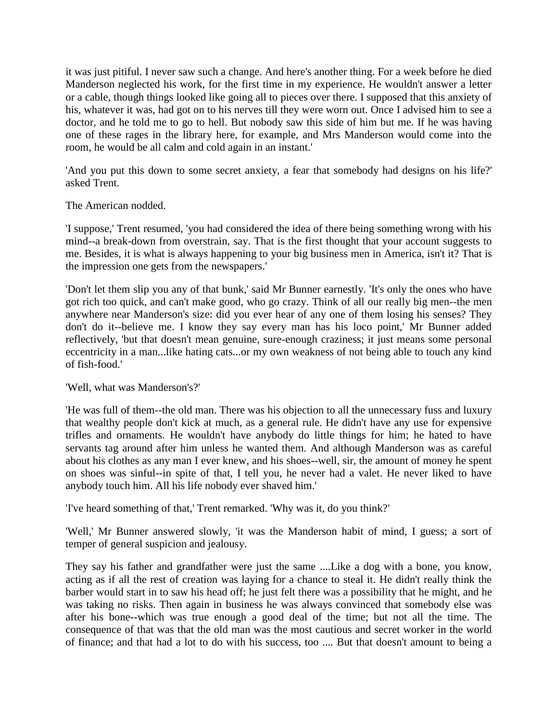it was just pitiful. I never saw such a change. And here's another thing. For a week before he died Manderson neglected his work, for the first time in my experience. He wouldn't answer a letter or a cable, though things looked like going all to pieces over there. I supposed that this anxiety of his, whatever it was, had got on to his nerves till they were worn out. Once I advised him to see a doctor, and he told me to go to hell. But nobody saw this side of him but me. If he was having one of these rages in the library here, for example, and Mrs Manderson would come into the room, he would be all calm and cold again in an instant.'

'And you put this down to some secret anxiety, a fear that somebody had designs on his life?' asked Trent.

The American nodded.

'I suppose,' Trent resumed, 'you had considered the idea of there being something wrong with his mind--a break-down from overstrain, say. That is the first thought that your account suggests to me. Besides, it is what is always happening to your big business men in America, isn't it? That is the impression one gets from the newspapers.'

'Don't let them slip you any of that bunk,' said Mr Bunner earnestly. 'It's only the ones who have got rich too quick, and can't make good, who go crazy. Think of all our really big men--the men anywhere near Manderson's size: did you ever hear of any one of them losing his senses? They don't do it--believe me. I know they say every man has his loco point,' Mr Bunner added reflectively, 'but that doesn't mean genuine, sure-enough craziness; it just means some personal eccentricity in a man...like hating cats...or my own weakness of not being able to touch any kind of fish-food.'

'Well, what was Manderson's?'

'He was full of them--the old man. There was his objection to all the unnecessary fuss and luxury that wealthy people don't kick at much, as a general rule. He didn't have any use for expensive trifles and ornaments. He wouldn't have anybody do little things for him; he hated to have servants tag around after him unless he wanted them. And although Manderson was as careful about his clothes as any man I ever knew, and his shoes--well, sir, the amount of money he spent on shoes was sinful--in spite of that, I tell you, he never had a valet. He never liked to have anybody touch him. All his life nobody ever shaved him.'

'I've heard something of that,' Trent remarked. 'Why was it, do you think?'

'Well,' Mr Bunner answered slowly, 'it was the Manderson habit of mind, I guess; a sort of temper of general suspicion and jealousy.

They say his father and grandfather were just the same ....Like a dog with a bone, you know, acting as if all the rest of creation was laying for a chance to steal it. He didn't really think the barber would start in to saw his head off; he just felt there was a possibility that he might, and he was taking no risks. Then again in business he was always convinced that somebody else was after his bone--which was true enough a good deal of the time; but not all the time. The consequence of that was that the old man was the most cautious and secret worker in the world of finance; and that had a lot to do with his success, too .... But that doesn't amount to being a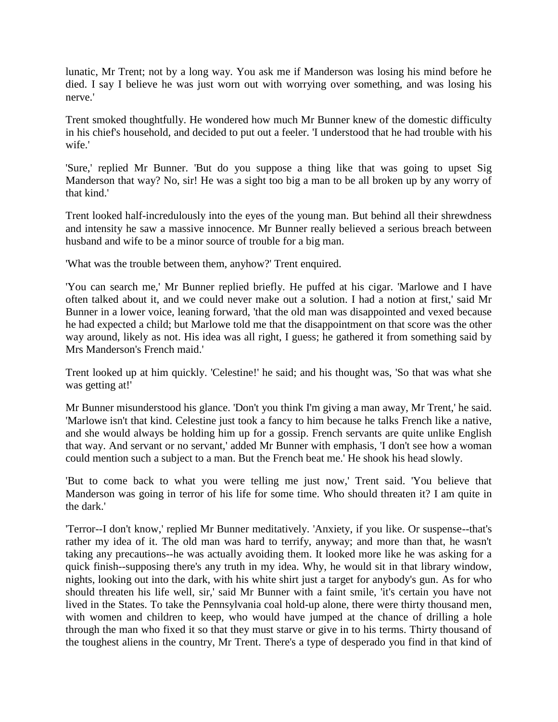lunatic, Mr Trent; not by a long way. You ask me if Manderson was losing his mind before he died. I say I believe he was just worn out with worrying over something, and was losing his nerve.'

Trent smoked thoughtfully. He wondered how much Mr Bunner knew of the domestic difficulty in his chief's household, and decided to put out a feeler. 'I understood that he had trouble with his wife.'

'Sure,' replied Mr Bunner. 'But do you suppose a thing like that was going to upset Sig Manderson that way? No, sir! He was a sight too big a man to be all broken up by any worry of that kind.'

Trent looked half-incredulously into the eyes of the young man. But behind all their shrewdness and intensity he saw a massive innocence. Mr Bunner really believed a serious breach between husband and wife to be a minor source of trouble for a big man.

'What was the trouble between them, anyhow?' Trent enquired.

'You can search me,' Mr Bunner replied briefly. He puffed at his cigar. 'Marlowe and I have often talked about it, and we could never make out a solution. I had a notion at first,' said Mr Bunner in a lower voice, leaning forward, 'that the old man was disappointed and vexed because he had expected a child; but Marlowe told me that the disappointment on that score was the other way around, likely as not. His idea was all right, I guess; he gathered it from something said by Mrs Manderson's French maid.'

Trent looked up at him quickly. 'Celestine!' he said; and his thought was, 'So that was what she was getting at!'

Mr Bunner misunderstood his glance. 'Don't you think I'm giving a man away, Mr Trent,' he said. 'Marlowe isn't that kind. Celestine just took a fancy to him because he talks French like a native, and she would always be holding him up for a gossip. French servants are quite unlike English that way. And servant or no servant,' added Mr Bunner with emphasis, 'I don't see how a woman could mention such a subject to a man. But the French beat me.' He shook his head slowly.

'But to come back to what you were telling me just now,' Trent said. 'You believe that Manderson was going in terror of his life for some time. Who should threaten it? I am quite in the dark.'

'Terror--I don't know,' replied Mr Bunner meditatively. 'Anxiety, if you like. Or suspense--that's rather my idea of it. The old man was hard to terrify, anyway; and more than that, he wasn't taking any precautions--he was actually avoiding them. It looked more like he was asking for a quick finish--supposing there's any truth in my idea. Why, he would sit in that library window, nights, looking out into the dark, with his white shirt just a target for anybody's gun. As for who should threaten his life well, sir,' said Mr Bunner with a faint smile, 'it's certain you have not lived in the States. To take the Pennsylvania coal hold-up alone, there were thirty thousand men, with women and children to keep, who would have jumped at the chance of drilling a hole through the man who fixed it so that they must starve or give in to his terms. Thirty thousand of the toughest aliens in the country, Mr Trent. There's a type of desperado you find in that kind of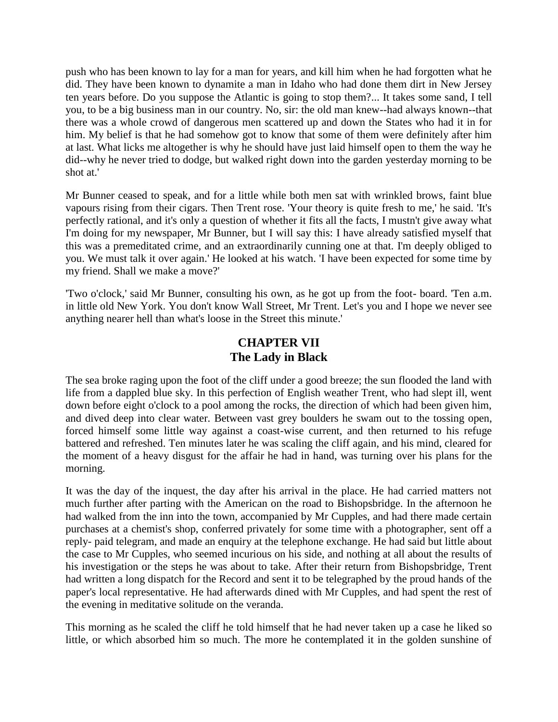push who has been known to lay for a man for years, and kill him when he had forgotten what he did. They have been known to dynamite a man in Idaho who had done them dirt in New Jersey ten years before. Do you suppose the Atlantic is going to stop them?... It takes some sand, I tell you, to be a big business man in our country. No, sir: the old man knew--had always known--that there was a whole crowd of dangerous men scattered up and down the States who had it in for him. My belief is that he had somehow got to know that some of them were definitely after him at last. What licks me altogether is why he should have just laid himself open to them the way he did--why he never tried to dodge, but walked right down into the garden yesterday morning to be shot at.'

Mr Bunner ceased to speak, and for a little while both men sat with wrinkled brows, faint blue vapours rising from their cigars. Then Trent rose. 'Your theory is quite fresh to me,' he said. 'It's perfectly rational, and it's only a question of whether it fits all the facts, I mustn't give away what I'm doing for my newspaper, Mr Bunner, but I will say this: I have already satisfied myself that this was a premeditated crime, and an extraordinarily cunning one at that. I'm deeply obliged to you. We must talk it over again.' He looked at his watch. 'I have been expected for some time by my friend. Shall we make a move?'

'Two o'clock,' said Mr Bunner, consulting his own, as he got up from the foot- board. 'Ten a.m. in little old New York. You don't know Wall Street, Mr Trent. Let's you and I hope we never see anything nearer hell than what's loose in the Street this minute.'

## **CHAPTER VII The Lady in Black**

The sea broke raging upon the foot of the cliff under a good breeze; the sun flooded the land with life from a dappled blue sky. In this perfection of English weather Trent, who had slept ill, went down before eight o'clock to a pool among the rocks, the direction of which had been given him, and dived deep into clear water. Between vast grey boulders he swam out to the tossing open, forced himself some little way against a coast-wise current, and then returned to his refuge battered and refreshed. Ten minutes later he was scaling the cliff again, and his mind, cleared for the moment of a heavy disgust for the affair he had in hand, was turning over his plans for the morning.

It was the day of the inquest, the day after his arrival in the place. He had carried matters not much further after parting with the American on the road to Bishopsbridge. In the afternoon he had walked from the inn into the town, accompanied by Mr Cupples, and had there made certain purchases at a chemist's shop, conferred privately for some time with a photographer, sent off a reply- paid telegram, and made an enquiry at the telephone exchange. He had said but little about the case to Mr Cupples, who seemed incurious on his side, and nothing at all about the results of his investigation or the steps he was about to take. After their return from Bishopsbridge, Trent had written a long dispatch for the Record and sent it to be telegraphed by the proud hands of the paper's local representative. He had afterwards dined with Mr Cupples, and had spent the rest of the evening in meditative solitude on the veranda.

This morning as he scaled the cliff he told himself that he had never taken up a case he liked so little, or which absorbed him so much. The more he contemplated it in the golden sunshine of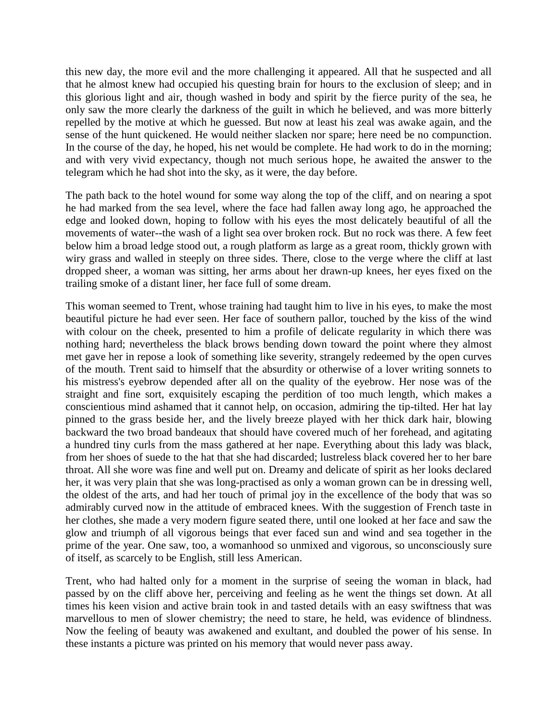this new day, the more evil and the more challenging it appeared. All that he suspected and all that he almost knew had occupied his questing brain for hours to the exclusion of sleep; and in this glorious light and air, though washed in body and spirit by the fierce purity of the sea, he only saw the more clearly the darkness of the guilt in which he believed, and was more bitterly repelled by the motive at which he guessed. But now at least his zeal was awake again, and the sense of the hunt quickened. He would neither slacken nor spare; here need be no compunction. In the course of the day, he hoped, his net would be complete. He had work to do in the morning; and with very vivid expectancy, though not much serious hope, he awaited the answer to the telegram which he had shot into the sky, as it were, the day before.

The path back to the hotel wound for some way along the top of the cliff, and on nearing a spot he had marked from the sea level, where the face had fallen away long ago, he approached the edge and looked down, hoping to follow with his eyes the most delicately beautiful of all the movements of water--the wash of a light sea over broken rock. But no rock was there. A few feet below him a broad ledge stood out, a rough platform as large as a great room, thickly grown with wiry grass and walled in steeply on three sides. There, close to the verge where the cliff at last dropped sheer, a woman was sitting, her arms about her drawn-up knees, her eyes fixed on the trailing smoke of a distant liner, her face full of some dream.

This woman seemed to Trent, whose training had taught him to live in his eyes, to make the most beautiful picture he had ever seen. Her face of southern pallor, touched by the kiss of the wind with colour on the cheek, presented to him a profile of delicate regularity in which there was nothing hard; nevertheless the black brows bending down toward the point where they almost met gave her in repose a look of something like severity, strangely redeemed by the open curves of the mouth. Trent said to himself that the absurdity or otherwise of a lover writing sonnets to his mistress's eyebrow depended after all on the quality of the eyebrow. Her nose was of the straight and fine sort, exquisitely escaping the perdition of too much length, which makes a conscientious mind ashamed that it cannot help, on occasion, admiring the tip-tilted. Her hat lay pinned to the grass beside her, and the lively breeze played with her thick dark hair, blowing backward the two broad bandeaux that should have covered much of her forehead, and agitating a hundred tiny curls from the mass gathered at her nape. Everything about this lady was black, from her shoes of suede to the hat that she had discarded; lustreless black covered her to her bare throat. All she wore was fine and well put on. Dreamy and delicate of spirit as her looks declared her, it was very plain that she was long-practised as only a woman grown can be in dressing well, the oldest of the arts, and had her touch of primal joy in the excellence of the body that was so admirably curved now in the attitude of embraced knees. With the suggestion of French taste in her clothes, she made a very modern figure seated there, until one looked at her face and saw the glow and triumph of all vigorous beings that ever faced sun and wind and sea together in the prime of the year. One saw, too, a womanhood so unmixed and vigorous, so unconsciously sure of itself, as scarcely to be English, still less American.

Trent, who had halted only for a moment in the surprise of seeing the woman in black, had passed by on the cliff above her, perceiving and feeling as he went the things set down. At all times his keen vision and active brain took in and tasted details with an easy swiftness that was marvellous to men of slower chemistry; the need to stare, he held, was evidence of blindness. Now the feeling of beauty was awakened and exultant, and doubled the power of his sense. In these instants a picture was printed on his memory that would never pass away.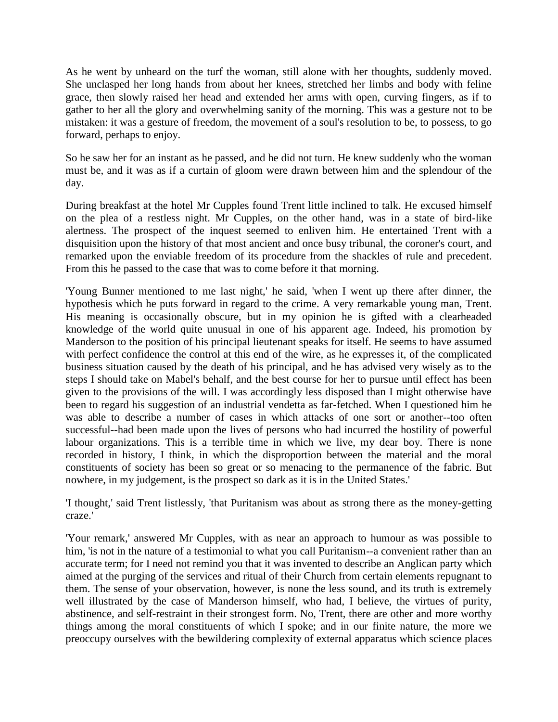As he went by unheard on the turf the woman, still alone with her thoughts, suddenly moved. She unclasped her long hands from about her knees, stretched her limbs and body with feline grace, then slowly raised her head and extended her arms with open, curving fingers, as if to gather to her all the glory and overwhelming sanity of the morning. This was a gesture not to be mistaken: it was a gesture of freedom, the movement of a soul's resolution to be, to possess, to go forward, perhaps to enjoy.

So he saw her for an instant as he passed, and he did not turn. He knew suddenly who the woman must be, and it was as if a curtain of gloom were drawn between him and the splendour of the day.

During breakfast at the hotel Mr Cupples found Trent little inclined to talk. He excused himself on the plea of a restless night. Mr Cupples, on the other hand, was in a state of bird-like alertness. The prospect of the inquest seemed to enliven him. He entertained Trent with a disquisition upon the history of that most ancient and once busy tribunal, the coroner's court, and remarked upon the enviable freedom of its procedure from the shackles of rule and precedent. From this he passed to the case that was to come before it that morning.

'Young Bunner mentioned to me last night,' he said, 'when I went up there after dinner, the hypothesis which he puts forward in regard to the crime. A very remarkable young man, Trent. His meaning is occasionally obscure, but in my opinion he is gifted with a clearheaded knowledge of the world quite unusual in one of his apparent age. Indeed, his promotion by Manderson to the position of his principal lieutenant speaks for itself. He seems to have assumed with perfect confidence the control at this end of the wire, as he expresses it, of the complicated business situation caused by the death of his principal, and he has advised very wisely as to the steps I should take on Mabel's behalf, and the best course for her to pursue until effect has been given to the provisions of the will. I was accordingly less disposed than I might otherwise have been to regard his suggestion of an industrial vendetta as far-fetched. When I questioned him he was able to describe a number of cases in which attacks of one sort or another--too often successful--had been made upon the lives of persons who had incurred the hostility of powerful labour organizations. This is a terrible time in which we live, my dear boy. There is none recorded in history, I think, in which the disproportion between the material and the moral constituents of society has been so great or so menacing to the permanence of the fabric. But nowhere, in my judgement, is the prospect so dark as it is in the United States.'

'I thought,' said Trent listlessly, 'that Puritanism was about as strong there as the money-getting craze.'

'Your remark,' answered Mr Cupples, with as near an approach to humour as was possible to him, 'is not in the nature of a testimonial to what you call Puritanism--a convenient rather than an accurate term; for I need not remind you that it was invented to describe an Anglican party which aimed at the purging of the services and ritual of their Church from certain elements repugnant to them. The sense of your observation, however, is none the less sound, and its truth is extremely well illustrated by the case of Manderson himself, who had, I believe, the virtues of purity, abstinence, and self-restraint in their strongest form. No, Trent, there are other and more worthy things among the moral constituents of which I spoke; and in our finite nature, the more we preoccupy ourselves with the bewildering complexity of external apparatus which science places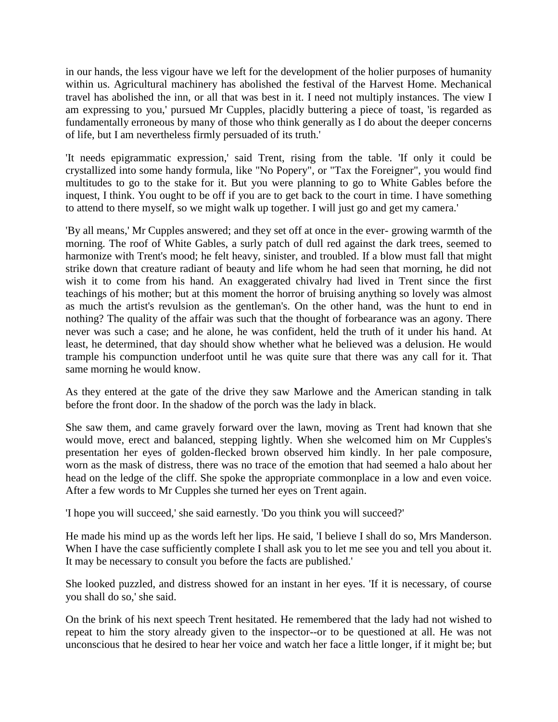in our hands, the less vigour have we left for the development of the holier purposes of humanity within us. Agricultural machinery has abolished the festival of the Harvest Home. Mechanical travel has abolished the inn, or all that was best in it. I need not multiply instances. The view I am expressing to you,' pursued Mr Cupples, placidly buttering a piece of toast, 'is regarded as fundamentally erroneous by many of those who think generally as I do about the deeper concerns of life, but I am nevertheless firmly persuaded of its truth.'

'It needs epigrammatic expression,' said Trent, rising from the table. 'If only it could be crystallized into some handy formula, like "No Popery", or "Tax the Foreigner", you would find multitudes to go to the stake for it. But you were planning to go to White Gables before the inquest, I think. You ought to be off if you are to get back to the court in time. I have something to attend to there myself, so we might walk up together. I will just go and get my camera.'

'By all means,' Mr Cupples answered; and they set off at once in the ever- growing warmth of the morning. The roof of White Gables, a surly patch of dull red against the dark trees, seemed to harmonize with Trent's mood; he felt heavy, sinister, and troubled. If a blow must fall that might strike down that creature radiant of beauty and life whom he had seen that morning, he did not wish it to come from his hand. An exaggerated chivalry had lived in Trent since the first teachings of his mother; but at this moment the horror of bruising anything so lovely was almost as much the artist's revulsion as the gentleman's. On the other hand, was the hunt to end in nothing? The quality of the affair was such that the thought of forbearance was an agony. There never was such a case; and he alone, he was confident, held the truth of it under his hand. At least, he determined, that day should show whether what he believed was a delusion. He would trample his compunction underfoot until he was quite sure that there was any call for it. That same morning he would know.

As they entered at the gate of the drive they saw Marlowe and the American standing in talk before the front door. In the shadow of the porch was the lady in black.

She saw them, and came gravely forward over the lawn, moving as Trent had known that she would move, erect and balanced, stepping lightly. When she welcomed him on Mr Cupples's presentation her eyes of golden-flecked brown observed him kindly. In her pale composure, worn as the mask of distress, there was no trace of the emotion that had seemed a halo about her head on the ledge of the cliff. She spoke the appropriate commonplace in a low and even voice. After a few words to Mr Cupples she turned her eyes on Trent again.

'I hope you will succeed,' she said earnestly. 'Do you think you will succeed?'

He made his mind up as the words left her lips. He said, 'I believe I shall do so, Mrs Manderson. When I have the case sufficiently complete I shall ask you to let me see you and tell you about it. It may be necessary to consult you before the facts are published.'

She looked puzzled, and distress showed for an instant in her eyes. 'If it is necessary, of course you shall do so,' she said.

On the brink of his next speech Trent hesitated. He remembered that the lady had not wished to repeat to him the story already given to the inspector--or to be questioned at all. He was not unconscious that he desired to hear her voice and watch her face a little longer, if it might be; but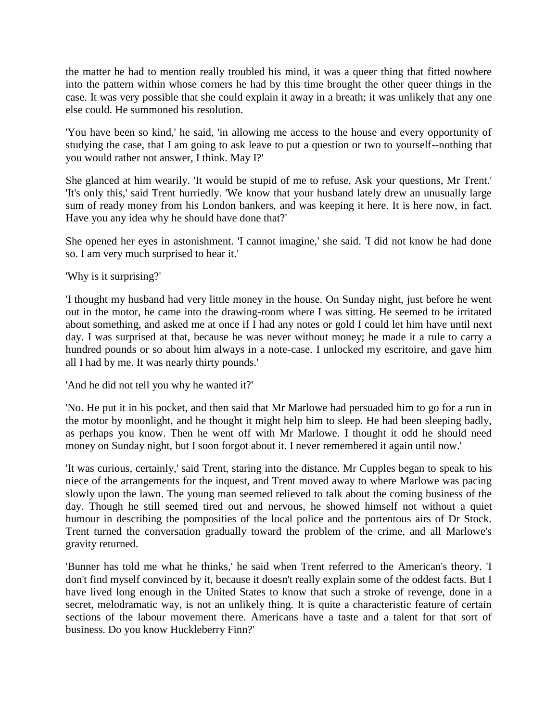the matter he had to mention really troubled his mind, it was a queer thing that fitted nowhere into the pattern within whose corners he had by this time brought the other queer things in the case. It was very possible that she could explain it away in a breath; it was unlikely that any one else could. He summoned his resolution.

'You have been so kind,' he said, 'in allowing me access to the house and every opportunity of studying the case, that I am going to ask leave to put a question or two to yourself--nothing that you would rather not answer, I think. May I?'

She glanced at him wearily. 'It would be stupid of me to refuse, Ask your questions, Mr Trent.' 'It's only this,' said Trent hurriedly. 'We know that your husband lately drew an unusually large sum of ready money from his London bankers, and was keeping it here. It is here now, in fact. Have you any idea why he should have done that?'

She opened her eyes in astonishment. 'I cannot imagine,' she said. 'I did not know he had done so. I am very much surprised to hear it.'

'Why is it surprising?'

'I thought my husband had very little money in the house. On Sunday night, just before he went out in the motor, he came into the drawing-room where I was sitting. He seemed to be irritated about something, and asked me at once if I had any notes or gold I could let him have until next day. I was surprised at that, because he was never without money; he made it a rule to carry a hundred pounds or so about him always in a note-case. I unlocked my escritoire, and gave him all I had by me. It was nearly thirty pounds.'

'And he did not tell you why he wanted it?'

'No. He put it in his pocket, and then said that Mr Marlowe had persuaded him to go for a run in the motor by moonlight, and he thought it might help him to sleep. He had been sleeping badly, as perhaps you know. Then he went off with Mr Marlowe. I thought it odd he should need money on Sunday night, but I soon forgot about it. I never remembered it again until now.'

'It was curious, certainly,' said Trent, staring into the distance. Mr Cupples began to speak to his niece of the arrangements for the inquest, and Trent moved away to where Marlowe was pacing slowly upon the lawn. The young man seemed relieved to talk about the coming business of the day. Though he still seemed tired out and nervous, he showed himself not without a quiet humour in describing the pomposities of the local police and the portentous airs of Dr Stock. Trent turned the conversation gradually toward the problem of the crime, and all Marlowe's gravity returned.

'Bunner has told me what he thinks,' he said when Trent referred to the American's theory. 'I don't find myself convinced by it, because it doesn't really explain some of the oddest facts. But I have lived long enough in the United States to know that such a stroke of revenge, done in a secret, melodramatic way, is not an unlikely thing. It is quite a characteristic feature of certain sections of the labour movement there. Americans have a taste and a talent for that sort of business. Do you know Huckleberry Finn?'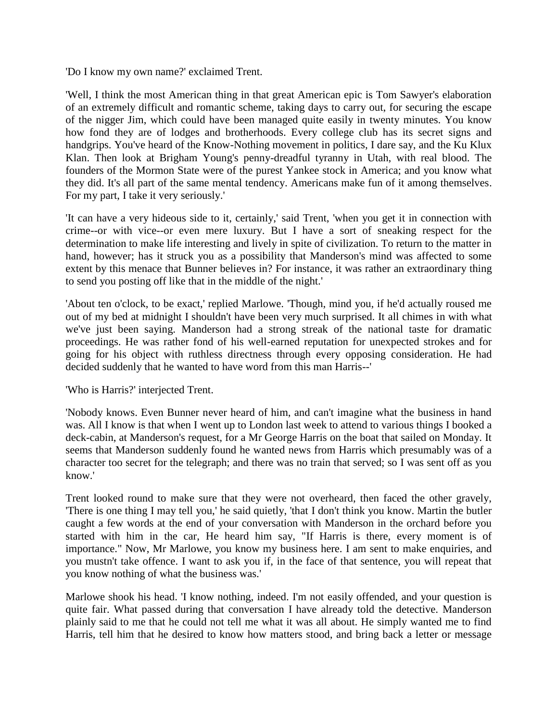'Do I know my own name?' exclaimed Trent.

'Well, I think the most American thing in that great American epic is Tom Sawyer's elaboration of an extremely difficult and romantic scheme, taking days to carry out, for securing the escape of the nigger Jim, which could have been managed quite easily in twenty minutes. You know how fond they are of lodges and brotherhoods. Every college club has its secret signs and handgrips. You've heard of the Know-Nothing movement in politics, I dare say, and the Ku Klux Klan. Then look at Brigham Young's penny-dreadful tyranny in Utah, with real blood. The founders of the Mormon State were of the purest Yankee stock in America; and you know what they did. It's all part of the same mental tendency. Americans make fun of it among themselves. For my part, I take it very seriously.'

'It can have a very hideous side to it, certainly,' said Trent, 'when you get it in connection with crime--or with vice--or even mere luxury. But I have a sort of sneaking respect for the determination to make life interesting and lively in spite of civilization. To return to the matter in hand, however; has it struck you as a possibility that Manderson's mind was affected to some extent by this menace that Bunner believes in? For instance, it was rather an extraordinary thing to send you posting off like that in the middle of the night.'

'About ten o'clock, to be exact,' replied Marlowe. 'Though, mind you, if he'd actually roused me out of my bed at midnight I shouldn't have been very much surprised. It all chimes in with what we've just been saying. Manderson had a strong streak of the national taste for dramatic proceedings. He was rather fond of his well-earned reputation for unexpected strokes and for going for his object with ruthless directness through every opposing consideration. He had decided suddenly that he wanted to have word from this man Harris--'

'Who is Harris?' interjected Trent.

'Nobody knows. Even Bunner never heard of him, and can't imagine what the business in hand was. All I know is that when I went up to London last week to attend to various things I booked a deck-cabin, at Manderson's request, for a Mr George Harris on the boat that sailed on Monday. It seems that Manderson suddenly found he wanted news from Harris which presumably was of a character too secret for the telegraph; and there was no train that served; so I was sent off as you know.'

Trent looked round to make sure that they were not overheard, then faced the other gravely, 'There is one thing I may tell you,' he said quietly, 'that I don't think you know. Martin the butler caught a few words at the end of your conversation with Manderson in the orchard before you started with him in the car, He heard him say, "If Harris is there, every moment is of importance." Now, Mr Marlowe, you know my business here. I am sent to make enquiries, and you mustn't take offence. I want to ask you if, in the face of that sentence, you will repeat that you know nothing of what the business was.'

Marlowe shook his head. 'I know nothing, indeed. I'm not easily offended, and your question is quite fair. What passed during that conversation I have already told the detective. Manderson plainly said to me that he could not tell me what it was all about. He simply wanted me to find Harris, tell him that he desired to know how matters stood, and bring back a letter or message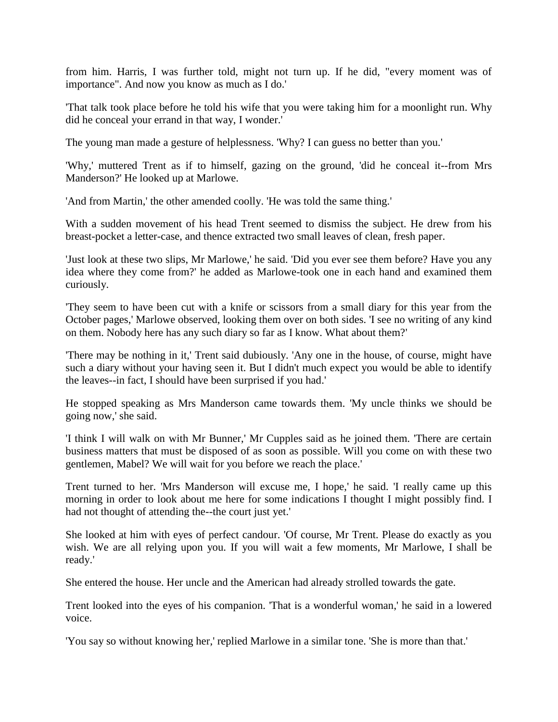from him. Harris, I was further told, might not turn up. If he did, "every moment was of importance". And now you know as much as I do.'

'That talk took place before he told his wife that you were taking him for a moonlight run. Why did he conceal your errand in that way, I wonder.'

The young man made a gesture of helplessness. 'Why? I can guess no better than you.'

'Why,' muttered Trent as if to himself, gazing on the ground, 'did he conceal it--from Mrs Manderson?' He looked up at Marlowe.

'And from Martin,' the other amended coolly. 'He was told the same thing.'

With a sudden movement of his head Trent seemed to dismiss the subject. He drew from his breast-pocket a letter-case, and thence extracted two small leaves of clean, fresh paper.

'Just look at these two slips, Mr Marlowe,' he said. 'Did you ever see them before? Have you any idea where they come from?' he added as Marlowe-took one in each hand and examined them curiously.

'They seem to have been cut with a knife or scissors from a small diary for this year from the October pages,' Marlowe observed, looking them over on both sides. 'I see no writing of any kind on them. Nobody here has any such diary so far as I know. What about them?'

'There may be nothing in it,' Trent said dubiously. 'Any one in the house, of course, might have such a diary without your having seen it. But I didn't much expect you would be able to identify the leaves--in fact, I should have been surprised if you had.'

He stopped speaking as Mrs Manderson came towards them. 'My uncle thinks we should be going now,' she said.

'I think I will walk on with Mr Bunner,' Mr Cupples said as he joined them. 'There are certain business matters that must be disposed of as soon as possible. Will you come on with these two gentlemen, Mabel? We will wait for you before we reach the place.'

Trent turned to her. 'Mrs Manderson will excuse me, I hope,' he said. 'I really came up this morning in order to look about me here for some indications I thought I might possibly find. I had not thought of attending the--the court just yet.'

She looked at him with eyes of perfect candour. 'Of course, Mr Trent. Please do exactly as you wish. We are all relying upon you. If you will wait a few moments, Mr Marlowe, I shall be ready.'

She entered the house. Her uncle and the American had already strolled towards the gate.

Trent looked into the eyes of his companion. 'That is a wonderful woman,' he said in a lowered voice.

'You say so without knowing her,' replied Marlowe in a similar tone. 'She is more than that.'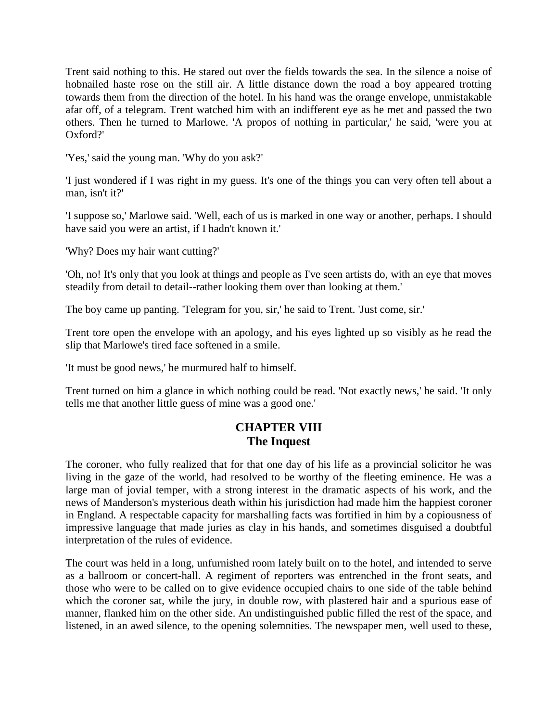Trent said nothing to this. He stared out over the fields towards the sea. In the silence a noise of hobnailed haste rose on the still air. A little distance down the road a boy appeared trotting towards them from the direction of the hotel. In his hand was the orange envelope, unmistakable afar off, of a telegram. Trent watched him with an indifferent eye as he met and passed the two others. Then he turned to Marlowe. 'A propos of nothing in particular,' he said, 'were you at Oxford?'

'Yes,' said the young man. 'Why do you ask?'

'I just wondered if I was right in my guess. It's one of the things you can very often tell about a man, isn't it?'

'I suppose so,' Marlowe said. 'Well, each of us is marked in one way or another, perhaps. I should have said you were an artist, if I hadn't known it.'

'Why? Does my hair want cutting?'

'Oh, no! It's only that you look at things and people as I've seen artists do, with an eye that moves steadily from detail to detail--rather looking them over than looking at them.'

The boy came up panting. 'Telegram for you, sir,' he said to Trent. 'Just come, sir.'

Trent tore open the envelope with an apology, and his eyes lighted up so visibly as he read the slip that Marlowe's tired face softened in a smile.

'It must be good news,' he murmured half to himself.

Trent turned on him a glance in which nothing could be read. 'Not exactly news,' he said. 'It only tells me that another little guess of mine was a good one.'

### **CHAPTER VIII The Inquest**

The coroner, who fully realized that for that one day of his life as a provincial solicitor he was living in the gaze of the world, had resolved to be worthy of the fleeting eminence. He was a large man of jovial temper, with a strong interest in the dramatic aspects of his work, and the news of Manderson's mysterious death within his jurisdiction had made him the happiest coroner in England. A respectable capacity for marshalling facts was fortified in him by a copiousness of impressive language that made juries as clay in his hands, and sometimes disguised a doubtful interpretation of the rules of evidence.

The court was held in a long, unfurnished room lately built on to the hotel, and intended to serve as a ballroom or concert-hall. A regiment of reporters was entrenched in the front seats, and those who were to be called on to give evidence occupied chairs to one side of the table behind which the coroner sat, while the jury, in double row, with plastered hair and a spurious ease of manner, flanked him on the other side. An undistinguished public filled the rest of the space, and listened, in an awed silence, to the opening solemnities. The newspaper men, well used to these,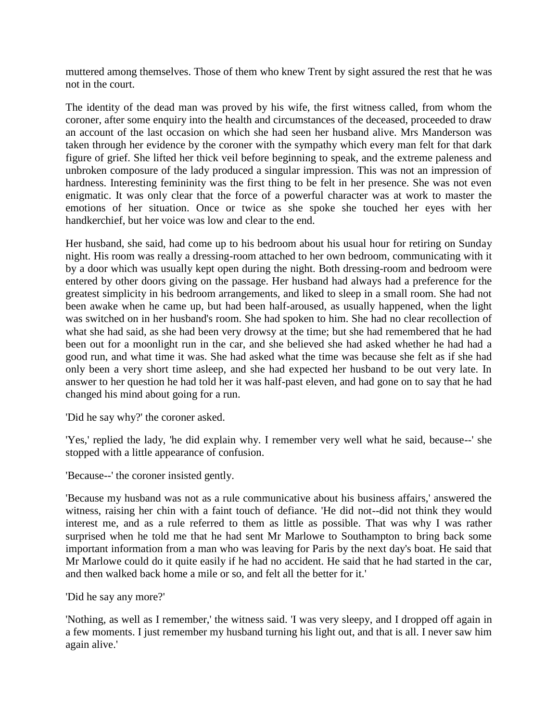muttered among themselves. Those of them who knew Trent by sight assured the rest that he was not in the court.

The identity of the dead man was proved by his wife, the first witness called, from whom the coroner, after some enquiry into the health and circumstances of the deceased, proceeded to draw an account of the last occasion on which she had seen her husband alive. Mrs Manderson was taken through her evidence by the coroner with the sympathy which every man felt for that dark figure of grief. She lifted her thick veil before beginning to speak, and the extreme paleness and unbroken composure of the lady produced a singular impression. This was not an impression of hardness. Interesting femininity was the first thing to be felt in her presence. She was not even enigmatic. It was only clear that the force of a powerful character was at work to master the emotions of her situation. Once or twice as she spoke she touched her eyes with her handkerchief, but her voice was low and clear to the end.

Her husband, she said, had come up to his bedroom about his usual hour for retiring on Sunday night. His room was really a dressing-room attached to her own bedroom, communicating with it by a door which was usually kept open during the night. Both dressing-room and bedroom were entered by other doors giving on the passage. Her husband had always had a preference for the greatest simplicity in his bedroom arrangements, and liked to sleep in a small room. She had not been awake when he came up, but had been half-aroused, as usually happened, when the light was switched on in her husband's room. She had spoken to him. She had no clear recollection of what she had said, as she had been very drowsy at the time; but she had remembered that he had been out for a moonlight run in the car, and she believed she had asked whether he had had a good run, and what time it was. She had asked what the time was because she felt as if she had only been a very short time asleep, and she had expected her husband to be out very late. In answer to her question he had told her it was half-past eleven, and had gone on to say that he had changed his mind about going for a run.

'Did he say why?' the coroner asked.

'Yes,' replied the lady, 'he did explain why. I remember very well what he said, because--' she stopped with a little appearance of confusion.

'Because--' the coroner insisted gently.

'Because my husband was not as a rule communicative about his business affairs,' answered the witness, raising her chin with a faint touch of defiance. 'He did not--did not think they would interest me, and as a rule referred to them as little as possible. That was why I was rather surprised when he told me that he had sent Mr Marlowe to Southampton to bring back some important information from a man who was leaving for Paris by the next day's boat. He said that Mr Marlowe could do it quite easily if he had no accident. He said that he had started in the car, and then walked back home a mile or so, and felt all the better for it.'

'Did he say any more?'

'Nothing, as well as I remember,' the witness said. 'I was very sleepy, and I dropped off again in a few moments. I just remember my husband turning his light out, and that is all. I never saw him again alive.'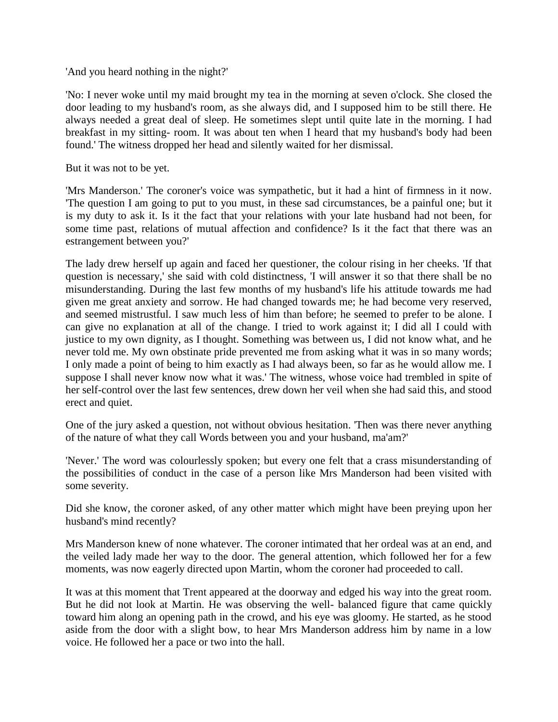'And you heard nothing in the night?'

'No: I never woke until my maid brought my tea in the morning at seven o'clock. She closed the door leading to my husband's room, as she always did, and I supposed him to be still there. He always needed a great deal of sleep. He sometimes slept until quite late in the morning. I had breakfast in my sitting- room. It was about ten when I heard that my husband's body had been found.' The witness dropped her head and silently waited for her dismissal.

But it was not to be yet.

'Mrs Manderson.' The coroner's voice was sympathetic, but it had a hint of firmness in it now. 'The question I am going to put to you must, in these sad circumstances, be a painful one; but it is my duty to ask it. Is it the fact that your relations with your late husband had not been, for some time past, relations of mutual affection and confidence? Is it the fact that there was an estrangement between you?'

The lady drew herself up again and faced her questioner, the colour rising in her cheeks. 'If that question is necessary,' she said with cold distinctness, 'I will answer it so that there shall be no misunderstanding. During the last few months of my husband's life his attitude towards me had given me great anxiety and sorrow. He had changed towards me; he had become very reserved, and seemed mistrustful. I saw much less of him than before; he seemed to prefer to be alone. I can give no explanation at all of the change. I tried to work against it; I did all I could with justice to my own dignity, as I thought. Something was between us, I did not know what, and he never told me. My own obstinate pride prevented me from asking what it was in so many words; I only made a point of being to him exactly as I had always been, so far as he would allow me. I suppose I shall never know now what it was.' The witness, whose voice had trembled in spite of her self-control over the last few sentences, drew down her veil when she had said this, and stood erect and quiet.

One of the jury asked a question, not without obvious hesitation. 'Then was there never anything of the nature of what they call Words between you and your husband, ma'am?'

'Never.' The word was colourlessly spoken; but every one felt that a crass misunderstanding of the possibilities of conduct in the case of a person like Mrs Manderson had been visited with some severity.

Did she know, the coroner asked, of any other matter which might have been preying upon her husband's mind recently?

Mrs Manderson knew of none whatever. The coroner intimated that her ordeal was at an end, and the veiled lady made her way to the door. The general attention, which followed her for a few moments, was now eagerly directed upon Martin, whom the coroner had proceeded to call.

It was at this moment that Trent appeared at the doorway and edged his way into the great room. But he did not look at Martin. He was observing the well- balanced figure that came quickly toward him along an opening path in the crowd, and his eye was gloomy. He started, as he stood aside from the door with a slight bow, to hear Mrs Manderson address him by name in a low voice. He followed her a pace or two into the hall.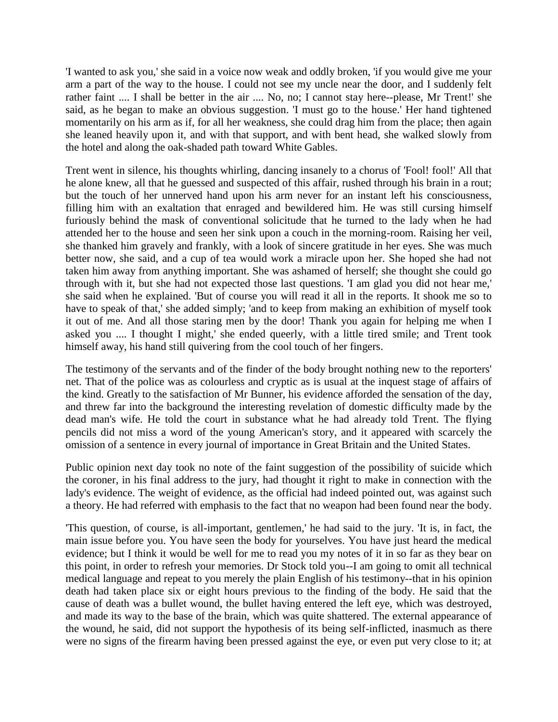'I wanted to ask you,' she said in a voice now weak and oddly broken, 'if you would give me your arm a part of the way to the house. I could not see my uncle near the door, and I suddenly felt rather faint .... I shall be better in the air .... No, no; I cannot stay here--please, Mr Trent!' she said, as he began to make an obvious suggestion. 'I must go to the house.' Her hand tightened momentarily on his arm as if, for all her weakness, she could drag him from the place; then again she leaned heavily upon it, and with that support, and with bent head, she walked slowly from the hotel and along the oak-shaded path toward White Gables.

Trent went in silence, his thoughts whirling, dancing insanely to a chorus of 'Fool! fool!' All that he alone knew, all that he guessed and suspected of this affair, rushed through his brain in a rout; but the touch of her unnerved hand upon his arm never for an instant left his consciousness, filling him with an exaltation that enraged and bewildered him. He was still cursing himself furiously behind the mask of conventional solicitude that he turned to the lady when he had attended her to the house and seen her sink upon a couch in the morning-room. Raising her veil, she thanked him gravely and frankly, with a look of sincere gratitude in her eyes. She was much better now, she said, and a cup of tea would work a miracle upon her. She hoped she had not taken him away from anything important. She was ashamed of herself; she thought she could go through with it, but she had not expected those last questions. 'I am glad you did not hear me,' she said when he explained. 'But of course you will read it all in the reports. It shook me so to have to speak of that,' she added simply; 'and to keep from making an exhibition of myself took it out of me. And all those staring men by the door! Thank you again for helping me when I asked you .... I thought I might,' she ended queerly, with a little tired smile; and Trent took himself away, his hand still quivering from the cool touch of her fingers.

The testimony of the servants and of the finder of the body brought nothing new to the reporters' net. That of the police was as colourless and cryptic as is usual at the inquest stage of affairs of the kind. Greatly to the satisfaction of Mr Bunner, his evidence afforded the sensation of the day, and threw far into the background the interesting revelation of domestic difficulty made by the dead man's wife. He told the court in substance what he had already told Trent. The flying pencils did not miss a word of the young American's story, and it appeared with scarcely the omission of a sentence in every journal of importance in Great Britain and the United States.

Public opinion next day took no note of the faint suggestion of the possibility of suicide which the coroner, in his final address to the jury, had thought it right to make in connection with the lady's evidence. The weight of evidence, as the official had indeed pointed out, was against such a theory. He had referred with emphasis to the fact that no weapon had been found near the body.

'This question, of course, is all-important, gentlemen,' he had said to the jury. 'It is, in fact, the main issue before you. You have seen the body for yourselves. You have just heard the medical evidence; but I think it would be well for me to read you my notes of it in so far as they bear on this point, in order to refresh your memories. Dr Stock told you--I am going to omit all technical medical language and repeat to you merely the plain English of his testimony--that in his opinion death had taken place six or eight hours previous to the finding of the body. He said that the cause of death was a bullet wound, the bullet having entered the left eye, which was destroyed, and made its way to the base of the brain, which was quite shattered. The external appearance of the wound, he said, did not support the hypothesis of its being self-inflicted, inasmuch as there were no signs of the firearm having been pressed against the eye, or even put very close to it; at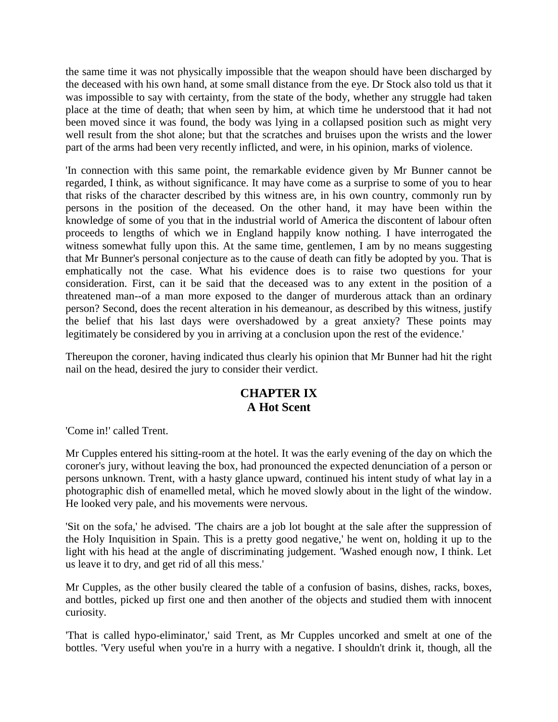the same time it was not physically impossible that the weapon should have been discharged by the deceased with his own hand, at some small distance from the eye. Dr Stock also told us that it was impossible to say with certainty, from the state of the body, whether any struggle had taken place at the time of death; that when seen by him, at which time he understood that it had not been moved since it was found, the body was lying in a collapsed position such as might very well result from the shot alone; but that the scratches and bruises upon the wrists and the lower part of the arms had been very recently inflicted, and were, in his opinion, marks of violence.

'In connection with this same point, the remarkable evidence given by Mr Bunner cannot be regarded, I think, as without significance. It may have come as a surprise to some of you to hear that risks of the character described by this witness are, in his own country, commonly run by persons in the position of the deceased. On the other hand, it may have been within the knowledge of some of you that in the industrial world of America the discontent of labour often proceeds to lengths of which we in England happily know nothing. I have interrogated the witness somewhat fully upon this. At the same time, gentlemen, I am by no means suggesting that Mr Bunner's personal conjecture as to the cause of death can fitly be adopted by you. That is emphatically not the case. What his evidence does is to raise two questions for your consideration. First, can it be said that the deceased was to any extent in the position of a threatened man--of a man more exposed to the danger of murderous attack than an ordinary person? Second, does the recent alteration in his demeanour, as described by this witness, justify the belief that his last days were overshadowed by a great anxiety? These points may legitimately be considered by you in arriving at a conclusion upon the rest of the evidence.'

Thereupon the coroner, having indicated thus clearly his opinion that Mr Bunner had hit the right nail on the head, desired the jury to consider their verdict.

# **CHAPTER IX A Hot Scent**

'Come in!' called Trent.

Mr Cupples entered his sitting-room at the hotel. It was the early evening of the day on which the coroner's jury, without leaving the box, had pronounced the expected denunciation of a person or persons unknown. Trent, with a hasty glance upward, continued his intent study of what lay in a photographic dish of enamelled metal, which he moved slowly about in the light of the window. He looked very pale, and his movements were nervous.

'Sit on the sofa,' he advised. 'The chairs are a job lot bought at the sale after the suppression of the Holy Inquisition in Spain. This is a pretty good negative,' he went on, holding it up to the light with his head at the angle of discriminating judgement. 'Washed enough now, I think. Let us leave it to dry, and get rid of all this mess.'

Mr Cupples, as the other busily cleared the table of a confusion of basins, dishes, racks, boxes, and bottles, picked up first one and then another of the objects and studied them with innocent curiosity.

'That is called hypo-eliminator,' said Trent, as Mr Cupples uncorked and smelt at one of the bottles. 'Very useful when you're in a hurry with a negative. I shouldn't drink it, though, all the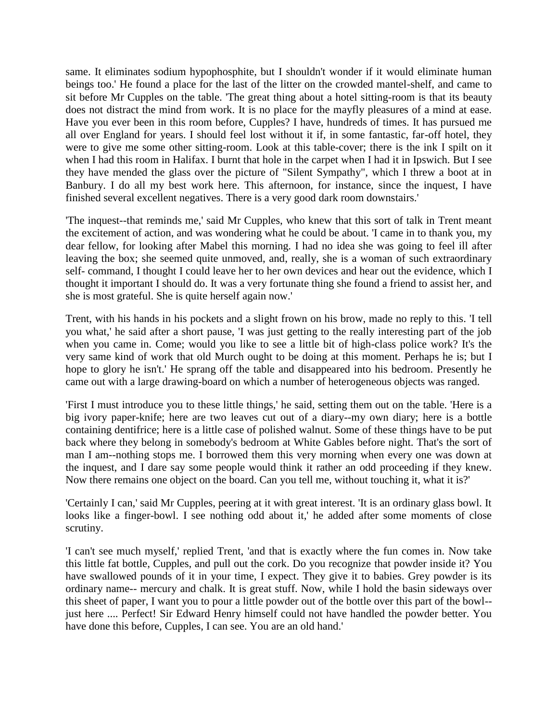same. It eliminates sodium hypophosphite, but I shouldn't wonder if it would eliminate human beings too.' He found a place for the last of the litter on the crowded mantel-shelf, and came to sit before Mr Cupples on the table. 'The great thing about a hotel sitting-room is that its beauty does not distract the mind from work. It is no place for the mayfly pleasures of a mind at ease. Have you ever been in this room before, Cupples? I have, hundreds of times. It has pursued me all over England for years. I should feel lost without it if, in some fantastic, far-off hotel, they were to give me some other sitting-room. Look at this table-cover; there is the ink I spilt on it when I had this room in Halifax. I burnt that hole in the carpet when I had it in Ipswich. But I see they have mended the glass over the picture of "Silent Sympathy", which I threw a boot at in Banbury. I do all my best work here. This afternoon, for instance, since the inquest, I have finished several excellent negatives. There is a very good dark room downstairs.'

'The inquest--that reminds me,' said Mr Cupples, who knew that this sort of talk in Trent meant the excitement of action, and was wondering what he could be about. 'I came in to thank you, my dear fellow, for looking after Mabel this morning. I had no idea she was going to feel ill after leaving the box; she seemed quite unmoved, and, really, she is a woman of such extraordinary self- command, I thought I could leave her to her own devices and hear out the evidence, which I thought it important I should do. It was a very fortunate thing she found a friend to assist her, and she is most grateful. She is quite herself again now.'

Trent, with his hands in his pockets and a slight frown on his brow, made no reply to this. 'I tell you what,' he said after a short pause, 'I was just getting to the really interesting part of the job when you came in. Come; would you like to see a little bit of high-class police work? It's the very same kind of work that old Murch ought to be doing at this moment. Perhaps he is; but I hope to glory he isn't.' He sprang off the table and disappeared into his bedroom. Presently he came out with a large drawing-board on which a number of heterogeneous objects was ranged.

'First I must introduce you to these little things,' he said, setting them out on the table. 'Here is a big ivory paper-knife; here are two leaves cut out of a diary--my own diary; here is a bottle containing dentifrice; here is a little case of polished walnut. Some of these things have to be put back where they belong in somebody's bedroom at White Gables before night. That's the sort of man I am--nothing stops me. I borrowed them this very morning when every one was down at the inquest, and I dare say some people would think it rather an odd proceeding if they knew. Now there remains one object on the board. Can you tell me, without touching it, what it is?'

'Certainly I can,' said Mr Cupples, peering at it with great interest. 'It is an ordinary glass bowl. It looks like a finger-bowl. I see nothing odd about it,' he added after some moments of close scrutiny.

'I can't see much myself,' replied Trent, 'and that is exactly where the fun comes in. Now take this little fat bottle, Cupples, and pull out the cork. Do you recognize that powder inside it? You have swallowed pounds of it in your time, I expect. They give it to babies. Grey powder is its ordinary name-- mercury and chalk. It is great stuff. Now, while I hold the basin sideways over this sheet of paper, I want you to pour a little powder out of the bottle over this part of the bowl- just here .... Perfect! Sir Edward Henry himself could not have handled the powder better. You have done this before, Cupples, I can see. You are an old hand.'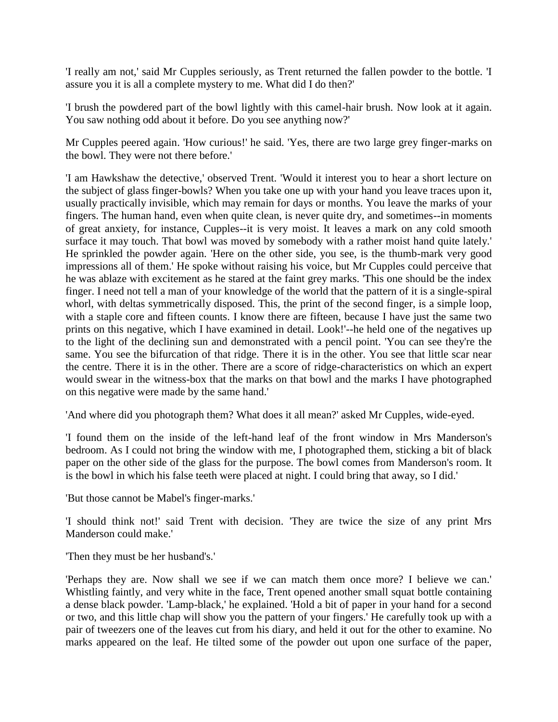'I really am not,' said Mr Cupples seriously, as Trent returned the fallen powder to the bottle. 'I assure you it is all a complete mystery to me. What did I do then?'

'I brush the powdered part of the bowl lightly with this camel-hair brush. Now look at it again. You saw nothing odd about it before. Do you see anything now?'

Mr Cupples peered again. 'How curious!' he said. 'Yes, there are two large grey finger-marks on the bowl. They were not there before.'

'I am Hawkshaw the detective,' observed Trent. 'Would it interest you to hear a short lecture on the subject of glass finger-bowls? When you take one up with your hand you leave traces upon it, usually practically invisible, which may remain for days or months. You leave the marks of your fingers. The human hand, even when quite clean, is never quite dry, and sometimes--in moments of great anxiety, for instance, Cupples--it is very moist. It leaves a mark on any cold smooth surface it may touch. That bowl was moved by somebody with a rather moist hand quite lately.' He sprinkled the powder again. 'Here on the other side, you see, is the thumb-mark very good impressions all of them.' He spoke without raising his voice, but Mr Cupples could perceive that he was ablaze with excitement as he stared at the faint grey marks. This one should be the index finger. I need not tell a man of your knowledge of the world that the pattern of it is a single-spiral whorl, with deltas symmetrically disposed. This, the print of the second finger, is a simple loop, with a staple core and fifteen counts. I know there are fifteen, because I have just the same two prints on this negative, which I have examined in detail. Look!'--he held one of the negatives up to the light of the declining sun and demonstrated with a pencil point. 'You can see they're the same. You see the bifurcation of that ridge. There it is in the other. You see that little scar near the centre. There it is in the other. There are a score of ridge-characteristics on which an expert would swear in the witness-box that the marks on that bowl and the marks I have photographed on this negative were made by the same hand.'

'And where did you photograph them? What does it all mean?' asked Mr Cupples, wide-eyed.

'I found them on the inside of the left-hand leaf of the front window in Mrs Manderson's bedroom. As I could not bring the window with me, I photographed them, sticking a bit of black paper on the other side of the glass for the purpose. The bowl comes from Manderson's room. It is the bowl in which his false teeth were placed at night. I could bring that away, so I did.'

'But those cannot be Mabel's finger-marks.'

'I should think not!' said Trent with decision. 'They are twice the size of any print Mrs Manderson could make.'

'Then they must be her husband's.'

'Perhaps they are. Now shall we see if we can match them once more? I believe we can.' Whistling faintly, and very white in the face, Trent opened another small squat bottle containing a dense black powder. 'Lamp-black,' he explained. 'Hold a bit of paper in your hand for a second or two, and this little chap will show you the pattern of your fingers.' He carefully took up with a pair of tweezers one of the leaves cut from his diary, and held it out for the other to examine. No marks appeared on the leaf. He tilted some of the powder out upon one surface of the paper,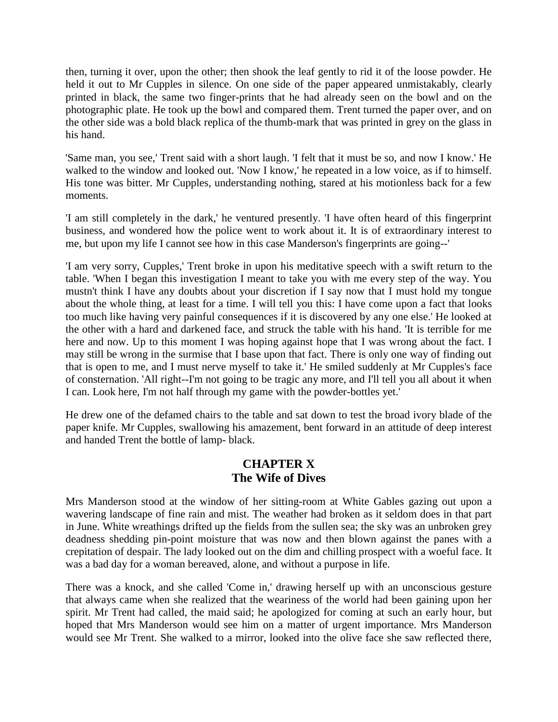then, turning it over, upon the other; then shook the leaf gently to rid it of the loose powder. He held it out to Mr Cupples in silence. On one side of the paper appeared unmistakably, clearly printed in black, the same two finger-prints that he had already seen on the bowl and on the photographic plate. He took up the bowl and compared them. Trent turned the paper over, and on the other side was a bold black replica of the thumb-mark that was printed in grey on the glass in his hand.

'Same man, you see,' Trent said with a short laugh. 'I felt that it must be so, and now I know.' He walked to the window and looked out. 'Now I know,' he repeated in a low voice, as if to himself. His tone was bitter. Mr Cupples, understanding nothing, stared at his motionless back for a few moments.

'I am still completely in the dark,' he ventured presently. 'I have often heard of this fingerprint business, and wondered how the police went to work about it. It is of extraordinary interest to me, but upon my life I cannot see how in this case Manderson's fingerprints are going--'

'I am very sorry, Cupples,' Trent broke in upon his meditative speech with a swift return to the table. 'When I began this investigation I meant to take you with me every step of the way. You mustn't think I have any doubts about your discretion if I say now that I must hold my tongue about the whole thing, at least for a time. I will tell you this: I have come upon a fact that looks too much like having very painful consequences if it is discovered by any one else.' He looked at the other with a hard and darkened face, and struck the table with his hand. 'It is terrible for me here and now. Up to this moment I was hoping against hope that I was wrong about the fact. I may still be wrong in the surmise that I base upon that fact. There is only one way of finding out that is open to me, and I must nerve myself to take it.' He smiled suddenly at Mr Cupples's face of consternation. 'All right--I'm not going to be tragic any more, and I'll tell you all about it when I can. Look here, I'm not half through my game with the powder-bottles yet.'

He drew one of the defamed chairs to the table and sat down to test the broad ivory blade of the paper knife. Mr Cupples, swallowing his amazement, bent forward in an attitude of deep interest and handed Trent the bottle of lamp- black.

#### **CHAPTER X The Wife of Dives**

Mrs Manderson stood at the window of her sitting-room at White Gables gazing out upon a wavering landscape of fine rain and mist. The weather had broken as it seldom does in that part in June. White wreathings drifted up the fields from the sullen sea; the sky was an unbroken grey deadness shedding pin-point moisture that was now and then blown against the panes with a crepitation of despair. The lady looked out on the dim and chilling prospect with a woeful face. It was a bad day for a woman bereaved, alone, and without a purpose in life.

There was a knock, and she called 'Come in,' drawing herself up with an unconscious gesture that always came when she realized that the weariness of the world had been gaining upon her spirit. Mr Trent had called, the maid said; he apologized for coming at such an early hour, but hoped that Mrs Manderson would see him on a matter of urgent importance. Mrs Manderson would see Mr Trent. She walked to a mirror, looked into the olive face she saw reflected there,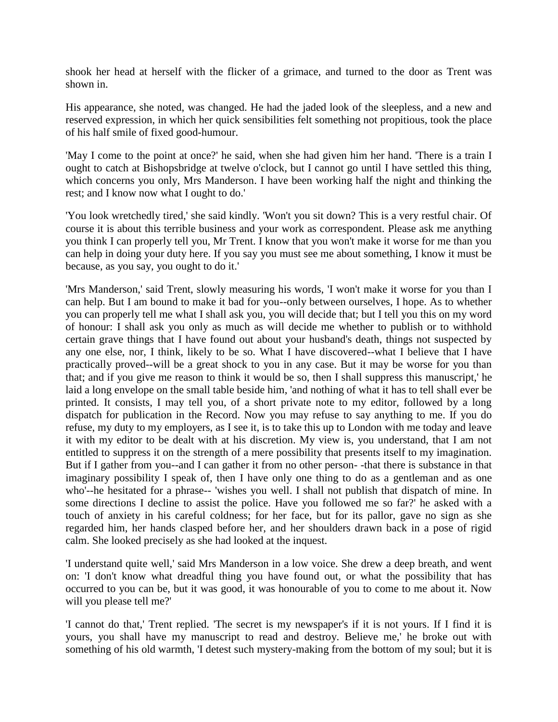shook her head at herself with the flicker of a grimace, and turned to the door as Trent was shown in.

His appearance, she noted, was changed. He had the jaded look of the sleepless, and a new and reserved expression, in which her quick sensibilities felt something not propitious, took the place of his half smile of fixed good-humour.

'May I come to the point at once?' he said, when she had given him her hand. 'There is a train I ought to catch at Bishopsbridge at twelve o'clock, but I cannot go until I have settled this thing, which concerns you only, Mrs Manderson. I have been working half the night and thinking the rest; and I know now what I ought to do.'

'You look wretchedly tired,' she said kindly. 'Won't you sit down? This is a very restful chair. Of course it is about this terrible business and your work as correspondent. Please ask me anything you think I can properly tell you, Mr Trent. I know that you won't make it worse for me than you can help in doing your duty here. If you say you must see me about something, I know it must be because, as you say, you ought to do it.'

'Mrs Manderson,' said Trent, slowly measuring his words, 'I won't make it worse for you than I can help. But I am bound to make it bad for you--only between ourselves, I hope. As to whether you can properly tell me what I shall ask you, you will decide that; but I tell you this on my word of honour: I shall ask you only as much as will decide me whether to publish or to withhold certain grave things that I have found out about your husband's death, things not suspected by any one else, nor, I think, likely to be so. What I have discovered--what I believe that I have practically proved--will be a great shock to you in any case. But it may be worse for you than that; and if you give me reason to think it would be so, then I shall suppress this manuscript,' he laid a long envelope on the small table beside him, 'and nothing of what it has to tell shall ever be printed. It consists, I may tell you, of a short private note to my editor, followed by a long dispatch for publication in the Record. Now you may refuse to say anything to me. If you do refuse, my duty to my employers, as I see it, is to take this up to London with me today and leave it with my editor to be dealt with at his discretion. My view is, you understand, that I am not entitled to suppress it on the strength of a mere possibility that presents itself to my imagination. But if I gather from you--and I can gather it from no other person- -that there is substance in that imaginary possibility I speak of, then I have only one thing to do as a gentleman and as one who'--he hesitated for a phrase-- 'wishes you well. I shall not publish that dispatch of mine. In some directions I decline to assist the police. Have you followed me so far?' he asked with a touch of anxiety in his careful coldness; for her face, but for its pallor, gave no sign as she regarded him, her hands clasped before her, and her shoulders drawn back in a pose of rigid calm. She looked precisely as she had looked at the inquest.

'I understand quite well,' said Mrs Manderson in a low voice. She drew a deep breath, and went on: 'I don't know what dreadful thing you have found out, or what the possibility that has occurred to you can be, but it was good, it was honourable of you to come to me about it. Now will you please tell me?'

'I cannot do that,' Trent replied. 'The secret is my newspaper's if it is not yours. If I find it is yours, you shall have my manuscript to read and destroy. Believe me,' he broke out with something of his old warmth, 'I detest such mystery-making from the bottom of my soul; but it is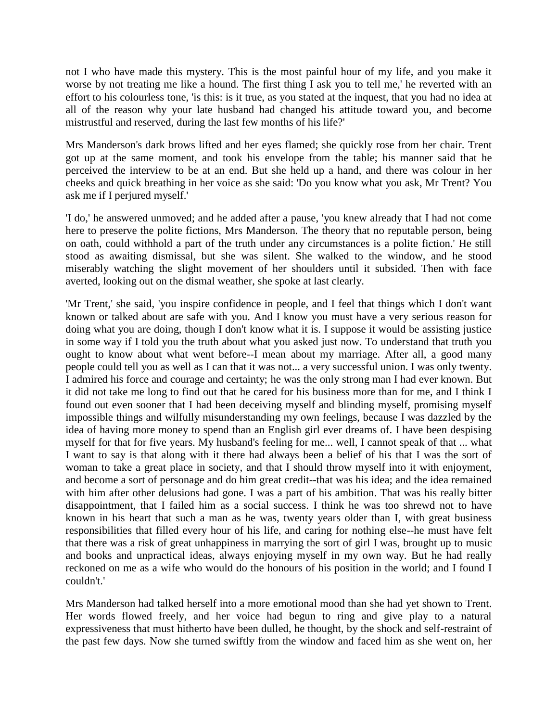not I who have made this mystery. This is the most painful hour of my life, and you make it worse by not treating me like a hound. The first thing I ask you to tell me,' he reverted with an effort to his colourless tone, 'is this: is it true, as you stated at the inquest, that you had no idea at all of the reason why your late husband had changed his attitude toward you, and become mistrustful and reserved, during the last few months of his life?'

Mrs Manderson's dark brows lifted and her eyes flamed; she quickly rose from her chair. Trent got up at the same moment, and took his envelope from the table; his manner said that he perceived the interview to be at an end. But she held up a hand, and there was colour in her cheeks and quick breathing in her voice as she said: 'Do you know what you ask, Mr Trent? You ask me if I perjured myself.'

'I do,' he answered unmoved; and he added after a pause, 'you knew already that I had not come here to preserve the polite fictions, Mrs Manderson. The theory that no reputable person, being on oath, could withhold a part of the truth under any circumstances is a polite fiction.' He still stood as awaiting dismissal, but she was silent. She walked to the window, and he stood miserably watching the slight movement of her shoulders until it subsided. Then with face averted, looking out on the dismal weather, she spoke at last clearly.

'Mr Trent,' she said, 'you inspire confidence in people, and I feel that things which I don't want known or talked about are safe with you. And I know you must have a very serious reason for doing what you are doing, though I don't know what it is. I suppose it would be assisting justice in some way if I told you the truth about what you asked just now. To understand that truth you ought to know about what went before--I mean about my marriage. After all, a good many people could tell you as well as I can that it was not... a very successful union. I was only twenty. I admired his force and courage and certainty; he was the only strong man I had ever known. But it did not take me long to find out that he cared for his business more than for me, and I think I found out even sooner that I had been deceiving myself and blinding myself, promising myself impossible things and wilfully misunderstanding my own feelings, because I was dazzled by the idea of having more money to spend than an English girl ever dreams of. I have been despising myself for that for five years. My husband's feeling for me... well, I cannot speak of that ... what I want to say is that along with it there had always been a belief of his that I was the sort of woman to take a great place in society, and that I should throw myself into it with enjoyment, and become a sort of personage and do him great credit--that was his idea; and the idea remained with him after other delusions had gone. I was a part of his ambition. That was his really bitter disappointment, that I failed him as a social success. I think he was too shrewd not to have known in his heart that such a man as he was, twenty years older than I, with great business responsibilities that filled every hour of his life, and caring for nothing else--he must have felt that there was a risk of great unhappiness in marrying the sort of girl I was, brought up to music and books and unpractical ideas, always enjoying myself in my own way. But he had really reckoned on me as a wife who would do the honours of his position in the world; and I found I couldn't.'

Mrs Manderson had talked herself into a more emotional mood than she had yet shown to Trent. Her words flowed freely, and her voice had begun to ring and give play to a natural expressiveness that must hitherto have been dulled, he thought, by the shock and self-restraint of the past few days. Now she turned swiftly from the window and faced him as she went on, her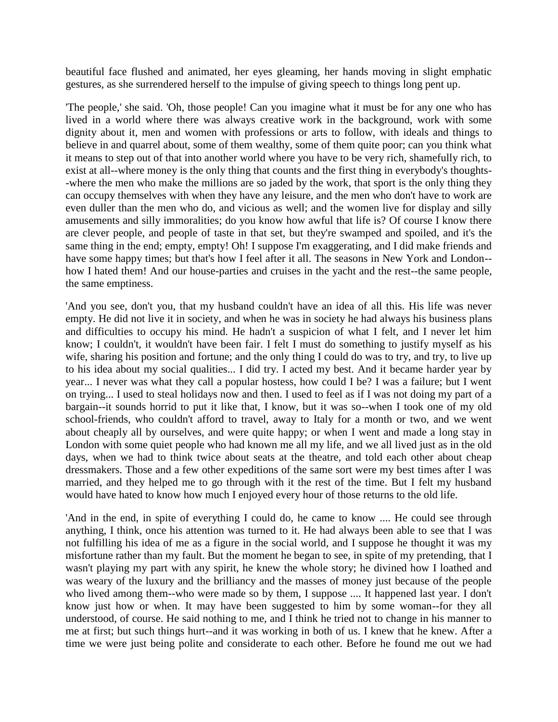beautiful face flushed and animated, her eyes gleaming, her hands moving in slight emphatic gestures, as she surrendered herself to the impulse of giving speech to things long pent up.

'The people,' she said. 'Oh, those people! Can you imagine what it must be for any one who has lived in a world where there was always creative work in the background, work with some dignity about it, men and women with professions or arts to follow, with ideals and things to believe in and quarrel about, some of them wealthy, some of them quite poor; can you think what it means to step out of that into another world where you have to be very rich, shamefully rich, to exist at all--where money is the only thing that counts and the first thing in everybody's thoughts- -where the men who make the millions are so jaded by the work, that sport is the only thing they can occupy themselves with when they have any leisure, and the men who don't have to work are even duller than the men who do, and vicious as well; and the women live for display and silly amusements and silly immoralities; do you know how awful that life is? Of course I know there are clever people, and people of taste in that set, but they're swamped and spoiled, and it's the same thing in the end; empty, empty! Oh! I suppose I'm exaggerating, and I did make friends and have some happy times; but that's how I feel after it all. The seasons in New York and London-how I hated them! And our house-parties and cruises in the yacht and the rest--the same people, the same emptiness.

'And you see, don't you, that my husband couldn't have an idea of all this. His life was never empty. He did not live it in society, and when he was in society he had always his business plans and difficulties to occupy his mind. He hadn't a suspicion of what I felt, and I never let him know; I couldn't, it wouldn't have been fair. I felt I must do something to justify myself as his wife, sharing his position and fortune; and the only thing I could do was to try, and try, to live up to his idea about my social qualities... I did try. I acted my best. And it became harder year by year... I never was what they call a popular hostess, how could I be? I was a failure; but I went on trying... I used to steal holidays now and then. I used to feel as if I was not doing my part of a bargain--it sounds horrid to put it like that, I know, but it was so--when I took one of my old school-friends, who couldn't afford to travel, away to Italy for a month or two, and we went about cheaply all by ourselves, and were quite happy; or when I went and made a long stay in London with some quiet people who had known me all my life, and we all lived just as in the old days, when we had to think twice about seats at the theatre, and told each other about cheap dressmakers. Those and a few other expeditions of the same sort were my best times after I was married, and they helped me to go through with it the rest of the time. But I felt my husband would have hated to know how much I enjoyed every hour of those returns to the old life.

'And in the end, in spite of everything I could do, he came to know .... He could see through anything, I think, once his attention was turned to it. He had always been able to see that I was not fulfilling his idea of me as a figure in the social world, and I suppose he thought it was my misfortune rather than my fault. But the moment he began to see, in spite of my pretending, that I wasn't playing my part with any spirit, he knew the whole story; he divined how I loathed and was weary of the luxury and the brilliancy and the masses of money just because of the people who lived among them--who were made so by them, I suppose .... It happened last year. I don't know just how or when. It may have been suggested to him by some woman--for they all understood, of course. He said nothing to me, and I think he tried not to change in his manner to me at first; but such things hurt--and it was working in both of us. I knew that he knew. After a time we were just being polite and considerate to each other. Before he found me out we had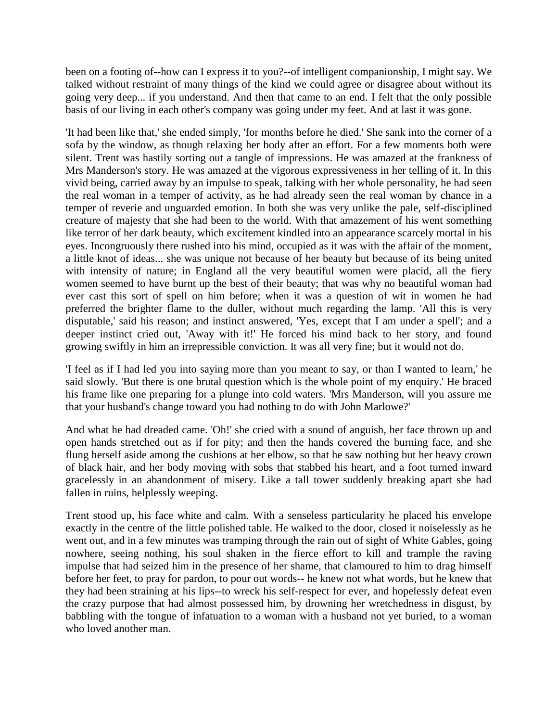been on a footing of--how can I express it to you?--of intelligent companionship, I might say. We talked without restraint of many things of the kind we could agree or disagree about without its going very deep... if you understand. And then that came to an end. I felt that the only possible basis of our living in each other's company was going under my feet. And at last it was gone.

'It had been like that,' she ended simply, 'for months before he died.' She sank into the corner of a sofa by the window, as though relaxing her body after an effort. For a few moments both were silent. Trent was hastily sorting out a tangle of impressions. He was amazed at the frankness of Mrs Manderson's story. He was amazed at the vigorous expressiveness in her telling of it. In this vivid being, carried away by an impulse to speak, talking with her whole personality, he had seen the real woman in a temper of activity, as he had already seen the real woman by chance in a temper of reverie and unguarded emotion. In both she was very unlike the pale, self-disciplined creature of majesty that she had been to the world. With that amazement of his went something like terror of her dark beauty, which excitement kindled into an appearance scarcely mortal in his eyes. Incongruously there rushed into his mind, occupied as it was with the affair of the moment, a little knot of ideas... she was unique not because of her beauty but because of its being united with intensity of nature; in England all the very beautiful women were placid, all the fiery women seemed to have burnt up the best of their beauty; that was why no beautiful woman had ever cast this sort of spell on him before; when it was a question of wit in women he had preferred the brighter flame to the duller, without much regarding the lamp. 'All this is very disputable,' said his reason; and instinct answered, 'Yes, except that I am under a spell'; and a deeper instinct cried out, 'Away with it!' He forced his mind back to her story, and found growing swiftly in him an irrepressible conviction. It was all very fine; but it would not do.

'I feel as if I had led you into saying more than you meant to say, or than I wanted to learn,' he said slowly. 'But there is one brutal question which is the whole point of my enquiry.' He braced his frame like one preparing for a plunge into cold waters. 'Mrs Manderson, will you assure me that your husband's change toward you had nothing to do with John Marlowe?'

And what he had dreaded came. 'Oh!' she cried with a sound of anguish, her face thrown up and open hands stretched out as if for pity; and then the hands covered the burning face, and she flung herself aside among the cushions at her elbow, so that he saw nothing but her heavy crown of black hair, and her body moving with sobs that stabbed his heart, and a foot turned inward gracelessly in an abandonment of misery. Like a tall tower suddenly breaking apart she had fallen in ruins, helplessly weeping.

Trent stood up, his face white and calm. With a senseless particularity he placed his envelope exactly in the centre of the little polished table. He walked to the door, closed it noiselessly as he went out, and in a few minutes was tramping through the rain out of sight of White Gables, going nowhere, seeing nothing, his soul shaken in the fierce effort to kill and trample the raving impulse that had seized him in the presence of her shame, that clamoured to him to drag himself before her feet, to pray for pardon, to pour out words-- he knew not what words, but he knew that they had been straining at his lips--to wreck his self-respect for ever, and hopelessly defeat even the crazy purpose that had almost possessed him, by drowning her wretchedness in disgust, by babbling with the tongue of infatuation to a woman with a husband not yet buried, to a woman who loved another man.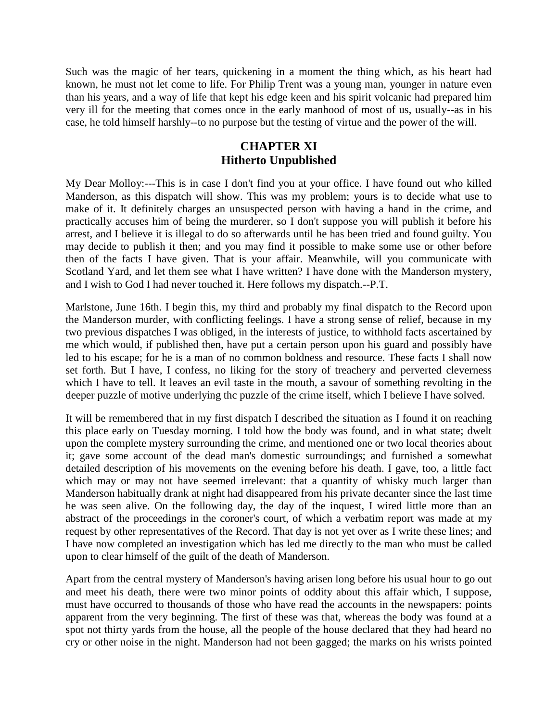Such was the magic of her tears, quickening in a moment the thing which, as his heart had known, he must not let come to life. For Philip Trent was a young man, younger in nature even than his years, and a way of life that kept his edge keen and his spirit volcanic had prepared him very ill for the meeting that comes once in the early manhood of most of us, usually--as in his case, he told himself harshly--to no purpose but the testing of virtue and the power of the will.

# **CHAPTER XI Hitherto Unpublished**

My Dear Molloy:---This is in case I don't find you at your office. I have found out who killed Manderson, as this dispatch will show. This was my problem; yours is to decide what use to make of it. It definitely charges an unsuspected person with having a hand in the crime, and practically accuses him of being the murderer, so I don't suppose you will publish it before his arrest, and I believe it is illegal to do so afterwards until he has been tried and found guilty. You may decide to publish it then; and you may find it possible to make some use or other before then of the facts I have given. That is your affair. Meanwhile, will you communicate with Scotland Yard, and let them see what I have written? I have done with the Manderson mystery, and I wish to God I had never touched it. Here follows my dispatch.--P.T.

Marlstone, June 16th. I begin this, my third and probably my final dispatch to the Record upon the Manderson murder, with conflicting feelings. I have a strong sense of relief, because in my two previous dispatches I was obliged, in the interests of justice, to withhold facts ascertained by me which would, if published then, have put a certain person upon his guard and possibly have led to his escape; for he is a man of no common boldness and resource. These facts I shall now set forth. But I have, I confess, no liking for the story of treachery and perverted cleverness which I have to tell. It leaves an evil taste in the mouth, a savour of something revolting in the deeper puzzle of motive underlying thc puzzle of the crime itself, which I believe I have solved.

It will be remembered that in my first dispatch I described the situation as I found it on reaching this place early on Tuesday morning. I told how the body was found, and in what state; dwelt upon the complete mystery surrounding the crime, and mentioned one or two local theories about it; gave some account of the dead man's domestic surroundings; and furnished a somewhat detailed description of his movements on the evening before his death. I gave, too, a little fact which may or may not have seemed irrelevant: that a quantity of whisky much larger than Manderson habitually drank at night had disappeared from his private decanter since the last time he was seen alive. On the following day, the day of the inquest, I wired little more than an abstract of the proceedings in the coroner's court, of which a verbatim report was made at my request by other representatives of the Record. That day is not yet over as I write these lines; and I have now completed an investigation which has led me directly to the man who must be called upon to clear himself of the guilt of the death of Manderson.

Apart from the central mystery of Manderson's having arisen long before his usual hour to go out and meet his death, there were two minor points of oddity about this affair which, I suppose, must have occurred to thousands of those who have read the accounts in the newspapers: points apparent from the very beginning. The first of these was that, whereas the body was found at a spot not thirty yards from the house, all the people of the house declared that they had heard no cry or other noise in the night. Manderson had not been gagged; the marks on his wrists pointed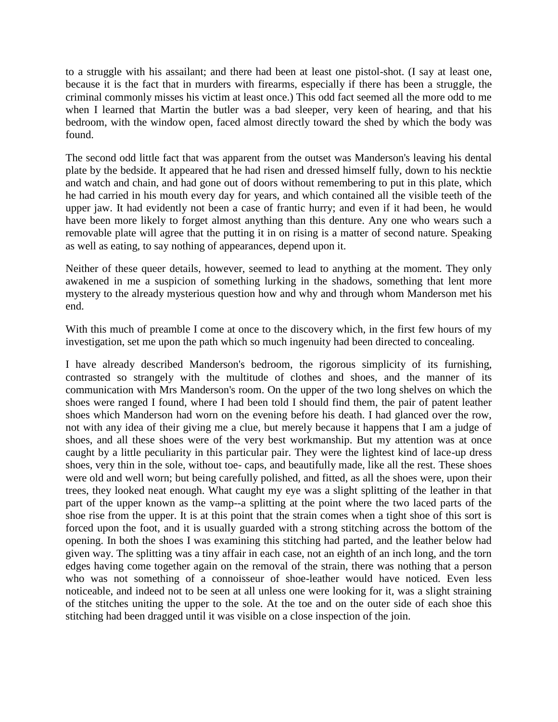to a struggle with his assailant; and there had been at least one pistol-shot. (I say at least one, because it is the fact that in murders with firearms, especially if there has been a struggle, the criminal commonly misses his victim at least once.) This odd fact seemed all the more odd to me when I learned that Martin the butler was a bad sleeper, very keen of hearing, and that his bedroom, with the window open, faced almost directly toward the shed by which the body was found.

The second odd little fact that was apparent from the outset was Manderson's leaving his dental plate by the bedside. It appeared that he had risen and dressed himself fully, down to his necktie and watch and chain, and had gone out of doors without remembering to put in this plate, which he had carried in his mouth every day for years, and which contained all the visible teeth of the upper jaw. It had evidently not been a case of frantic hurry; and even if it had been, he would have been more likely to forget almost anything than this denture. Any one who wears such a removable plate will agree that the putting it in on rising is a matter of second nature. Speaking as well as eating, to say nothing of appearances, depend upon it.

Neither of these queer details, however, seemed to lead to anything at the moment. They only awakened in me a suspicion of something lurking in the shadows, something that lent more mystery to the already mysterious question how and why and through whom Manderson met his end.

With this much of preamble I come at once to the discovery which, in the first few hours of my investigation, set me upon the path which so much ingenuity had been directed to concealing.

I have already described Manderson's bedroom, the rigorous simplicity of its furnishing, contrasted so strangely with the multitude of clothes and shoes, and the manner of its communication with Mrs Manderson's room. On the upper of the two long shelves on which the shoes were ranged I found, where I had been told I should find them, the pair of patent leather shoes which Manderson had worn on the evening before his death. I had glanced over the row, not with any idea of their giving me a clue, but merely because it happens that I am a judge of shoes, and all these shoes were of the very best workmanship. But my attention was at once caught by a little peculiarity in this particular pair. They were the lightest kind of lace-up dress shoes, very thin in the sole, without toe- caps, and beautifully made, like all the rest. These shoes were old and well worn; but being carefully polished, and fitted, as all the shoes were, upon their trees, they looked neat enough. What caught my eye was a slight splitting of the leather in that part of the upper known as the vamp--a splitting at the point where the two laced parts of the shoe rise from the upper. It is at this point that the strain comes when a tight shoe of this sort is forced upon the foot, and it is usually guarded with a strong stitching across the bottom of the opening. In both the shoes I was examining this stitching had parted, and the leather below had given way. The splitting was a tiny affair in each case, not an eighth of an inch long, and the torn edges having come together again on the removal of the strain, there was nothing that a person who was not something of a connoisseur of shoe-leather would have noticed. Even less noticeable, and indeed not to be seen at all unless one were looking for it, was a slight straining of the stitches uniting the upper to the sole. At the toe and on the outer side of each shoe this stitching had been dragged until it was visible on a close inspection of the join.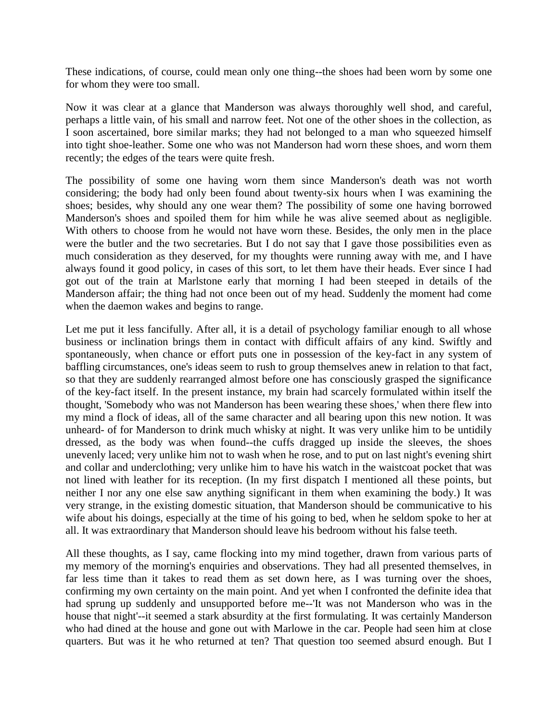These indications, of course, could mean only one thing--the shoes had been worn by some one for whom they were too small.

Now it was clear at a glance that Manderson was always thoroughly well shod, and careful, perhaps a little vain, of his small and narrow feet. Not one of the other shoes in the collection, as I soon ascertained, bore similar marks; they had not belonged to a man who squeezed himself into tight shoe-leather. Some one who was not Manderson had worn these shoes, and worn them recently; the edges of the tears were quite fresh.

The possibility of some one having worn them since Manderson's death was not worth considering; the body had only been found about twenty-six hours when I was examining the shoes; besides, why should any one wear them? The possibility of some one having borrowed Manderson's shoes and spoiled them for him while he was alive seemed about as negligible. With others to choose from he would not have worn these. Besides, the only men in the place were the butler and the two secretaries. But I do not say that I gave those possibilities even as much consideration as they deserved, for my thoughts were running away with me, and I have always found it good policy, in cases of this sort, to let them have their heads. Ever since I had got out of the train at Marlstone early that morning I had been steeped in details of the Manderson affair; the thing had not once been out of my head. Suddenly the moment had come when the daemon wakes and begins to range.

Let me put it less fancifully. After all, it is a detail of psychology familiar enough to all whose business or inclination brings them in contact with difficult affairs of any kind. Swiftly and spontaneously, when chance or effort puts one in possession of the key-fact in any system of baffling circumstances, one's ideas seem to rush to group themselves anew in relation to that fact, so that they are suddenly rearranged almost before one has consciously grasped the significance of the key-fact itself. In the present instance, my brain had scarcely formulated within itself the thought, 'Somebody who was not Manderson has been wearing these shoes,' when there flew into my mind a flock of ideas, all of the same character and all bearing upon this new notion. It was unheard- of for Manderson to drink much whisky at night. It was very unlike him to be untidily dressed, as the body was when found--the cuffs dragged up inside the sleeves, the shoes unevenly laced; very unlike him not to wash when he rose, and to put on last night's evening shirt and collar and underclothing; very unlike him to have his watch in the waistcoat pocket that was not lined with leather for its reception. (In my first dispatch I mentioned all these points, but neither I nor any one else saw anything significant in them when examining the body.) It was very strange, in the existing domestic situation, that Manderson should be communicative to his wife about his doings, especially at the time of his going to bed, when he seldom spoke to her at all. It was extraordinary that Manderson should leave his bedroom without his false teeth.

All these thoughts, as I say, came flocking into my mind together, drawn from various parts of my memory of the morning's enquiries and observations. They had all presented themselves, in far less time than it takes to read them as set down here, as I was turning over the shoes, confirming my own certainty on the main point. And yet when I confronted the definite idea that had sprung up suddenly and unsupported before me--'It was not Manderson who was in the house that night'--it seemed a stark absurdity at the first formulating. It was certainly Manderson who had dined at the house and gone out with Marlowe in the car. People had seen him at close quarters. But was it he who returned at ten? That question too seemed absurd enough. But I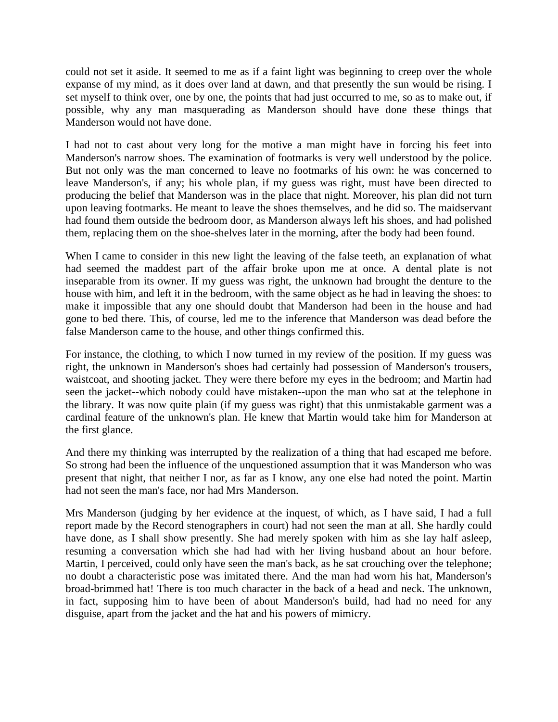could not set it aside. It seemed to me as if a faint light was beginning to creep over the whole expanse of my mind, as it does over land at dawn, and that presently the sun would be rising. I set myself to think over, one by one, the points that had just occurred to me, so as to make out, if possible, why any man masquerading as Manderson should have done these things that Manderson would not have done.

I had not to cast about very long for the motive a man might have in forcing his feet into Manderson's narrow shoes. The examination of footmarks is very well understood by the police. But not only was the man concerned to leave no footmarks of his own: he was concerned to leave Manderson's, if any; his whole plan, if my guess was right, must have been directed to producing the belief that Manderson was in the place that night. Moreover, his plan did not turn upon leaving footmarks. He meant to leave the shoes themselves, and he did so. The maidservant had found them outside the bedroom door, as Manderson always left his shoes, and had polished them, replacing them on the shoe-shelves later in the morning, after the body had been found.

When I came to consider in this new light the leaving of the false teeth, an explanation of what had seemed the maddest part of the affair broke upon me at once. A dental plate is not inseparable from its owner. If my guess was right, the unknown had brought the denture to the house with him, and left it in the bedroom, with the same object as he had in leaving the shoes: to make it impossible that any one should doubt that Manderson had been in the house and had gone to bed there. This, of course, led me to the inference that Manderson was dead before the false Manderson came to the house, and other things confirmed this.

For instance, the clothing, to which I now turned in my review of the position. If my guess was right, the unknown in Manderson's shoes had certainly had possession of Manderson's trousers, waistcoat, and shooting jacket. They were there before my eyes in the bedroom; and Martin had seen the jacket--which nobody could have mistaken--upon the man who sat at the telephone in the library. It was now quite plain (if my guess was right) that this unmistakable garment was a cardinal feature of the unknown's plan. He knew that Martin would take him for Manderson at the first glance.

And there my thinking was interrupted by the realization of a thing that had escaped me before. So strong had been the influence of the unquestioned assumption that it was Manderson who was present that night, that neither I nor, as far as I know, any one else had noted the point. Martin had not seen the man's face, nor had Mrs Manderson.

Mrs Manderson (judging by her evidence at the inquest, of which, as I have said, I had a full report made by the Record stenographers in court) had not seen the man at all. She hardly could have done, as I shall show presently. She had merely spoken with him as she lay half asleep, resuming a conversation which she had had with her living husband about an hour before. Martin, I perceived, could only have seen the man's back, as he sat crouching over the telephone; no doubt a characteristic pose was imitated there. And the man had worn his hat, Manderson's broad-brimmed hat! There is too much character in the back of a head and neck. The unknown, in fact, supposing him to have been of about Manderson's build, had had no need for any disguise, apart from the jacket and the hat and his powers of mimicry.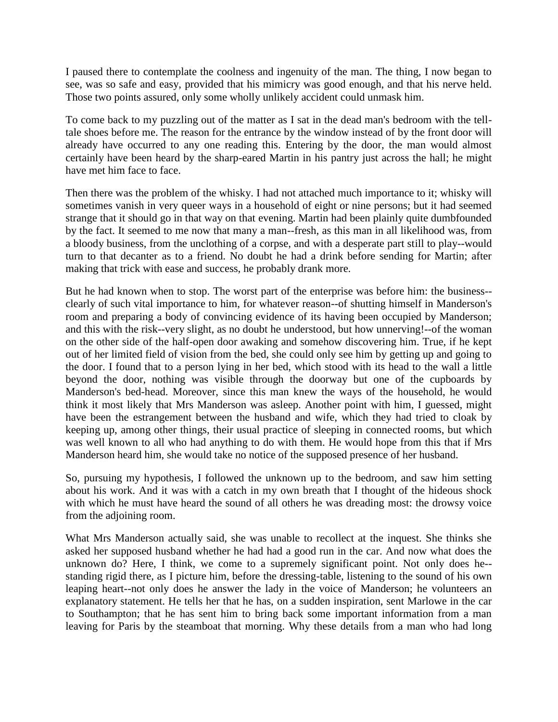I paused there to contemplate the coolness and ingenuity of the man. The thing, I now began to see, was so safe and easy, provided that his mimicry was good enough, and that his nerve held. Those two points assured, only some wholly unlikely accident could unmask him.

To come back to my puzzling out of the matter as I sat in the dead man's bedroom with the telltale shoes before me. The reason for the entrance by the window instead of by the front door will already have occurred to any one reading this. Entering by the door, the man would almost certainly have been heard by the sharp-eared Martin in his pantry just across the hall; he might have met him face to face.

Then there was the problem of the whisky. I had not attached much importance to it; whisky will sometimes vanish in very queer ways in a household of eight or nine persons; but it had seemed strange that it should go in that way on that evening. Martin had been plainly quite dumbfounded by the fact. It seemed to me now that many a man--fresh, as this man in all likelihood was, from a bloody business, from the unclothing of a corpse, and with a desperate part still to play--would turn to that decanter as to a friend. No doubt he had a drink before sending for Martin; after making that trick with ease and success, he probably drank more.

But he had known when to stop. The worst part of the enterprise was before him: the business- clearly of such vital importance to him, for whatever reason--of shutting himself in Manderson's room and preparing a body of convincing evidence of its having been occupied by Manderson; and this with the risk--very slight, as no doubt he understood, but how unnerving!--of the woman on the other side of the half-open door awaking and somehow discovering him. True, if he kept out of her limited field of vision from the bed, she could only see him by getting up and going to the door. I found that to a person lying in her bed, which stood with its head to the wall a little beyond the door, nothing was visible through the doorway but one of the cupboards by Manderson's bed-head. Moreover, since this man knew the ways of the household, he would think it most likely that Mrs Manderson was asleep. Another point with him, I guessed, might have been the estrangement between the husband and wife, which they had tried to cloak by keeping up, among other things, their usual practice of sleeping in connected rooms, but which was well known to all who had anything to do with them. He would hope from this that if Mrs Manderson heard him, she would take no notice of the supposed presence of her husband.

So, pursuing my hypothesis, I followed the unknown up to the bedroom, and saw him setting about his work. And it was with a catch in my own breath that I thought of the hideous shock with which he must have heard the sound of all others he was dreading most: the drowsy voice from the adjoining room.

What Mrs Manderson actually said, she was unable to recollect at the inquest. She thinks she asked her supposed husband whether he had had a good run in the car. And now what does the unknown do? Here, I think, we come to a supremely significant point. Not only does he- standing rigid there, as I picture him, before the dressing-table, listening to the sound of his own leaping heart--not only does he answer the lady in the voice of Manderson; he volunteers an explanatory statement. He tells her that he has, on a sudden inspiration, sent Marlowe in the car to Southampton; that he has sent him to bring back some important information from a man leaving for Paris by the steamboat that morning. Why these details from a man who had long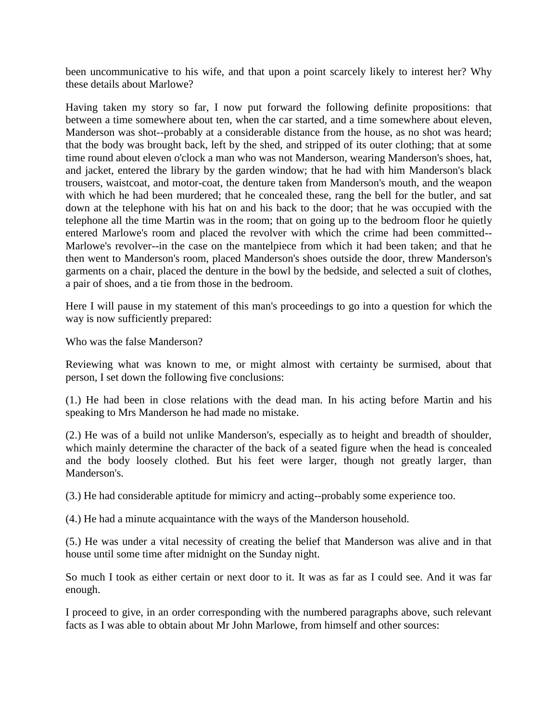been uncommunicative to his wife, and that upon a point scarcely likely to interest her? Why these details about Marlowe?

Having taken my story so far, I now put forward the following definite propositions: that between a time somewhere about ten, when the car started, and a time somewhere about eleven, Manderson was shot--probably at a considerable distance from the house, as no shot was heard; that the body was brought back, left by the shed, and stripped of its outer clothing; that at some time round about eleven o'clock a man who was not Manderson, wearing Manderson's shoes, hat, and jacket, entered the library by the garden window; that he had with him Manderson's black trousers, waistcoat, and motor-coat, the denture taken from Manderson's mouth, and the weapon with which he had been murdered; that he concealed these, rang the bell for the butler, and sat down at the telephone with his hat on and his back to the door; that he was occupied with the telephone all the time Martin was in the room; that on going up to the bedroom floor he quietly entered Marlowe's room and placed the revolver with which the crime had been committed-- Marlowe's revolver--in the case on the mantelpiece from which it had been taken; and that he then went to Manderson's room, placed Manderson's shoes outside the door, threw Manderson's garments on a chair, placed the denture in the bowl by the bedside, and selected a suit of clothes, a pair of shoes, and a tie from those in the bedroom.

Here I will pause in my statement of this man's proceedings to go into a question for which the way is now sufficiently prepared:

Who was the false Manderson?

Reviewing what was known to me, or might almost with certainty be surmised, about that person, I set down the following five conclusions:

(1.) He had been in close relations with the dead man. In his acting before Martin and his speaking to Mrs Manderson he had made no mistake.

(2.) He was of a build not unlike Manderson's, especially as to height and breadth of shoulder, which mainly determine the character of the back of a seated figure when the head is concealed and the body loosely clothed. But his feet were larger, though not greatly larger, than Manderson's.

(3.) He had considerable aptitude for mimicry and acting--probably some experience too.

(4.) He had a minute acquaintance with the ways of the Manderson household.

(5.) He was under a vital necessity of creating the belief that Manderson was alive and in that house until some time after midnight on the Sunday night.

So much I took as either certain or next door to it. It was as far as I could see. And it was far enough.

I proceed to give, in an order corresponding with the numbered paragraphs above, such relevant facts as I was able to obtain about Mr John Marlowe, from himself and other sources: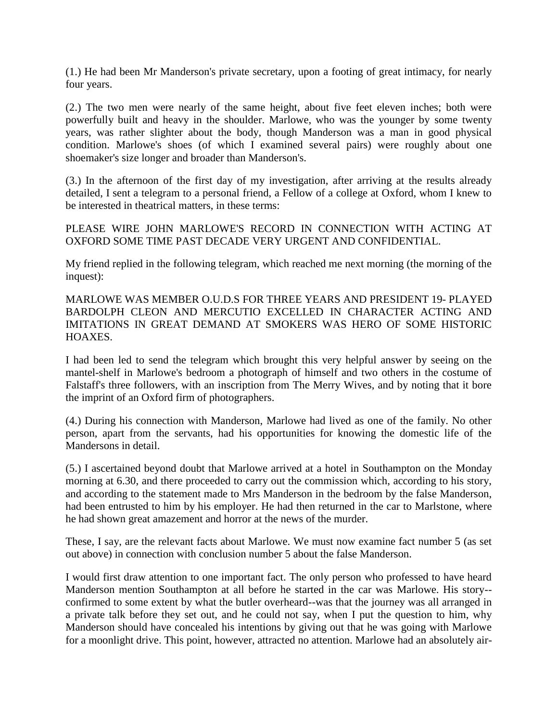(1.) He had been Mr Manderson's private secretary, upon a footing of great intimacy, for nearly four years.

(2.) The two men were nearly of the same height, about five feet eleven inches; both were powerfully built and heavy in the shoulder. Marlowe, who was the younger by some twenty years, was rather slighter about the body, though Manderson was a man in good physical condition. Marlowe's shoes (of which I examined several pairs) were roughly about one shoemaker's size longer and broader than Manderson's.

(3.) In the afternoon of the first day of my investigation, after arriving at the results already detailed, I sent a telegram to a personal friend, a Fellow of a college at Oxford, whom I knew to be interested in theatrical matters, in these terms:

PLEASE WIRE JOHN MARLOWE'S RECORD IN CONNECTION WITH ACTING AT OXFORD SOME TIME PAST DECADE VERY URGENT AND CONFIDENTIAL.

My friend replied in the following telegram, which reached me next morning (the morning of the inquest):

MARLOWE WAS MEMBER O.U.D.S FOR THREE YEARS AND PRESIDENT 19- PLAYED BARDOLPH CLEON AND MERCUTIO EXCELLED IN CHARACTER ACTING AND IMITATIONS IN GREAT DEMAND AT SMOKERS WAS HERO OF SOME HISTORIC HOAXES.

I had been led to send the telegram which brought this very helpful answer by seeing on the mantel-shelf in Marlowe's bedroom a photograph of himself and two others in the costume of Falstaff's three followers, with an inscription from The Merry Wives, and by noting that it bore the imprint of an Oxford firm of photographers.

(4.) During his connection with Manderson, Marlowe had lived as one of the family. No other person, apart from the servants, had his opportunities for knowing the domestic life of the Mandersons in detail.

(5.) I ascertained beyond doubt that Marlowe arrived at a hotel in Southampton on the Monday morning at 6.30, and there proceeded to carry out the commission which, according to his story, and according to the statement made to Mrs Manderson in the bedroom by the false Manderson, had been entrusted to him by his employer. He had then returned in the car to Marlstone, where he had shown great amazement and horror at the news of the murder.

These, I say, are the relevant facts about Marlowe. We must now examine fact number 5 (as set out above) in connection with conclusion number 5 about the false Manderson.

I would first draw attention to one important fact. The only person who professed to have heard Manderson mention Southampton at all before he started in the car was Marlowe. His story- confirmed to some extent by what the butler overheard--was that the journey was all arranged in a private talk before they set out, and he could not say, when I put the question to him, why Manderson should have concealed his intentions by giving out that he was going with Marlowe for a moonlight drive. This point, however, attracted no attention. Marlowe had an absolutely air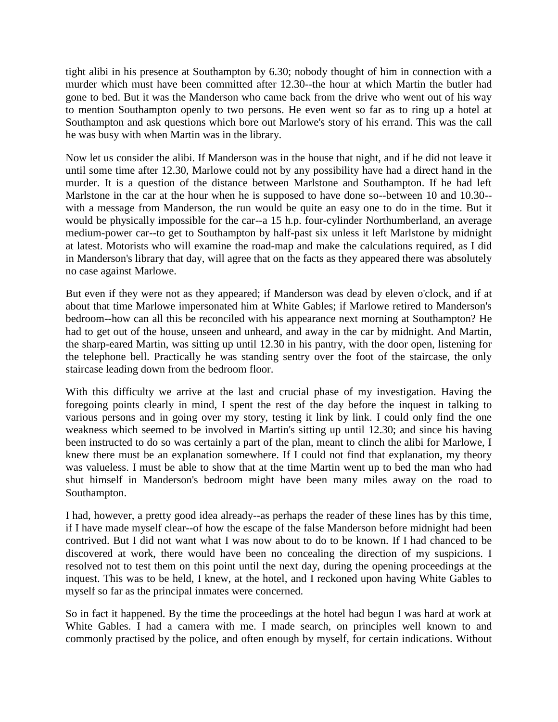tight alibi in his presence at Southampton by 6.30; nobody thought of him in connection with a murder which must have been committed after 12.30--the hour at which Martin the butler had gone to bed. But it was the Manderson who came back from the drive who went out of his way to mention Southampton openly to two persons. He even went so far as to ring up a hotel at Southampton and ask questions which bore out Marlowe's story of his errand. This was the call he was busy with when Martin was in the library.

Now let us consider the alibi. If Manderson was in the house that night, and if he did not leave it until some time after 12.30, Marlowe could not by any possibility have had a direct hand in the murder. It is a question of the distance between Marlstone and Southampton. If he had left Marlstone in the car at the hour when he is supposed to have done so--between 10 and 10.30- with a message from Manderson, the run would be quite an easy one to do in the time. But it would be physically impossible for the car--a 15 h.p. four-cylinder Northumberland, an average medium-power car--to get to Southampton by half-past six unless it left Marlstone by midnight at latest. Motorists who will examine the road-map and make the calculations required, as I did in Manderson's library that day, will agree that on the facts as they appeared there was absolutely no case against Marlowe.

But even if they were not as they appeared; if Manderson was dead by eleven o'clock, and if at about that time Marlowe impersonated him at White Gables; if Marlowe retired to Manderson's bedroom--how can all this be reconciled with his appearance next morning at Southampton? He had to get out of the house, unseen and unheard, and away in the car by midnight. And Martin, the sharp-eared Martin, was sitting up until 12.30 in his pantry, with the door open, listening for the telephone bell. Practically he was standing sentry over the foot of the staircase, the only staircase leading down from the bedroom floor.

With this difficulty we arrive at the last and crucial phase of my investigation. Having the foregoing points clearly in mind, I spent the rest of the day before the inquest in talking to various persons and in going over my story, testing it link by link. I could only find the one weakness which seemed to be involved in Martin's sitting up until 12.30; and since his having been instructed to do so was certainly a part of the plan, meant to clinch the alibi for Marlowe, I knew there must be an explanation somewhere. If I could not find that explanation, my theory was valueless. I must be able to show that at the time Martin went up to bed the man who had shut himself in Manderson's bedroom might have been many miles away on the road to Southampton.

I had, however, a pretty good idea already--as perhaps the reader of these lines has by this time, if I have made myself clear--of how the escape of the false Manderson before midnight had been contrived. But I did not want what I was now about to do to be known. If I had chanced to be discovered at work, there would have been no concealing the direction of my suspicions. I resolved not to test them on this point until the next day, during the opening proceedings at the inquest. This was to be held, I knew, at the hotel, and I reckoned upon having White Gables to myself so far as the principal inmates were concerned.

So in fact it happened. By the time the proceedings at the hotel had begun I was hard at work at White Gables. I had a camera with me. I made search, on principles well known to and commonly practised by the police, and often enough by myself, for certain indications. Without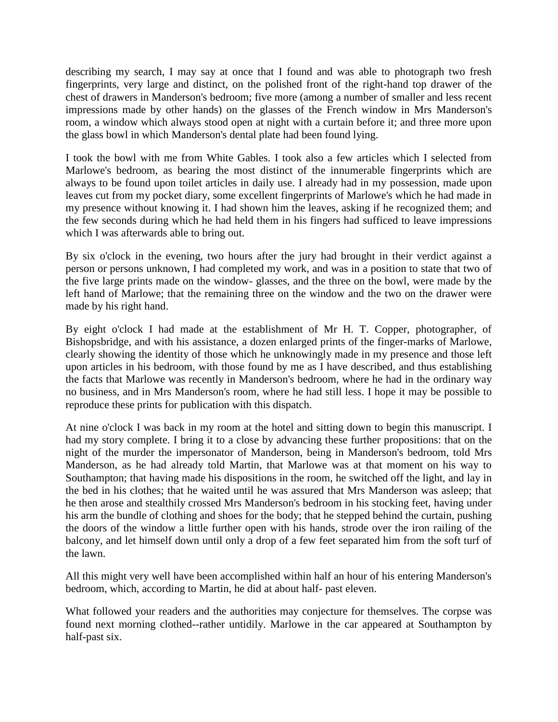describing my search, I may say at once that I found and was able to photograph two fresh fingerprints, very large and distinct, on the polished front of the right-hand top drawer of the chest of drawers in Manderson's bedroom; five more (among a number of smaller and less recent impressions made by other hands) on the glasses of the French window in Mrs Manderson's room, a window which always stood open at night with a curtain before it; and three more upon the glass bowl in which Manderson's dental plate had been found lying.

I took the bowl with me from White Gables. I took also a few articles which I selected from Marlowe's bedroom, as bearing the most distinct of the innumerable fingerprints which are always to be found upon toilet articles in daily use. I already had in my possession, made upon leaves cut from my pocket diary, some excellent fingerprints of Marlowe's which he had made in my presence without knowing it. I had shown him the leaves, asking if he recognized them; and the few seconds during which he had held them in his fingers had sufficed to leave impressions which I was afterwards able to bring out.

By six o'clock in the evening, two hours after the jury had brought in their verdict against a person or persons unknown, I had completed my work, and was in a position to state that two of the five large prints made on the window- glasses, and the three on the bowl, were made by the left hand of Marlowe; that the remaining three on the window and the two on the drawer were made by his right hand.

By eight o'clock I had made at the establishment of Mr H. T. Copper, photographer, of Bishopsbridge, and with his assistance, a dozen enlarged prints of the finger-marks of Marlowe, clearly showing the identity of those which he unknowingly made in my presence and those left upon articles in his bedroom, with those found by me as I have described, and thus establishing the facts that Marlowe was recently in Manderson's bedroom, where he had in the ordinary way no business, and in Mrs Manderson's room, where he had still less. I hope it may be possible to reproduce these prints for publication with this dispatch.

At nine o'clock I was back in my room at the hotel and sitting down to begin this manuscript. I had my story complete. I bring it to a close by advancing these further propositions: that on the night of the murder the impersonator of Manderson, being in Manderson's bedroom, told Mrs Manderson, as he had already told Martin, that Marlowe was at that moment on his way to Southampton; that having made his dispositions in the room, he switched off the light, and lay in the bed in his clothes; that he waited until he was assured that Mrs Manderson was asleep; that he then arose and stealthily crossed Mrs Manderson's bedroom in his stocking feet, having under his arm the bundle of clothing and shoes for the body; that he stepped behind the curtain, pushing the doors of the window a little further open with his hands, strode over the iron railing of the balcony, and let himself down until only a drop of a few feet separated him from the soft turf of the lawn.

All this might very well have been accomplished within half an hour of his entering Manderson's bedroom, which, according to Martin, he did at about half- past eleven.

What followed your readers and the authorities may conjecture for themselves. The corpse was found next morning clothed--rather untidily. Marlowe in the car appeared at Southampton by half-past six.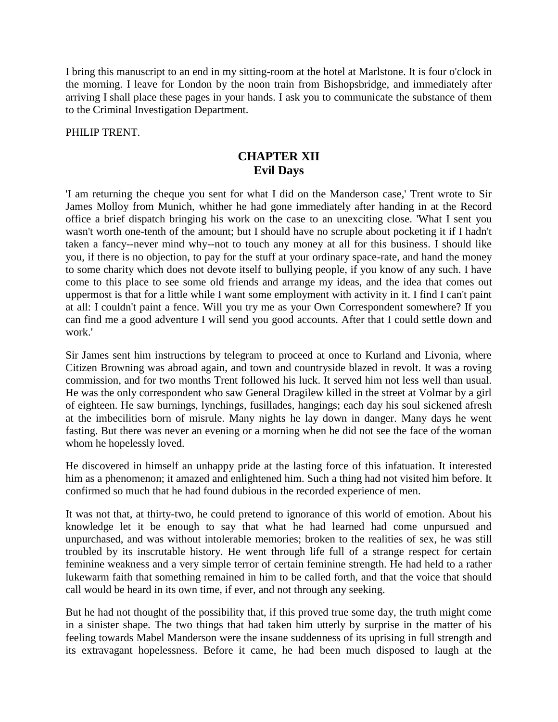I bring this manuscript to an end in my sitting-room at the hotel at Marlstone. It is four o'clock in the morning. I leave for London by the noon train from Bishopsbridge, and immediately after arriving I shall place these pages in your hands. I ask you to communicate the substance of them to the Criminal Investigation Department.

PHILIP TRENT.

### **CHAPTER XII Evil Days**

'I am returning the cheque you sent for what I did on the Manderson case,' Trent wrote to Sir James Molloy from Munich, whither he had gone immediately after handing in at the Record office a brief dispatch bringing his work on the case to an unexciting close. 'What I sent you wasn't worth one-tenth of the amount; but I should have no scruple about pocketing it if I hadn't taken a fancy--never mind why--not to touch any money at all for this business. I should like you, if there is no objection, to pay for the stuff at your ordinary space-rate, and hand the money to some charity which does not devote itself to bullying people, if you know of any such. I have come to this place to see some old friends and arrange my ideas, and the idea that comes out uppermost is that for a little while I want some employment with activity in it. I find I can't paint at all: I couldn't paint a fence. Will you try me as your Own Correspondent somewhere? If you can find me a good adventure I will send you good accounts. After that I could settle down and work.'

Sir James sent him instructions by telegram to proceed at once to Kurland and Livonia, where Citizen Browning was abroad again, and town and countryside blazed in revolt. It was a roving commission, and for two months Trent followed his luck. It served him not less well than usual. He was the only correspondent who saw General Dragilew killed in the street at Volmar by a girl of eighteen. He saw burnings, lynchings, fusillades, hangings; each day his soul sickened afresh at the imbecilities born of misrule. Many nights he lay down in danger. Many days he went fasting. But there was never an evening or a morning when he did not see the face of the woman whom he hopelessly loved.

He discovered in himself an unhappy pride at the lasting force of this infatuation. It interested him as a phenomenon; it amazed and enlightened him. Such a thing had not visited him before. It confirmed so much that he had found dubious in the recorded experience of men.

It was not that, at thirty-two, he could pretend to ignorance of this world of emotion. About his knowledge let it be enough to say that what he had learned had come unpursued and unpurchased, and was without intolerable memories; broken to the realities of sex, he was still troubled by its inscrutable history. He went through life full of a strange respect for certain feminine weakness and a very simple terror of certain feminine strength. He had held to a rather lukewarm faith that something remained in him to be called forth, and that the voice that should call would be heard in its own time, if ever, and not through any seeking.

But he had not thought of the possibility that, if this proved true some day, the truth might come in a sinister shape. The two things that had taken him utterly by surprise in the matter of his feeling towards Mabel Manderson were the insane suddenness of its uprising in full strength and its extravagant hopelessness. Before it came, he had been much disposed to laugh at the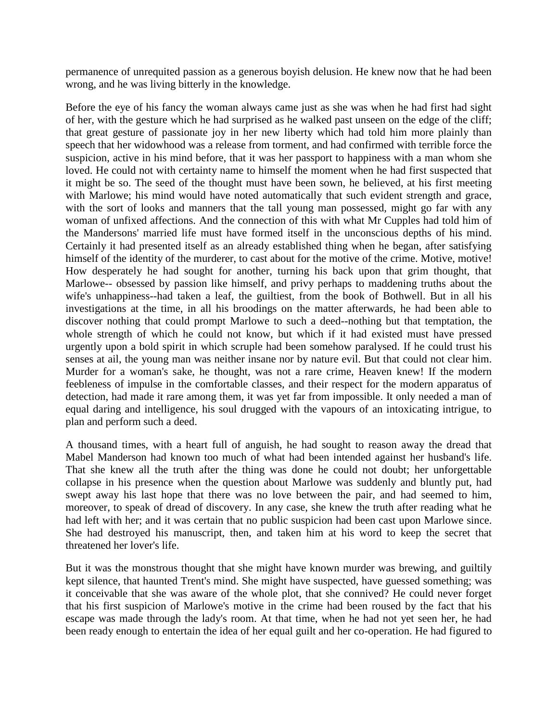permanence of unrequited passion as a generous boyish delusion. He knew now that he had been wrong, and he was living bitterly in the knowledge.

Before the eye of his fancy the woman always came just as she was when he had first had sight of her, with the gesture which he had surprised as he walked past unseen on the edge of the cliff; that great gesture of passionate joy in her new liberty which had told him more plainly than speech that her widowhood was a release from torment, and had confirmed with terrible force the suspicion, active in his mind before, that it was her passport to happiness with a man whom she loved. He could not with certainty name to himself the moment when he had first suspected that it might be so. The seed of the thought must have been sown, he believed, at his first meeting with Marlowe; his mind would have noted automatically that such evident strength and grace, with the sort of looks and manners that the tall young man possessed, might go far with any woman of unfixed affections. And the connection of this with what Mr Cupples had told him of the Mandersons' married life must have formed itself in the unconscious depths of his mind. Certainly it had presented itself as an already established thing when he began, after satisfying himself of the identity of the murderer, to cast about for the motive of the crime. Motive, motive! How desperately he had sought for another, turning his back upon that grim thought, that Marlowe-- obsessed by passion like himself, and privy perhaps to maddening truths about the wife's unhappiness--had taken a leaf, the guiltiest, from the book of Bothwell. But in all his investigations at the time, in all his broodings on the matter afterwards, he had been able to discover nothing that could prompt Marlowe to such a deed--nothing but that temptation, the whole strength of which he could not know, but which if it had existed must have pressed urgently upon a bold spirit in which scruple had been somehow paralysed. If he could trust his senses at ail, the young man was neither insane nor by nature evil. But that could not clear him. Murder for a woman's sake, he thought, was not a rare crime, Heaven knew! If the modern feebleness of impulse in the comfortable classes, and their respect for the modern apparatus of detection, had made it rare among them, it was yet far from impossible. It only needed a man of equal daring and intelligence, his soul drugged with the vapours of an intoxicating intrigue, to plan and perform such a deed.

A thousand times, with a heart full of anguish, he had sought to reason away the dread that Mabel Manderson had known too much of what had been intended against her husband's life. That she knew all the truth after the thing was done he could not doubt; her unforgettable collapse in his presence when the question about Marlowe was suddenly and bluntly put, had swept away his last hope that there was no love between the pair, and had seemed to him, moreover, to speak of dread of discovery. In any case, she knew the truth after reading what he had left with her; and it was certain that no public suspicion had been cast upon Marlowe since. She had destroyed his manuscript, then, and taken him at his word to keep the secret that threatened her lover's life.

But it was the monstrous thought that she might have known murder was brewing, and guiltily kept silence, that haunted Trent's mind. She might have suspected, have guessed something; was it conceivable that she was aware of the whole plot, that she connived? He could never forget that his first suspicion of Marlowe's motive in the crime had been roused by the fact that his escape was made through the lady's room. At that time, when he had not yet seen her, he had been ready enough to entertain the idea of her equal guilt and her co-operation. He had figured to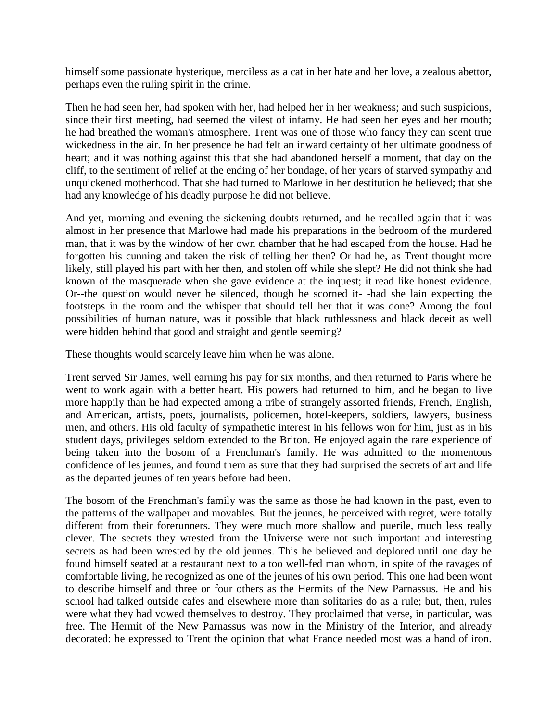himself some passionate hysterique, merciless as a cat in her hate and her love, a zealous abettor, perhaps even the ruling spirit in the crime.

Then he had seen her, had spoken with her, had helped her in her weakness; and such suspicions, since their first meeting, had seemed the vilest of infamy. He had seen her eyes and her mouth; he had breathed the woman's atmosphere. Trent was one of those who fancy they can scent true wickedness in the air. In her presence he had felt an inward certainty of her ultimate goodness of heart; and it was nothing against this that she had abandoned herself a moment, that day on the cliff, to the sentiment of relief at the ending of her bondage, of her years of starved sympathy and unquickened motherhood. That she had turned to Marlowe in her destitution he believed; that she had any knowledge of his deadly purpose he did not believe.

And yet, morning and evening the sickening doubts returned, and he recalled again that it was almost in her presence that Marlowe had made his preparations in the bedroom of the murdered man, that it was by the window of her own chamber that he had escaped from the house. Had he forgotten his cunning and taken the risk of telling her then? Or had he, as Trent thought more likely, still played his part with her then, and stolen off while she slept? He did not think she had known of the masquerade when she gave evidence at the inquest; it read like honest evidence. Or--the question would never be silenced, though he scorned it- -had she lain expecting the footsteps in the room and the whisper that should tell her that it was done? Among the foul possibilities of human nature, was it possible that black ruthlessness and black deceit as well were hidden behind that good and straight and gentle seeming?

These thoughts would scarcely leave him when he was alone.

Trent served Sir James, well earning his pay for six months, and then returned to Paris where he went to work again with a better heart. His powers had returned to him, and he began to live more happily than he had expected among a tribe of strangely assorted friends, French, English, and American, artists, poets, journalists, policemen, hotel-keepers, soldiers, lawyers, business men, and others. His old faculty of sympathetic interest in his fellows won for him, just as in his student days, privileges seldom extended to the Briton. He enjoyed again the rare experience of being taken into the bosom of a Frenchman's family. He was admitted to the momentous confidence of les jeunes, and found them as sure that they had surprised the secrets of art and life as the departed jeunes of ten years before had been.

The bosom of the Frenchman's family was the same as those he had known in the past, even to the patterns of the wallpaper and movables. But the jeunes, he perceived with regret, were totally different from their forerunners. They were much more shallow and puerile, much less really clever. The secrets they wrested from the Universe were not such important and interesting secrets as had been wrested by the old jeunes. This he believed and deplored until one day he found himself seated at a restaurant next to a too well-fed man whom, in spite of the ravages of comfortable living, he recognized as one of the jeunes of his own period. This one had been wont to describe himself and three or four others as the Hermits of the New Parnassus. He and his school had talked outside cafes and elsewhere more than solitaries do as a rule; but, then, rules were what they had vowed themselves to destroy. They proclaimed that verse, in particular, was free. The Hermit of the New Parnassus was now in the Ministry of the Interior, and already decorated: he expressed to Trent the opinion that what France needed most was a hand of iron.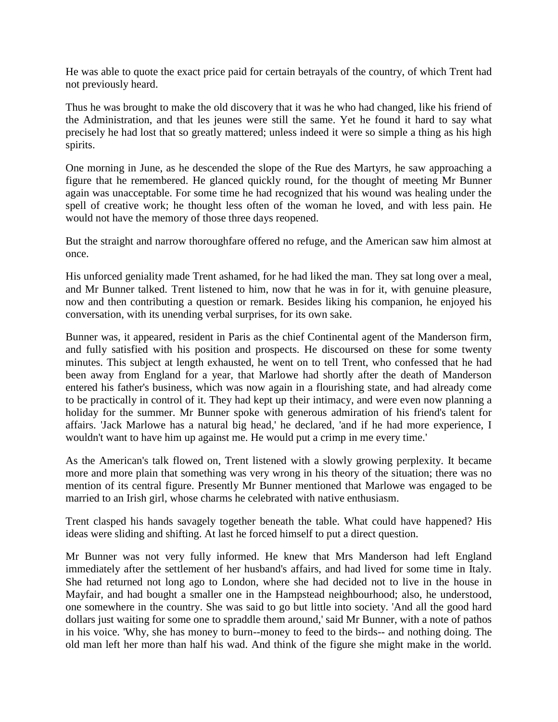He was able to quote the exact price paid for certain betrayals of the country, of which Trent had not previously heard.

Thus he was brought to make the old discovery that it was he who had changed, like his friend of the Administration, and that les jeunes were still the same. Yet he found it hard to say what precisely he had lost that so greatly mattered; unless indeed it were so simple a thing as his high spirits.

One morning in June, as he descended the slope of the Rue des Martyrs, he saw approaching a figure that he remembered. He glanced quickly round, for the thought of meeting Mr Bunner again was unacceptable. For some time he had recognized that his wound was healing under the spell of creative work; he thought less often of the woman he loved, and with less pain. He would not have the memory of those three days reopened.

But the straight and narrow thoroughfare offered no refuge, and the American saw him almost at once.

His unforced geniality made Trent ashamed, for he had liked the man. They sat long over a meal, and Mr Bunner talked. Trent listened to him, now that he was in for it, with genuine pleasure, now and then contributing a question or remark. Besides liking his companion, he enjoyed his conversation, with its unending verbal surprises, for its own sake.

Bunner was, it appeared, resident in Paris as the chief Continental agent of the Manderson firm, and fully satisfied with his position and prospects. He discoursed on these for some twenty minutes. This subject at length exhausted, he went on to tell Trent, who confessed that he had been away from England for a year, that Marlowe had shortly after the death of Manderson entered his father's business, which was now again in a flourishing state, and had already come to be practically in control of it. They had kept up their intimacy, and were even now planning a holiday for the summer. Mr Bunner spoke with generous admiration of his friend's talent for affairs. 'Jack Marlowe has a natural big head,' he declared, 'and if he had more experience, I wouldn't want to have him up against me. He would put a crimp in me every time.'

As the American's talk flowed on, Trent listened with a slowly growing perplexity. It became more and more plain that something was very wrong in his theory of the situation; there was no mention of its central figure. Presently Mr Bunner mentioned that Marlowe was engaged to be married to an Irish girl, whose charms he celebrated with native enthusiasm.

Trent clasped his hands savagely together beneath the table. What could have happened? His ideas were sliding and shifting. At last he forced himself to put a direct question.

Mr Bunner was not very fully informed. He knew that Mrs Manderson had left England immediately after the settlement of her husband's affairs, and had lived for some time in Italy. She had returned not long ago to London, where she had decided not to live in the house in Mayfair, and had bought a smaller one in the Hampstead neighbourhood; also, he understood, one somewhere in the country. She was said to go but little into society. 'And all the good hard dollars just waiting for some one to spraddle them around,' said Mr Bunner, with a note of pathos in his voice. 'Why, she has money to burn--money to feed to the birds-- and nothing doing. The old man left her more than half his wad. And think of the figure she might make in the world.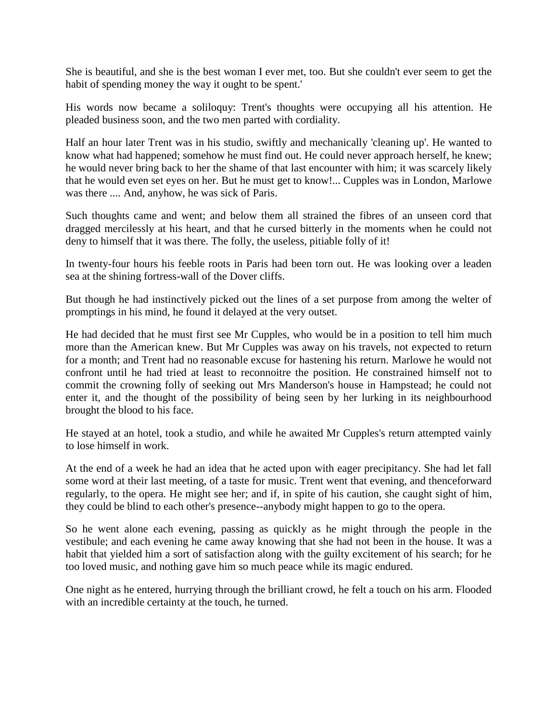She is beautiful, and she is the best woman I ever met, too. But she couldn't ever seem to get the habit of spending money the way it ought to be spent.'

His words now became a soliloquy: Trent's thoughts were occupying all his attention. He pleaded business soon, and the two men parted with cordiality.

Half an hour later Trent was in his studio, swiftly and mechanically 'cleaning up'. He wanted to know what had happened; somehow he must find out. He could never approach herself, he knew; he would never bring back to her the shame of that last encounter with him; it was scarcely likely that he would even set eyes on her. But he must get to know!... Cupples was in London, Marlowe was there .... And, anyhow, he was sick of Paris.

Such thoughts came and went; and below them all strained the fibres of an unseen cord that dragged mercilessly at his heart, and that he cursed bitterly in the moments when he could not deny to himself that it was there. The folly, the useless, pitiable folly of it!

In twenty-four hours his feeble roots in Paris had been torn out. He was looking over a leaden sea at the shining fortress-wall of the Dover cliffs.

But though he had instinctively picked out the lines of a set purpose from among the welter of promptings in his mind, he found it delayed at the very outset.

He had decided that he must first see Mr Cupples, who would be in a position to tell him much more than the American knew. But Mr Cupples was away on his travels, not expected to return for a month; and Trent had no reasonable excuse for hastening his return. Marlowe he would not confront until he had tried at least to reconnoitre the position. He constrained himself not to commit the crowning folly of seeking out Mrs Manderson's house in Hampstead; he could not enter it, and the thought of the possibility of being seen by her lurking in its neighbourhood brought the blood to his face.

He stayed at an hotel, took a studio, and while he awaited Mr Cupples's return attempted vainly to lose himself in work.

At the end of a week he had an idea that he acted upon with eager precipitancy. She had let fall some word at their last meeting, of a taste for music. Trent went that evening, and thenceforward regularly, to the opera. He might see her; and if, in spite of his caution, she caught sight of him, they could be blind to each other's presence--anybody might happen to go to the opera.

So he went alone each evening, passing as quickly as he might through the people in the vestibule; and each evening he came away knowing that she had not been in the house. It was a habit that yielded him a sort of satisfaction along with the guilty excitement of his search; for he too loved music, and nothing gave him so much peace while its magic endured.

One night as he entered, hurrying through the brilliant crowd, he felt a touch on his arm. Flooded with an incredible certainty at the touch, he turned.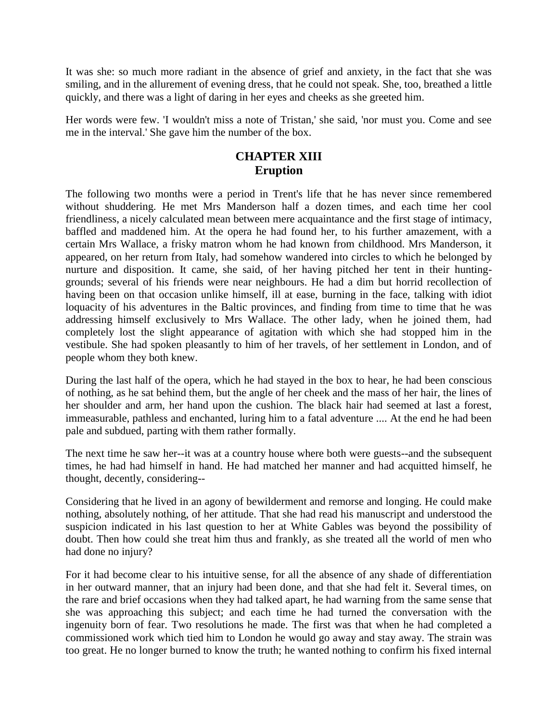It was she: so much more radiant in the absence of grief and anxiety, in the fact that she was smiling, and in the allurement of evening dress, that he could not speak. She, too, breathed a little quickly, and there was a light of daring in her eyes and cheeks as she greeted him.

Her words were few. 'I wouldn't miss a note of Tristan,' she said, 'nor must you. Come and see me in the interval.' She gave him the number of the box.

## **CHAPTER XIII Eruption**

The following two months were a period in Trent's life that he has never since remembered without shuddering. He met Mrs Manderson half a dozen times, and each time her cool friendliness, a nicely calculated mean between mere acquaintance and the first stage of intimacy, baffled and maddened him. At the opera he had found her, to his further amazement, with a certain Mrs Wallace, a frisky matron whom he had known from childhood. Mrs Manderson, it appeared, on her return from Italy, had somehow wandered into circles to which he belonged by nurture and disposition. It came, she said, of her having pitched her tent in their huntinggrounds; several of his friends were near neighbours. He had a dim but horrid recollection of having been on that occasion unlike himself, ill at ease, burning in the face, talking with idiot loquacity of his adventures in the Baltic provinces, and finding from time to time that he was addressing himself exclusively to Mrs Wallace. The other lady, when he joined them, had completely lost the slight appearance of agitation with which she had stopped him in the vestibule. She had spoken pleasantly to him of her travels, of her settlement in London, and of people whom they both knew.

During the last half of the opera, which he had stayed in the box to hear, he had been conscious of nothing, as he sat behind them, but the angle of her cheek and the mass of her hair, the lines of her shoulder and arm, her hand upon the cushion. The black hair had seemed at last a forest, immeasurable, pathless and enchanted, luring him to a fatal adventure .... At the end he had been pale and subdued, parting with them rather formally.

The next time he saw her--it was at a country house where both were guests--and the subsequent times, he had had himself in hand. He had matched her manner and had acquitted himself, he thought, decently, considering--

Considering that he lived in an agony of bewilderment and remorse and longing. He could make nothing, absolutely nothing, of her attitude. That she had read his manuscript and understood the suspicion indicated in his last question to her at White Gables was beyond the possibility of doubt. Then how could she treat him thus and frankly, as she treated all the world of men who had done no injury?

For it had become clear to his intuitive sense, for all the absence of any shade of differentiation in her outward manner, that an injury had been done, and that she had felt it. Several times, on the rare and brief occasions when they had talked apart, he had warning from the same sense that she was approaching this subject; and each time he had turned the conversation with the ingenuity born of fear. Two resolutions he made. The first was that when he had completed a commissioned work which tied him to London he would go away and stay away. The strain was too great. He no longer burned to know the truth; he wanted nothing to confirm his fixed internal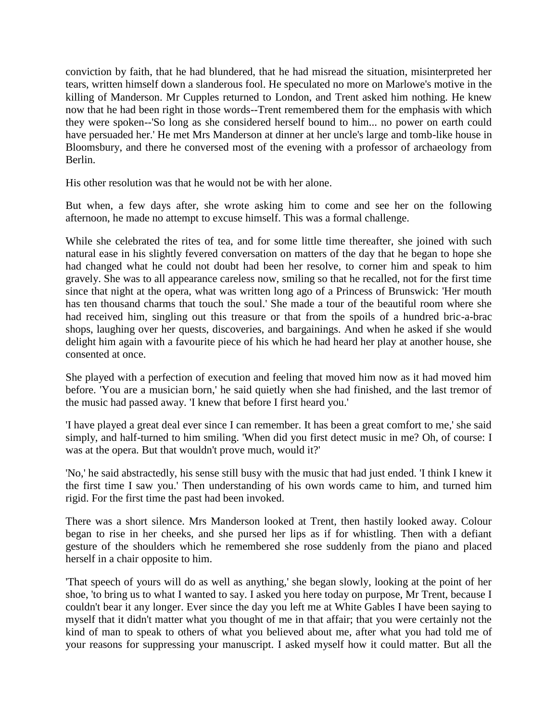conviction by faith, that he had blundered, that he had misread the situation, misinterpreted her tears, written himself down a slanderous fool. He speculated no more on Marlowe's motive in the killing of Manderson. Mr Cupples returned to London, and Trent asked him nothing. He knew now that he had been right in those words--Trent remembered them for the emphasis with which they were spoken--'So long as she considered herself bound to him... no power on earth could have persuaded her.' He met Mrs Manderson at dinner at her uncle's large and tomb-like house in Bloomsbury, and there he conversed most of the evening with a professor of archaeology from Berlin.

His other resolution was that he would not be with her alone.

But when, a few days after, she wrote asking him to come and see her on the following afternoon, he made no attempt to excuse himself. This was a formal challenge.

While she celebrated the rites of tea, and for some little time thereafter, she joined with such natural ease in his slightly fevered conversation on matters of the day that he began to hope she had changed what he could not doubt had been her resolve, to corner him and speak to him gravely. She was to all appearance careless now, smiling so that he recalled, not for the first time since that night at the opera, what was written long ago of a Princess of Brunswick: 'Her mouth has ten thousand charms that touch the soul.' She made a tour of the beautiful room where she had received him, singling out this treasure or that from the spoils of a hundred bric-a-brac shops, laughing over her quests, discoveries, and bargainings. And when he asked if she would delight him again with a favourite piece of his which he had heard her play at another house, she consented at once.

She played with a perfection of execution and feeling that moved him now as it had moved him before. 'You are a musician born,' he said quietly when she had finished, and the last tremor of the music had passed away. 'I knew that before I first heard you.'

'I have played a great deal ever since I can remember. It has been a great comfort to me,' she said simply, and half-turned to him smiling. 'When did you first detect music in me? Oh, of course: I was at the opera. But that wouldn't prove much, would it?'

'No,' he said abstractedly, his sense still busy with the music that had just ended. 'I think I knew it the first time I saw you.' Then understanding of his own words came to him, and turned him rigid. For the first time the past had been invoked.

There was a short silence. Mrs Manderson looked at Trent, then hastily looked away. Colour began to rise in her cheeks, and she pursed her lips as if for whistling. Then with a defiant gesture of the shoulders which he remembered she rose suddenly from the piano and placed herself in a chair opposite to him.

'That speech of yours will do as well as anything,' she began slowly, looking at the point of her shoe, 'to bring us to what I wanted to say. I asked you here today on purpose, Mr Trent, because I couldn't bear it any longer. Ever since the day you left me at White Gables I have been saying to myself that it didn't matter what you thought of me in that affair; that you were certainly not the kind of man to speak to others of what you believed about me, after what you had told me of your reasons for suppressing your manuscript. I asked myself how it could matter. But all the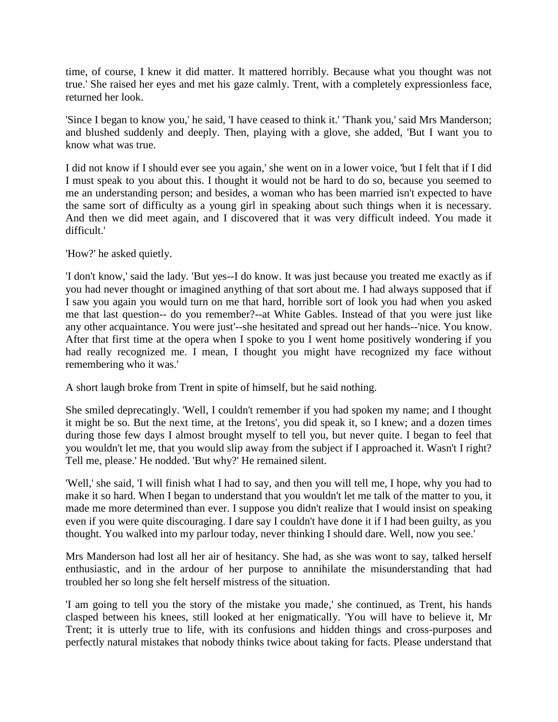time, of course, I knew it did matter. It mattered horribly. Because what you thought was not true.' She raised her eyes and met his gaze calmly. Trent, with a completely expressionless face, returned her look.

'Since I began to know you,' he said, 'I have ceased to think it.' 'Thank you,' said Mrs Manderson; and blushed suddenly and deeply. Then, playing with a glove, she added, 'But I want you to know what was true.

I did not know if I should ever see you again,' she went on in a lower voice, 'but I felt that if I did I must speak to you about this. I thought it would not be hard to do so, because you seemed to me an understanding person; and besides, a woman who has been married isn't expected to have the same sort of difficulty as a young girl in speaking about such things when it is necessary. And then we did meet again, and I discovered that it was very difficult indeed. You made it difficult.'

'How?' he asked quietly.

'I don't know,' said the lady. 'But yes--I do know. It was just because you treated me exactly as if you had never thought or imagined anything of that sort about me. I had always supposed that if I saw you again you would turn on me that hard, horrible sort of look you had when you asked me that last question-- do you remember?--at White Gables. Instead of that you were just like any other acquaintance. You were just'--she hesitated and spread out her hands--'nice. You know. After that first time at the opera when I spoke to you I went home positively wondering if you had really recognized me. I mean, I thought you might have recognized my face without remembering who it was.'

A short laugh broke from Trent in spite of himself, but he said nothing.

She smiled deprecatingly. 'Well, I couldn't remember if you had spoken my name; and I thought it might be so. But the next time, at the Iretons', you did speak it, so I knew; and a dozen times during those few days I almost brought myself to tell you, but never quite. I began to feel that you wouldn't let me, that you would slip away from the subject if I approached it. Wasn't I right? Tell me, please.' He nodded. 'But why?' He remained silent.

'Well,' she said, 'I will finish what I had to say, and then you will tell me, I hope, why you had to make it so hard. When I began to understand that you wouldn't let me talk of the matter to you, it made me more determined than ever. I suppose you didn't realize that I would insist on speaking even if you were quite discouraging. I dare say I couldn't have done it if I had been guilty, as you thought. You walked into my parlour today, never thinking I should dare. Well, now you see.'

Mrs Manderson had lost all her air of hesitancy. She had, as she was wont to say, talked herself enthusiastic, and in the ardour of her purpose to annihilate the misunderstanding that had troubled her so long she felt herself mistress of the situation.

'I am going to tell you the story of the mistake you made,' she continued, as Trent, his hands clasped between his knees, still looked at her enigmatically. 'You will have to believe it, Mr Trent; it is utterly true to life, with its confusions and hidden things and cross-purposes and perfectly natural mistakes that nobody thinks twice about taking for facts. Please understand that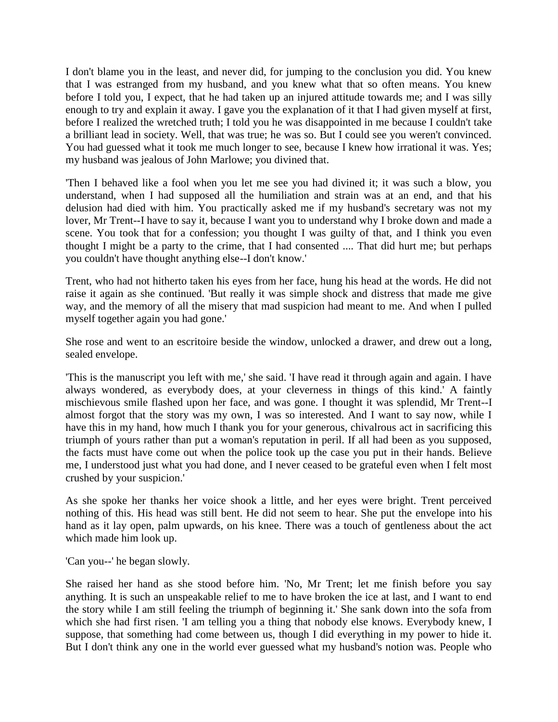I don't blame you in the least, and never did, for jumping to the conclusion you did. You knew that I was estranged from my husband, and you knew what that so often means. You knew before I told you, I expect, that he had taken up an injured attitude towards me; and I was silly enough to try and explain it away. I gave you the explanation of it that I had given myself at first, before I realized the wretched truth; I told you he was disappointed in me because I couldn't take a brilliant lead in society. Well, that was true; he was so. But I could see you weren't convinced. You had guessed what it took me much longer to see, because I knew how irrational it was. Yes; my husband was jealous of John Marlowe; you divined that.

'Then I behaved like a fool when you let me see you had divined it; it was such a blow, you understand, when I had supposed all the humiliation and strain was at an end, and that his delusion had died with him. You practically asked me if my husband's secretary was not my lover, Mr Trent--I have to say it, because I want you to understand why I broke down and made a scene. You took that for a confession; you thought I was guilty of that, and I think you even thought I might be a party to the crime, that I had consented .... That did hurt me; but perhaps you couldn't have thought anything else--I don't know.'

Trent, who had not hitherto taken his eyes from her face, hung his head at the words. He did not raise it again as she continued. 'But really it was simple shock and distress that made me give way, and the memory of all the misery that mad suspicion had meant to me. And when I pulled myself together again you had gone.'

She rose and went to an escritoire beside the window, unlocked a drawer, and drew out a long, sealed envelope.

'This is the manuscript you left with me,' she said. 'I have read it through again and again. I have always wondered, as everybody does, at your cleverness in things of this kind.' A faintly mischievous smile flashed upon her face, and was gone. I thought it was splendid, Mr Trent--I almost forgot that the story was my own, I was so interested. And I want to say now, while I have this in my hand, how much I thank you for your generous, chivalrous act in sacrificing this triumph of yours rather than put a woman's reputation in peril. If all had been as you supposed, the facts must have come out when the police took up the case you put in their hands. Believe me, I understood just what you had done, and I never ceased to be grateful even when I felt most crushed by your suspicion.'

As she spoke her thanks her voice shook a little, and her eyes were bright. Trent perceived nothing of this. His head was still bent. He did not seem to hear. She put the envelope into his hand as it lay open, palm upwards, on his knee. There was a touch of gentleness about the act which made him look up.

'Can you--' he began slowly.

She raised her hand as she stood before him. 'No, Mr Trent; let me finish before you say anything. It is such an unspeakable relief to me to have broken the ice at last, and I want to end the story while I am still feeling the triumph of beginning it.' She sank down into the sofa from which she had first risen. 'I am telling you a thing that nobody else knows. Everybody knew, I suppose, that something had come between us, though I did everything in my power to hide it. But I don't think any one in the world ever guessed what my husband's notion was. People who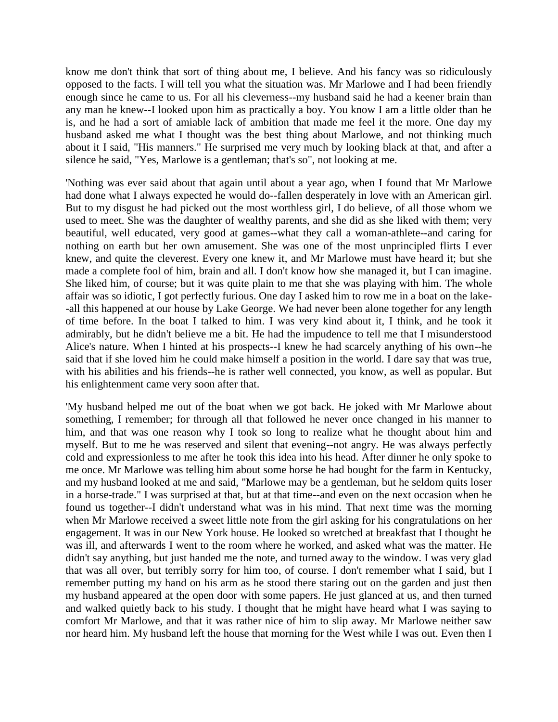know me don't think that sort of thing about me, I believe. And his fancy was so ridiculously opposed to the facts. I will tell you what the situation was. Mr Marlowe and I had been friendly enough since he came to us. For all his cleverness--my husband said he had a keener brain than any man he knew--I looked upon him as practically a boy. You know I am a little older than he is, and he had a sort of amiable lack of ambition that made me feel it the more. One day my husband asked me what I thought was the best thing about Marlowe, and not thinking much about it I said, "His manners." He surprised me very much by looking black at that, and after a silence he said, "Yes, Marlowe is a gentleman; that's so", not looking at me.

'Nothing was ever said about that again until about a year ago, when I found that Mr Marlowe had done what I always expected he would do--fallen desperately in love with an American girl. But to my disgust he had picked out the most worthless girl, I do believe, of all those whom we used to meet. She was the daughter of wealthy parents, and she did as she liked with them; very beautiful, well educated, very good at games--what they call a woman-athlete--and caring for nothing on earth but her own amusement. She was one of the most unprincipled flirts I ever knew, and quite the cleverest. Every one knew it, and Mr Marlowe must have heard it; but she made a complete fool of him, brain and all. I don't know how she managed it, but I can imagine. She liked him, of course; but it was quite plain to me that she was playing with him. The whole affair was so idiotic, I got perfectly furious. One day I asked him to row me in a boat on the lake- -all this happened at our house by Lake George. We had never been alone together for any length of time before. In the boat I talked to him. I was very kind about it, I think, and he took it admirably, but he didn't believe me a bit. He had the impudence to tell me that I misunderstood Alice's nature. When I hinted at his prospects--I knew he had scarcely anything of his own--he said that if she loved him he could make himself a position in the world. I dare say that was true, with his abilities and his friends--he is rather well connected, you know, as well as popular. But his enlightenment came very soon after that.

'My husband helped me out of the boat when we got back. He joked with Mr Marlowe about something, I remember; for through all that followed he never once changed in his manner to him, and that was one reason why I took so long to realize what he thought about him and myself. But to me he was reserved and silent that evening--not angry. He was always perfectly cold and expressionless to me after he took this idea into his head. After dinner he only spoke to me once. Mr Marlowe was telling him about some horse he had bought for the farm in Kentucky, and my husband looked at me and said, "Marlowe may be a gentleman, but he seldom quits loser in a horse-trade." I was surprised at that, but at that time--and even on the next occasion when he found us together--I didn't understand what was in his mind. That next time was the morning when Mr Marlowe received a sweet little note from the girl asking for his congratulations on her engagement. It was in our New York house. He looked so wretched at breakfast that I thought he was ill, and afterwards I went to the room where he worked, and asked what was the matter. He didn't say anything, but just handed me the note, and turned away to the window. I was very glad that was all over, but terribly sorry for him too, of course. I don't remember what I said, but I remember putting my hand on his arm as he stood there staring out on the garden and just then my husband appeared at the open door with some papers. He just glanced at us, and then turned and walked quietly back to his study. I thought that he might have heard what I was saying to comfort Mr Marlowe, and that it was rather nice of him to slip away. Mr Marlowe neither saw nor heard him. My husband left the house that morning for the West while I was out. Even then I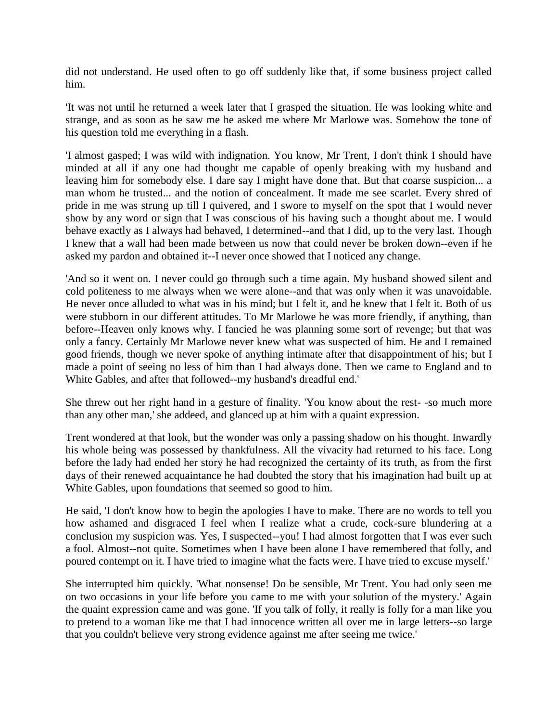did not understand. He used often to go off suddenly like that, if some business project called him.

'It was not until he returned a week later that I grasped the situation. He was looking white and strange, and as soon as he saw me he asked me where Mr Marlowe was. Somehow the tone of his question told me everything in a flash.

'I almost gasped; I was wild with indignation. You know, Mr Trent, I don't think I should have minded at all if any one had thought me capable of openly breaking with my husband and leaving him for somebody else. I dare say I might have done that. But that coarse suspicion... a man whom he trusted... and the notion of concealment. It made me see scarlet. Every shred of pride in me was strung up till I quivered, and I swore to myself on the spot that I would never show by any word or sign that I was conscious of his having such a thought about me. I would behave exactly as I always had behaved, I determined--and that I did, up to the very last. Though I knew that a wall had been made between us now that could never be broken down--even if he asked my pardon and obtained it--I never once showed that I noticed any change.

'And so it went on. I never could go through such a time again. My husband showed silent and cold politeness to me always when we were alone--and that was only when it was unavoidable. He never once alluded to what was in his mind; but I felt it, and he knew that I felt it. Both of us were stubborn in our different attitudes. To Mr Marlowe he was more friendly, if anything, than before--Heaven only knows why. I fancied he was planning some sort of revenge; but that was only a fancy. Certainly Mr Marlowe never knew what was suspected of him. He and I remained good friends, though we never spoke of anything intimate after that disappointment of his; but I made a point of seeing no less of him than I had always done. Then we came to England and to White Gables, and after that followed--my husband's dreadful end.'

She threw out her right hand in a gesture of finality. 'You know about the rest- -so much more than any other man,' she addeed, and glanced up at him with a quaint expression.

Trent wondered at that look, but the wonder was only a passing shadow on his thought. Inwardly his whole being was possessed by thankfulness. All the vivacity had returned to his face. Long before the lady had ended her story he had recognized the certainty of its truth, as from the first days of their renewed acquaintance he had doubted the story that his imagination had built up at White Gables, upon foundations that seemed so good to him.

He said, 'I don't know how to begin the apologies I have to make. There are no words to tell you how ashamed and disgraced I feel when I realize what a crude, cock-sure blundering at a conclusion my suspicion was. Yes, I suspected--you! I had almost forgotten that I was ever such a fool. Almost--not quite. Sometimes when I have been alone I have remembered that folly, and poured contempt on it. I have tried to imagine what the facts were. I have tried to excuse myself.'

She interrupted him quickly. 'What nonsense! Do be sensible, Mr Trent. You had only seen me on two occasions in your life before you came to me with your solution of the mystery.' Again the quaint expression came and was gone. 'If you talk of folly, it really is folly for a man like you to pretend to a woman like me that I had innocence written all over me in large letters--so large that you couldn't believe very strong evidence against me after seeing me twice.'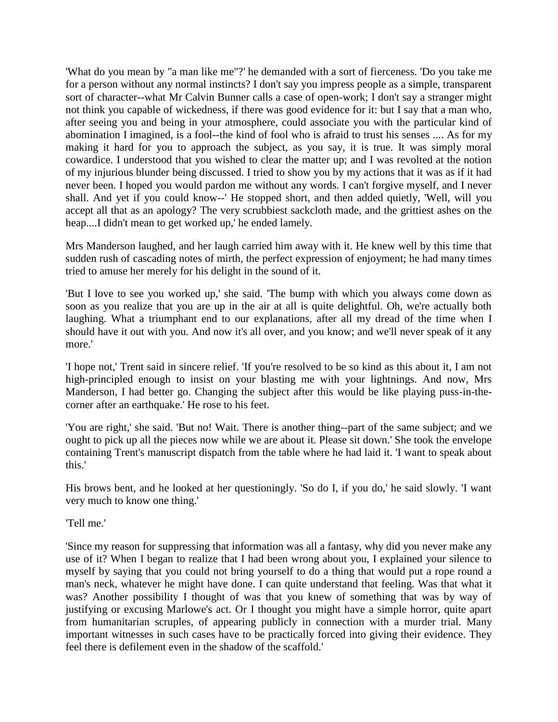'What do you mean by "a man like me"?' he demanded with a sort of fierceness. 'Do you take me for a person without any normal instincts? I don't say you impress people as a simple, transparent sort of character--what Mr Calvin Bunner calls a case of open-work; I don't say a stranger might not think you capable of wickedness, if there was good evidence for it: but I say that a man who, after seeing you and being in your atmosphere, could associate you with the particular kind of abomination I imagined, is a fool--the kind of fool who is afraid to trust his senses .... As for my making it hard for you to approach the subject, as you say, it is true. It was simply moral cowardice. I understood that you wished to clear the matter up; and I was revolted at the notion of my injurious blunder being discussed. I tried to show you by my actions that it was as if it had never been. I hoped you would pardon me without any words. I can't forgive myself, and I never shall. And yet if you could know--' He stopped short, and then added quietly, 'Well, will you accept all that as an apology? The very scrubbiest sackcloth made, and the grittiest ashes on the heap....I didn't mean to get worked up,' he ended lamely.

Mrs Manderson laughed, and her laugh carried him away with it. He knew well by this time that sudden rush of cascading notes of mirth, the perfect expression of enjoyment; he had many times tried to amuse her merely for his delight in the sound of it.

'But I love to see you worked up,' she said. 'The bump with which you always come down as soon as you realize that you are up in the air at all is quite delightful. Oh, we're actually both laughing. What a triumphant end to our explanations, after all my dread of the time when I should have it out with you. And now it's all over, and you know; and we'll never speak of it any more.'

'I hope not,' Trent said in sincere relief. 'If you're resolved to be so kind as this about it, I am not high-principled enough to insist on your blasting me with your lightnings. And now, Mrs Manderson, I had better go. Changing the subject after this would be like playing puss-in-thecorner after an earthquake.' He rose to his feet.

'You are right,' she said. 'But no! Wait. There is another thing--part of the same subject; and we ought to pick up all the pieces now while we are about it. Please sit down.' She took the envelope containing Trent's manuscript dispatch from the table where he had laid it. 'I want to speak about this.'

His brows bent, and he looked at her questioningly. 'So do I, if you do,' he said slowly. 'I want very much to know one thing.'

'Tell me.'

'Since my reason for suppressing that information was all a fantasy, why did you never make any use of it? When I began to realize that I had been wrong about you, I explained your silence to myself by saying that you could not bring yourself to do a thing that would put a rope round a man's neck, whatever he might have done. I can quite understand that feeling. Was that what it was? Another possibility I thought of was that you knew of something that was by way of justifying or excusing Marlowe's act. Or I thought you might have a simple horror, quite apart from humanitarian scruples, of appearing publicly in connection with a murder trial. Many important witnesses in such cases have to be practically forced into giving their evidence. They feel there is defilement even in the shadow of the scaffold.'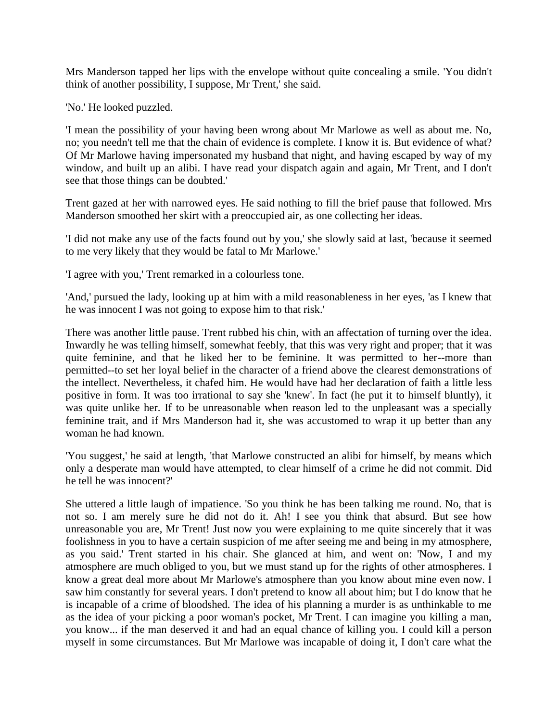Mrs Manderson tapped her lips with the envelope without quite concealing a smile. 'You didn't think of another possibility, I suppose, Mr Trent,' she said.

'No.' He looked puzzled.

'I mean the possibility of your having been wrong about Mr Marlowe as well as about me. No, no; you needn't tell me that the chain of evidence is complete. I know it is. But evidence of what? Of Mr Marlowe having impersonated my husband that night, and having escaped by way of my window, and built up an alibi. I have read your dispatch again and again, Mr Trent, and I don't see that those things can be doubted.'

Trent gazed at her with narrowed eyes. He said nothing to fill the brief pause that followed. Mrs Manderson smoothed her skirt with a preoccupied air, as one collecting her ideas.

'I did not make any use of the facts found out by you,' she slowly said at last, 'because it seemed to me very likely that they would be fatal to Mr Marlowe.'

'I agree with you,' Trent remarked in a colourless tone.

'And,' pursued the lady, looking up at him with a mild reasonableness in her eyes, 'as I knew that he was innocent I was not going to expose him to that risk.'

There was another little pause. Trent rubbed his chin, with an affectation of turning over the idea. Inwardly he was telling himself, somewhat feebly, that this was very right and proper; that it was quite feminine, and that he liked her to be feminine. It was permitted to her--more than permitted--to set her loyal belief in the character of a friend above the clearest demonstrations of the intellect. Nevertheless, it chafed him. He would have had her declaration of faith a little less positive in form. It was too irrational to say she 'knew'. In fact (he put it to himself bluntly), it was quite unlike her. If to be unreasonable when reason led to the unpleasant was a specially feminine trait, and if Mrs Manderson had it, she was accustomed to wrap it up better than any woman he had known.

'You suggest,' he said at length, 'that Marlowe constructed an alibi for himself, by means which only a desperate man would have attempted, to clear himself of a crime he did not commit. Did he tell he was innocent?'

She uttered a little laugh of impatience. 'So you think he has been talking me round. No, that is not so. I am merely sure he did not do it. Ah! I see you think that absurd. But see how unreasonable you are, Mr Trent! Just now you were explaining to me quite sincerely that it was foolishness in you to have a certain suspicion of me after seeing me and being in my atmosphere, as you said.' Trent started in his chair. She glanced at him, and went on: 'Now, I and my atmosphere are much obliged to you, but we must stand up for the rights of other atmospheres. I know a great deal more about Mr Marlowe's atmosphere than you know about mine even now. I saw him constantly for several years. I don't pretend to know all about him; but I do know that he is incapable of a crime of bloodshed. The idea of his planning a murder is as unthinkable to me as the idea of your picking a poor woman's pocket, Mr Trent. I can imagine you killing a man, you know... if the man deserved it and had an equal chance of killing you. I could kill a person myself in some circumstances. But Mr Marlowe was incapable of doing it, I don't care what the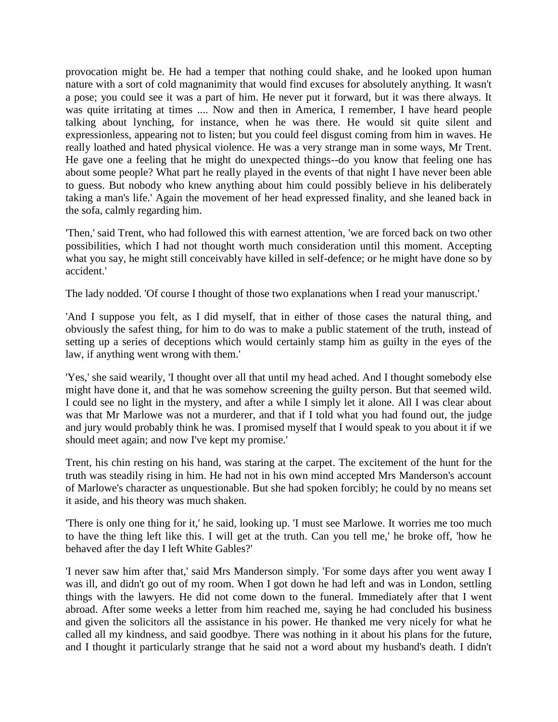provocation might be. He had a temper that nothing could shake, and he looked upon human nature with a sort of cold magnanimity that would find excuses for absolutely anything. It wasn't a pose; you could see it was a part of him. He never put it forward, but it was there always. It was quite irritating at times .... Now and then in America, I remember, I have heard people talking about lynching, for instance, when he was there. He would sit quite silent and expressionless, appearing not to listen; but you could feel disgust coming from him in waves. He really loathed and hated physical violence. He was a very strange man in some ways, Mr Trent. He gave one a feeling that he might do unexpected things--do you know that feeling one has about some people? What part he really played in the events of that night I have never been able to guess. But nobody who knew anything about him could possibly believe in his deliberately taking a man's life.' Again the movement of her head expressed finality, and she leaned back in the sofa, calmly regarding him.

'Then,' said Trent, who had followed this with earnest attention, 'we are forced back on two other possibilities, which I had not thought worth much consideration until this moment. Accepting what you say, he might still conceivably have killed in self-defence; or he might have done so by accident.'

The lady nodded. 'Of course I thought of those two explanations when I read your manuscript.'

'And I suppose you felt, as I did myself, that in either of those cases the natural thing, and obviously the safest thing, for him to do was to make a public statement of the truth, instead of setting up a series of deceptions which would certainly stamp him as guilty in the eyes of the law, if anything went wrong with them.'

'Yes,' she said wearily, 'I thought over all that until my head ached. And I thought somebody else might have done it, and that he was somehow screening the guilty person. But that seemed wild. I could see no light in the mystery, and after a while I simply let it alone. All I was clear about was that Mr Marlowe was not a murderer, and that if I told what you had found out, the judge and jury would probably think he was. I promised myself that I would speak to you about it if we should meet again; and now I've kept my promise.'

Trent, his chin resting on his hand, was staring at the carpet. The excitement of the hunt for the truth was steadily rising in him. He had not in his own mind accepted Mrs Manderson's account of Marlowe's character as unquestionable. But she had spoken forcibly; he could by no means set it aside, and his theory was much shaken.

'There is only one thing for it,' he said, looking up. 'I must see Marlowe. It worries me too much to have the thing left like this. I will get at the truth. Can you tell me,' he broke off, 'how he behaved after the day I left White Gables?'

'I never saw him after that,' said Mrs Manderson simply. 'For some days after you went away I was ill, and didn't go out of my room. When I got down he had left and was in London, settling things with the lawyers. He did not come down to the funeral. Immediately after that I went abroad. After some weeks a letter from him reached me, saying he had concluded his business and given the solicitors all the assistance in his power. He thanked me very nicely for what he called all my kindness, and said goodbye. There was nothing in it about his plans for the future, and I thought it particularly strange that he said not a word about my husband's death. I didn't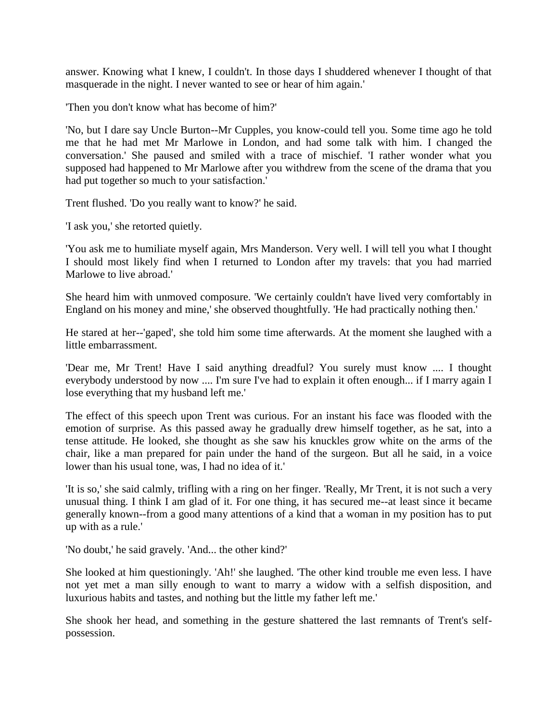answer. Knowing what I knew, I couldn't. In those days I shuddered whenever I thought of that masquerade in the night. I never wanted to see or hear of him again.'

'Then you don't know what has become of him?'

'No, but I dare say Uncle Burton--Mr Cupples, you know-could tell you. Some time ago he told me that he had met Mr Marlowe in London, and had some talk with him. I changed the conversation.' She paused and smiled with a trace of mischief. 'I rather wonder what you supposed had happened to Mr Marlowe after you withdrew from the scene of the drama that you had put together so much to your satisfaction.'

Trent flushed. 'Do you really want to know?' he said.

'I ask you,' she retorted quietly.

'You ask me to humiliate myself again, Mrs Manderson. Very well. I will tell you what I thought I should most likely find when I returned to London after my travels: that you had married Marlowe to live abroad.'

She heard him with unmoved composure. 'We certainly couldn't have lived very comfortably in England on his money and mine,' she observed thoughtfully. 'He had practically nothing then.'

He stared at her--'gaped', she told him some time afterwards. At the moment she laughed with a little embarrassment.

'Dear me, Mr Trent! Have I said anything dreadful? You surely must know .... I thought everybody understood by now .... I'm sure I've had to explain it often enough... if I marry again I lose everything that my husband left me.'

The effect of this speech upon Trent was curious. For an instant his face was flooded with the emotion of surprise. As this passed away he gradually drew himself together, as he sat, into a tense attitude. He looked, she thought as she saw his knuckles grow white on the arms of the chair, like a man prepared for pain under the hand of the surgeon. But all he said, in a voice lower than his usual tone, was, I had no idea of it.'

'It is so,' she said calmly, trifling with a ring on her finger. 'Really, Mr Trent, it is not such a very unusual thing. I think I am glad of it. For one thing, it has secured me--at least since it became generally known--from a good many attentions of a kind that a woman in my position has to put up with as a rule.'

'No doubt,' he said gravely. 'And... the other kind?'

She looked at him questioningly. 'Ah!' she laughed. 'The other kind trouble me even less. I have not yet met a man silly enough to want to marry a widow with a selfish disposition, and luxurious habits and tastes, and nothing but the little my father left me.'

She shook her head, and something in the gesture shattered the last remnants of Trent's selfpossession.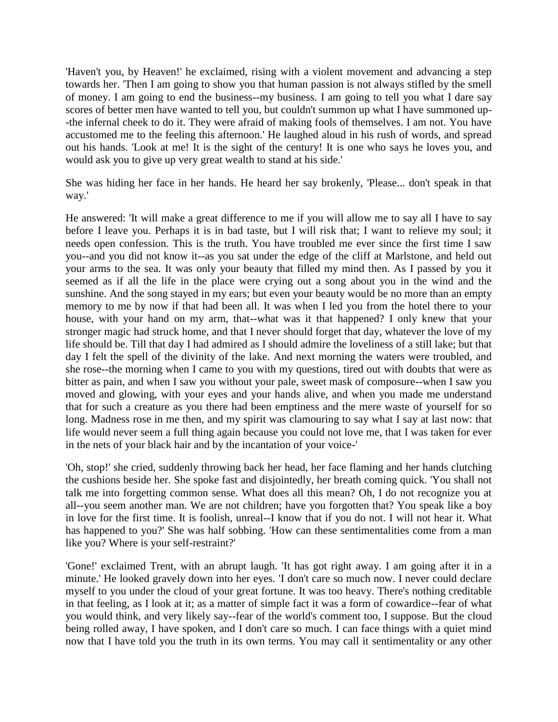'Haven't you, by Heaven!' he exclaimed, rising with a violent movement and advancing a step towards her. 'Then I am going to show you that human passion is not always stifled by the smell of money. I am going to end the business--my business. I am going to tell you what I dare say scores of better men have wanted to tell you, but couldn't summon up what I have summoned up- -the infernal cheek to do it. They were afraid of making fools of themselves. I am not. You have accustomed me to the feeling this afternoon.' He laughed aloud in his rush of words, and spread out his hands. 'Look at me! It is the sight of the century! It is one who says he loves you, and would ask you to give up very great wealth to stand at his side.'

She was hiding her face in her hands. He heard her say brokenly, 'Please... don't speak in that way.'

He answered: 'It will make a great difference to me if you will allow me to say all I have to say before I leave you. Perhaps it is in bad taste, but I will risk that; I want to relieve my soul; it needs open confession. This is the truth. You have troubled me ever since the first time I saw you--and you did not know it--as you sat under the edge of the cliff at Marlstone, and held out your arms to the sea. It was only your beauty that filled my mind then. As I passed by you it seemed as if all the life in the place were crying out a song about you in the wind and the sunshine. And the song stayed in my ears; but even your beauty would be no more than an empty memory to me by now if that had been all. It was when I led you from the hotel there to your house, with your hand on my arm, that--what was it that happened? I only knew that your stronger magic had struck home, and that I never should forget that day, whatever the love of my life should be. Till that day I had admired as I should admire the loveliness of a still lake; but that day I felt the spell of the divinity of the lake. And next morning the waters were troubled, and she rose--the morning when I came to you with my questions, tired out with doubts that were as bitter as pain, and when I saw you without your pale, sweet mask of composure--when I saw you moved and glowing, with your eyes and your hands alive, and when you made me understand that for such a creature as you there had been emptiness and the mere waste of yourself for so long. Madness rose in me then, and my spirit was clamouring to say what I say at last now: that life would never seem a full thing again because you could not love me, that I was taken for ever in the nets of your black hair and by the incantation of your voice-'

'Oh, stop!' she cried, suddenly throwing back her head, her face flaming and her hands clutching the cushions beside her. She spoke fast and disjointedly, her breath coming quick. 'You shall not talk me into forgetting common sense. What does all this mean? Oh, I do not recognize you at all--you seem another man. We are not children; have you forgotten that? You speak like a boy in love for the first time. It is foolish, unreal--I know that if you do not. I will not hear it. What has happened to you?' She was half sobbing. 'How can these sentimentalities come from a man like you? Where is your self-restraint?'

'Gone!' exclaimed Trent, with an abrupt laugh. 'It has got right away. I am going after it in a minute.' He looked gravely down into her eyes. 'I don't care so much now. I never could declare myself to you under the cloud of your great fortune. It was too heavy. There's nothing creditable in that feeling, as I look at it; as a matter of simple fact it was a form of cowardice--fear of what you would think, and very likely say--fear of the world's comment too, I suppose. But the cloud being rolled away, I have spoken, and I don't care so much. I can face things with a quiet mind now that I have told you the truth in its own terms. You may call it sentimentality or any other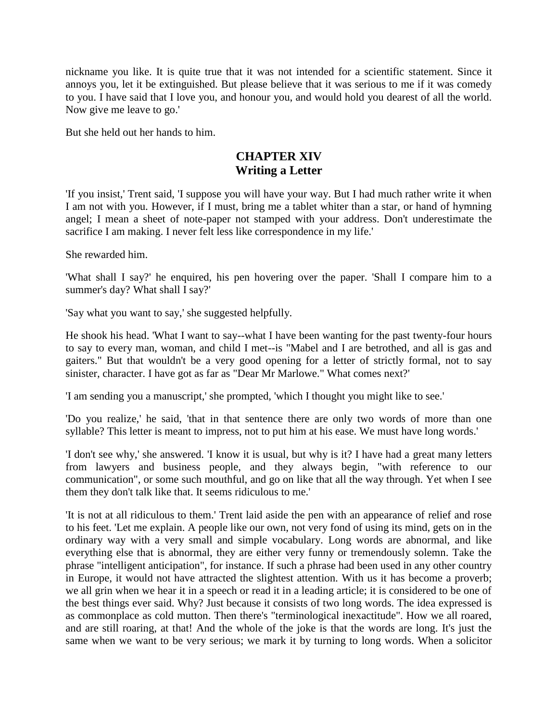nickname you like. It is quite true that it was not intended for a scientific statement. Since it annoys you, let it be extinguished. But please believe that it was serious to me if it was comedy to you. I have said that I love you, and honour you, and would hold you dearest of all the world. Now give me leave to go.'

But she held out her hands to him.

## **CHAPTER XIV Writing a Letter**

'If you insist,' Trent said, 'I suppose you will have your way. But I had much rather write it when I am not with you. However, if I must, bring me a tablet whiter than a star, or hand of hymning angel; I mean a sheet of note-paper not stamped with your address. Don't underestimate the sacrifice I am making. I never felt less like correspondence in my life.'

She rewarded him.

'What shall I say?' he enquired, his pen hovering over the paper. 'Shall I compare him to a summer's day? What shall I say?'

'Say what you want to say,' she suggested helpfully.

He shook his head. 'What I want to say--what I have been wanting for the past twenty-four hours to say to every man, woman, and child I met--is "Mabel and I are betrothed, and all is gas and gaiters." But that wouldn't be a very good opening for a letter of strictly formal, not to say sinister, character. I have got as far as "Dear Mr Marlowe." What comes next?'

'I am sending you a manuscript,' she prompted, 'which I thought you might like to see.'

'Do you realize,' he said, 'that in that sentence there are only two words of more than one syllable? This letter is meant to impress, not to put him at his ease. We must have long words.'

'I don't see why,' she answered. 'I know it is usual, but why is it? I have had a great many letters from lawyers and business people, and they always begin, "with reference to our communication", or some such mouthful, and go on like that all the way through. Yet when I see them they don't talk like that. It seems ridiculous to me.'

'It is not at all ridiculous to them.' Trent laid aside the pen with an appearance of relief and rose to his feet. 'Let me explain. A people like our own, not very fond of using its mind, gets on in the ordinary way with a very small and simple vocabulary. Long words are abnormal, and like everything else that is abnormal, they are either very funny or tremendously solemn. Take the phrase "intelligent anticipation", for instance. If such a phrase had been used in any other country in Europe, it would not have attracted the slightest attention. With us it has become a proverb; we all grin when we hear it in a speech or read it in a leading article; it is considered to be one of the best things ever said. Why? Just because it consists of two long words. The idea expressed is as commonplace as cold mutton. Then there's "terminological inexactitude". How we all roared, and are still roaring, at that! And the whole of the joke is that the words are long. It's just the same when we want to be very serious; we mark it by turning to long words. When a solicitor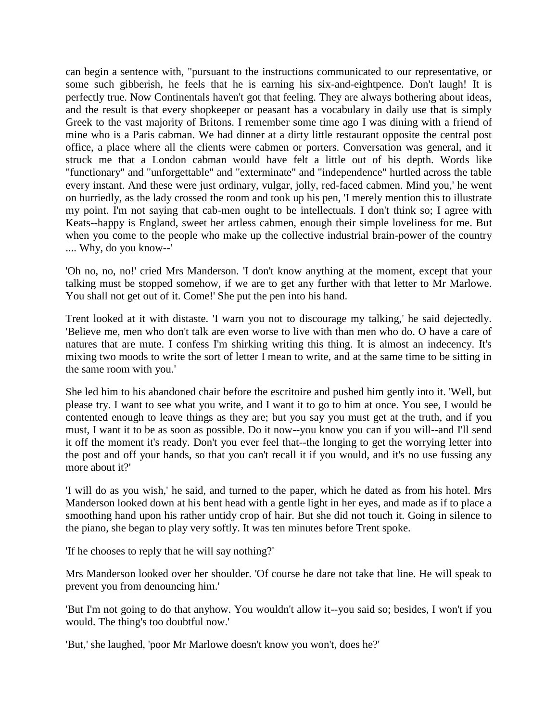can begin a sentence with, "pursuant to the instructions communicated to our representative, or some such gibberish, he feels that he is earning his six-and-eightpence. Don't laugh! It is perfectly true. Now Continentals haven't got that feeling. They are always bothering about ideas, and the result is that every shopkeeper or peasant has a vocabulary in daily use that is simply Greek to the vast majority of Britons. I remember some time ago I was dining with a friend of mine who is a Paris cabman. We had dinner at a dirty little restaurant opposite the central post office, a place where all the clients were cabmen or porters. Conversation was general, and it struck me that a London cabman would have felt a little out of his depth. Words like "functionary" and "unforgettable" and "exterminate" and "independence" hurtled across the table every instant. And these were just ordinary, vulgar, jolly, red-faced cabmen. Mind you,' he went on hurriedly, as the lady crossed the room and took up his pen, 'I merely mention this to illustrate my point. I'm not saying that cab-men ought to be intellectuals. I don't think so; I agree with Keats--happy is England, sweet her artless cabmen, enough their simple loveliness for me. But when you come to the people who make up the collective industrial brain-power of the country .... Why, do you know--'

'Oh no, no, no!' cried Mrs Manderson. 'I don't know anything at the moment, except that your talking must be stopped somehow, if we are to get any further with that letter to Mr Marlowe. You shall not get out of it. Come!' She put the pen into his hand.

Trent looked at it with distaste. 'I warn you not to discourage my talking,' he said dejectedly. 'Believe me, men who don't talk are even worse to live with than men who do. O have a care of natures that are mute. I confess I'm shirking writing this thing. It is almost an indecency. It's mixing two moods to write the sort of letter I mean to write, and at the same time to be sitting in the same room with you.'

She led him to his abandoned chair before the escritoire and pushed him gently into it. 'Well, but please try. I want to see what you write, and I want it to go to him at once. You see, I would be contented enough to leave things as they are; but you say you must get at the truth, and if you must, I want it to be as soon as possible. Do it now--you know you can if you will--and I'll send it off the moment it's ready. Don't you ever feel that--the longing to get the worrying letter into the post and off your hands, so that you can't recall it if you would, and it's no use fussing any more about it?'

'I will do as you wish,' he said, and turned to the paper, which he dated as from his hotel. Mrs Manderson looked down at his bent head with a gentle light in her eyes, and made as if to place a smoothing hand upon his rather untidy crop of hair. But she did not touch it. Going in silence to the piano, she began to play very softly. It was ten minutes before Trent spoke.

'If he chooses to reply that he will say nothing?'

Mrs Manderson looked over her shoulder. 'Of course he dare not take that line. He will speak to prevent you from denouncing him.'

'But I'm not going to do that anyhow. You wouldn't allow it--you said so; besides, I won't if you would. The thing's too doubtful now.'

'But,' she laughed, 'poor Mr Marlowe doesn't know you won't, does he?'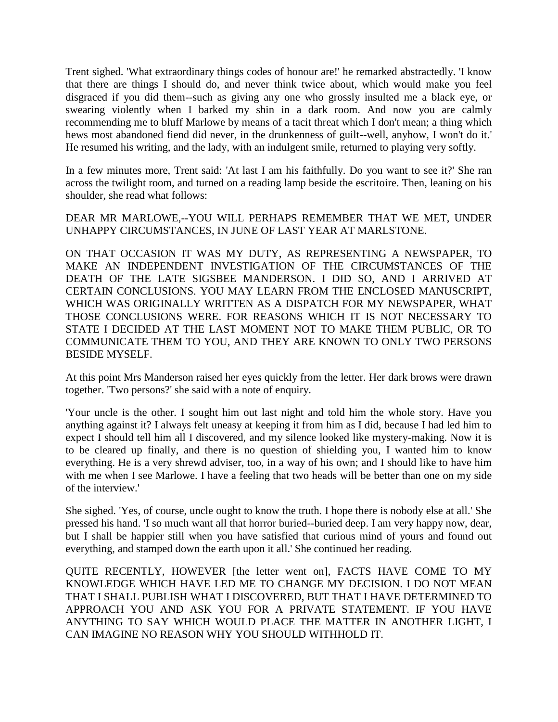Trent sighed. 'What extraordinary things codes of honour are!' he remarked abstractedly. 'I know that there are things I should do, and never think twice about, which would make you feel disgraced if you did them--such as giving any one who grossly insulted me a black eye, or swearing violently when I barked my shin in a dark room. And now you are calmly recommending me to bluff Marlowe by means of a tacit threat which I don't mean; a thing which hews most abandoned fiend did never, in the drunkenness of guilt--well, anyhow, I won't do it.' He resumed his writing, and the lady, with an indulgent smile, returned to playing very softly.

In a few minutes more, Trent said: 'At last I am his faithfully. Do you want to see it?' She ran across the twilight room, and turned on a reading lamp beside the escritoire. Then, leaning on his shoulder, she read what follows:

DEAR MR MARLOWE,--YOU WILL PERHAPS REMEMBER THAT WE MET, UNDER UNHAPPY CIRCUMSTANCES, IN JUNE OF LAST YEAR AT MARLSTONE.

ON THAT OCCASION IT WAS MY DUTY, AS REPRESENTING A NEWSPAPER, TO MAKE AN INDEPENDENT INVESTIGATION OF THE CIRCUMSTANCES OF THE DEATH OF THE LATE SIGSBEE MANDERSON. I DID SO, AND I ARRIVED AT CERTAIN CONCLUSIONS. YOU MAY LEARN FROM THE ENCLOSED MANUSCRIPT, WHICH WAS ORIGINALLY WRITTEN AS A DISPATCH FOR MY NEWSPAPER, WHAT THOSE CONCLUSIONS WERE. FOR REASONS WHICH IT IS NOT NECESSARY TO STATE I DECIDED AT THE LAST MOMENT NOT TO MAKE THEM PUBLIC, OR TO COMMUNICATE THEM TO YOU, AND THEY ARE KNOWN TO ONLY TWO PERSONS BESIDE MYSELF.

At this point Mrs Manderson raised her eyes quickly from the letter. Her dark brows were drawn together. 'Two persons?' she said with a note of enquiry.

'Your uncle is the other. I sought him out last night and told him the whole story. Have you anything against it? I always felt uneasy at keeping it from him as I did, because I had led him to expect I should tell him all I discovered, and my silence looked like mystery-making. Now it is to be cleared up finally, and there is no question of shielding you, I wanted him to know everything. He is a very shrewd adviser, too, in a way of his own; and I should like to have him with me when I see Marlowe. I have a feeling that two heads will be better than one on my side of the interview.'

She sighed. 'Yes, of course, uncle ought to know the truth. I hope there is nobody else at all.' She pressed his hand. 'I so much want all that horror buried--buried deep. I am very happy now, dear, but I shall be happier still when you have satisfied that curious mind of yours and found out everything, and stamped down the earth upon it all.' She continued her reading.

QUITE RECENTLY, HOWEVER [the letter went on], FACTS HAVE COME TO MY KNOWLEDGE WHICH HAVE LED ME TO CHANGE MY DECISION. I DO NOT MEAN THAT I SHALL PUBLISH WHAT I DISCOVERED, BUT THAT I HAVE DETERMINED TO APPROACH YOU AND ASK YOU FOR A PRIVATE STATEMENT. IF YOU HAVE ANYTHING TO SAY WHICH WOULD PLACE THE MATTER IN ANOTHER LIGHT, I CAN IMAGINE NO REASON WHY YOU SHOULD WITHHOLD IT.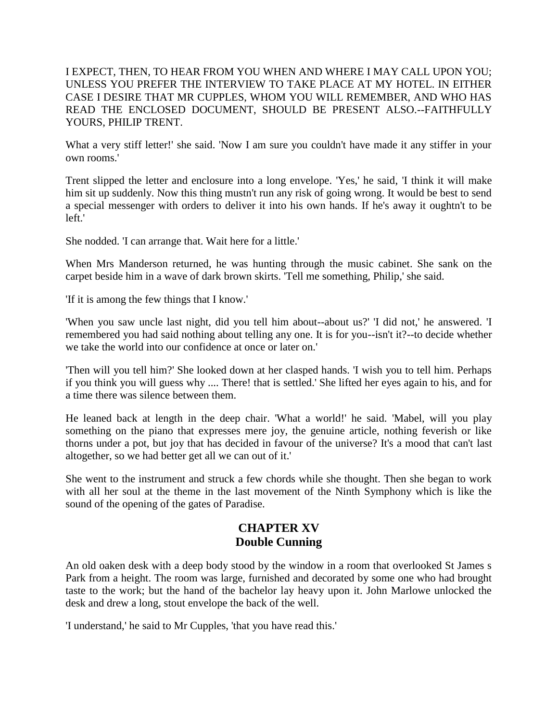I EXPECT, THEN, TO HEAR FROM YOU WHEN AND WHERE I MAY CALL UPON YOU; UNLESS YOU PREFER THE INTERVIEW TO TAKE PLACE AT MY HOTEL. IN EITHER CASE I DESIRE THAT MR CUPPLES, WHOM YOU WILL REMEMBER, AND WHO HAS READ THE ENCLOSED DOCUMENT, SHOULD BE PRESENT ALSO.--FAITHFULLY YOURS, PHILIP TRENT.

What a very stiff letter!' she said. 'Now I am sure you couldn't have made it any stiffer in your own rooms.'

Trent slipped the letter and enclosure into a long envelope. 'Yes,' he said, 'I think it will make him sit up suddenly. Now this thing mustn't run any risk of going wrong. It would be best to send a special messenger with orders to deliver it into his own hands. If he's away it oughtn't to be left.'

She nodded. 'I can arrange that. Wait here for a little.'

When Mrs Manderson returned, he was hunting through the music cabinet. She sank on the carpet beside him in a wave of dark brown skirts. 'Tell me something, Philip,' she said.

'If it is among the few things that I know.'

'When you saw uncle last night, did you tell him about--about us?' 'I did not,' he answered. 'I remembered you had said nothing about telling any one. It is for you--isn't it?--to decide whether we take the world into our confidence at once or later on.'

'Then will you tell him?' She looked down at her clasped hands. 'I wish you to tell him. Perhaps if you think you will guess why .... There! that is settled.' She lifted her eyes again to his, and for a time there was silence between them.

He leaned back at length in the deep chair. 'What a world!' he said. 'Mabel, will you play something on the piano that expresses mere joy, the genuine article, nothing feverish or like thorns under a pot, but joy that has decided in favour of the universe? It's a mood that can't last altogether, so we had better get all we can out of it.'

She went to the instrument and struck a few chords while she thought. Then she began to work with all her soul at the theme in the last movement of the Ninth Symphony which is like the sound of the opening of the gates of Paradise.

## **CHAPTER XV Double Cunning**

An old oaken desk with a deep body stood by the window in a room that overlooked St James s Park from a height. The room was large, furnished and decorated by some one who had brought taste to the work; but the hand of the bachelor lay heavy upon it. John Marlowe unlocked the desk and drew a long, stout envelope the back of the well.

'I understand,' he said to Mr Cupples, 'that you have read this.'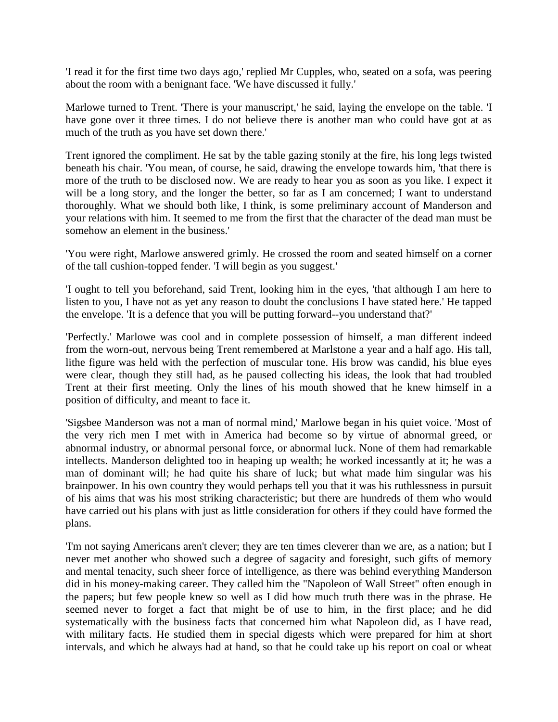'I read it for the first time two days ago,' replied Mr Cupples, who, seated on a sofa, was peering about the room with a benignant face. 'We have discussed it fully.'

Marlowe turned to Trent. 'There is your manuscript,' he said, laying the envelope on the table. 'I have gone over it three times. I do not believe there is another man who could have got at as much of the truth as you have set down there.'

Trent ignored the compliment. He sat by the table gazing stonily at the fire, his long legs twisted beneath his chair. 'You mean, of course, he said, drawing the envelope towards him, 'that there is more of the truth to be disclosed now. We are ready to hear you as soon as you like. I expect it will be a long story, and the longer the better, so far as I am concerned; I want to understand thoroughly. What we should both like, I think, is some preliminary account of Manderson and your relations with him. It seemed to me from the first that the character of the dead man must be somehow an element in the business.'

'You were right, Marlowe answered grimly. He crossed the room and seated himself on a corner of the tall cushion-topped fender. 'I will begin as you suggest.'

'I ought to tell you beforehand, said Trent, looking him in the eyes, 'that although I am here to listen to you, I have not as yet any reason to doubt the conclusions I have stated here.' He tapped the envelope. 'It is a defence that you will be putting forward--you understand that?'

'Perfectly.' Marlowe was cool and in complete possession of himself, a man different indeed from the worn-out, nervous being Trent remembered at Marlstone a year and a half ago. His tall, lithe figure was held with the perfection of muscular tone. His brow was candid, his blue eyes were clear, though they still had, as he paused collecting his ideas, the look that had troubled Trent at their first meeting. Only the lines of his mouth showed that he knew himself in a position of difficulty, and meant to face it.

'Sigsbee Manderson was not a man of normal mind,' Marlowe began in his quiet voice. 'Most of the very rich men I met with in America had become so by virtue of abnormal greed, or abnormal industry, or abnormal personal force, or abnormal luck. None of them had remarkable intellects. Manderson delighted too in heaping up wealth; he worked incessantly at it; he was a man of dominant will; he had quite his share of luck; but what made him singular was his brainpower. In his own country they would perhaps tell you that it was his ruthlessness in pursuit of his aims that was his most striking characteristic; but there are hundreds of them who would have carried out his plans with just as little consideration for others if they could have formed the plans.

'I'm not saying Americans aren't clever; they are ten times cleverer than we are, as a nation; but I never met another who showed such a degree of sagacity and foresight, such gifts of memory and mental tenacity, such sheer force of intelligence, as there was behind everything Manderson did in his money-making career. They called him the "Napoleon of Wall Street" often enough in the papers; but few people knew so well as I did how much truth there was in the phrase. He seemed never to forget a fact that might be of use to him, in the first place; and he did systematically with the business facts that concerned him what Napoleon did, as I have read, with military facts. He studied them in special digests which were prepared for him at short intervals, and which he always had at hand, so that he could take up his report on coal or wheat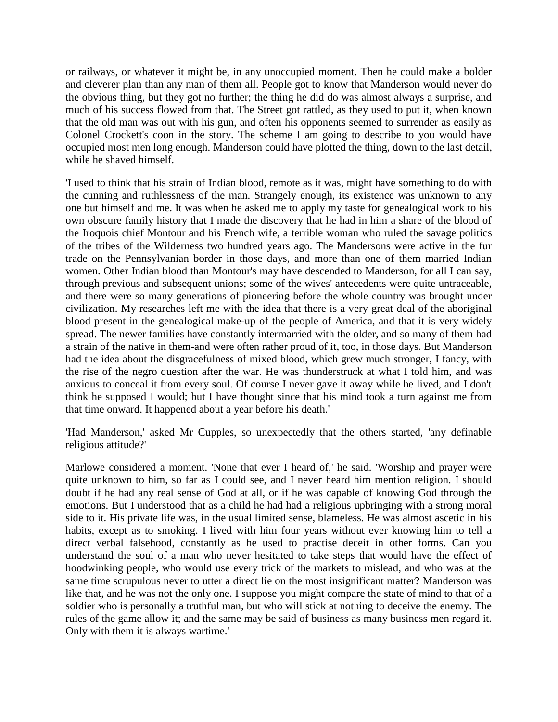or railways, or whatever it might be, in any unoccupied moment. Then he could make a bolder and cleverer plan than any man of them all. People got to know that Manderson would never do the obvious thing, but they got no further; the thing he did do was almost always a surprise, and much of his success flowed from that. The Street got rattled, as they used to put it, when known that the old man was out with his gun, and often his opponents seemed to surrender as easily as Colonel Crockett's coon in the story. The scheme I am going to describe to you would have occupied most men long enough. Manderson could have plotted the thing, down to the last detail, while he shaved himself.

'I used to think that his strain of Indian blood, remote as it was, might have something to do with the cunning and ruthlessness of the man. Strangely enough, its existence was unknown to any one but himself and me. It was when he asked me to apply my taste for genealogical work to his own obscure family history that I made the discovery that he had in him a share of the blood of the Iroquois chief Montour and his French wife, a terrible woman who ruled the savage politics of the tribes of the Wilderness two hundred years ago. The Mandersons were active in the fur trade on the Pennsylvanian border in those days, and more than one of them married Indian women. Other Indian blood than Montour's may have descended to Manderson, for all I can say, through previous and subsequent unions; some of the wives' antecedents were quite untraceable, and there were so many generations of pioneering before the whole country was brought under civilization. My researches left me with the idea that there is a very great deal of the aboriginal blood present in the genealogical make-up of the people of America, and that it is very widely spread. The newer families have constantly intermarried with the older, and so many of them had a strain of the native in them-and were often rather proud of it, too, in those days. But Manderson had the idea about the disgracefulness of mixed blood, which grew much stronger, I fancy, with the rise of the negro question after the war. He was thunderstruck at what I told him, and was anxious to conceal it from every soul. Of course I never gave it away while he lived, and I don't think he supposed I would; but I have thought since that his mind took a turn against me from that time onward. It happened about a year before his death.'

'Had Manderson,' asked Mr Cupples, so unexpectedly that the others started, 'any definable religious attitude?'

Marlowe considered a moment. 'None that ever I heard of,' he said. 'Worship and prayer were quite unknown to him, so far as I could see, and I never heard him mention religion. I should doubt if he had any real sense of God at all, or if he was capable of knowing God through the emotions. But I understood that as a child he had had a religious upbringing with a strong moral side to it. His private life was, in the usual limited sense, blameless. He was almost ascetic in his habits, except as to smoking. I lived with him four years without ever knowing him to tell a direct verbal falsehood, constantly as he used to practise deceit in other forms. Can you understand the soul of a man who never hesitated to take steps that would have the effect of hoodwinking people, who would use every trick of the markets to mislead, and who was at the same time scrupulous never to utter a direct lie on the most insignificant matter? Manderson was like that, and he was not the only one. I suppose you might compare the state of mind to that of a soldier who is personally a truthful man, but who will stick at nothing to deceive the enemy. The rules of the game allow it; and the same may be said of business as many business men regard it. Only with them it is always wartime.'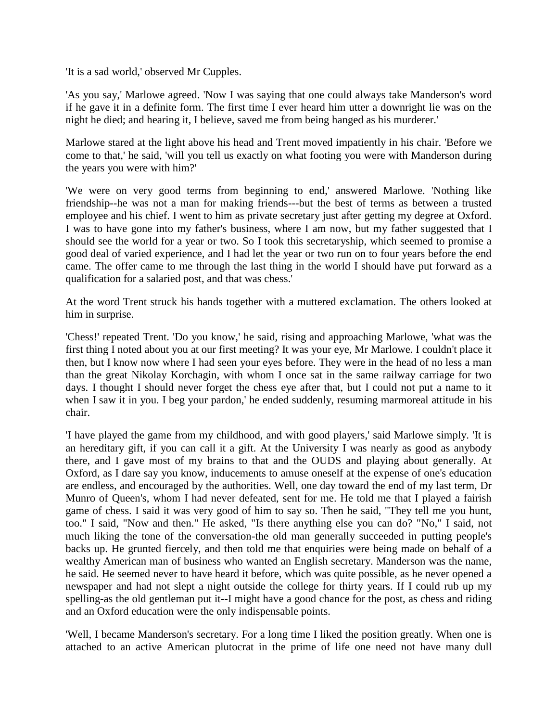'It is a sad world,' observed Mr Cupples.

'As you say,' Marlowe agreed. 'Now I was saying that one could always take Manderson's word if he gave it in a definite form. The first time I ever heard him utter a downright lie was on the night he died; and hearing it, I believe, saved me from being hanged as his murderer.'

Marlowe stared at the light above his head and Trent moved impatiently in his chair. 'Before we come to that,' he said, 'will you tell us exactly on what footing you were with Manderson during the years you were with him?'

'We were on very good terms from beginning to end,' answered Marlowe. 'Nothing like friendship--he was not a man for making friends---but the best of terms as between a trusted employee and his chief. I went to him as private secretary just after getting my degree at Oxford. I was to have gone into my father's business, where I am now, but my father suggested that I should see the world for a year or two. So I took this secretaryship, which seemed to promise a good deal of varied experience, and I had let the year or two run on to four years before the end came. The offer came to me through the last thing in the world I should have put forward as a qualification for a salaried post, and that was chess.'

At the word Trent struck his hands together with a muttered exclamation. The others looked at him in surprise.

'Chess!' repeated Trent. 'Do you know,' he said, rising and approaching Marlowe, 'what was the first thing I noted about you at our first meeting? It was your eye, Mr Marlowe. I couldn't place it then, but I know now where I had seen your eyes before. They were in the head of no less a man than the great Nikolay Korchagin, with whom I once sat in the same railway carriage for two days. I thought I should never forget the chess eye after that, but I could not put a name to it when I saw it in you. I beg your pardon,' he ended suddenly, resuming marmoreal attitude in his chair.

'I have played the game from my childhood, and with good players,' said Marlowe simply. 'It is an hereditary gift, if you can call it a gift. At the University I was nearly as good as anybody there, and I gave most of my brains to that and the OUDS and playing about generally. At Oxford, as I dare say you know, inducements to amuse oneself at the expense of one's education are endless, and encouraged by the authorities. Well, one day toward the end of my last term, Dr Munro of Queen's, whom I had never defeated, sent for me. He told me that I played a fairish game of chess. I said it was very good of him to say so. Then he said, "They tell me you hunt, too." I said, "Now and then." He asked, "Is there anything else you can do? "No," I said, not much liking the tone of the conversation-the old man generally succeeded in putting people's backs up. He grunted fiercely, and then told me that enquiries were being made on behalf of a wealthy American man of business who wanted an English secretary. Manderson was the name, he said. He seemed never to have heard it before, which was quite possible, as he never opened a newspaper and had not slept a night outside the college for thirty years. If I could rub up my spelling-as the old gentleman put it--I might have a good chance for the post, as chess and riding and an Oxford education were the only indispensable points.

'Well, I became Manderson's secretary. For a long time I liked the position greatly. When one is attached to an active American plutocrat in the prime of life one need not have many dull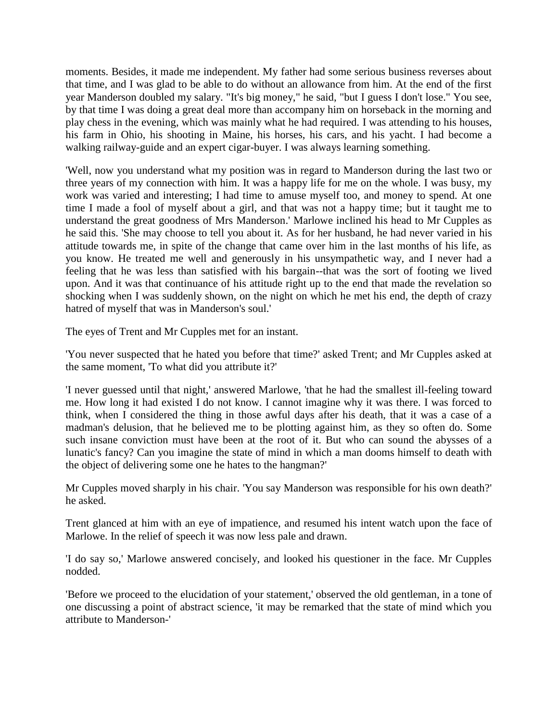moments. Besides, it made me independent. My father had some serious business reverses about that time, and I was glad to be able to do without an allowance from him. At the end of the first year Manderson doubled my salary. "It's big money," he said, "but I guess I don't lose." You see, by that time I was doing a great deal more than accompany him on horseback in the morning and play chess in the evening, which was mainly what he had required. I was attending to his houses, his farm in Ohio, his shooting in Maine, his horses, his cars, and his yacht. I had become a walking railway-guide and an expert cigar-buyer. I was always learning something.

'Well, now you understand what my position was in regard to Manderson during the last two or three years of my connection with him. It was a happy life for me on the whole. I was busy, my work was varied and interesting; I had time to amuse myself too, and money to spend. At one time I made a fool of myself about a girl, and that was not a happy time; but it taught me to understand the great goodness of Mrs Manderson.' Marlowe inclined his head to Mr Cupples as he said this. 'She may choose to tell you about it. As for her husband, he had never varied in his attitude towards me, in spite of the change that came over him in the last months of his life, as you know. He treated me well and generously in his unsympathetic way, and I never had a feeling that he was less than satisfied with his bargain--that was the sort of footing we lived upon. And it was that continuance of his attitude right up to the end that made the revelation so shocking when I was suddenly shown, on the night on which he met his end, the depth of crazy hatred of myself that was in Manderson's soul.'

The eyes of Trent and Mr Cupples met for an instant.

'You never suspected that he hated you before that time?' asked Trent; and Mr Cupples asked at the same moment, 'To what did you attribute it?'

'I never guessed until that night,' answered Marlowe, 'that he had the smallest ill-feeling toward me. How long it had existed I do not know. I cannot imagine why it was there. I was forced to think, when I considered the thing in those awful days after his death, that it was a case of a madman's delusion, that he believed me to be plotting against him, as they so often do. Some such insane conviction must have been at the root of it. But who can sound the abysses of a lunatic's fancy? Can you imagine the state of mind in which a man dooms himself to death with the object of delivering some one he hates to the hangman?'

Mr Cupples moved sharply in his chair. 'You say Manderson was responsible for his own death?' he asked.

Trent glanced at him with an eye of impatience, and resumed his intent watch upon the face of Marlowe. In the relief of speech it was now less pale and drawn.

'I do say so,' Marlowe answered concisely, and looked his questioner in the face. Mr Cupples nodded.

'Before we proceed to the elucidation of your statement,' observed the old gentleman, in a tone of one discussing a point of abstract science, 'it may be remarked that the state of mind which you attribute to Manderson-'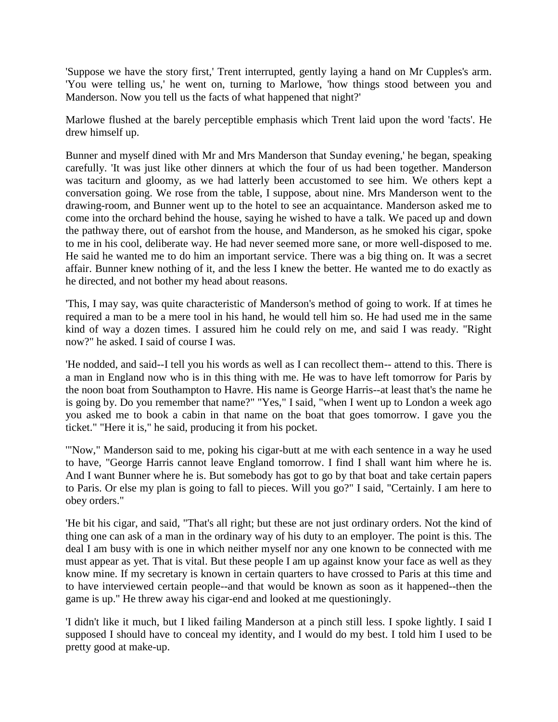'Suppose we have the story first,' Trent interrupted, gently laying a hand on Mr Cupples's arm. 'You were telling us,' he went on, turning to Marlowe, 'how things stood between you and Manderson. Now you tell us the facts of what happened that night?'

Marlowe flushed at the barely perceptible emphasis which Trent laid upon the word 'facts'. He drew himself up.

Bunner and myself dined with Mr and Mrs Manderson that Sunday evening,' he began, speaking carefully. 'It was just like other dinners at which the four of us had been together. Manderson was taciturn and gloomy, as we had latterly been accustomed to see him. We others kept a conversation going. We rose from the table, I suppose, about nine. Mrs Manderson went to the drawing-room, and Bunner went up to the hotel to see an acquaintance. Manderson asked me to come into the orchard behind the house, saying he wished to have a talk. We paced up and down the pathway there, out of earshot from the house, and Manderson, as he smoked his cigar, spoke to me in his cool, deliberate way. He had never seemed more sane, or more well-disposed to me. He said he wanted me to do him an important service. There was a big thing on. It was a secret affair. Bunner knew nothing of it, and the less I knew the better. He wanted me to do exactly as he directed, and not bother my head about reasons.

'This, I may say, was quite characteristic of Manderson's method of going to work. If at times he required a man to be a mere tool in his hand, he would tell him so. He had used me in the same kind of way a dozen times. I assured him he could rely on me, and said I was ready. "Right now?" he asked. I said of course I was.

'He nodded, and said--I tell you his words as well as I can recollect them-- attend to this. There is a man in England now who is in this thing with me. He was to have left tomorrow for Paris by the noon boat from Southampton to Havre. His name is George Harris--at least that's the name he is going by. Do you remember that name?" "Yes," I said, "when I went up to London a week ago you asked me to book a cabin in that name on the boat that goes tomorrow. I gave you the ticket." "Here it is," he said, producing it from his pocket.

'"Now," Manderson said to me, poking his cigar-butt at me with each sentence in a way he used to have, "George Harris cannot leave England tomorrow. I find I shall want him where he is. And I want Bunner where he is. But somebody has got to go by that boat and take certain papers to Paris. Or else my plan is going to fall to pieces. Will you go?" I said, "Certainly. I am here to obey orders."

'He bit his cigar, and said, "That's all right; but these are not just ordinary orders. Not the kind of thing one can ask of a man in the ordinary way of his duty to an employer. The point is this. The deal I am busy with is one in which neither myself nor any one known to be connected with me must appear as yet. That is vital. But these people I am up against know your face as well as they know mine. If my secretary is known in certain quarters to have crossed to Paris at this time and to have interviewed certain people--and that would be known as soon as it happened--then the game is up." He threw away his cigar-end and looked at me questioningly.

'I didn't like it much, but I liked failing Manderson at a pinch still less. I spoke lightly. I said I supposed I should have to conceal my identity, and I would do my best. I told him I used to be pretty good at make-up.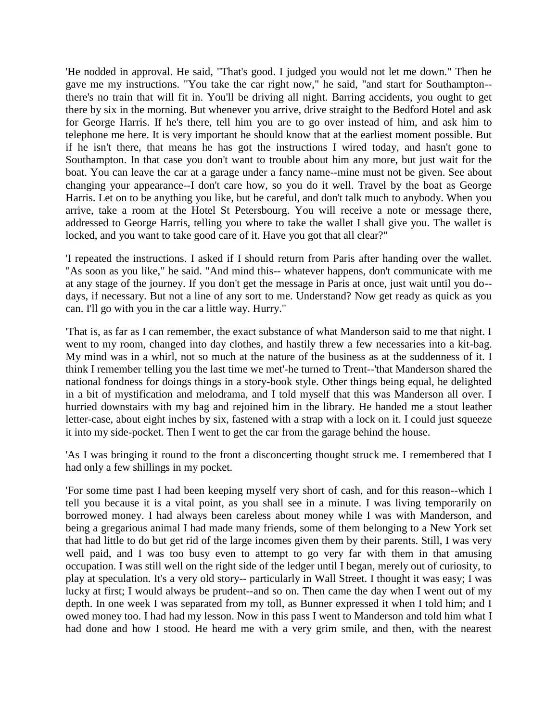'He nodded in approval. He said, "That's good. I judged you would not let me down." Then he gave me my instructions. "You take the car right now," he said, "and start for Southampton- there's no train that will fit in. You'll be driving all night. Barring accidents, you ought to get there by six in the morning. But whenever you arrive, drive straight to the Bedford Hotel and ask for George Harris. If he's there, tell him you are to go over instead of him, and ask him to telephone me here. It is very important he should know that at the earliest moment possible. But if he isn't there, that means he has got the instructions I wired today, and hasn't gone to Southampton. In that case you don't want to trouble about him any more, but just wait for the boat. You can leave the car at a garage under a fancy name--mine must not be given. See about changing your appearance--I don't care how, so you do it well. Travel by the boat as George Harris. Let on to be anything you like, but be careful, and don't talk much to anybody. When you arrive, take a room at the Hotel St Petersbourg. You will receive a note or message there, addressed to George Harris, telling you where to take the wallet I shall give you. The wallet is locked, and you want to take good care of it. Have you got that all clear?"

'I repeated the instructions. I asked if I should return from Paris after handing over the wallet. "As soon as you like," he said. "And mind this-- whatever happens, don't communicate with me at any stage of the journey. If you don't get the message in Paris at once, just wait until you do- days, if necessary. But not a line of any sort to me. Understand? Now get ready as quick as you can. I'll go with you in the car a little way. Hurry."

'That is, as far as I can remember, the exact substance of what Manderson said to me that night. I went to my room, changed into day clothes, and hastily threw a few necessaries into a kit-bag. My mind was in a whirl, not so much at the nature of the business as at the suddenness of it. I think I remember telling you the last time we met'-he turned to Trent--'that Manderson shared the national fondness for doings things in a story-book style. Other things being equal, he delighted in a bit of mystification and melodrama, and I told myself that this was Manderson all over. I hurried downstairs with my bag and rejoined him in the library. He handed me a stout leather letter-case, about eight inches by six, fastened with a strap with a lock on it. I could just squeeze it into my side-pocket. Then I went to get the car from the garage behind the house.

'As I was bringing it round to the front a disconcerting thought struck me. I remembered that I had only a few shillings in my pocket.

'For some time past I had been keeping myself very short of cash, and for this reason--which I tell you because it is a vital point, as you shall see in a minute. I was living temporarily on borrowed money. I had always been careless about money while I was with Manderson, and being a gregarious animal I had made many friends, some of them belonging to a New York set that had little to do but get rid of the large incomes given them by their parents. Still, I was very well paid, and I was too busy even to attempt to go very far with them in that amusing occupation. I was still well on the right side of the ledger until I began, merely out of curiosity, to play at speculation. It's a very old story-- particularly in Wall Street. I thought it was easy; I was lucky at first; I would always be prudent--and so on. Then came the day when I went out of my depth. In one week I was separated from my toll, as Bunner expressed it when I told him; and I owed money too. I had had my lesson. Now in this pass I went to Manderson and told him what I had done and how I stood. He heard me with a very grim smile, and then, with the nearest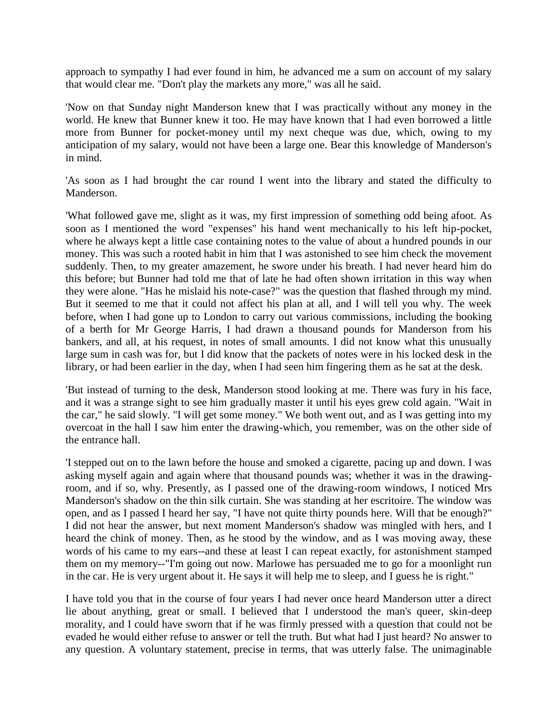approach to sympathy I had ever found in him, he advanced me a sum on account of my salary that would clear me. "Don't play the markets any more," was all he said.

'Now on that Sunday night Manderson knew that I was practically without any money in the world. He knew that Bunner knew it too. He may have known that I had even borrowed a little more from Bunner for pocket-money until my next cheque was due, which, owing to my anticipation of my salary, would not have been a large one. Bear this knowledge of Manderson's in mind.

'As soon as I had brought the car round I went into the library and stated the difficulty to Manderson.

'What followed gave me, slight as it was, my first impression of something odd being afoot. As soon as I mentioned the word "expenses'' his hand went mechanically to his left hip-pocket, where he always kept a little case containing notes to the value of about a hundred pounds in our money. This was such a rooted habit in him that I was astonished to see him check the movement suddenly. Then, to my greater amazement, he swore under his breath. I had never heard him do this before; but Bunner had told me that of late he had often shown irritation in this way when they were alone. "Has he mislaid his note-case?" was the question that flashed through my mind. But it seemed to me that it could not affect his plan at all, and I will tell you why. The week before, when I had gone up to London to carry out various commissions, including the booking of a berth for Mr George Harris, I had drawn a thousand pounds for Manderson from his bankers, and all, at his request, in notes of small amounts. I did not know what this unusually large sum in cash was for, but I did know that the packets of notes were in his locked desk in the library, or had been earlier in the day, when I had seen him fingering them as he sat at the desk.

'But instead of turning to the desk, Manderson stood looking at me. There was fury in his face, and it was a strange sight to see him gradually master it until his eyes grew cold again. "Wait in the car," he said slowly. "I will get some money." We both went out, and as I was getting into my overcoat in the hall I saw him enter the drawing-which, you remember, was on the other side of the entrance hall.

'I stepped out on to the lawn before the house and smoked a cigarette, pacing up and down. I was asking myself again and again where that thousand pounds was; whether it was in the drawingroom, and if so, why. Presently, as I passed one of the drawing-room windows, I noticed Mrs Manderson's shadow on the thin silk curtain. She was standing at her escritoire. The window was open, and as I passed I heard her say, "I have not quite thirty pounds here. Will that be enough?" I did not hear the answer, but next moment Manderson's shadow was mingled with hers, and I heard the chink of money. Then, as he stood by the window, and as I was moving away, these words of his came to my ears--and these at least I can repeat exactly, for astonishment stamped them on my memory--"I'm going out now. Marlowe has persuaded me to go for a moonlight run in the car. He is very urgent about it. He says it will help me to sleep, and I guess he is right."

I have told you that in the course of four years I had never once heard Manderson utter a direct lie about anything, great or small. I believed that I understood the man's queer, skin-deep morality, and I could have sworn that if he was firmly pressed with a question that could not be evaded he would either refuse to answer or tell the truth. But what had I just heard? No answer to any question. A voluntary statement, precise in terms, that was utterly false. The unimaginable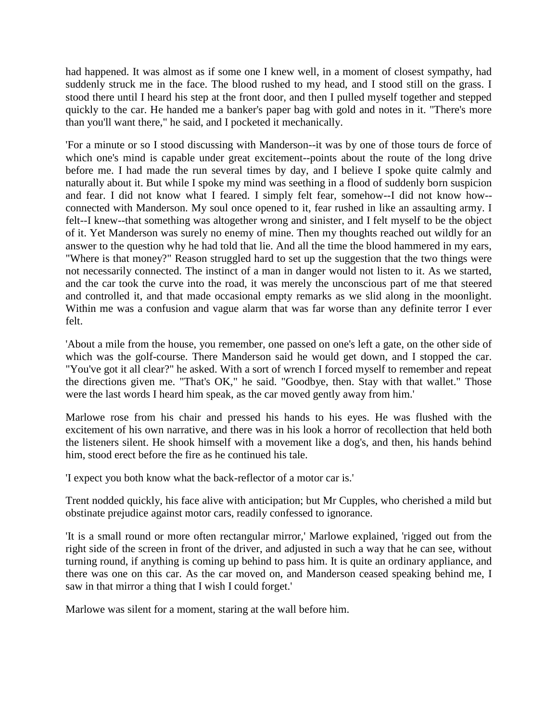had happened. It was almost as if some one I knew well, in a moment of closest sympathy, had suddenly struck me in the face. The blood rushed to my head, and I stood still on the grass. I stood there until I heard his step at the front door, and then I pulled myself together and stepped quickly to the car. He handed me a banker's paper bag with gold and notes in it. "There's more than you'll want there," he said, and I pocketed it mechanically.

'For a minute or so I stood discussing with Manderson--it was by one of those tours de force of which one's mind is capable under great excitement--points about the route of the long drive before me. I had made the run several times by day, and I believe I spoke quite calmly and naturally about it. But while I spoke my mind was seething in a flood of suddenly born suspicion and fear. I did not know what I feared. I simply felt fear, somehow--I did not know how- connected with Manderson. My soul once opened to it, fear rushed in like an assaulting army. I felt--I knew--that something was altogether wrong and sinister, and I felt myself to be the object of it. Yet Manderson was surely no enemy of mine. Then my thoughts reached out wildly for an answer to the question why he had told that lie. And all the time the blood hammered in my ears, "Where is that money?" Reason struggled hard to set up the suggestion that the two things were not necessarily connected. The instinct of a man in danger would not listen to it. As we started, and the car took the curve into the road, it was merely the unconscious part of me that steered and controlled it, and that made occasional empty remarks as we slid along in the moonlight. Within me was a confusion and vague alarm that was far worse than any definite terror I ever felt.

'About a mile from the house, you remember, one passed on one's left a gate, on the other side of which was the golf-course. There Manderson said he would get down, and I stopped the car. "You've got it all clear?" he asked. With a sort of wrench I forced myself to remember and repeat the directions given me. "That's OK," he said. "Goodbye, then. Stay with that wallet." Those were the last words I heard him speak, as the car moved gently away from him.'

Marlowe rose from his chair and pressed his hands to his eyes. He was flushed with the excitement of his own narrative, and there was in his look a horror of recollection that held both the listeners silent. He shook himself with a movement like a dog's, and then, his hands behind him, stood erect before the fire as he continued his tale.

'I expect you both know what the back-reflector of a motor car is.'

Trent nodded quickly, his face alive with anticipation; but Mr Cupples, who cherished a mild but obstinate prejudice against motor cars, readily confessed to ignorance.

'It is a small round or more often rectangular mirror,' Marlowe explained, 'rigged out from the right side of the screen in front of the driver, and adjusted in such a way that he can see, without turning round, if anything is coming up behind to pass him. It is quite an ordinary appliance, and there was one on this car. As the car moved on, and Manderson ceased speaking behind me, I saw in that mirror a thing that I wish I could forget.'

Marlowe was silent for a moment, staring at the wall before him.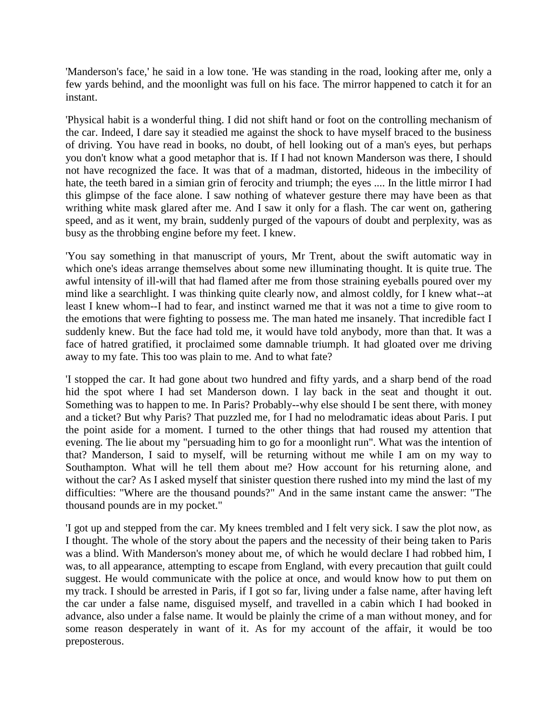'Manderson's face,' he said in a low tone. 'He was standing in the road, looking after me, only a few yards behind, and the moonlight was full on his face. The mirror happened to catch it for an instant.

'Physical habit is a wonderful thing. I did not shift hand or foot on the controlling mechanism of the car. Indeed, I dare say it steadied me against the shock to have myself braced to the business of driving. You have read in books, no doubt, of hell looking out of a man's eyes, but perhaps you don't know what a good metaphor that is. If I had not known Manderson was there, I should not have recognized the face. It was that of a madman, distorted, hideous in the imbecility of hate, the teeth bared in a simian grin of ferocity and triumph; the eyes .... In the little mirror I had this glimpse of the face alone. I saw nothing of whatever gesture there may have been as that writhing white mask glared after me. And I saw it only for a flash. The car went on, gathering speed, and as it went, my brain, suddenly purged of the vapours of doubt and perplexity, was as busy as the throbbing engine before my feet. I knew.

'You say something in that manuscript of yours, Mr Trent, about the swift automatic way in which one's ideas arrange themselves about some new illuminating thought. It is quite true. The awful intensity of ill-will that had flamed after me from those straining eyeballs poured over my mind like a searchlight. I was thinking quite clearly now, and almost coldly, for I knew what--at least I knew whom--I had to fear, and instinct warned me that it was not a time to give room to the emotions that were fighting to possess me. The man hated me insanely. That incredible fact I suddenly knew. But the face had told me, it would have told anybody, more than that. It was a face of hatred gratified, it proclaimed some damnable triumph. It had gloated over me driving away to my fate. This too was plain to me. And to what fate?

'I stopped the car. It had gone about two hundred and fifty yards, and a sharp bend of the road hid the spot where I had set Manderson down. I lay back in the seat and thought it out. Something was to happen to me. In Paris? Probably--why else should I be sent there, with money and a ticket? But why Paris? That puzzled me, for I had no melodramatic ideas about Paris. I put the point aside for a moment. I turned to the other things that had roused my attention that evening. The lie about my "persuading him to go for a moonlight run". What was the intention of that? Manderson, I said to myself, will be returning without me while I am on my way to Southampton. What will he tell them about me? How account for his returning alone, and without the car? As I asked myself that sinister question there rushed into my mind the last of my difficulties: "Where are the thousand pounds?" And in the same instant came the answer: "The thousand pounds are in my pocket."

'I got up and stepped from the car. My knees trembled and I felt very sick. I saw the plot now, as I thought. The whole of the story about the papers and the necessity of their being taken to Paris was a blind. With Manderson's money about me, of which he would declare I had robbed him, I was, to all appearance, attempting to escape from England, with every precaution that guilt could suggest. He would communicate with the police at once, and would know how to put them on my track. I should be arrested in Paris, if I got so far, living under a false name, after having left the car under a false name, disguised myself, and travelled in a cabin which I had booked in advance, also under a false name. It would be plainly the crime of a man without money, and for some reason desperately in want of it. As for my account of the affair, it would be too preposterous.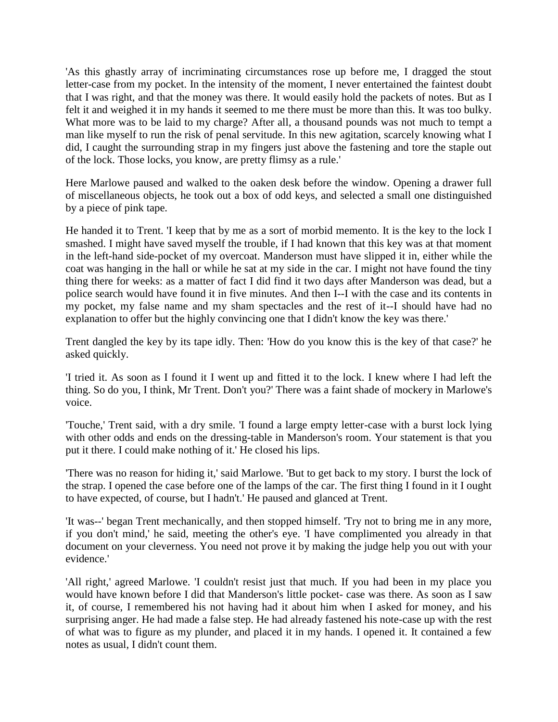'As this ghastly array of incriminating circumstances rose up before me, I dragged the stout letter-case from my pocket. In the intensity of the moment, I never entertained the faintest doubt that I was right, and that the money was there. It would easily hold the packets of notes. But as I felt it and weighed it in my hands it seemed to me there must be more than this. It was too bulky. What more was to be laid to my charge? After all, a thousand pounds was not much to tempt a man like myself to run the risk of penal servitude. In this new agitation, scarcely knowing what I did, I caught the surrounding strap in my fingers just above the fastening and tore the staple out of the lock. Those locks, you know, are pretty flimsy as a rule.'

Here Marlowe paused and walked to the oaken desk before the window. Opening a drawer full of miscellaneous objects, he took out a box of odd keys, and selected a small one distinguished by a piece of pink tape.

He handed it to Trent. 'I keep that by me as a sort of morbid memento. It is the key to the lock I smashed. I might have saved myself the trouble, if I had known that this key was at that moment in the left-hand side-pocket of my overcoat. Manderson must have slipped it in, either while the coat was hanging in the hall or while he sat at my side in the car. I might not have found the tiny thing there for weeks: as a matter of fact I did find it two days after Manderson was dead, but a police search would have found it in five minutes. And then I--I with the case and its contents in my pocket, my false name and my sham spectacles and the rest of it--I should have had no explanation to offer but the highly convincing one that I didn't know the key was there.'

Trent dangled the key by its tape idly. Then: 'How do you know this is the key of that case?' he asked quickly.

'I tried it. As soon as I found it I went up and fitted it to the lock. I knew where I had left the thing. So do you, I think, Mr Trent. Don't you?' There was a faint shade of mockery in Marlowe's voice.

'Touche,' Trent said, with a dry smile. 'I found a large empty letter-case with a burst lock lying with other odds and ends on the dressing-table in Manderson's room. Your statement is that you put it there. I could make nothing of it.' He closed his lips.

'There was no reason for hiding it,' said Marlowe. 'But to get back to my story. I burst the lock of the strap. I opened the case before one of the lamps of the car. The first thing I found in it I ought to have expected, of course, but I hadn't.' He paused and glanced at Trent.

'It was--' began Trent mechanically, and then stopped himself. 'Try not to bring me in any more, if you don't mind,' he said, meeting the other's eye. 'I have complimented you already in that document on your cleverness. You need not prove it by making the judge help you out with your evidence.'

'All right,' agreed Marlowe. 'I couldn't resist just that much. If you had been in my place you would have known before I did that Manderson's little pocket- case was there. As soon as I saw it, of course, I remembered his not having had it about him when I asked for money, and his surprising anger. He had made a false step. He had already fastened his note-case up with the rest of what was to figure as my plunder, and placed it in my hands. I opened it. It contained a few notes as usual, I didn't count them.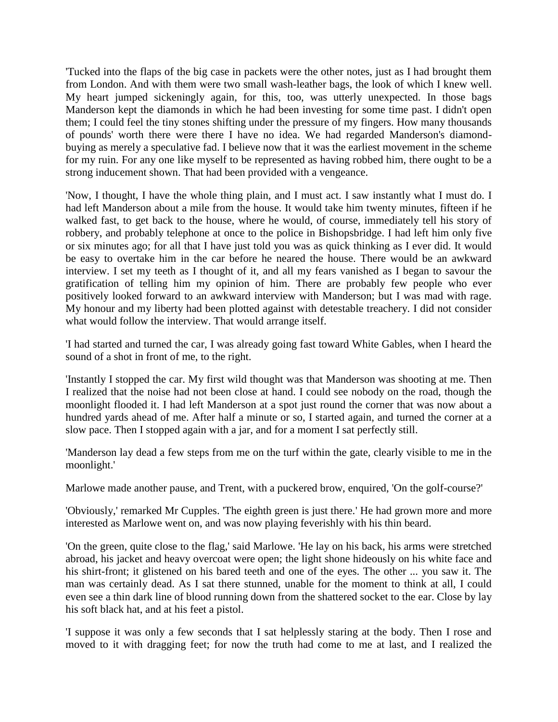'Tucked into the flaps of the big case in packets were the other notes, just as I had brought them from London. And with them were two small wash-leather bags, the look of which I knew well. My heart jumped sickeningly again, for this, too, was utterly unexpected. In those bags Manderson kept the diamonds in which he had been investing for some time past. I didn't open them; I could feel the tiny stones shifting under the pressure of my fingers. How many thousands of pounds' worth there were there I have no idea. We had regarded Manderson's diamondbuying as merely a speculative fad. I believe now that it was the earliest movement in the scheme for my ruin. For any one like myself to be represented as having robbed him, there ought to be a strong inducement shown. That had been provided with a vengeance.

'Now, I thought, I have the whole thing plain, and I must act. I saw instantly what I must do. I had left Manderson about a mile from the house. It would take him twenty minutes, fifteen if he walked fast, to get back to the house, where he would, of course, immediately tell his story of robbery, and probably telephone at once to the police in Bishopsbridge. I had left him only five or six minutes ago; for all that I have just told you was as quick thinking as I ever did. It would be easy to overtake him in the car before he neared the house. There would be an awkward interview. I set my teeth as I thought of it, and all my fears vanished as I began to savour the gratification of telling him my opinion of him. There are probably few people who ever positively looked forward to an awkward interview with Manderson; but I was mad with rage. My honour and my liberty had been plotted against with detestable treachery. I did not consider what would follow the interview. That would arrange itself.

'I had started and turned the car, I was already going fast toward White Gables, when I heard the sound of a shot in front of me, to the right.

'Instantly I stopped the car. My first wild thought was that Manderson was shooting at me. Then I realized that the noise had not been close at hand. I could see nobody on the road, though the moonlight flooded it. I had left Manderson at a spot just round the corner that was now about a hundred yards ahead of me. After half a minute or so, I started again, and turned the corner at a slow pace. Then I stopped again with a jar, and for a moment I sat perfectly still.

'Manderson lay dead a few steps from me on the turf within the gate, clearly visible to me in the moonlight.'

Marlowe made another pause, and Trent, with a puckered brow, enquired, 'On the golf-course?'

'Obviously,' remarked Mr Cupples. 'The eighth green is just there.' He had grown more and more interested as Marlowe went on, and was now playing feverishly with his thin beard.

'On the green, quite close to the flag,' said Marlowe. 'He lay on his back, his arms were stretched abroad, his jacket and heavy overcoat were open; the light shone hideously on his white face and his shirt-front; it glistened on his bared teeth and one of the eyes. The other ... you saw it. The man was certainly dead. As I sat there stunned, unable for the moment to think at all, I could even see a thin dark line of blood running down from the shattered socket to the ear. Close by lay his soft black hat, and at his feet a pistol.

'I suppose it was only a few seconds that I sat helplessly staring at the body. Then I rose and moved to it with dragging feet; for now the truth had come to me at last, and I realized the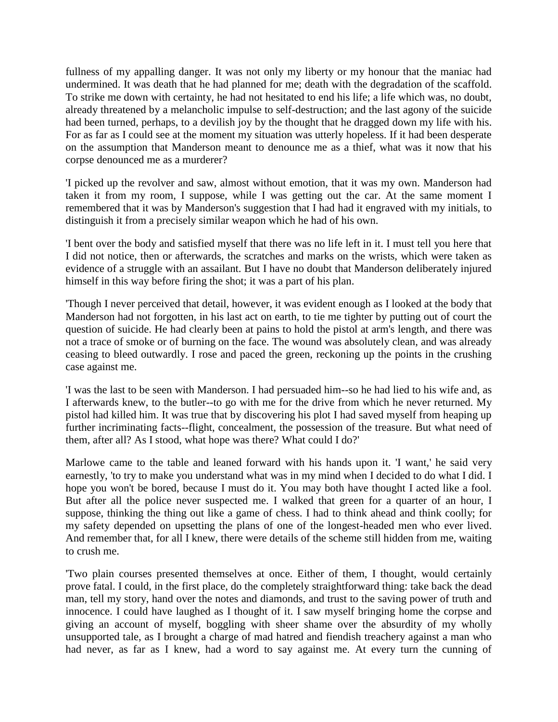fullness of my appalling danger. It was not only my liberty or my honour that the maniac had undermined. It was death that he had planned for me; death with the degradation of the scaffold. To strike me down with certainty, he had not hesitated to end his life; a life which was, no doubt, already threatened by a melancholic impulse to self-destruction; and the last agony of the suicide had been turned, perhaps, to a devilish joy by the thought that he dragged down my life with his. For as far as I could see at the moment my situation was utterly hopeless. If it had been desperate on the assumption that Manderson meant to denounce me as a thief, what was it now that his corpse denounced me as a murderer?

'I picked up the revolver and saw, almost without emotion, that it was my own. Manderson had taken it from my room, I suppose, while I was getting out the car. At the same moment I remembered that it was by Manderson's suggestion that I had had it engraved with my initials, to distinguish it from a precisely similar weapon which he had of his own.

'I bent over the body and satisfied myself that there was no life left in it. I must tell you here that I did not notice, then or afterwards, the scratches and marks on the wrists, which were taken as evidence of a struggle with an assailant. But I have no doubt that Manderson deliberately injured himself in this way before firing the shot; it was a part of his plan.

'Though I never perceived that detail, however, it was evident enough as I looked at the body that Manderson had not forgotten, in his last act on earth, to tie me tighter by putting out of court the question of suicide. He had clearly been at pains to hold the pistol at arm's length, and there was not a trace of smoke or of burning on the face. The wound was absolutely clean, and was already ceasing to bleed outwardly. I rose and paced the green, reckoning up the points in the crushing case against me.

'I was the last to be seen with Manderson. I had persuaded him--so he had lied to his wife and, as I afterwards knew, to the butler--to go with me for the drive from which he never returned. My pistol had killed him. It was true that by discovering his plot I had saved myself from heaping up further incriminating facts--flight, concealment, the possession of the treasure. But what need of them, after all? As I stood, what hope was there? What could I do?'

Marlowe came to the table and leaned forward with his hands upon it. 'I want,' he said very earnestly, 'to try to make you understand what was in my mind when I decided to do what I did. I hope you won't be bored, because I must do it. You may both have thought I acted like a fool. But after all the police never suspected me. I walked that green for a quarter of an hour, I suppose, thinking the thing out like a game of chess. I had to think ahead and think coolly; for my safety depended on upsetting the plans of one of the longest-headed men who ever lived. And remember that, for all I knew, there were details of the scheme still hidden from me, waiting to crush me.

'Two plain courses presented themselves at once. Either of them, I thought, would certainly prove fatal. I could, in the first place, do the completely straightforward thing: take back the dead man, tell my story, hand over the notes and diamonds, and trust to the saving power of truth and innocence. I could have laughed as I thought of it. I saw myself bringing home the corpse and giving an account of myself, boggling with sheer shame over the absurdity of my wholly unsupported tale, as I brought a charge of mad hatred and fiendish treachery against a man who had never, as far as I knew, had a word to say against me. At every turn the cunning of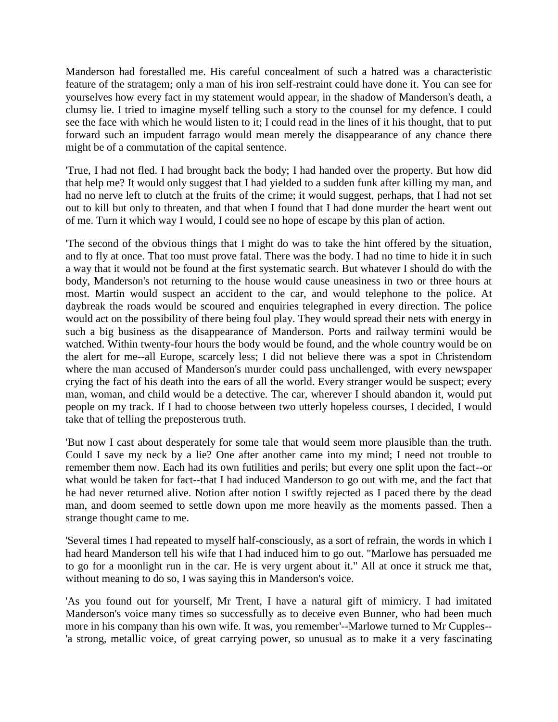Manderson had forestalled me. His careful concealment of such a hatred was a characteristic feature of the stratagem; only a man of his iron self-restraint could have done it. You can see for yourselves how every fact in my statement would appear, in the shadow of Manderson's death, a clumsy lie. I tried to imagine myself telling such a story to the counsel for my defence. I could see the face with which he would listen to it; I could read in the lines of it his thought, that to put forward such an impudent farrago would mean merely the disappearance of any chance there might be of a commutation of the capital sentence.

'True, I had not fled. I had brought back the body; I had handed over the property. But how did that help me? It would only suggest that I had yielded to a sudden funk after killing my man, and had no nerve left to clutch at the fruits of the crime; it would suggest, perhaps, that I had not set out to kill but only to threaten, and that when I found that I had done murder the heart went out of me. Turn it which way I would, I could see no hope of escape by this plan of action.

'The second of the obvious things that I might do was to take the hint offered by the situation, and to fly at once. That too must prove fatal. There was the body. I had no time to hide it in such a way that it would not be found at the first systematic search. But whatever I should do with the body, Manderson's not returning to the house would cause uneasiness in two or three hours at most. Martin would suspect an accident to the car, and would telephone to the police. At daybreak the roads would be scoured and enquiries telegraphed in every direction. The police would act on the possibility of there being foul play. They would spread their nets with energy in such a big business as the disappearance of Manderson. Ports and railway termini would be watched. Within twenty-four hours the body would be found, and the whole country would be on the alert for me--all Europe, scarcely less; I did not believe there was a spot in Christendom where the man accused of Manderson's murder could pass unchallenged, with every newspaper crying the fact of his death into the ears of all the world. Every stranger would be suspect; every man, woman, and child would be a detective. The car, wherever I should abandon it, would put people on my track. If I had to choose between two utterly hopeless courses, I decided, I would take that of telling the preposterous truth.

'But now I cast about desperately for some tale that would seem more plausible than the truth. Could I save my neck by a lie? One after another came into my mind; I need not trouble to remember them now. Each had its own futilities and perils; but every one split upon the fact--or what would be taken for fact--that I had induced Manderson to go out with me, and the fact that he had never returned alive. Notion after notion I swiftly rejected as I paced there by the dead man, and doom seemed to settle down upon me more heavily as the moments passed. Then a strange thought came to me.

'Several times I had repeated to myself half-consciously, as a sort of refrain, the words in which I had heard Manderson tell his wife that I had induced him to go out. "Marlowe has persuaded me to go for a moonlight run in the car. He is very urgent about it." All at once it struck me that, without meaning to do so, I was saying this in Manderson's voice.

'As you found out for yourself, Mr Trent, I have a natural gift of mimicry. I had imitated Manderson's voice many times so successfully as to deceive even Bunner, who had been much more in his company than his own wife. It was, you remember'--Marlowe turned to Mr Cupples-- 'a strong, metallic voice, of great carrying power, so unusual as to make it a very fascinating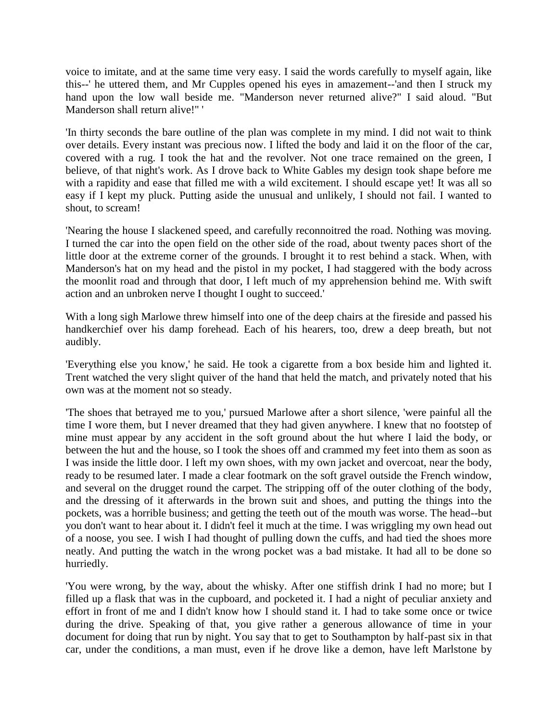voice to imitate, and at the same time very easy. I said the words carefully to myself again, like this--' he uttered them, and Mr Cupples opened his eyes in amazement--'and then I struck my hand upon the low wall beside me. "Manderson never returned alive?" I said aloud. "But Manderson shall return alive!" '

'In thirty seconds the bare outline of the plan was complete in my mind. I did not wait to think over details. Every instant was precious now. I lifted the body and laid it on the floor of the car, covered with a rug. I took the hat and the revolver. Not one trace remained on the green, I believe, of that night's work. As I drove back to White Gables my design took shape before me with a rapidity and ease that filled me with a wild excitement. I should escape yet! It was all so easy if I kept my pluck. Putting aside the unusual and unlikely, I should not fail. I wanted to shout, to scream!

'Nearing the house I slackened speed, and carefully reconnoitred the road. Nothing was moving. I turned the car into the open field on the other side of the road, about twenty paces short of the little door at the extreme corner of the grounds. I brought it to rest behind a stack. When, with Manderson's hat on my head and the pistol in my pocket, I had staggered with the body across the moonlit road and through that door, I left much of my apprehension behind me. With swift action and an unbroken nerve I thought I ought to succeed.'

With a long sigh Marlowe threw himself into one of the deep chairs at the fireside and passed his handkerchief over his damp forehead. Each of his hearers, too, drew a deep breath, but not audibly.

'Everything else you know,' he said. He took a cigarette from a box beside him and lighted it. Trent watched the very slight quiver of the hand that held the match, and privately noted that his own was at the moment not so steady.

'The shoes that betrayed me to you,' pursued Marlowe after a short silence, 'were painful all the time I wore them, but I never dreamed that they had given anywhere. I knew that no footstep of mine must appear by any accident in the soft ground about the hut where I laid the body, or between the hut and the house, so I took the shoes off and crammed my feet into them as soon as I was inside the little door. I left my own shoes, with my own jacket and overcoat, near the body, ready to be resumed later. I made a clear footmark on the soft gravel outside the French window, and several on the drugget round the carpet. The stripping off of the outer clothing of the body, and the dressing of it afterwards in the brown suit and shoes, and putting the things into the pockets, was a horrible business; and getting the teeth out of the mouth was worse. The head--but you don't want to hear about it. I didn't feel it much at the time. I was wriggling my own head out of a noose, you see. I wish I had thought of pulling down the cuffs, and had tied the shoes more neatly. And putting the watch in the wrong pocket was a bad mistake. It had all to be done so hurriedly.

'You were wrong, by the way, about the whisky. After one stiffish drink I had no more; but I filled up a flask that was in the cupboard, and pocketed it. I had a night of peculiar anxiety and effort in front of me and I didn't know how I should stand it. I had to take some once or twice during the drive. Speaking of that, you give rather a generous allowance of time in your document for doing that run by night. You say that to get to Southampton by half-past six in that car, under the conditions, a man must, even if he drove like a demon, have left Marlstone by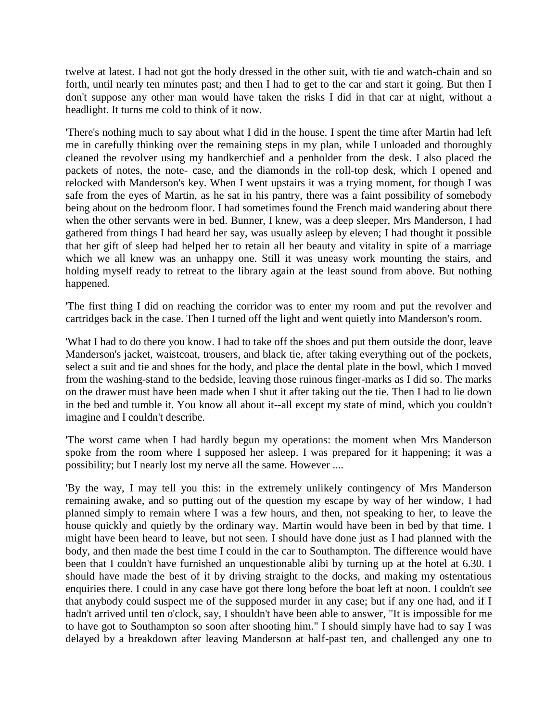twelve at latest. I had not got the body dressed in the other suit, with tie and watch-chain and so forth, until nearly ten minutes past; and then I had to get to the car and start it going. But then I don't suppose any other man would have taken the risks I did in that car at night, without a headlight. It turns me cold to think of it now.

'There's nothing much to say about what I did in the house. I spent the time after Martin had left me in carefully thinking over the remaining steps in my plan, while I unloaded and thoroughly cleaned the revolver using my handkerchief and a penholder from the desk. I also placed the packets of notes, the note- case, and the diamonds in the roll-top desk, which I opened and relocked with Manderson's key. When I went upstairs it was a trying moment, for though I was safe from the eyes of Martin, as he sat in his pantry, there was a faint possibility of somebody being about on the bedroom floor. I had sometimes found the French maid wandering about there when the other servants were in bed. Bunner, I knew, was a deep sleeper, Mrs Manderson, I had gathered from things I had heard her say, was usually asleep by eleven; I had thought it possible that her gift of sleep had helped her to retain all her beauty and vitality in spite of a marriage which we all knew was an unhappy one. Still it was uneasy work mounting the stairs, and holding myself ready to retreat to the library again at the least sound from above. But nothing happened.

'The first thing I did on reaching the corridor was to enter my room and put the revolver and cartridges back in the case. Then I turned off the light and went quietly into Manderson's room.

'What I had to do there you know. I had to take off the shoes and put them outside the door, leave Manderson's jacket, waistcoat, trousers, and black tie, after taking everything out of the pockets, select a suit and tie and shoes for the body, and place the dental plate in the bowl, which I moved from the washing-stand to the bedside, leaving those ruinous finger-marks as I did so. The marks on the drawer must have been made when I shut it after taking out the tie. Then I had to lie down in the bed and tumble it. You know all about it--all except my state of mind, which you couldn't imagine and I couldn't describe.

'The worst came when I had hardly begun my operations: the moment when Mrs Manderson spoke from the room where I supposed her asleep. I was prepared for it happening; it was a possibility; but I nearly lost my nerve all the same. However ....

'By the way, I may tell you this: in the extremely unlikely contingency of Mrs Manderson remaining awake, and so putting out of the question my escape by way of her window, I had planned simply to remain where I was a few hours, and then, not speaking to her, to leave the house quickly and quietly by the ordinary way. Martin would have been in bed by that time. I might have been heard to leave, but not seen. I should have done just as I had planned with the body, and then made the best time I could in the car to Southampton. The difference would have been that I couldn't have furnished an unquestionable alibi by turning up at the hotel at 6.30. I should have made the best of it by driving straight to the docks, and making my ostentatious enquiries there. I could in any case have got there long before the boat left at noon. I couldn't see that anybody could suspect me of the supposed murder in any case; but if any one had, and if I hadn't arrived until ten o'clock, say, I shouldn't have been able to answer, "It is impossible for me to have got to Southampton so soon after shooting him." I should simply have had to say I was delayed by a breakdown after leaving Manderson at half-past ten, and challenged any one to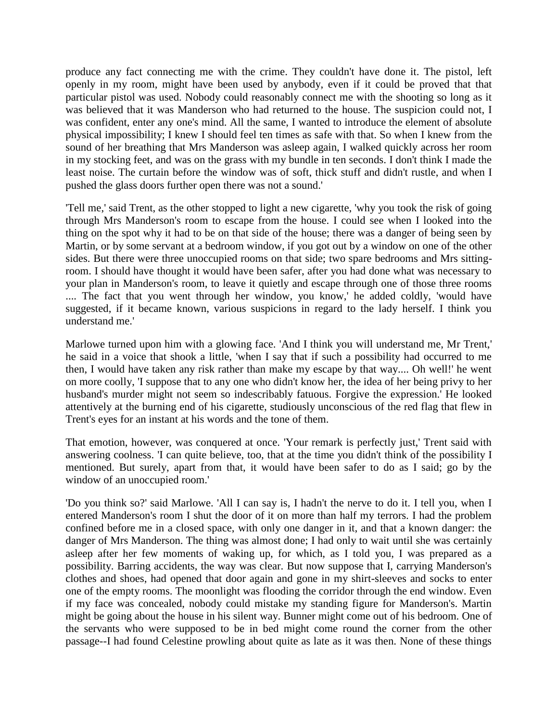produce any fact connecting me with the crime. They couldn't have done it. The pistol, left openly in my room, might have been used by anybody, even if it could be proved that that particular pistol was used. Nobody could reasonably connect me with the shooting so long as it was believed that it was Manderson who had returned to the house. The suspicion could not, I was confident, enter any one's mind. All the same, I wanted to introduce the element of absolute physical impossibility; I knew I should feel ten times as safe with that. So when I knew from the sound of her breathing that Mrs Manderson was asleep again, I walked quickly across her room in my stocking feet, and was on the grass with my bundle in ten seconds. I don't think I made the least noise. The curtain before the window was of soft, thick stuff and didn't rustle, and when I pushed the glass doors further open there was not a sound.'

'Tell me,' said Trent, as the other stopped to light a new cigarette, 'why you took the risk of going through Mrs Manderson's room to escape from the house. I could see when I looked into the thing on the spot why it had to be on that side of the house; there was a danger of being seen by Martin, or by some servant at a bedroom window, if you got out by a window on one of the other sides. But there were three unoccupied rooms on that side; two spare bedrooms and Mrs sittingroom. I should have thought it would have been safer, after you had done what was necessary to your plan in Manderson's room, to leave it quietly and escape through one of those three rooms .... The fact that you went through her window, you know,' he added coldly, 'would have suggested, if it became known, various suspicions in regard to the lady herself. I think you understand me.'

Marlowe turned upon him with a glowing face. 'And I think you will understand me, Mr Trent,' he said in a voice that shook a little, 'when I say that if such a possibility had occurred to me then, I would have taken any risk rather than make my escape by that way.... Oh well!' he went on more coolly, 'I suppose that to any one who didn't know her, the idea of her being privy to her husband's murder might not seem so indescribably fatuous. Forgive the expression.' He looked attentively at the burning end of his cigarette, studiously unconscious of the red flag that flew in Trent's eyes for an instant at his words and the tone of them.

That emotion, however, was conquered at once. 'Your remark is perfectly just,' Trent said with answering coolness. 'I can quite believe, too, that at the time you didn't think of the possibility I mentioned. But surely, apart from that, it would have been safer to do as I said; go by the window of an unoccupied room.'

'Do you think so?' said Marlowe. 'All I can say is, I hadn't the nerve to do it. I tell you, when I entered Manderson's room I shut the door of it on more than half my terrors. I had the problem confined before me in a closed space, with only one danger in it, and that a known danger: the danger of Mrs Manderson. The thing was almost done; I had only to wait until she was certainly asleep after her few moments of waking up, for which, as I told you, I was prepared as a possibility. Barring accidents, the way was clear. But now suppose that I, carrying Manderson's clothes and shoes, had opened that door again and gone in my shirt-sleeves and socks to enter one of the empty rooms. The moonlight was flooding the corridor through the end window. Even if my face was concealed, nobody could mistake my standing figure for Manderson's. Martin might be going about the house in his silent way. Bunner might come out of his bedroom. One of the servants who were supposed to be in bed might come round the corner from the other passage--I had found Celestine prowling about quite as late as it was then. None of these things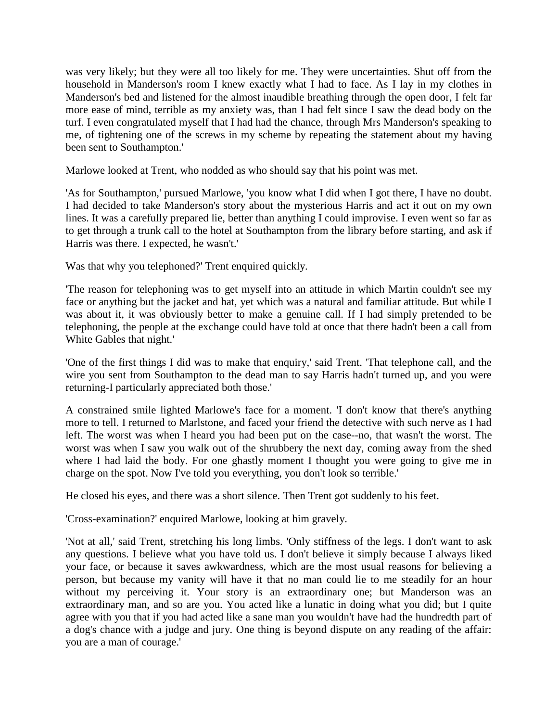was very likely; but they were all too likely for me. They were uncertainties. Shut off from the household in Manderson's room I knew exactly what I had to face. As I lay in my clothes in Manderson's bed and listened for the almost inaudible breathing through the open door, I felt far more ease of mind, terrible as my anxiety was, than I had felt since I saw the dead body on the turf. I even congratulated myself that I had had the chance, through Mrs Manderson's speaking to me, of tightening one of the screws in my scheme by repeating the statement about my having been sent to Southampton.'

Marlowe looked at Trent, who nodded as who should say that his point was met.

'As for Southampton,' pursued Marlowe, 'you know what I did when I got there, I have no doubt. I had decided to take Manderson's story about the mysterious Harris and act it out on my own lines. It was a carefully prepared lie, better than anything I could improvise. I even went so far as to get through a trunk call to the hotel at Southampton from the library before starting, and ask if Harris was there. I expected, he wasn't.'

Was that why you telephoned?' Trent enquired quickly.

'The reason for telephoning was to get myself into an attitude in which Martin couldn't see my face or anything but the jacket and hat, yet which was a natural and familiar attitude. But while I was about it, it was obviously better to make a genuine call. If I had simply pretended to be telephoning, the people at the exchange could have told at once that there hadn't been a call from White Gables that night.'

'One of the first things I did was to make that enquiry,' said Trent. 'That telephone call, and the wire you sent from Southampton to the dead man to say Harris hadn't turned up, and you were returning-I particularly appreciated both those.'

A constrained smile lighted Marlowe's face for a moment. 'I don't know that there's anything more to tell. I returned to Marlstone, and faced your friend the detective with such nerve as I had left. The worst was when I heard you had been put on the case--no, that wasn't the worst. The worst was when I saw you walk out of the shrubbery the next day, coming away from the shed where I had laid the body. For one ghastly moment I thought you were going to give me in charge on the spot. Now I've told you everything, you don't look so terrible.'

He closed his eyes, and there was a short silence. Then Trent got suddenly to his feet.

'Cross-examination?' enquired Marlowe, looking at him gravely.

'Not at all,' said Trent, stretching his long limbs. 'Only stiffness of the legs. I don't want to ask any questions. I believe what you have told us. I don't believe it simply because I always liked your face, or because it saves awkwardness, which are the most usual reasons for believing a person, but because my vanity will have it that no man could lie to me steadily for an hour without my perceiving it. Your story is an extraordinary one; but Manderson was an extraordinary man, and so are you. You acted like a lunatic in doing what you did; but I quite agree with you that if you had acted like a sane man you wouldn't have had the hundredth part of a dog's chance with a judge and jury. One thing is beyond dispute on any reading of the affair: you are a man of courage.'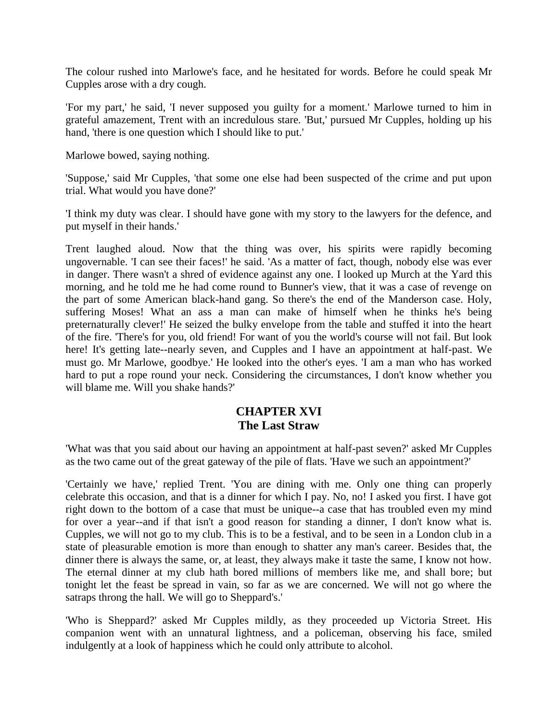The colour rushed into Marlowe's face, and he hesitated for words. Before he could speak Mr Cupples arose with a dry cough.

'For my part,' he said, 'I never supposed you guilty for a moment.' Marlowe turned to him in grateful amazement, Trent with an incredulous stare. 'But,' pursued Mr Cupples, holding up his hand, 'there is one question which I should like to put.'

Marlowe bowed, saying nothing.

'Suppose,' said Mr Cupples, 'that some one else had been suspected of the crime and put upon trial. What would you have done?'

'I think my duty was clear. I should have gone with my story to the lawyers for the defence, and put myself in their hands.'

Trent laughed aloud. Now that the thing was over, his spirits were rapidly becoming ungovernable. 'I can see their faces!' he said. 'As a matter of fact, though, nobody else was ever in danger. There wasn't a shred of evidence against any one. I looked up Murch at the Yard this morning, and he told me he had come round to Bunner's view, that it was a case of revenge on the part of some American black-hand gang. So there's the end of the Manderson case. Holy, suffering Moses! What an ass a man can make of himself when he thinks he's being preternaturally clever!' He seized the bulky envelope from the table and stuffed it into the heart of the fire. 'There's for you, old friend! For want of you the world's course will not fail. But look here! It's getting late--nearly seven, and Cupples and I have an appointment at half-past. We must go. Mr Marlowe, goodbye.' He looked into the other's eyes. 'I am a man who has worked hard to put a rope round your neck. Considering the circumstances, I don't know whether you will blame me. Will you shake hands?'

## **CHAPTER XVI The Last Straw**

'What was that you said about our having an appointment at half-past seven?' asked Mr Cupples as the two came out of the great gateway of the pile of flats. 'Have we such an appointment?'

'Certainly we have,' replied Trent. 'You are dining with me. Only one thing can properly celebrate this occasion, and that is a dinner for which I pay. No, no! I asked you first. I have got right down to the bottom of a case that must be unique--a case that has troubled even my mind for over a year--and if that isn't a good reason for standing a dinner, I don't know what is. Cupples, we will not go to my club. This is to be a festival, and to be seen in a London club in a state of pleasurable emotion is more than enough to shatter any man's career. Besides that, the dinner there is always the same, or, at least, they always make it taste the same, I know not how. The eternal dinner at my club hath bored millions of members like me, and shall bore; but tonight let the feast be spread in vain, so far as we are concerned. We will not go where the satraps throng the hall. We will go to Sheppard's.'

'Who is Sheppard?' asked Mr Cupples mildly, as they proceeded up Victoria Street. His companion went with an unnatural lightness, and a policeman, observing his face, smiled indulgently at a look of happiness which he could only attribute to alcohol.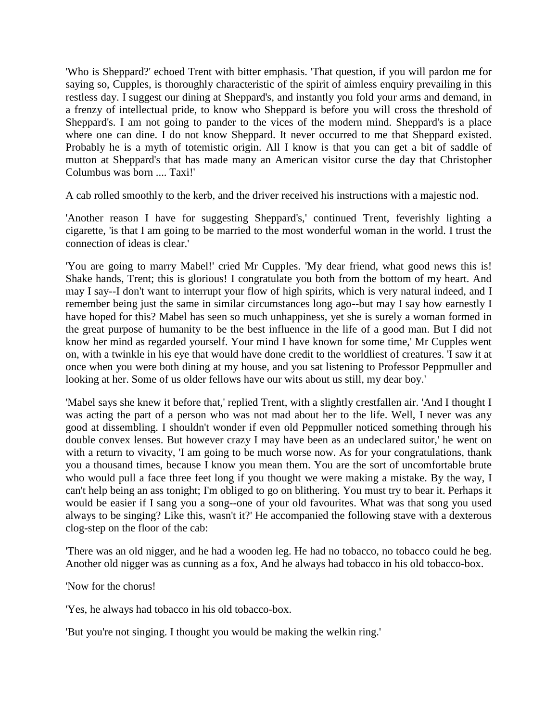'Who is Sheppard?' echoed Trent with bitter emphasis. 'That question, if you will pardon me for saying so, Cupples, is thoroughly characteristic of the spirit of aimless enquiry prevailing in this restless day. I suggest our dining at Sheppard's, and instantly you fold your arms and demand, in a frenzy of intellectual pride, to know who Sheppard is before you will cross the threshold of Sheppard's. I am not going to pander to the vices of the modern mind. Sheppard's is a place where one can dine. I do not know Sheppard. It never occurred to me that Sheppard existed. Probably he is a myth of totemistic origin. All I know is that you can get a bit of saddle of mutton at Sheppard's that has made many an American visitor curse the day that Christopher Columbus was born .... Taxi!'

A cab rolled smoothly to the kerb, and the driver received his instructions with a majestic nod.

'Another reason I have for suggesting Sheppard's,' continued Trent, feverishly lighting a cigarette, 'is that I am going to be married to the most wonderful woman in the world. I trust the connection of ideas is clear.'

'You are going to marry Mabel!' cried Mr Cupples. 'My dear friend, what good news this is! Shake hands, Trent; this is glorious! I congratulate you both from the bottom of my heart. And may I say--I don't want to interrupt your flow of high spirits, which is very natural indeed, and I remember being just the same in similar circumstances long ago--but may I say how earnestly I have hoped for this? Mabel has seen so much unhappiness, yet she is surely a woman formed in the great purpose of humanity to be the best influence in the life of a good man. But I did not know her mind as regarded yourself. Your mind I have known for some time,' Mr Cupples went on, with a twinkle in his eye that would have done credit to the worldliest of creatures. 'I saw it at once when you were both dining at my house, and you sat listening to Professor Peppmuller and looking at her. Some of us older fellows have our wits about us still, my dear boy.'

'Mabel says she knew it before that,' replied Trent, with a slightly crestfallen air. 'And I thought I was acting the part of a person who was not mad about her to the life. Well, I never was any good at dissembling. I shouldn't wonder if even old Peppmuller noticed something through his double convex lenses. But however crazy I may have been as an undeclared suitor,' he went on with a return to vivacity, 'I am going to be much worse now. As for your congratulations, thank you a thousand times, because I know you mean them. You are the sort of uncomfortable brute who would pull a face three feet long if you thought we were making a mistake. By the way, I can't help being an ass tonight; I'm obliged to go on blithering. You must try to bear it. Perhaps it would be easier if I sang you a song--one of your old favourites. What was that song you used always to be singing? Like this, wasn't it?' He accompanied the following stave with a dexterous clog-step on the floor of the cab:

'There was an old nigger, and he had a wooden leg. He had no tobacco, no tobacco could he beg. Another old nigger was as cunning as a fox, And he always had tobacco in his old tobacco-box.

'Now for the chorus!

'Yes, he always had tobacco in his old tobacco-box.

'But you're not singing. I thought you would be making the welkin ring.'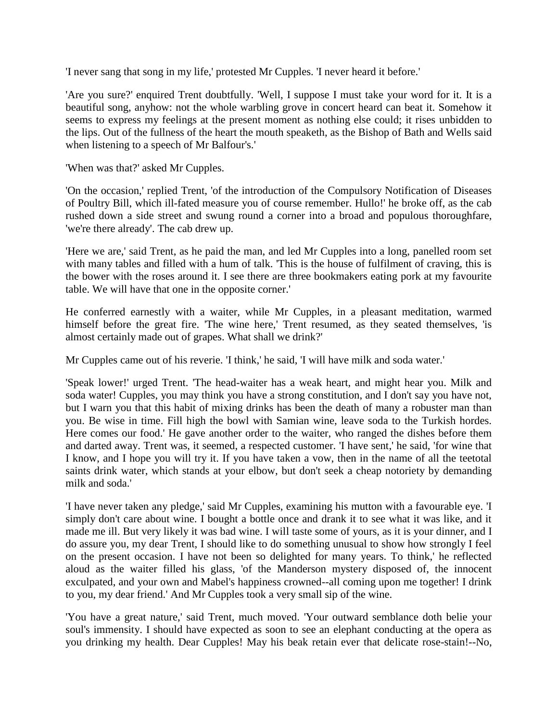'I never sang that song in my life,' protested Mr Cupples. 'I never heard it before.'

'Are you sure?' enquired Trent doubtfully. 'Well, I suppose I must take your word for it. It is a beautiful song, anyhow: not the whole warbling grove in concert heard can beat it. Somehow it seems to express my feelings at the present moment as nothing else could; it rises unbidden to the lips. Out of the fullness of the heart the mouth speaketh, as the Bishop of Bath and Wells said when listening to a speech of Mr Balfour's.'

'When was that?' asked Mr Cupples.

'On the occasion,' replied Trent, 'of the introduction of the Compulsory Notification of Diseases of Poultry Bill, which ill-fated measure you of course remember. Hullo!' he broke off, as the cab rushed down a side street and swung round a corner into a broad and populous thoroughfare, 'we're there already'. The cab drew up.

'Here we are,' said Trent, as he paid the man, and led Mr Cupples into a long, panelled room set with many tables and filled with a hum of talk. 'This is the house of fulfilment of craving, this is the bower with the roses around it. I see there are three bookmakers eating pork at my favourite table. We will have that one in the opposite corner.'

He conferred earnestly with a waiter, while Mr Cupples, in a pleasant meditation, warmed himself before the great fire. 'The wine here,' Trent resumed, as they seated themselves, 'is almost certainly made out of grapes. What shall we drink?'

Mr Cupples came out of his reverie. 'I think,' he said, 'I will have milk and soda water.'

'Speak lower!' urged Trent. 'The head-waiter has a weak heart, and might hear you. Milk and soda water! Cupples, you may think you have a strong constitution, and I don't say you have not, but I warn you that this habit of mixing drinks has been the death of many a robuster man than you. Be wise in time. Fill high the bowl with Samian wine, leave soda to the Turkish hordes. Here comes our food.' He gave another order to the waiter, who ranged the dishes before them and darted away. Trent was, it seemed, a respected customer. 'I have sent,' he said, 'for wine that I know, and I hope you will try it. If you have taken a vow, then in the name of all the teetotal saints drink water, which stands at your elbow, but don't seek a cheap notoriety by demanding milk and soda.'

'I have never taken any pledge,' said Mr Cupples, examining his mutton with a favourable eye. 'I simply don't care about wine. I bought a bottle once and drank it to see what it was like, and it made me ill. But very likely it was bad wine. I will taste some of yours, as it is your dinner, and I do assure you, my dear Trent, I should like to do something unusual to show how strongly I feel on the present occasion. I have not been so delighted for many years. To think,' he reflected aloud as the waiter filled his glass, 'of the Manderson mystery disposed of, the innocent exculpated, and your own and Mabel's happiness crowned--all coming upon me together! I drink to you, my dear friend.' And Mr Cupples took a very small sip of the wine.

'You have a great nature,' said Trent, much moved. 'Your outward semblance doth belie your soul's immensity. I should have expected as soon to see an elephant conducting at the opera as you drinking my health. Dear Cupples! May his beak retain ever that delicate rose-stain!--No,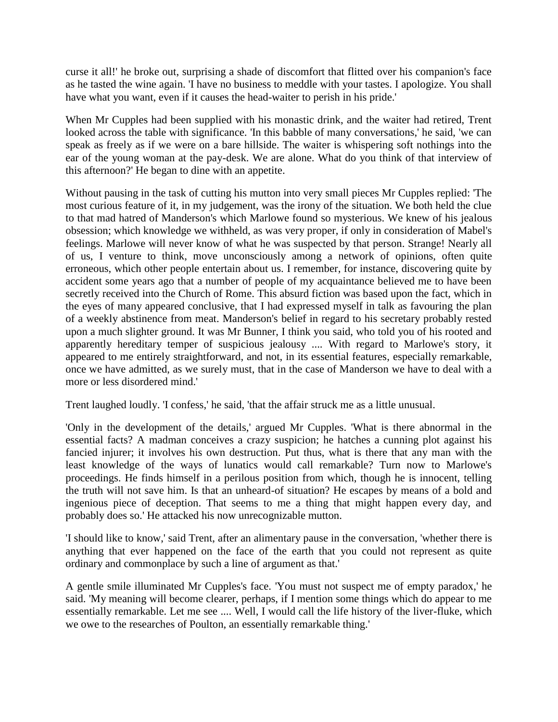curse it all!' he broke out, surprising a shade of discomfort that flitted over his companion's face as he tasted the wine again. 'I have no business to meddle with your tastes. I apologize. You shall have what you want, even if it causes the head-waiter to perish in his pride.'

When Mr Cupples had been supplied with his monastic drink, and the waiter had retired, Trent looked across the table with significance. 'In this babble of many conversations,' he said, 'we can speak as freely as if we were on a bare hillside. The waiter is whispering soft nothings into the ear of the young woman at the pay-desk. We are alone. What do you think of that interview of this afternoon?' He began to dine with an appetite.

Without pausing in the task of cutting his mutton into very small pieces Mr Cupples replied: 'The most curious feature of it, in my judgement, was the irony of the situation. We both held the clue to that mad hatred of Manderson's which Marlowe found so mysterious. We knew of his jealous obsession; which knowledge we withheld, as was very proper, if only in consideration of Mabel's feelings. Marlowe will never know of what he was suspected by that person. Strange! Nearly all of us, I venture to think, move unconsciously among a network of opinions, often quite erroneous, which other people entertain about us. I remember, for instance, discovering quite by accident some years ago that a number of people of my acquaintance believed me to have been secretly received into the Church of Rome. This absurd fiction was based upon the fact, which in the eyes of many appeared conclusive, that I had expressed myself in talk as favouring the plan of a weekly abstinence from meat. Manderson's belief in regard to his secretary probably rested upon a much slighter ground. It was Mr Bunner, I think you said, who told you of his rooted and apparently hereditary temper of suspicious jealousy .... With regard to Marlowe's story, it appeared to me entirely straightforward, and not, in its essential features, especially remarkable, once we have admitted, as we surely must, that in the case of Manderson we have to deal with a more or less disordered mind.'

Trent laughed loudly. 'I confess,' he said, 'that the affair struck me as a little unusual.

'Only in the development of the details,' argued Mr Cupples. 'What is there abnormal in the essential facts? A madman conceives a crazy suspicion; he hatches a cunning plot against his fancied injurer; it involves his own destruction. Put thus, what is there that any man with the least knowledge of the ways of lunatics would call remarkable? Turn now to Marlowe's proceedings. He finds himself in a perilous position from which, though he is innocent, telling the truth will not save him. Is that an unheard-of situation? He escapes by means of a bold and ingenious piece of deception. That seems to me a thing that might happen every day, and probably does so.' He attacked his now unrecognizable mutton.

'I should like to know,' said Trent, after an alimentary pause in the conversation, 'whether there is anything that ever happened on the face of the earth that you could not represent as quite ordinary and commonplace by such a line of argument as that.'

A gentle smile illuminated Mr Cupples's face. 'You must not suspect me of empty paradox,' he said. 'My meaning will become clearer, perhaps, if I mention some things which do appear to me essentially remarkable. Let me see .... Well, I would call the life history of the liver-fluke, which we owe to the researches of Poulton, an essentially remarkable thing.'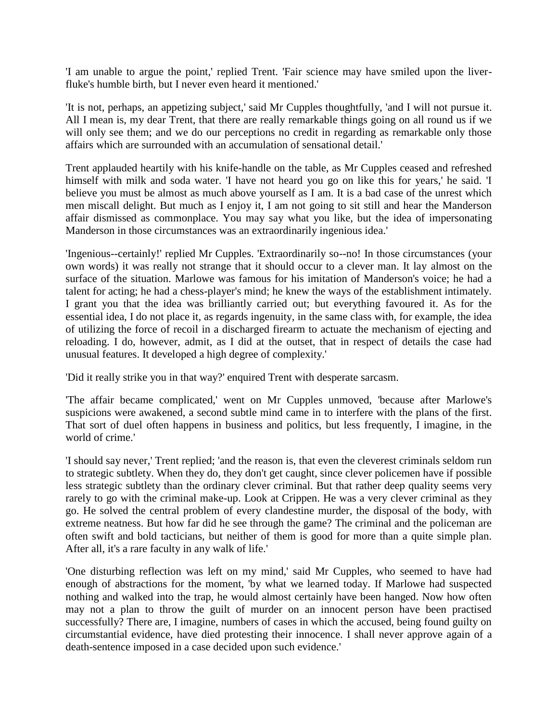'I am unable to argue the point,' replied Trent. 'Fair science may have smiled upon the liverfluke's humble birth, but I never even heard it mentioned.'

'It is not, perhaps, an appetizing subject,' said Mr Cupples thoughtfully, 'and I will not pursue it. All I mean is, my dear Trent, that there are really remarkable things going on all round us if we will only see them; and we do our perceptions no credit in regarding as remarkable only those affairs which are surrounded with an accumulation of sensational detail.'

Trent applauded heartily with his knife-handle on the table, as Mr Cupples ceased and refreshed himself with milk and soda water. 'I have not heard you go on like this for years,' he said. 'I believe you must be almost as much above yourself as I am. It is a bad case of the unrest which men miscall delight. But much as I enjoy it, I am not going to sit still and hear the Manderson affair dismissed as commonplace. You may say what you like, but the idea of impersonating Manderson in those circumstances was an extraordinarily ingenious idea.'

'Ingenious--certainly!' replied Mr Cupples. 'Extraordinarily so--no! In those circumstances (your own words) it was really not strange that it should occur to a clever man. It lay almost on the surface of the situation. Marlowe was famous for his imitation of Manderson's voice; he had a talent for acting; he had a chess-player's mind; he knew the ways of the establishment intimately. I grant you that the idea was brilliantly carried out; but everything favoured it. As for the essential idea, I do not place it, as regards ingenuity, in the same class with, for example, the idea of utilizing the force of recoil in a discharged firearm to actuate the mechanism of ejecting and reloading. I do, however, admit, as I did at the outset, that in respect of details the case had unusual features. It developed a high degree of complexity.'

'Did it really strike you in that way?' enquired Trent with desperate sarcasm.

'The affair became complicated,' went on Mr Cupples unmoved, 'because after Marlowe's suspicions were awakened, a second subtle mind came in to interfere with the plans of the first. That sort of duel often happens in business and politics, but less frequently, I imagine, in the world of crime.'

'I should say never,' Trent replied; 'and the reason is, that even the cleverest criminals seldom run to strategic subtlety. When they do, they don't get caught, since clever policemen have if possible less strategic subtlety than the ordinary clever criminal. But that rather deep quality seems very rarely to go with the criminal make-up. Look at Crippen. He was a very clever criminal as they go. He solved the central problem of every clandestine murder, the disposal of the body, with extreme neatness. But how far did he see through the game? The criminal and the policeman are often swift and bold tacticians, but neither of them is good for more than a quite simple plan. After all, it's a rare faculty in any walk of life.'

'One disturbing reflection was left on my mind,' said Mr Cupples, who seemed to have had enough of abstractions for the moment, 'by what we learned today. If Marlowe had suspected nothing and walked into the trap, he would almost certainly have been hanged. Now how often may not a plan to throw the guilt of murder on an innocent person have been practised successfully? There are, I imagine, numbers of cases in which the accused, being found guilty on circumstantial evidence, have died protesting their innocence. I shall never approve again of a death-sentence imposed in a case decided upon such evidence.'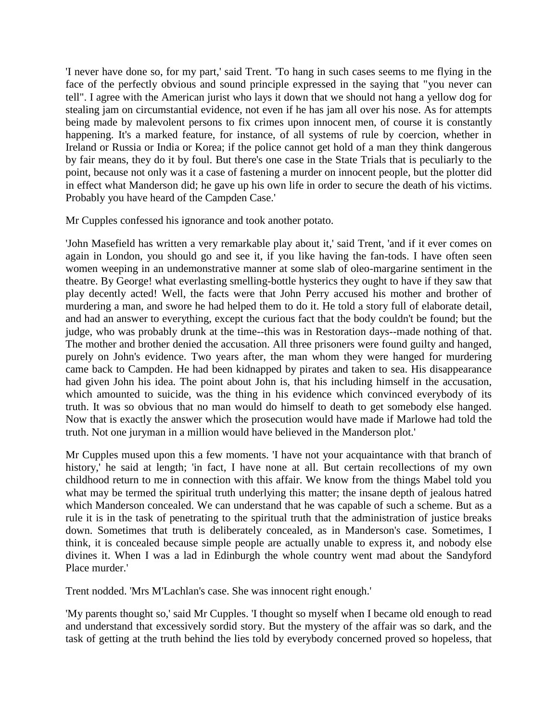'I never have done so, for my part,' said Trent. 'To hang in such cases seems to me flying in the face of the perfectly obvious and sound principle expressed in the saying that "you never can tell". I agree with the American jurist who lays it down that we should not hang a yellow dog for stealing jam on circumstantial evidence, not even if he has jam all over his nose. As for attempts being made by malevolent persons to fix crimes upon innocent men, of course it is constantly happening. It's a marked feature, for instance, of all systems of rule by coercion, whether in Ireland or Russia or India or Korea; if the police cannot get hold of a man they think dangerous by fair means, they do it by foul. But there's one case in the State Trials that is peculiarly to the point, because not only was it a case of fastening a murder on innocent people, but the plotter did in effect what Manderson did; he gave up his own life in order to secure the death of his victims. Probably you have heard of the Campden Case.'

Mr Cupples confessed his ignorance and took another potato.

'John Masefield has written a very remarkable play about it,' said Trent, 'and if it ever comes on again in London, you should go and see it, if you like having the fan-tods. I have often seen women weeping in an undemonstrative manner at some slab of oleo-margarine sentiment in the theatre. By George! what everlasting smelling-bottle hysterics they ought to have if they saw that play decently acted! Well, the facts were that John Perry accused his mother and brother of murdering a man, and swore he had helped them to do it. He told a story full of elaborate detail, and had an answer to everything, except the curious fact that the body couldn't be found; but the judge, who was probably drunk at the time--this was in Restoration days--made nothing of that. The mother and brother denied the accusation. All three prisoners were found guilty and hanged, purely on John's evidence. Two years after, the man whom they were hanged for murdering came back to Campden. He had been kidnapped by pirates and taken to sea. His disappearance had given John his idea. The point about John is, that his including himself in the accusation, which amounted to suicide, was the thing in his evidence which convinced everybody of its truth. It was so obvious that no man would do himself to death to get somebody else hanged. Now that is exactly the answer which the prosecution would have made if Marlowe had told the truth. Not one juryman in a million would have believed in the Manderson plot.'

Mr Cupples mused upon this a few moments. 'I have not your acquaintance with that branch of history, he said at length; 'in fact, I have none at all. But certain recollections of my own childhood return to me in connection with this affair. We know from the things Mabel told you what may be termed the spiritual truth underlying this matter; the insane depth of jealous hatred which Manderson concealed. We can understand that he was capable of such a scheme. But as a rule it is in the task of penetrating to the spiritual truth that the administration of justice breaks down. Sometimes that truth is deliberately concealed, as in Manderson's case. Sometimes, I think, it is concealed because simple people are actually unable to express it, and nobody else divines it. When I was a lad in Edinburgh the whole country went mad about the Sandyford Place murder.'

Trent nodded. 'Mrs M'Lachlan's case. She was innocent right enough.'

'My parents thought so,' said Mr Cupples. 'I thought so myself when I became old enough to read and understand that excessively sordid story. But the mystery of the affair was so dark, and the task of getting at the truth behind the lies told by everybody concerned proved so hopeless, that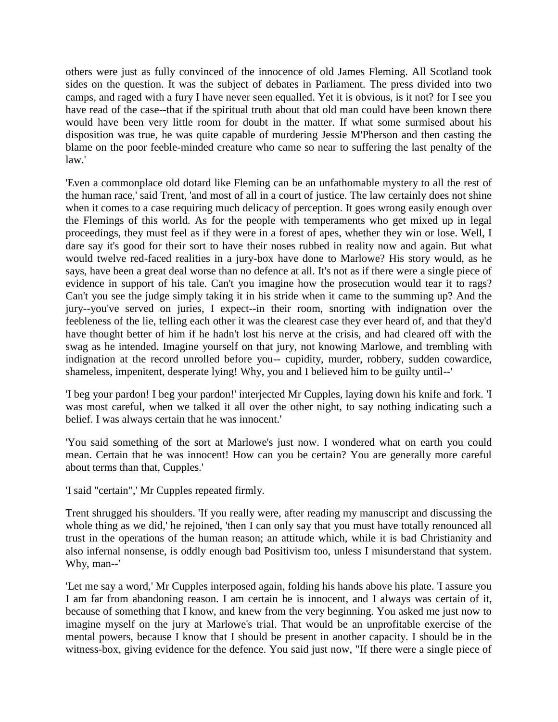others were just as fully convinced of the innocence of old James Fleming. All Scotland took sides on the question. It was the subject of debates in Parliament. The press divided into two camps, and raged with a fury I have never seen equalled. Yet it is obvious, is it not? for I see you have read of the case--that if the spiritual truth about that old man could have been known there would have been very little room for doubt in the matter. If what some surmised about his disposition was true, he was quite capable of murdering Jessie M'Pherson and then casting the blame on the poor feeble-minded creature who came so near to suffering the last penalty of the law.'

'Even a commonplace old dotard like Fleming can be an unfathomable mystery to all the rest of the human race,' said Trent, 'and most of all in a court of justice. The law certainly does not shine when it comes to a case requiring much delicacy of perception. It goes wrong easily enough over the Flemings of this world. As for the people with temperaments who get mixed up in legal proceedings, they must feel as if they were in a forest of apes, whether they win or lose. Well, I dare say it's good for their sort to have their noses rubbed in reality now and again. But what would twelve red-faced realities in a jury-box have done to Marlowe? His story would, as he says, have been a great deal worse than no defence at all. It's not as if there were a single piece of evidence in support of his tale. Can't you imagine how the prosecution would tear it to rags? Can't you see the judge simply taking it in his stride when it came to the summing up? And the jury--you've served on juries, I expect--in their room, snorting with indignation over the feebleness of the lie, telling each other it was the clearest case they ever heard of, and that they'd have thought better of him if he hadn't lost his nerve at the crisis, and had cleared off with the swag as he intended. Imagine yourself on that jury, not knowing Marlowe, and trembling with indignation at the record unrolled before you-- cupidity, murder, robbery, sudden cowardice, shameless, impenitent, desperate lying! Why, you and I believed him to be guilty until--'

'I beg your pardon! I beg your pardon!' interjected Mr Cupples, laying down his knife and fork. 'I was most careful, when we talked it all over the other night, to say nothing indicating such a belief. I was always certain that he was innocent.'

'You said something of the sort at Marlowe's just now. I wondered what on earth you could mean. Certain that he was innocent! How can you be certain? You are generally more careful about terms than that, Cupples.'

'I said "certain",' Mr Cupples repeated firmly.

Trent shrugged his shoulders. 'If you really were, after reading my manuscript and discussing the whole thing as we did,' he rejoined, 'then I can only say that you must have totally renounced all trust in the operations of the human reason; an attitude which, while it is bad Christianity and also infernal nonsense, is oddly enough bad Positivism too, unless I misunderstand that system. Why, man--'

'Let me say a word,' Mr Cupples interposed again, folding his hands above his plate. 'I assure you I am far from abandoning reason. I am certain he is innocent, and I always was certain of it, because of something that I know, and knew from the very beginning. You asked me just now to imagine myself on the jury at Marlowe's trial. That would be an unprofitable exercise of the mental powers, because I know that I should be present in another capacity. I should be in the witness-box, giving evidence for the defence. You said just now, "If there were a single piece of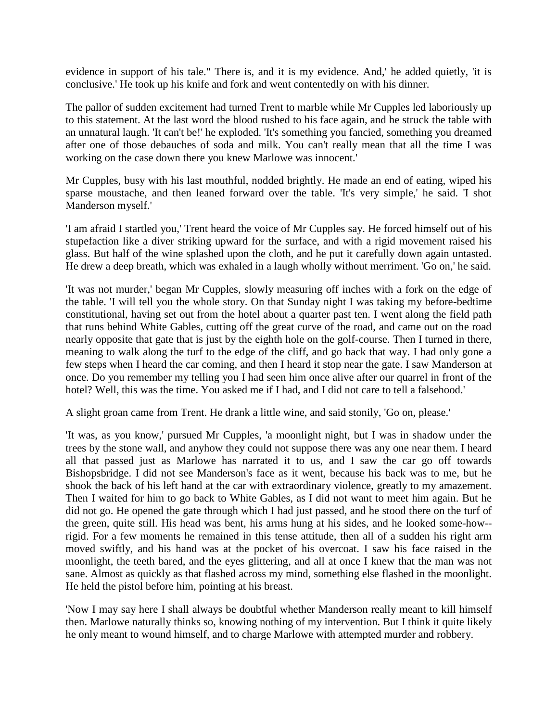evidence in support of his tale." There is, and it is my evidence. And,' he added quietly, 'it is conclusive.' He took up his knife and fork and went contentedly on with his dinner.

The pallor of sudden excitement had turned Trent to marble while Mr Cupples led laboriously up to this statement. At the last word the blood rushed to his face again, and he struck the table with an unnatural laugh. 'It can't be!' he exploded. 'It's something you fancied, something you dreamed after one of those debauches of soda and milk. You can't really mean that all the time I was working on the case down there you knew Marlowe was innocent.'

Mr Cupples, busy with his last mouthful, nodded brightly. He made an end of eating, wiped his sparse moustache, and then leaned forward over the table. 'It's very simple,' he said. 'I shot Manderson myself.'

'I am afraid I startled you,' Trent heard the voice of Mr Cupples say. He forced himself out of his stupefaction like a diver striking upward for the surface, and with a rigid movement raised his glass. But half of the wine splashed upon the cloth, and he put it carefully down again untasted. He drew a deep breath, which was exhaled in a laugh wholly without merriment. 'Go on,' he said.

'It was not murder,' began Mr Cupples, slowly measuring off inches with a fork on the edge of the table. 'I will tell you the whole story. On that Sunday night I was taking my before-bedtime constitutional, having set out from the hotel about a quarter past ten. I went along the field path that runs behind White Gables, cutting off the great curve of the road, and came out on the road nearly opposite that gate that is just by the eighth hole on the golf-course. Then I turned in there, meaning to walk along the turf to the edge of the cliff, and go back that way. I had only gone a few steps when I heard the car coming, and then I heard it stop near the gate. I saw Manderson at once. Do you remember my telling you I had seen him once alive after our quarrel in front of the hotel? Well, this was the time. You asked me if I had, and I did not care to tell a falsehood.'

A slight groan came from Trent. He drank a little wine, and said stonily, 'Go on, please.'

'It was, as you know,' pursued Mr Cupples, 'a moonlight night, but I was in shadow under the trees by the stone wall, and anyhow they could not suppose there was any one near them. I heard all that passed just as Marlowe has narrated it to us, and I saw the car go off towards Bishopsbridge. I did not see Manderson's face as it went, because his back was to me, but he shook the back of his left hand at the car with extraordinary violence, greatly to my amazement. Then I waited for him to go back to White Gables, as I did not want to meet him again. But he did not go. He opened the gate through which I had just passed, and he stood there on the turf of the green, quite still. His head was bent, his arms hung at his sides, and he looked some-how- rigid. For a few moments he remained in this tense attitude, then all of a sudden his right arm moved swiftly, and his hand was at the pocket of his overcoat. I saw his face raised in the moonlight, the teeth bared, and the eyes glittering, and all at once I knew that the man was not sane. Almost as quickly as that flashed across my mind, something else flashed in the moonlight. He held the pistol before him, pointing at his breast.

'Now I may say here I shall always be doubtful whether Manderson really meant to kill himself then. Marlowe naturally thinks so, knowing nothing of my intervention. But I think it quite likely he only meant to wound himself, and to charge Marlowe with attempted murder and robbery.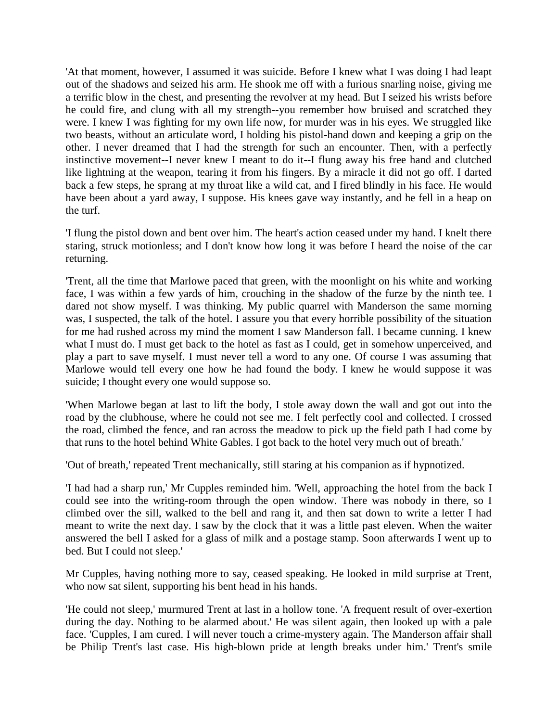'At that moment, however, I assumed it was suicide. Before I knew what I was doing I had leapt out of the shadows and seized his arm. He shook me off with a furious snarling noise, giving me a terrific blow in the chest, and presenting the revolver at my head. But I seized his wrists before he could fire, and clung with all my strength--you remember how bruised and scratched they were. I knew I was fighting for my own life now, for murder was in his eyes. We struggled like two beasts, without an articulate word, I holding his pistol-hand down and keeping a grip on the other. I never dreamed that I had the strength for such an encounter. Then, with a perfectly instinctive movement--I never knew I meant to do it--I flung away his free hand and clutched like lightning at the weapon, tearing it from his fingers. By a miracle it did not go off. I darted back a few steps, he sprang at my throat like a wild cat, and I fired blindly in his face. He would have been about a yard away, I suppose. His knees gave way instantly, and he fell in a heap on the turf.

'I flung the pistol down and bent over him. The heart's action ceased under my hand. I knelt there staring, struck motionless; and I don't know how long it was before I heard the noise of the car returning.

'Trent, all the time that Marlowe paced that green, with the moonlight on his white and working face, I was within a few yards of him, crouching in the shadow of the furze by the ninth tee. I dared not show myself. I was thinking. My public quarrel with Manderson the same morning was, I suspected, the talk of the hotel. I assure you that every horrible possibility of the situation for me had rushed across my mind the moment I saw Manderson fall. I became cunning. I knew what I must do. I must get back to the hotel as fast as I could, get in somehow unperceived, and play a part to save myself. I must never tell a word to any one. Of course I was assuming that Marlowe would tell every one how he had found the body. I knew he would suppose it was suicide; I thought every one would suppose so.

'When Marlowe began at last to lift the body, I stole away down the wall and got out into the road by the clubhouse, where he could not see me. I felt perfectly cool and collected. I crossed the road, climbed the fence, and ran across the meadow to pick up the field path I had come by that runs to the hotel behind White Gables. I got back to the hotel very much out of breath.'

'Out of breath,' repeated Trent mechanically, still staring at his companion as if hypnotized.

'I had had a sharp run,' Mr Cupples reminded him. 'Well, approaching the hotel from the back I could see into the writing-room through the open window. There was nobody in there, so I climbed over the sill, walked to the bell and rang it, and then sat down to write a letter I had meant to write the next day. I saw by the clock that it was a little past eleven. When the waiter answered the bell I asked for a glass of milk and a postage stamp. Soon afterwards I went up to bed. But I could not sleep.'

Mr Cupples, having nothing more to say, ceased speaking. He looked in mild surprise at Trent, who now sat silent, supporting his bent head in his hands.

'He could not sleep,' murmured Trent at last in a hollow tone. 'A frequent result of over-exertion during the day. Nothing to be alarmed about.' He was silent again, then looked up with a pale face. 'Cupples, I am cured. I will never touch a crime-mystery again. The Manderson affair shall be Philip Trent's last case. His high-blown pride at length breaks under him.' Trent's smile